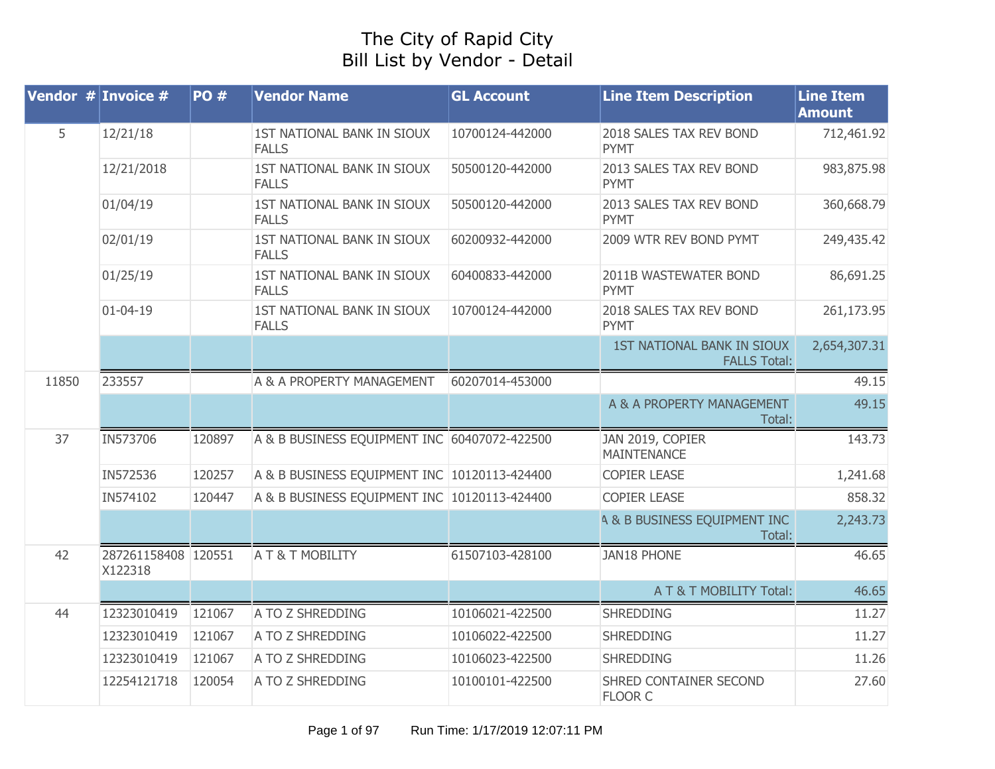## The City of Rapid City Bill List by Vendor - Detail

|       | <b>Vendor <math>#</math> Invoice #</b> | <b>PO#</b> | <b>Vendor Name</b>                           | <b>GL Account</b> | <b>Line Item Description</b>                      | <b>Line Item</b><br><b>Amount</b> |
|-------|----------------------------------------|------------|----------------------------------------------|-------------------|---------------------------------------------------|-----------------------------------|
| 5     | 12/21/18                               |            | 1ST NATIONAL BANK IN SIOUX<br><b>FALLS</b>   | 10700124-442000   | 2018 SALES TAX REV BOND<br><b>PYMT</b>            | 712,461.92                        |
|       | 12/21/2018                             |            | 1ST NATIONAL BANK IN SIOUX<br><b>FALLS</b>   | 50500120-442000   | 2013 SALES TAX REV BOND<br><b>PYMT</b>            | 983,875.98                        |
|       | 01/04/19                               |            | 1ST NATIONAL BANK IN SIOUX<br><b>FALLS</b>   | 50500120-442000   | 2013 SALES TAX REV BOND<br>PYMT                   | 360,668.79                        |
|       | 02/01/19                               |            | 1ST NATIONAL BANK IN SIOUX<br><b>FALLS</b>   | 60200932-442000   | 2009 WTR REV BOND PYMT                            | 249,435.42                        |
|       | 01/25/19                               |            | 1ST NATIONAL BANK IN SIOUX<br><b>FALLS</b>   | 60400833-442000   | 2011B WASTEWATER BOND<br>PYMT                     | 86,691.25                         |
|       | $01 - 04 - 19$                         |            | 1ST NATIONAL BANK IN SIOUX<br><b>FALLS</b>   | 10700124-442000   | 2018 SALES TAX REV BOND<br><b>PYMT</b>            | 261,173.95                        |
|       |                                        |            |                                              |                   | 1ST NATIONAL BANK IN SIOUX<br><b>FALLS Total:</b> | 2,654,307.31                      |
| 11850 | 233557                                 |            | A & A PROPERTY MANAGEMENT                    | 60207014-453000   |                                                   | 49.15                             |
|       |                                        |            |                                              |                   | A & A PROPERTY MANAGEMENT<br>Total:               | 49.15                             |
| 37    | IN573706                               | 120897     | A & B BUSINESS EQUIPMENT INC 60407072-422500 |                   | JAN 2019, COPIER<br><b>MAINTENANCE</b>            | 143.73                            |
|       | IN572536                               | 120257     | A & B BUSINESS EQUIPMENT INC 10120113-424400 |                   | <b>COPIER LEASE</b>                               | 1,241.68                          |
|       | IN574102                               | 120447     | A & B BUSINESS EQUIPMENT INC 10120113-424400 |                   | <b>COPIER LEASE</b>                               | 858.32                            |
|       |                                        |            |                                              |                   | <b>A &amp; B BUSINESS EQUIPMENT INC</b><br>Total: | 2,243.73                          |
| 42    | 287261158408 120551<br>X122318         |            | A T & T MOBILITY                             | 61507103-428100   | <b>JAN18 PHONE</b>                                | 46.65                             |
|       |                                        |            |                                              |                   | A T & T MOBILITY Total:                           | 46.65                             |
| 44    | 12323010419                            | 121067     | A TO Z SHREDDING                             | 10106021-422500   | <b>SHREDDING</b>                                  | 11.27                             |
|       | 12323010419                            | 121067     | A TO Z SHREDDING                             | 10106022-422500   | <b>SHREDDING</b>                                  | 11.27                             |
|       | 12323010419                            | 121067     | A TO Z SHREDDING                             | 10106023-422500   | <b>SHREDDING</b>                                  | 11.26                             |
|       | 12254121718                            | 120054     | A TO Z SHREDDING                             | 10100101-422500   | SHRED CONTAINER SECOND<br><b>FLOOR C</b>          | 27.60                             |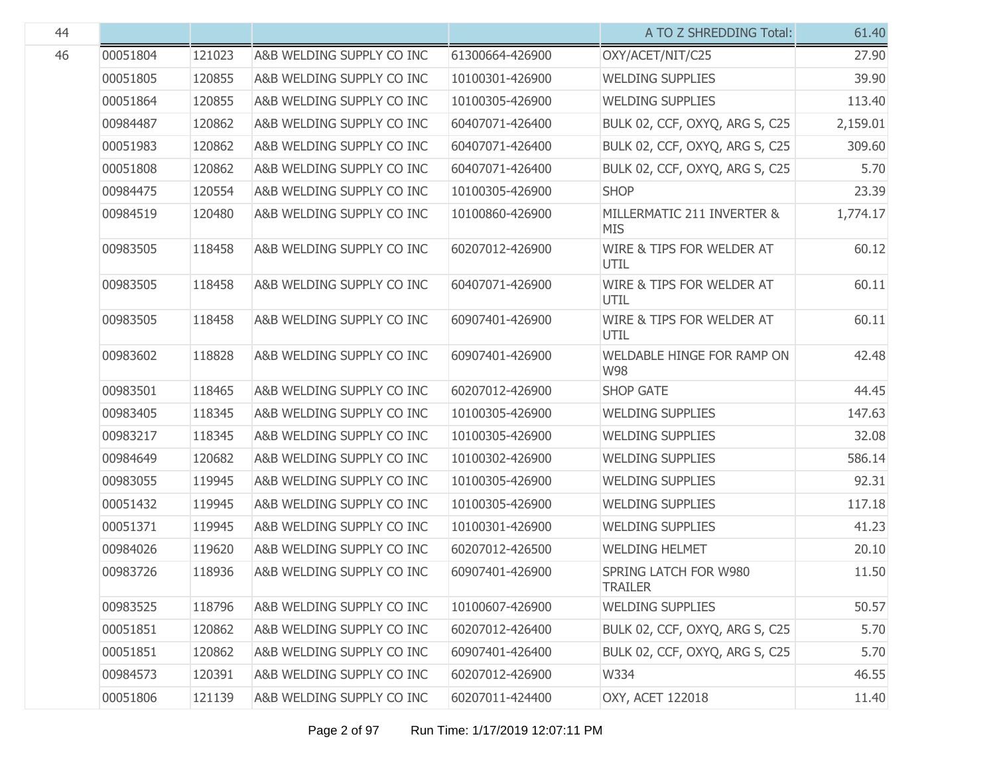|          |        |                           |                 | A TO Z SHREDDING Total:                  | 61.40    |
|----------|--------|---------------------------|-----------------|------------------------------------------|----------|
| 00051804 | 121023 | A&B WELDING SUPPLY CO INC | 61300664-426900 | OXY/ACET/NIT/C25                         | 27.90    |
| 00051805 | 120855 | A&B WELDING SUPPLY CO INC | 10100301-426900 | <b>WELDING SUPPLIES</b>                  | 39.90    |
| 00051864 | 120855 | A&B WELDING SUPPLY CO INC | 10100305-426900 | <b>WELDING SUPPLIES</b>                  | 113.40   |
| 00984487 | 120862 | A&B WELDING SUPPLY CO INC | 60407071-426400 | BULK 02, CCF, OXYQ, ARG S, C25           | 2,159.01 |
| 00051983 | 120862 | A&B WELDING SUPPLY CO INC | 60407071-426400 | BULK 02, CCF, OXYQ, ARG S, C25           | 309.60   |
| 00051808 | 120862 | A&B WELDING SUPPLY CO INC | 60407071-426400 | BULK 02, CCF, OXYQ, ARG S, C25           | 5.70     |
| 00984475 | 120554 | A&B WELDING SUPPLY CO INC | 10100305-426900 | <b>SHOP</b>                              | 23.39    |
| 00984519 | 120480 | A&B WELDING SUPPLY CO INC | 10100860-426900 | MILLERMATIC 211 INVERTER &<br><b>MIS</b> | 1,774.17 |
| 00983505 | 118458 | A&B WELDING SUPPLY CO INC | 60207012-426900 | WIRE & TIPS FOR WELDER AT<br>UTIL        | 60.12    |
| 00983505 | 118458 | A&B WELDING SUPPLY CO INC | 60407071-426900 | WIRE & TIPS FOR WELDER AT<br>UTIL        | 60.11    |
| 00983505 | 118458 | A&B WELDING SUPPLY CO INC | 60907401-426900 | WIRE & TIPS FOR WELDER AT<br>UTIL        | 60.11    |
| 00983602 | 118828 | A&B WELDING SUPPLY CO INC | 60907401-426900 | WELDABLE HINGE FOR RAMP ON<br><b>W98</b> | 42.48    |
| 00983501 | 118465 | A&B WELDING SUPPLY CO INC | 60207012-426900 | <b>SHOP GATE</b>                         | 44.45    |
| 00983405 | 118345 | A&B WELDING SUPPLY CO INC | 10100305-426900 | <b>WELDING SUPPLIES</b>                  | 147.63   |
| 00983217 | 118345 | A&B WELDING SUPPLY CO INC | 10100305-426900 | <b>WELDING SUPPLIES</b>                  | 32.08    |
| 00984649 | 120682 | A&B WELDING SUPPLY CO INC | 10100302-426900 | <b>WELDING SUPPLIES</b>                  | 586.14   |
| 00983055 | 119945 | A&B WELDING SUPPLY CO INC | 10100305-426900 | <b>WELDING SUPPLIES</b>                  | 92.31    |
| 00051432 | 119945 | A&B WELDING SUPPLY CO INC | 10100305-426900 | <b>WELDING SUPPLIES</b>                  | 117.18   |
| 00051371 | 119945 | A&B WELDING SUPPLY CO INC | 10100301-426900 | <b>WELDING SUPPLIES</b>                  | 41.23    |
| 00984026 | 119620 | A&B WELDING SUPPLY CO INC | 60207012-426500 | <b>WELDING HELMET</b>                    | 20.10    |
| 00983726 | 118936 | A&B WELDING SUPPLY CO INC | 60907401-426900 | SPRING LATCH FOR W980<br><b>TRAILER</b>  | 11.50    |
| 00983525 | 118796 | A&B WELDING SUPPLY CO INC | 10100607-426900 | <b>WELDING SUPPLIES</b>                  | 50.57    |
| 00051851 | 120862 | A&B WELDING SUPPLY CO INC | 60207012-426400 | BULK 02, CCF, OXYQ, ARG S, C25           | 5.70     |
| 00051851 | 120862 | A&B WELDING SUPPLY CO INC | 60907401-426400 | BULK 02, CCF, OXYQ, ARG S, C25           | 5.70     |
| 00984573 | 120391 | A&B WELDING SUPPLY CO INC | 60207012-426900 | W334                                     | 46.55    |
| 00051806 | 121139 | A&B WELDING SUPPLY CO INC | 60207011-424400 | OXY, ACET 122018                         | 11.40    |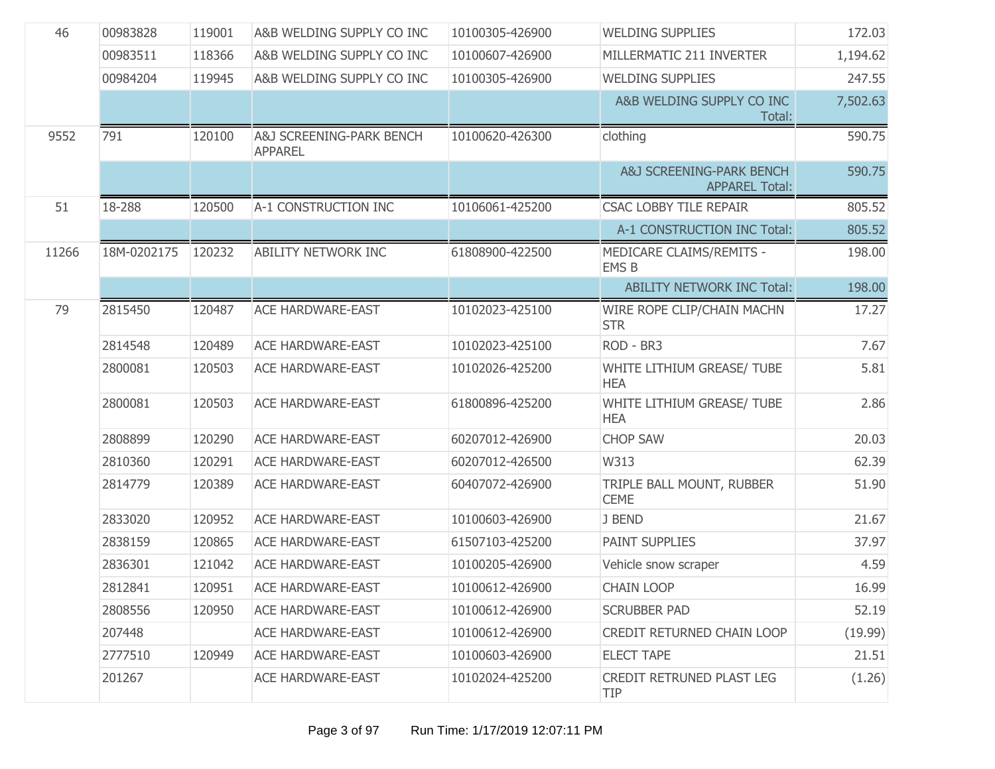| 46    | 00983828    | 119001 | A&B WELDING SUPPLY CO INC                  | 10100305-426900 | <b>WELDING SUPPLIES</b>                           | 172.03   |
|-------|-------------|--------|--------------------------------------------|-----------------|---------------------------------------------------|----------|
|       | 00983511    | 118366 | A&B WELDING SUPPLY CO INC                  | 10100607-426900 | MILLERMATIC 211 INVERTER                          | 1,194.62 |
|       | 00984204    | 119945 | A&B WELDING SUPPLY CO INC                  | 10100305-426900 | <b>WELDING SUPPLIES</b>                           | 247.55   |
|       |             |        |                                            |                 | A&B WELDING SUPPLY CO INC<br>Total:               | 7,502.63 |
| 9552  | 791         | 120100 | A&J SCREENING-PARK BENCH<br><b>APPAREL</b> | 10100620-426300 | clothing                                          | 590.75   |
|       |             |        |                                            |                 | A&J SCREENING-PARK BENCH<br><b>APPAREL Total:</b> | 590.75   |
| 51    | 18-288      | 120500 | A-1 CONSTRUCTION INC                       | 10106061-425200 | <b>CSAC LOBBY TILE REPAIR</b>                     | 805.52   |
|       |             |        |                                            |                 | A-1 CONSTRUCTION INC Total:                       | 805.52   |
| 11266 | 18M-0202175 | 120232 | <b>ABILITY NETWORK INC</b>                 | 61808900-422500 | MEDICARE CLAIMS/REMITS -<br><b>EMS B</b>          | 198.00   |
|       |             |        |                                            |                 | <b>ABILITY NETWORK INC Total:</b>                 | 198.00   |
| 79    | 2815450     | 120487 | <b>ACE HARDWARE-EAST</b>                   | 10102023-425100 | WIRE ROPE CLIP/CHAIN MACHN<br><b>STR</b>          | 17.27    |
|       | 2814548     | 120489 | <b>ACE HARDWARE-EAST</b>                   | 10102023-425100 | ROD - BR3                                         | 7.67     |
|       | 2800081     | 120503 | <b>ACE HARDWARE-EAST</b>                   | 10102026-425200 | WHITE LITHIUM GREASE/ TUBE<br><b>HEA</b>          | 5.81     |
|       | 2800081     | 120503 | <b>ACE HARDWARE-EAST</b>                   | 61800896-425200 | WHITE LITHIUM GREASE/ TUBE<br><b>HEA</b>          | 2.86     |
|       | 2808899     | 120290 | <b>ACE HARDWARE-EAST</b>                   | 60207012-426900 | <b>CHOP SAW</b>                                   | 20.03    |
|       | 2810360     | 120291 | <b>ACE HARDWARE-EAST</b>                   | 60207012-426500 | W313                                              | 62.39    |
|       | 2814779     | 120389 | <b>ACE HARDWARE-EAST</b>                   | 60407072-426900 | TRIPLE BALL MOUNT, RUBBER<br><b>CEME</b>          | 51.90    |
|       | 2833020     | 120952 | <b>ACE HARDWARE-EAST</b>                   | 10100603-426900 | J BEND                                            | 21.67    |
|       | 2838159     | 120865 | <b>ACE HARDWARE-EAST</b>                   | 61507103-425200 | <b>PAINT SUPPLIES</b>                             | 37.97    |
|       | 2836301     | 121042 | <b>ACE HARDWARE-EAST</b>                   | 10100205-426900 | Vehicle snow scraper                              | 4.59     |
|       | 2812841     | 120951 | ACE HARDWARE-EAST                          | 10100612-426900 | <b>CHAIN LOOP</b>                                 | 16.99    |
|       | 2808556     | 120950 | <b>ACE HARDWARE-EAST</b>                   | 10100612-426900 | <b>SCRUBBER PAD</b>                               | 52.19    |
|       | 207448      |        | <b>ACE HARDWARE-EAST</b>                   | 10100612-426900 | CREDIT RETURNED CHAIN LOOP                        | (19.99)  |
|       | 2777510     | 120949 | <b>ACE HARDWARE-EAST</b>                   | 10100603-426900 | <b>ELECT TAPE</b>                                 | 21.51    |
|       | 201267      |        | <b>ACE HARDWARE-EAST</b>                   | 10102024-425200 | CREDIT RETRUNED PLAST LEG<br><b>TIP</b>           | (1.26)   |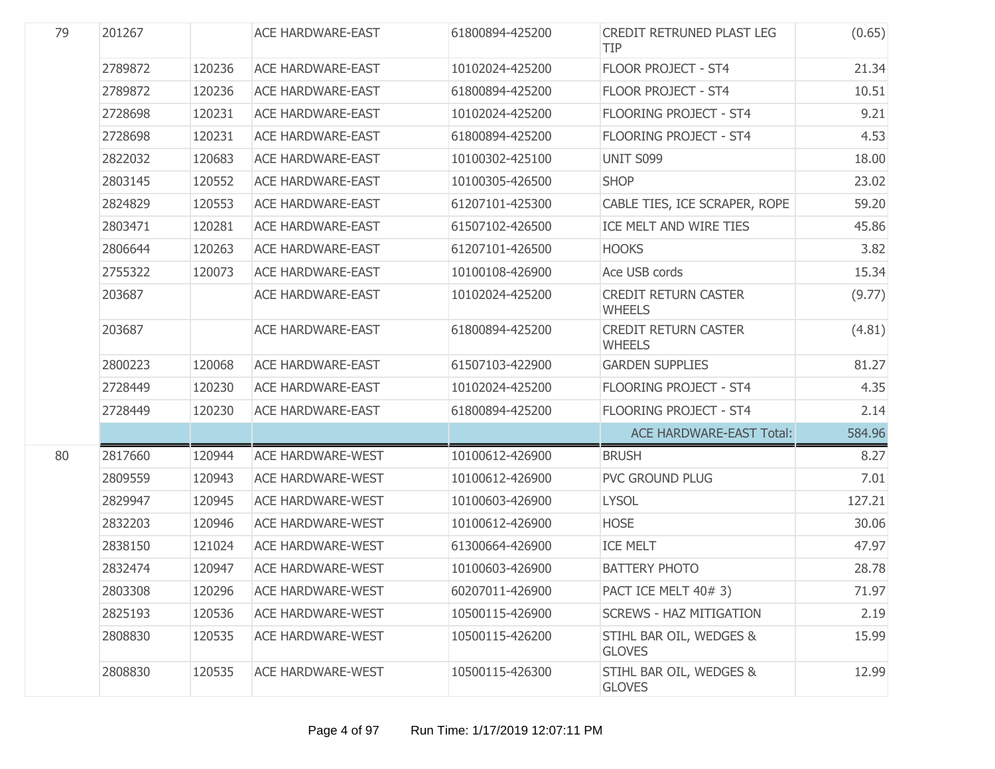| 79 | 201267  |        | <b>ACE HARDWARE-EAST</b> | 61800894-425200 | <b>CREDIT RETRUNED PLAST LEG</b><br><b>TIP</b> | (0.65) |
|----|---------|--------|--------------------------|-----------------|------------------------------------------------|--------|
|    | 2789872 | 120236 | <b>ACE HARDWARE-EAST</b> | 10102024-425200 | <b>FLOOR PROJECT - ST4</b>                     | 21.34  |
|    | 2789872 | 120236 | <b>ACE HARDWARE-EAST</b> | 61800894-425200 | <b>FLOOR PROJECT - ST4</b>                     | 10.51  |
|    | 2728698 | 120231 | <b>ACE HARDWARE-EAST</b> | 10102024-425200 | <b>FLOORING PROJECT - ST4</b>                  | 9.21   |
|    | 2728698 | 120231 | <b>ACE HARDWARE-EAST</b> | 61800894-425200 | <b>FLOORING PROJECT - ST4</b>                  | 4.53   |
|    | 2822032 | 120683 | <b>ACE HARDWARE-EAST</b> | 10100302-425100 | UNIT S099                                      | 18.00  |
|    | 2803145 | 120552 | <b>ACE HARDWARE-EAST</b> | 10100305-426500 | <b>SHOP</b>                                    | 23.02  |
|    | 2824829 | 120553 | <b>ACE HARDWARE-EAST</b> | 61207101-425300 | CABLE TIES, ICE SCRAPER, ROPE                  | 59.20  |
|    | 2803471 | 120281 | <b>ACE HARDWARE-EAST</b> | 61507102-426500 | ICE MELT AND WIRE TIES                         | 45.86  |
|    | 2806644 | 120263 | <b>ACE HARDWARE-EAST</b> | 61207101-426500 | <b>HOOKS</b>                                   | 3.82   |
|    | 2755322 | 120073 | <b>ACE HARDWARE-EAST</b> | 10100108-426900 | Ace USB cords                                  | 15.34  |
|    | 203687  |        | <b>ACE HARDWARE-EAST</b> | 10102024-425200 | <b>CREDIT RETURN CASTER</b><br><b>WHEELS</b>   | (9.77) |
|    | 203687  |        | <b>ACE HARDWARE-EAST</b> | 61800894-425200 | <b>CREDIT RETURN CASTER</b><br><b>WHEELS</b>   | (4.81) |
|    | 2800223 | 120068 | <b>ACE HARDWARE-EAST</b> | 61507103-422900 | <b>GARDEN SUPPLIES</b>                         | 81.27  |
|    | 2728449 | 120230 | <b>ACE HARDWARE-EAST</b> | 10102024-425200 | <b>FLOORING PROJECT - ST4</b>                  | 4.35   |
|    | 2728449 | 120230 | <b>ACE HARDWARE-EAST</b> | 61800894-425200 | <b>FLOORING PROJECT - ST4</b>                  | 2.14   |
|    |         |        |                          |                 | <b>ACE HARDWARE-EAST Total:</b>                | 584.96 |
| 80 | 2817660 | 120944 | <b>ACE HARDWARE-WEST</b> | 10100612-426900 | <b>BRUSH</b>                                   | 8.27   |
|    | 2809559 | 120943 | <b>ACE HARDWARE-WEST</b> | 10100612-426900 | PVC GROUND PLUG                                | 7.01   |
|    | 2829947 | 120945 | <b>ACE HARDWARE-WEST</b> | 10100603-426900 | <b>LYSOL</b>                                   | 127.21 |
|    | 2832203 | 120946 | <b>ACE HARDWARE-WEST</b> | 10100612-426900 | <b>HOSE</b>                                    | 30.06  |
|    | 2838150 | 121024 | <b>ACE HARDWARE-WEST</b> | 61300664-426900 | <b>ICE MELT</b>                                | 47.97  |
|    | 2832474 | 120947 | <b>ACE HARDWARE-WEST</b> | 10100603-426900 | <b>BATTERY PHOTO</b>                           | 28.78  |
|    | 2803308 | 120296 | <b>ACE HARDWARE-WEST</b> | 60207011-426900 | PACT ICE MELT 40# 3)                           | 71.97  |
|    | 2825193 | 120536 | <b>ACE HARDWARE-WEST</b> | 10500115-426900 | <b>SCREWS - HAZ MITIGATION</b>                 | 2.19   |
|    | 2808830 | 120535 | <b>ACE HARDWARE-WEST</b> | 10500115-426200 | STIHL BAR OIL, WEDGES &<br><b>GLOVES</b>       | 15.99  |
|    | 2808830 | 120535 | <b>ACE HARDWARE-WEST</b> | 10500115-426300 | STIHL BAR OIL, WEDGES &<br><b>GLOVES</b>       | 12.99  |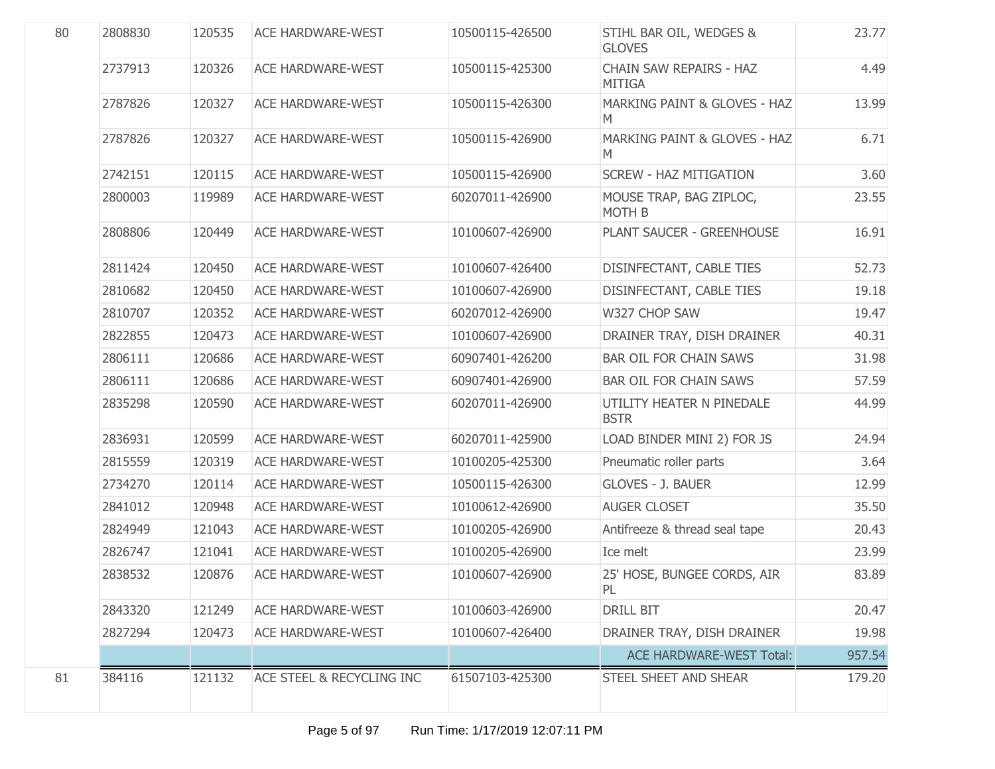| 80 | 2808830 | 120535 | <b>ACE HARDWARE-WEST</b>  | 10500115-426500 | STIHL BAR OIL, WEDGES &<br><b>GLOVES</b>     | 23.77  |
|----|---------|--------|---------------------------|-----------------|----------------------------------------------|--------|
|    | 2737913 | 120326 | <b>ACE HARDWARE-WEST</b>  | 10500115-425300 | CHAIN SAW REPAIRS - HAZ<br><b>MITIGA</b>     | 4.49   |
|    | 2787826 | 120327 | <b>ACE HARDWARE-WEST</b>  | 10500115-426300 | <b>MARKING PAINT &amp; GLOVES - HAZ</b><br>M | 13.99  |
|    | 2787826 | 120327 | <b>ACE HARDWARE-WEST</b>  | 10500115-426900 | <b>MARKING PAINT &amp; GLOVES - HAZ</b><br>M | 6.71   |
|    | 2742151 | 120115 | <b>ACE HARDWARE-WEST</b>  | 10500115-426900 | <b>SCREW - HAZ MITIGATION</b>                | 3.60   |
|    | 2800003 | 119989 | <b>ACE HARDWARE-WEST</b>  | 60207011-426900 | MOUSE TRAP, BAG ZIPLOC,<br><b>MOTH B</b>     | 23.55  |
|    | 2808806 | 120449 | <b>ACE HARDWARE-WEST</b>  | 10100607-426900 | PLANT SAUCER - GREENHOUSE                    | 16.91  |
|    | 2811424 | 120450 | <b>ACE HARDWARE-WEST</b>  | 10100607-426400 | DISINFECTANT, CABLE TIES                     | 52.73  |
|    | 2810682 | 120450 | <b>ACE HARDWARE-WEST</b>  | 10100607-426900 | DISINFECTANT, CABLE TIES                     | 19.18  |
|    | 2810707 | 120352 | <b>ACE HARDWARE-WEST</b>  | 60207012-426900 | W327 CHOP SAW                                | 19.47  |
|    | 2822855 | 120473 | <b>ACE HARDWARE-WEST</b>  | 10100607-426900 | DRAINER TRAY, DISH DRAINER                   | 40.31  |
|    | 2806111 | 120686 | <b>ACE HARDWARE-WEST</b>  | 60907401-426200 | <b>BAR OIL FOR CHAIN SAWS</b>                | 31.98  |
|    | 2806111 | 120686 | <b>ACE HARDWARE-WEST</b>  | 60907401-426900 | <b>BAR OIL FOR CHAIN SAWS</b>                | 57.59  |
|    | 2835298 | 120590 | <b>ACE HARDWARE-WEST</b>  | 60207011-426900 | UTILITY HEATER N PINEDALE<br><b>BSTR</b>     | 44.99  |
|    | 2836931 | 120599 | <b>ACE HARDWARE-WEST</b>  | 60207011-425900 | LOAD BINDER MINI 2) FOR JS                   | 24.94  |
|    | 2815559 | 120319 | <b>ACE HARDWARE-WEST</b>  | 10100205-425300 | Pneumatic roller parts                       | 3.64   |
|    | 2734270 | 120114 | <b>ACE HARDWARE-WEST</b>  | 10500115-426300 | <b>GLOVES - J. BAUER</b>                     | 12.99  |
|    | 2841012 | 120948 | <b>ACE HARDWARE-WEST</b>  | 10100612-426900 | <b>AUGER CLOSET</b>                          | 35.50  |
|    | 2824949 | 121043 | <b>ACE HARDWARE-WEST</b>  | 10100205-426900 | Antifreeze & thread seal tape                | 20.43  |
|    | 2826747 | 121041 | <b>ACE HARDWARE-WEST</b>  | 10100205-426900 | Ice melt                                     | 23.99  |
|    | 2838532 | 120876 | <b>ACE HARDWARE-WEST</b>  | 10100607-426900 | 25' HOSE, BUNGEE CORDS, AIR<br>PL            | 83.89  |
|    | 2843320 | 121249 | <b>ACE HARDWARE-WEST</b>  | 10100603-426900 | <b>DRILL BIT</b>                             | 20.47  |
|    | 2827294 | 120473 | <b>ACE HARDWARE-WEST</b>  | 10100607-426400 | DRAINER TRAY, DISH DRAINER                   | 19.98  |
|    |         |        |                           |                 | <b>ACE HARDWARE-WEST Total:</b>              | 957.54 |
| 81 | 384116  | 121132 | ACE STEEL & RECYCLING INC | 61507103-425300 | STEEL SHEET AND SHEAR                        | 179.20 |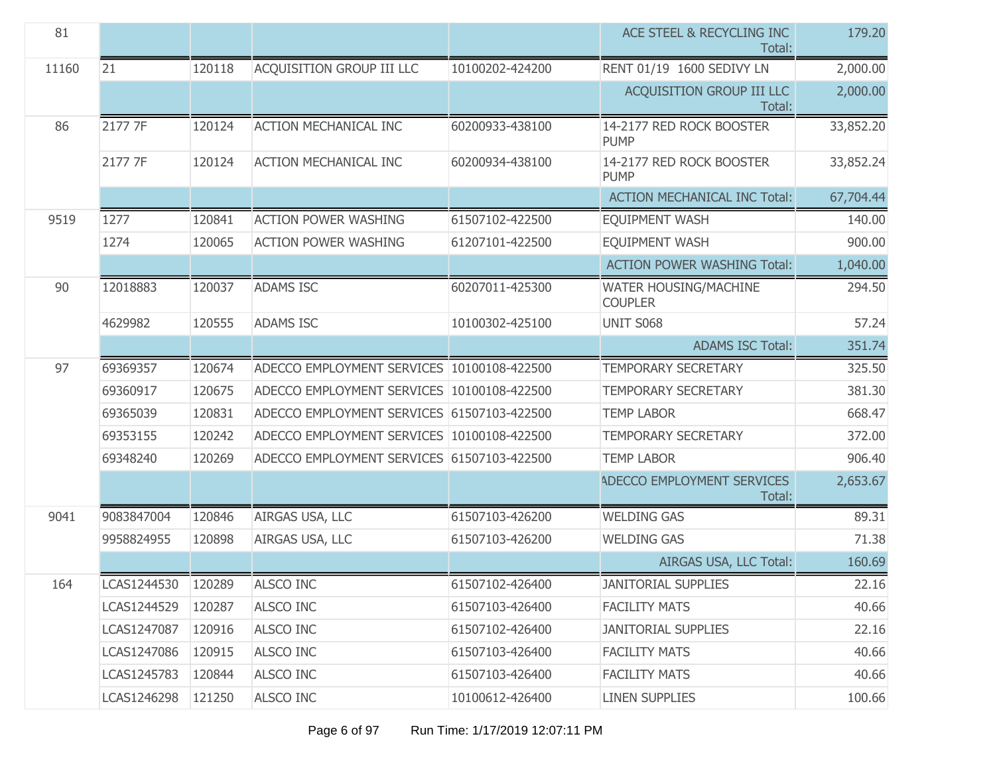| 81    |                    |        |                                            |                 | ACE STEEL & RECYCLING INC<br>Total:     | 179.20    |
|-------|--------------------|--------|--------------------------------------------|-----------------|-----------------------------------------|-----------|
| 11160 | 21                 | 120118 | ACQUISITION GROUP III LLC                  | 10100202-424200 | RENT 01/19 1600 SEDIVY LN               | 2,000.00  |
|       |                    |        |                                            |                 | ACQUISITION GROUP III LLC<br>Total:     | 2,000.00  |
| 86    | 2177 7F            | 120124 | <b>ACTION MECHANICAL INC</b>               | 60200933-438100 | 14-2177 RED ROCK BOOSTER<br><b>PUMP</b> | 33,852.20 |
|       | 2177 7F            | 120124 | <b>ACTION MECHANICAL INC</b>               | 60200934-438100 | 14-2177 RED ROCK BOOSTER<br><b>PUMP</b> | 33,852.24 |
|       |                    |        |                                            |                 | <b>ACTION MECHANICAL INC Total:</b>     | 67,704.44 |
| 9519  | 1277               | 120841 | <b>ACTION POWER WASHING</b>                | 61507102-422500 | <b>EQUIPMENT WASH</b>                   | 140.00    |
|       | 1274               | 120065 | <b>ACTION POWER WASHING</b>                | 61207101-422500 | <b>EQUIPMENT WASH</b>                   | 900.00    |
|       |                    |        |                                            |                 | <b>ACTION POWER WASHING Total:</b>      | 1,040.00  |
| 90    | 12018883           | 120037 | <b>ADAMS ISC</b>                           | 60207011-425300 | WATER HOUSING/MACHINE<br><b>COUPLER</b> | 294.50    |
|       | 4629982            | 120555 | <b>ADAMS ISC</b>                           | 10100302-425100 | UNIT S068                               | 57.24     |
|       |                    |        |                                            |                 | <b>ADAMS ISC Total:</b>                 | 351.74    |
| 97    | 69369357           | 120674 | ADECCO EMPLOYMENT SERVICES 10100108-422500 |                 | <b>TEMPORARY SECRETARY</b>              | 325.50    |
|       | 69360917           | 120675 | ADECCO EMPLOYMENT SERVICES 10100108-422500 |                 | <b>TEMPORARY SECRETARY</b>              | 381.30    |
|       | 69365039           | 120831 | ADECCO EMPLOYMENT SERVICES 61507103-422500 |                 | <b>TEMP LABOR</b>                       | 668.47    |
|       | 69353155           | 120242 | ADECCO EMPLOYMENT SERVICES 10100108-422500 |                 | <b>TEMPORARY SECRETARY</b>              | 372.00    |
|       | 69348240           | 120269 | ADECCO EMPLOYMENT SERVICES 61507103-422500 |                 | <b>TEMP LABOR</b>                       | 906.40    |
|       |                    |        |                                            |                 | ADECCO EMPLOYMENT SERVICES<br>Total:    | 2,653.67  |
| 9041  | 9083847004         | 120846 | AIRGAS USA, LLC                            | 61507103-426200 | <b>WELDING GAS</b>                      | 89.31     |
|       | 9958824955         | 120898 | AIRGAS USA, LLC                            | 61507103-426200 | <b>WELDING GAS</b>                      | 71.38     |
|       |                    |        |                                            |                 | AIRGAS USA, LLC Total:                  | 160.69    |
| 164   | LCAS1244530 120289 |        | ALSCO INC                                  | 61507102-426400 | <b>JANITORIAL SUPPLIES</b>              | 22.16     |
|       | LCAS1244529        | 120287 | <b>ALSCO INC</b>                           | 61507103-426400 | <b>FACILITY MATS</b>                    | 40.66     |
|       | LCAS1247087        | 120916 | <b>ALSCO INC</b>                           | 61507102-426400 | <b>JANITORIAL SUPPLIES</b>              | 22.16     |
|       | LCAS1247086        | 120915 | <b>ALSCO INC</b>                           | 61507103-426400 | <b>FACILITY MATS</b>                    | 40.66     |
|       | LCAS1245783        | 120844 | <b>ALSCO INC</b>                           | 61507103-426400 | <b>FACILITY MATS</b>                    | 40.66     |
|       | LCAS1246298        | 121250 | ALSCO INC                                  | 10100612-426400 | <b>LINEN SUPPLIES</b>                   | 100.66    |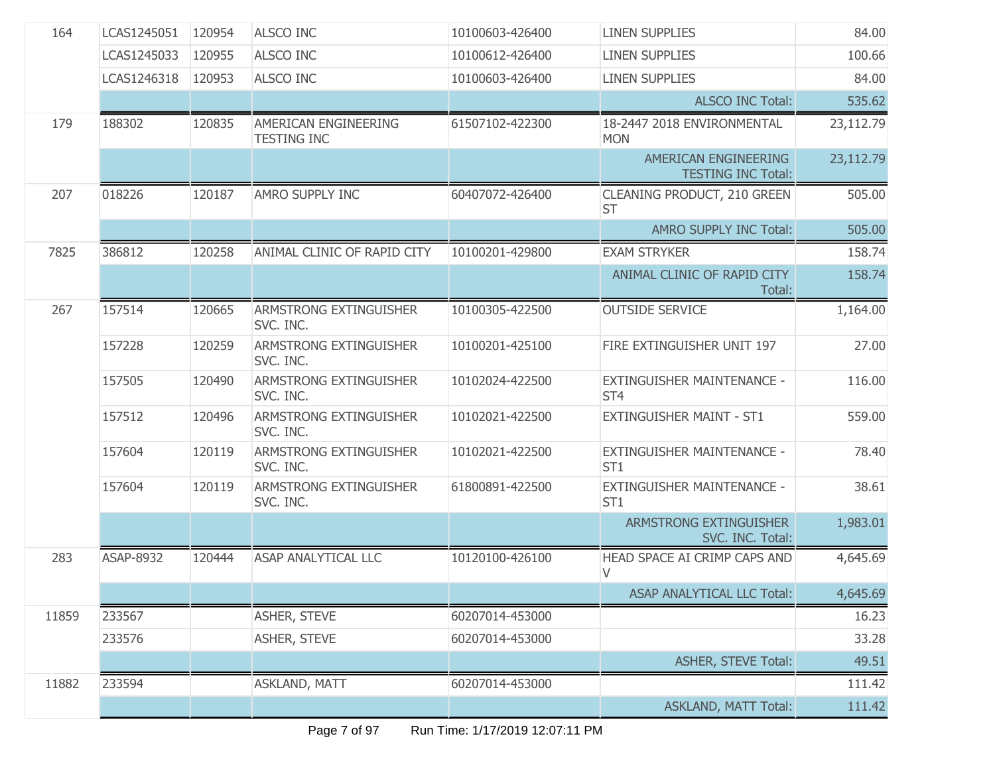| 164   | LCAS1245051 | 120954 | <b>ALSCO INC</b>                           | 10100603-426400 | <b>LINEN SUPPLIES</b>                             | 84.00     |
|-------|-------------|--------|--------------------------------------------|-----------------|---------------------------------------------------|-----------|
|       | LCAS1245033 | 120955 | <b>ALSCO INC</b>                           | 10100612-426400 | <b>LINEN SUPPLIES</b>                             | 100.66    |
|       | LCAS1246318 | 120953 | <b>ALSCO INC</b>                           | 10100603-426400 | <b>LINEN SUPPLIES</b>                             | 84.00     |
|       |             |        |                                            |                 | <b>ALSCO INC Total:</b>                           | 535.62    |
| 179   | 188302      | 120835 | AMERICAN ENGINEERING<br><b>TESTING INC</b> | 61507102-422300 | 18-2447 2018 ENVIRONMENTAL<br><b>MON</b>          | 23,112.79 |
|       |             |        |                                            |                 | AMERICAN ENGINEERING<br><b>TESTING INC Total:</b> | 23,112.79 |
| 207   | 018226      | 120187 | AMRO SUPPLY INC                            | 60407072-426400 | CLEANING PRODUCT, 210 GREEN<br><b>ST</b>          | 505.00    |
|       |             |        |                                            |                 | AMRO SUPPLY INC Total:                            | 505.00    |
| 7825  | 386812      | 120258 | ANIMAL CLINIC OF RAPID CITY                | 10100201-429800 | <b>EXAM STRYKER</b>                               | 158.74    |
|       |             |        |                                            |                 | ANIMAL CLINIC OF RAPID CITY<br>Total:             | 158.74    |
| 267   | 157514      | 120665 | ARMSTRONG EXTINGUISHER<br>SVC. INC.        | 10100305-422500 | <b>OUTSIDE SERVICE</b>                            | 1,164.00  |
|       | 157228      | 120259 | <b>ARMSTRONG EXTINGUISHER</b><br>SVC. INC. | 10100201-425100 | FIRE EXTINGUISHER UNIT 197                        | 27.00     |
|       | 157505      | 120490 | ARMSTRONG EXTINGUISHER<br>SVC. INC.        | 10102024-422500 | EXTINGUISHER MAINTENANCE -<br>ST <sub>4</sub>     | 116.00    |
|       | 157512      | 120496 | ARMSTRONG EXTINGUISHER<br>SVC. INC.        | 10102021-422500 | <b>EXTINGUISHER MAINT - ST1</b>                   | 559.00    |
|       | 157604      | 120119 | <b>ARMSTRONG EXTINGUISHER</b><br>SVC. INC. | 10102021-422500 | EXTINGUISHER MAINTENANCE -<br>ST <sub>1</sub>     | 78.40     |
|       | 157604      | 120119 | <b>ARMSTRONG EXTINGUISHER</b><br>SVC. INC. | 61800891-422500 | EXTINGUISHER MAINTENANCE -<br>ST <sub>1</sub>     | 38.61     |
|       |             |        |                                            |                 | ARMSTRONG EXTINGUISHER<br>SVC. INC. Total:        | 1,983.01  |
| 283   | ASAP-8932   | 120444 | <b>ASAP ANALYTICAL LLC</b>                 | 10120100-426100 | HEAD SPACE AI CRIMP CAPS AND<br>V                 | 4,645.69  |
|       |             |        |                                            |                 | ASAP ANALYTICAL LLC Total:                        | 4,645.69  |
| 11859 | 233567      |        | <b>ASHER, STEVE</b>                        | 60207014-453000 |                                                   | 16.23     |
|       | 233576      |        | <b>ASHER, STEVE</b>                        | 60207014-453000 |                                                   | 33.28     |
|       |             |        |                                            |                 | <b>ASHER, STEVE Total:</b>                        | 49.51     |
| 11882 | 233594      |        | <b>ASKLAND, MATT</b>                       | 60207014-453000 |                                                   | 111.42    |
|       |             |        |                                            |                 | <b>ASKLAND, MATT Total:</b>                       | 111.42    |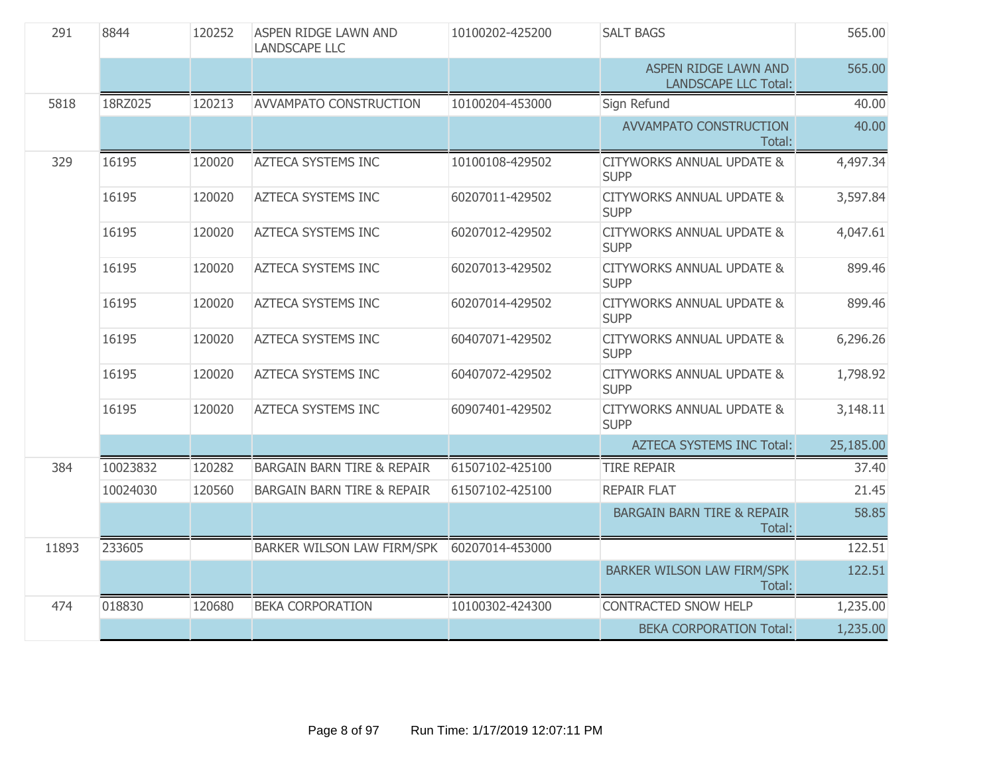| 291<br>8844<br>120252<br>ASPEN RIDGE LAWN AND<br><b>LANDSCAPE LLC</b> |          | 10100202-425200 | <b>SALT BAGS</b>                      | 565.00          |                                                     |           |
|-----------------------------------------------------------------------|----------|-----------------|---------------------------------------|-----------------|-----------------------------------------------------|-----------|
|                                                                       |          |                 |                                       |                 | ASPEN RIDGE LAWN AND<br><b>LANDSCAPE LLC Total:</b> | 565.00    |
| 5818                                                                  | 18RZ025  | 120213          | <b>AVVAMPATO CONSTRUCTION</b>         | 10100204-453000 | Sign Refund                                         | 40.00     |
|                                                                       |          |                 |                                       |                 | AVVAMPATO CONSTRUCTION<br>Total:                    | 40.00     |
| 329                                                                   | 16195    | 120020          | <b>AZTECA SYSTEMS INC</b>             | 10100108-429502 | <b>CITYWORKS ANNUAL UPDATE &amp;</b><br><b>SUPP</b> | 4,497.34  |
|                                                                       | 16195    | 120020          | <b>AZTECA SYSTEMS INC</b>             | 60207011-429502 | <b>CITYWORKS ANNUAL UPDATE &amp;</b><br><b>SUPP</b> | 3,597.84  |
|                                                                       | 16195    | 120020          | <b>AZTECA SYSTEMS INC</b>             | 60207012-429502 | <b>CITYWORKS ANNUAL UPDATE &amp;</b><br><b>SUPP</b> | 4,047.61  |
|                                                                       | 16195    | 120020          | <b>AZTECA SYSTEMS INC</b>             | 60207013-429502 | <b>CITYWORKS ANNUAL UPDATE &amp;</b><br><b>SUPP</b> | 899.46    |
|                                                                       | 16195    | 120020          | <b>AZTECA SYSTEMS INC</b>             | 60207014-429502 | <b>CITYWORKS ANNUAL UPDATE &amp;</b><br><b>SUPP</b> | 899.46    |
|                                                                       | 16195    | 120020          | <b>AZTECA SYSTEMS INC</b>             | 60407071-429502 | <b>CITYWORKS ANNUAL UPDATE &amp;</b><br><b>SUPP</b> | 6,296.26  |
|                                                                       | 16195    | 120020          | <b>AZTECA SYSTEMS INC</b>             | 60407072-429502 | <b>CITYWORKS ANNUAL UPDATE &amp;</b><br><b>SUPP</b> | 1,798.92  |
|                                                                       | 16195    | 120020          | <b>AZTECA SYSTEMS INC</b>             | 60907401-429502 | <b>CITYWORKS ANNUAL UPDATE &amp;</b><br><b>SUPP</b> | 3,148.11  |
|                                                                       |          |                 |                                       |                 | <b>AZTECA SYSTEMS INC Total:</b>                    | 25,185.00 |
| 384                                                                   | 10023832 | 120282          | <b>BARGAIN BARN TIRE &amp; REPAIR</b> | 61507102-425100 | <b>TIRE REPAIR</b>                                  | 37.40     |
|                                                                       | 10024030 | 120560          | <b>BARGAIN BARN TIRE &amp; REPAIR</b> | 61507102-425100 | <b>REPAIR FLAT</b>                                  | 21.45     |
|                                                                       |          |                 |                                       |                 | <b>BARGAIN BARN TIRE &amp; REPAIR</b><br>Total:     | 58.85     |
| 11893                                                                 | 233605   |                 | BARKER WILSON LAW FIRM/SPK            | 60207014-453000 |                                                     | 122.51    |
|                                                                       |          |                 |                                       |                 | BARKER WILSON LAW FIRM/SPK<br>Total:                | 122.51    |
| 474                                                                   | 018830   | 120680          | <b>BEKA CORPORATION</b>               | 10100302-424300 | CONTRACTED SNOW HELP                                | 1,235.00  |
|                                                                       |          |                 |                                       |                 | <b>BEKA CORPORATION Total:</b>                      | 1,235.00  |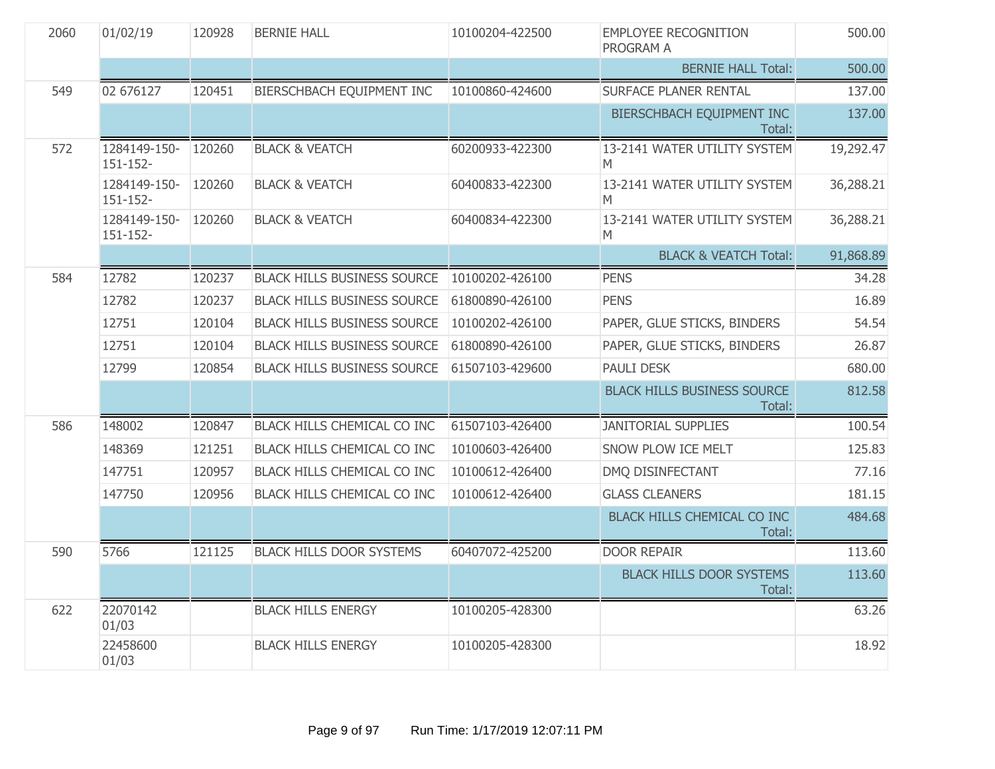| 2060 | 01/02/19                 | 120928 | <b>BERNIE HALL</b>                 | 10100204-422500<br><b>EMPLOYEE RECOGNITION</b><br><b>PROGRAM A</b> |                                              | 500.00    |
|------|--------------------------|--------|------------------------------------|--------------------------------------------------------------------|----------------------------------------------|-----------|
|      |                          |        |                                    |                                                                    | <b>BERNIE HALL Total:</b>                    | 500.00    |
| 549  | 02 676127                | 120451 | BIERSCHBACH EQUIPMENT INC          | 10100860-424600                                                    | <b>SURFACE PLANER RENTAL</b>                 | 137.00    |
|      |                          |        |                                    |                                                                    | BIERSCHBACH EQUIPMENT INC<br>Total:          | 137.00    |
| 572  | 1284149-150-<br>151-152- | 120260 | <b>BLACK &amp; VEATCH</b>          | 60200933-422300                                                    | 13-2141 WATER UTILITY SYSTEM<br>M            | 19,292.47 |
|      | 1284149-150-<br>151-152- | 120260 | <b>BLACK &amp; VEATCH</b>          | 60400833-422300                                                    | 13-2141 WATER UTILITY SYSTEM<br>M            | 36,288.21 |
|      | 1284149-150-<br>151-152- | 120260 | <b>BLACK &amp; VEATCH</b>          | 60400834-422300                                                    | 13-2141 WATER UTILITY SYSTEM<br>M            | 36,288.21 |
|      |                          |        |                                    |                                                                    | <b>BLACK &amp; VEATCH Total:</b>             | 91,868.89 |
| 584  | 12782                    | 120237 | <b>BLACK HILLS BUSINESS SOURCE</b> | 10100202-426100                                                    | <b>PENS</b>                                  | 34.28     |
|      | 12782                    | 120237 | <b>BLACK HILLS BUSINESS SOURCE</b> | 61800890-426100                                                    | <b>PENS</b>                                  | 16.89     |
|      | 12751                    | 120104 | <b>BLACK HILLS BUSINESS SOURCE</b> | 10100202-426100                                                    | PAPER, GLUE STICKS, BINDERS                  | 54.54     |
|      | 12751                    | 120104 | <b>BLACK HILLS BUSINESS SOURCE</b> | 61800890-426100                                                    | PAPER, GLUE STICKS, BINDERS                  | 26.87     |
|      | 12799                    | 120854 | <b>BLACK HILLS BUSINESS SOURCE</b> | 61507103-429600                                                    | PAULI DESK                                   | 680.00    |
|      |                          |        |                                    |                                                                    | <b>BLACK HILLS BUSINESS SOURCE</b><br>Total: | 812.58    |
| 586  | 148002                   | 120847 | BLACK HILLS CHEMICAL CO INC        | 61507103-426400                                                    | <b>JANITORIAL SUPPLIES</b>                   | 100.54    |
|      | 148369                   | 121251 | BLACK HILLS CHEMICAL CO INC        | 10100603-426400                                                    | SNOW PLOW ICE MELT                           | 125.83    |
|      | 147751                   | 120957 | BLACK HILLS CHEMICAL CO INC        | 10100612-426400                                                    | DMQ DISINFECTANT                             | 77.16     |
|      | 147750                   | 120956 | BLACK HILLS CHEMICAL CO INC        | 10100612-426400                                                    | <b>GLASS CLEANERS</b>                        | 181.15    |
|      |                          |        |                                    |                                                                    | BLACK HILLS CHEMICAL CO INC<br>Total:        | 484.68    |
| 590  | 5766                     | 121125 | <b>BLACK HILLS DOOR SYSTEMS</b>    | 60407072-425200                                                    | <b>DOOR REPAIR</b>                           | 113.60    |
|      |                          |        |                                    |                                                                    | <b>BLACK HILLS DOOR SYSTEMS</b><br>Total:    | 113.60    |
| 622  | 22070142<br>01/03        |        | <b>BLACK HILLS ENERGY</b>          | 10100205-428300                                                    |                                              | 63.26     |
|      | 22458600<br>01/03        |        | <b>BLACK HILLS ENERGY</b>          | 10100205-428300                                                    |                                              | 18.92     |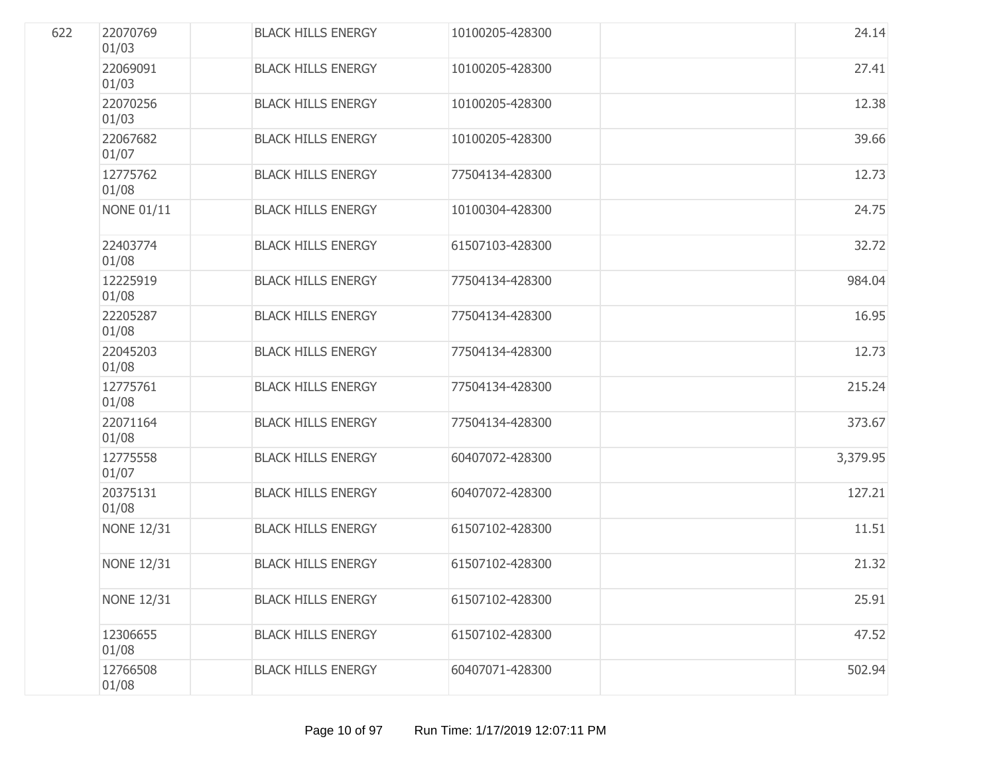| 622 | 22070769<br>01/03 | <b>BLACK HILLS ENERGY</b> | 10100205-428300 | 24.14    |
|-----|-------------------|---------------------------|-----------------|----------|
|     | 22069091<br>01/03 | <b>BLACK HILLS ENERGY</b> | 10100205-428300 | 27.41    |
|     | 22070256<br>01/03 | <b>BLACK HILLS ENERGY</b> | 10100205-428300 | 12.38    |
|     | 22067682<br>01/07 | <b>BLACK HILLS ENERGY</b> | 10100205-428300 | 39.66    |
|     | 12775762<br>01/08 | <b>BLACK HILLS ENERGY</b> | 77504134-428300 | 12.73    |
|     | <b>NONE 01/11</b> | <b>BLACK HILLS ENERGY</b> | 10100304-428300 | 24.75    |
|     | 22403774<br>01/08 | <b>BLACK HILLS ENERGY</b> | 61507103-428300 | 32.72    |
|     | 12225919<br>01/08 | <b>BLACK HILLS ENERGY</b> | 77504134-428300 | 984.04   |
|     | 22205287<br>01/08 | <b>BLACK HILLS ENERGY</b> | 77504134-428300 | 16.95    |
|     | 22045203<br>01/08 | <b>BLACK HILLS ENERGY</b> | 77504134-428300 | 12.73    |
|     | 12775761<br>01/08 | <b>BLACK HILLS ENERGY</b> | 77504134-428300 | 215.24   |
|     | 22071164<br>01/08 | <b>BLACK HILLS ENERGY</b> | 77504134-428300 | 373.67   |
|     | 12775558<br>01/07 | <b>BLACK HILLS ENERGY</b> | 60407072-428300 | 3,379.95 |
|     | 20375131<br>01/08 | <b>BLACK HILLS ENERGY</b> | 60407072-428300 | 127.21   |
|     | <b>NONE 12/31</b> | <b>BLACK HILLS ENERGY</b> | 61507102-428300 | 11.51    |
|     | <b>NONE 12/31</b> | <b>BLACK HILLS ENERGY</b> | 61507102-428300 | 21.32    |
|     | <b>NONE 12/31</b> | <b>BLACK HILLS ENERGY</b> | 61507102-428300 | 25.91    |
|     | 12306655<br>01/08 | <b>BLACK HILLS ENERGY</b> | 61507102-428300 | 47.52    |
|     | 12766508<br>01/08 | <b>BLACK HILLS ENERGY</b> | 60407071-428300 | 502.94   |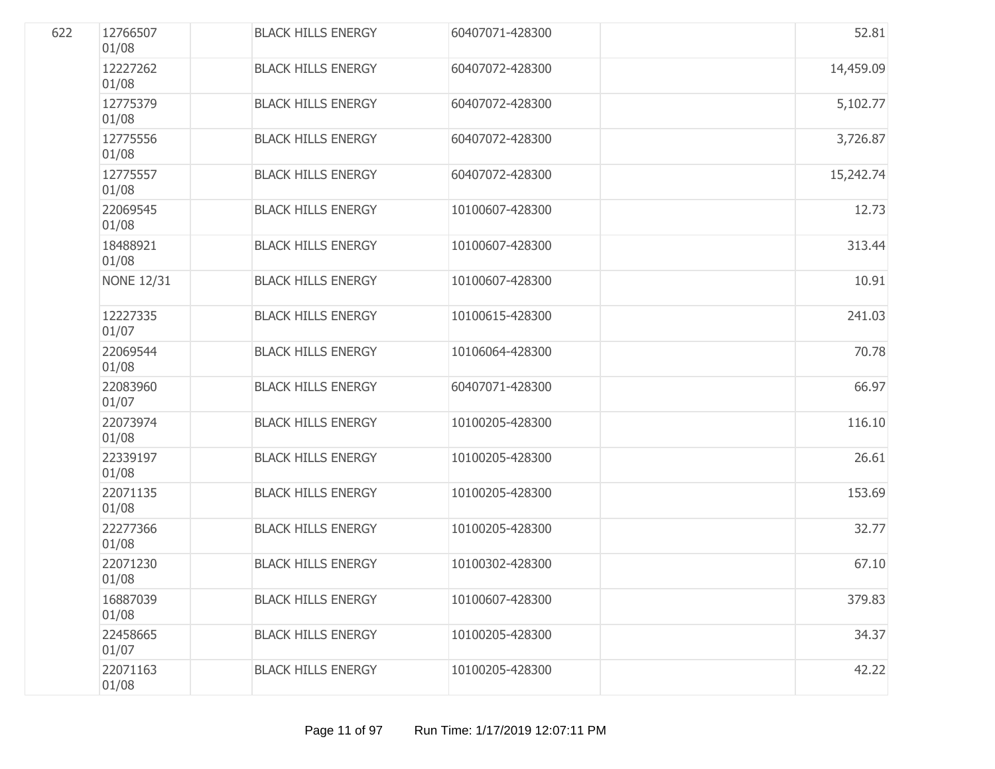| 622 | 12766507<br>01/08 | <b>BLACK HILLS ENERGY</b> | 60407071-428300 | 52.81     |
|-----|-------------------|---------------------------|-----------------|-----------|
|     | 12227262<br>01/08 | <b>BLACK HILLS ENERGY</b> | 60407072-428300 | 14,459.09 |
|     | 12775379<br>01/08 | <b>BLACK HILLS ENERGY</b> | 60407072-428300 | 5,102.77  |
|     | 12775556<br>01/08 | <b>BLACK HILLS ENERGY</b> | 60407072-428300 | 3,726.87  |
|     | 12775557<br>01/08 | <b>BLACK HILLS ENERGY</b> | 60407072-428300 | 15,242.74 |
|     | 22069545<br>01/08 | <b>BLACK HILLS ENERGY</b> | 10100607-428300 | 12.73     |
|     | 18488921<br>01/08 | <b>BLACK HILLS ENERGY</b> | 10100607-428300 | 313.44    |
|     | <b>NONE 12/31</b> | <b>BLACK HILLS ENERGY</b> | 10100607-428300 | 10.91     |
|     | 12227335<br>01/07 | <b>BLACK HILLS ENERGY</b> | 10100615-428300 | 241.03    |
|     | 22069544<br>01/08 | <b>BLACK HILLS ENERGY</b> | 10106064-428300 | 70.78     |
|     | 22083960<br>01/07 | <b>BLACK HILLS ENERGY</b> | 60407071-428300 | 66.97     |
|     | 22073974<br>01/08 | <b>BLACK HILLS ENERGY</b> | 10100205-428300 | 116.10    |
|     | 22339197<br>01/08 | <b>BLACK HILLS ENERGY</b> | 10100205-428300 | 26.61     |
|     | 22071135<br>01/08 | <b>BLACK HILLS ENERGY</b> | 10100205-428300 | 153.69    |
|     | 22277366<br>01/08 | <b>BLACK HILLS ENERGY</b> | 10100205-428300 | 32.77     |
|     | 22071230<br>01/08 | <b>BLACK HILLS ENERGY</b> | 10100302-428300 | 67.10     |
|     | 16887039<br>01/08 | <b>BLACK HILLS ENERGY</b> | 10100607-428300 | 379.83    |
|     | 22458665<br>01/07 | <b>BLACK HILLS ENERGY</b> | 10100205-428300 | 34.37     |
|     | 22071163<br>01/08 | <b>BLACK HILLS ENERGY</b> | 10100205-428300 | 42.22     |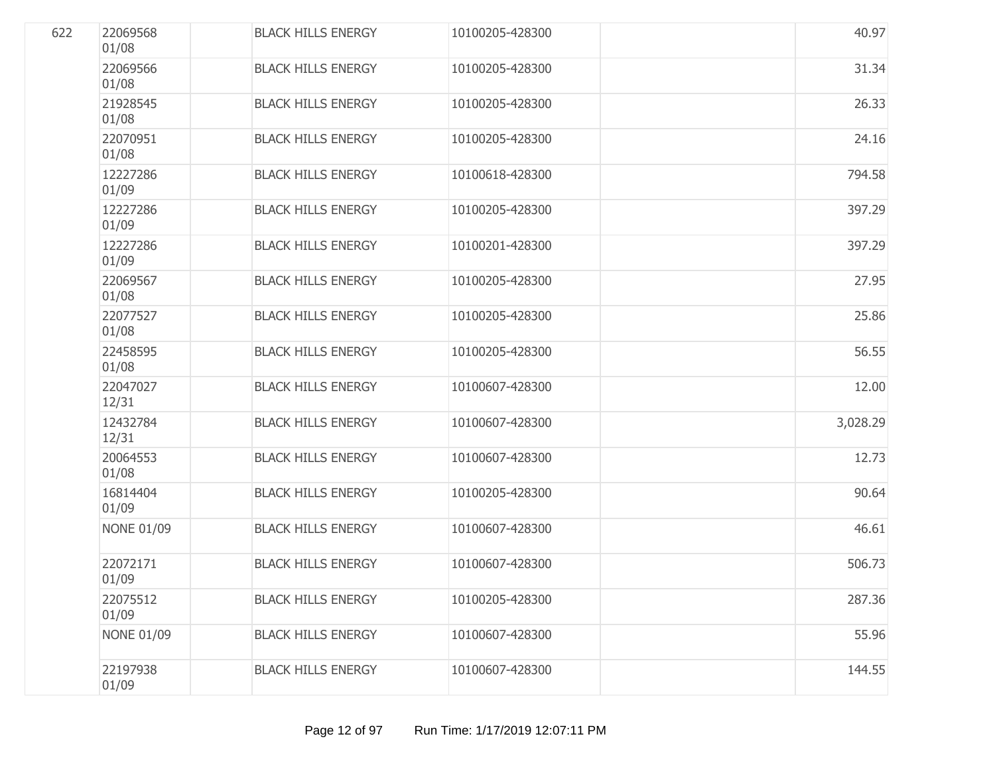| 622 | 22069568<br>01/08 | <b>BLACK HILLS ENERGY</b> | 10100205-428300 | 40.97    |
|-----|-------------------|---------------------------|-----------------|----------|
|     | 22069566<br>01/08 | <b>BLACK HILLS ENERGY</b> | 10100205-428300 | 31.34    |
|     | 21928545<br>01/08 | <b>BLACK HILLS ENERGY</b> | 10100205-428300 | 26.33    |
|     | 22070951<br>01/08 | <b>BLACK HILLS ENERGY</b> | 10100205-428300 | 24.16    |
|     | 12227286<br>01/09 | <b>BLACK HILLS ENERGY</b> | 10100618-428300 | 794.58   |
|     | 12227286<br>01/09 | <b>BLACK HILLS ENERGY</b> | 10100205-428300 | 397.29   |
|     | 12227286<br>01/09 | <b>BLACK HILLS ENERGY</b> | 10100201-428300 | 397.29   |
|     | 22069567<br>01/08 | <b>BLACK HILLS ENERGY</b> | 10100205-428300 | 27.95    |
|     | 22077527<br>01/08 | <b>BLACK HILLS ENERGY</b> | 10100205-428300 | 25.86    |
|     | 22458595<br>01/08 | <b>BLACK HILLS ENERGY</b> | 10100205-428300 | 56.55    |
|     | 22047027<br>12/31 | <b>BLACK HILLS ENERGY</b> | 10100607-428300 | 12.00    |
|     | 12432784<br>12/31 | <b>BLACK HILLS ENERGY</b> | 10100607-428300 | 3,028.29 |
|     | 20064553<br>01/08 | <b>BLACK HILLS ENERGY</b> | 10100607-428300 | 12.73    |
|     | 16814404<br>01/09 | <b>BLACK HILLS ENERGY</b> | 10100205-428300 | 90.64    |
|     | <b>NONE 01/09</b> | <b>BLACK HILLS ENERGY</b> | 10100607-428300 | 46.61    |
|     | 22072171<br>01/09 | <b>BLACK HILLS ENERGY</b> | 10100607-428300 | 506.73   |
|     | 22075512<br>01/09 | <b>BLACK HILLS ENERGY</b> | 10100205-428300 | 287.36   |
|     | <b>NONE 01/09</b> | <b>BLACK HILLS ENERGY</b> | 10100607-428300 | 55.96    |
|     | 22197938<br>01/09 | <b>BLACK HILLS ENERGY</b> | 10100607-428300 | 144.55   |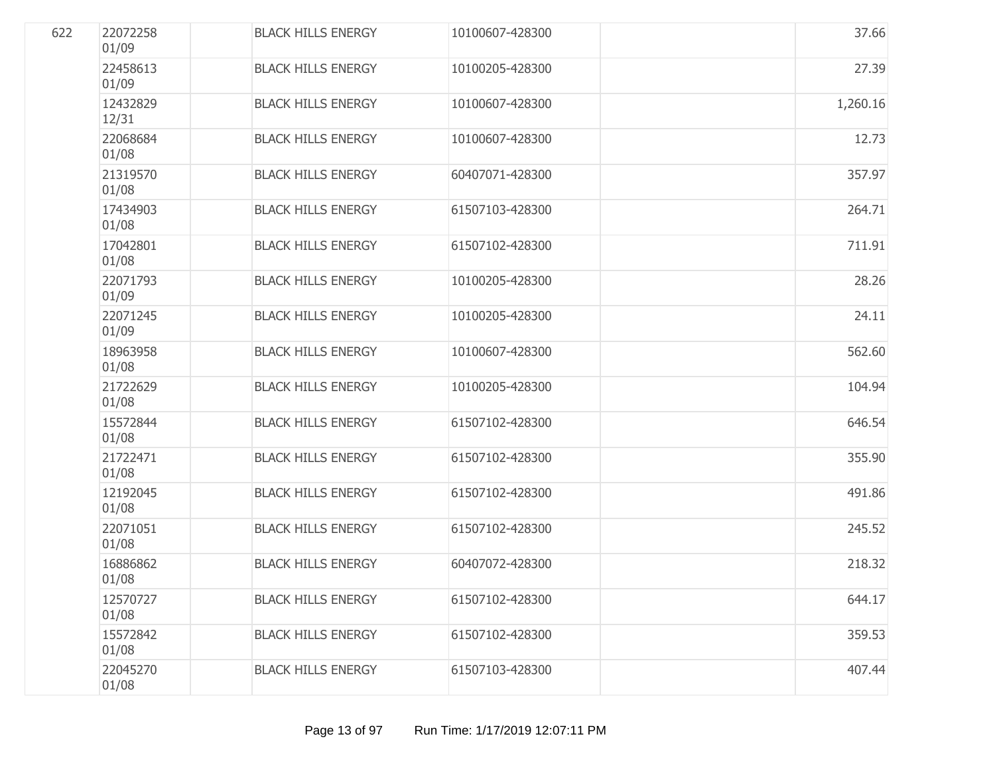| 622 | 22072258<br>01/09 | <b>BLACK HILLS ENERGY</b> | 10100607-428300 | 37.66    |
|-----|-------------------|---------------------------|-----------------|----------|
|     | 22458613<br>01/09 | <b>BLACK HILLS ENERGY</b> | 10100205-428300 | 27.39    |
|     | 12432829<br>12/31 | <b>BLACK HILLS ENERGY</b> | 10100607-428300 | 1,260.16 |
|     | 22068684<br>01/08 | <b>BLACK HILLS ENERGY</b> | 10100607-428300 | 12.73    |
|     | 21319570<br>01/08 | <b>BLACK HILLS ENERGY</b> | 60407071-428300 | 357.97   |
|     | 17434903<br>01/08 | <b>BLACK HILLS ENERGY</b> | 61507103-428300 | 264.71   |
|     | 17042801<br>01/08 | <b>BLACK HILLS ENERGY</b> | 61507102-428300 | 711.91   |
|     | 22071793<br>01/09 | <b>BLACK HILLS ENERGY</b> | 10100205-428300 | 28.26    |
|     | 22071245<br>01/09 | <b>BLACK HILLS ENERGY</b> | 10100205-428300 | 24.11    |
|     | 18963958<br>01/08 | <b>BLACK HILLS ENERGY</b> | 10100607-428300 | 562.60   |
|     | 21722629<br>01/08 | <b>BLACK HILLS ENERGY</b> | 10100205-428300 | 104.94   |
|     | 15572844<br>01/08 | <b>BLACK HILLS ENERGY</b> | 61507102-428300 | 646.54   |
|     | 21722471<br>01/08 | <b>BLACK HILLS ENERGY</b> | 61507102-428300 | 355.90   |
|     | 12192045<br>01/08 | <b>BLACK HILLS ENERGY</b> | 61507102-428300 | 491.86   |
|     | 22071051<br>01/08 | <b>BLACK HILLS ENERGY</b> | 61507102-428300 | 245.52   |
|     | 16886862<br>01/08 | <b>BLACK HILLS ENERGY</b> | 60407072-428300 | 218.32   |
|     | 12570727<br>01/08 | <b>BLACK HILLS ENERGY</b> | 61507102-428300 | 644.17   |
|     | 15572842<br>01/08 | <b>BLACK HILLS ENERGY</b> | 61507102-428300 | 359.53   |
|     | 22045270<br>01/08 | <b>BLACK HILLS ENERGY</b> | 61507103-428300 | 407.44   |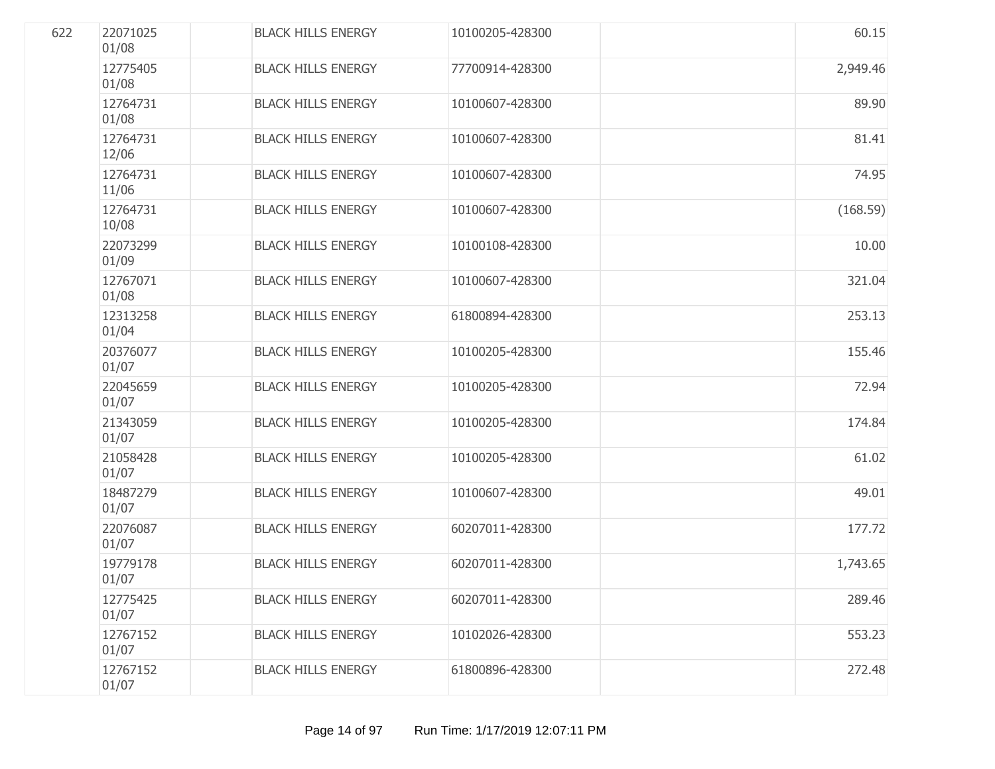| 622 | 22071025<br>01/08 | <b>BLACK HILLS ENERGY</b> | 10100205-428300 | 60.15    |
|-----|-------------------|---------------------------|-----------------|----------|
|     | 12775405<br>01/08 | <b>BLACK HILLS ENERGY</b> | 77700914-428300 | 2,949.46 |
|     | 12764731<br>01/08 | <b>BLACK HILLS ENERGY</b> | 10100607-428300 | 89.90    |
|     | 12764731<br>12/06 | <b>BLACK HILLS ENERGY</b> | 10100607-428300 | 81.41    |
|     | 12764731<br>11/06 | <b>BLACK HILLS ENERGY</b> | 10100607-428300 | 74.95    |
|     | 12764731<br>10/08 | <b>BLACK HILLS ENERGY</b> | 10100607-428300 | (168.59) |
|     | 22073299<br>01/09 | <b>BLACK HILLS ENERGY</b> | 10100108-428300 | 10.00    |
|     | 12767071<br>01/08 | <b>BLACK HILLS ENERGY</b> | 10100607-428300 | 321.04   |
|     | 12313258<br>01/04 | <b>BLACK HILLS ENERGY</b> | 61800894-428300 | 253.13   |
|     | 20376077<br>01/07 | <b>BLACK HILLS ENERGY</b> | 10100205-428300 | 155.46   |
|     | 22045659<br>01/07 | <b>BLACK HILLS ENERGY</b> | 10100205-428300 | 72.94    |
|     | 21343059<br>01/07 | <b>BLACK HILLS ENERGY</b> | 10100205-428300 | 174.84   |
|     | 21058428<br>01/07 | <b>BLACK HILLS ENERGY</b> | 10100205-428300 | 61.02    |
|     | 18487279<br>01/07 | <b>BLACK HILLS ENERGY</b> | 10100607-428300 | 49.01    |
|     | 22076087<br>01/07 | <b>BLACK HILLS ENERGY</b> | 60207011-428300 | 177.72   |
|     | 19779178<br>01/07 | <b>BLACK HILLS ENERGY</b> | 60207011-428300 | 1,743.65 |
|     | 12775425<br>01/07 | <b>BLACK HILLS ENERGY</b> | 60207011-428300 | 289.46   |
|     | 12767152<br>01/07 | <b>BLACK HILLS ENERGY</b> | 10102026-428300 | 553.23   |
|     | 12767152<br>01/07 | <b>BLACK HILLS ENERGY</b> | 61800896-428300 | 272.48   |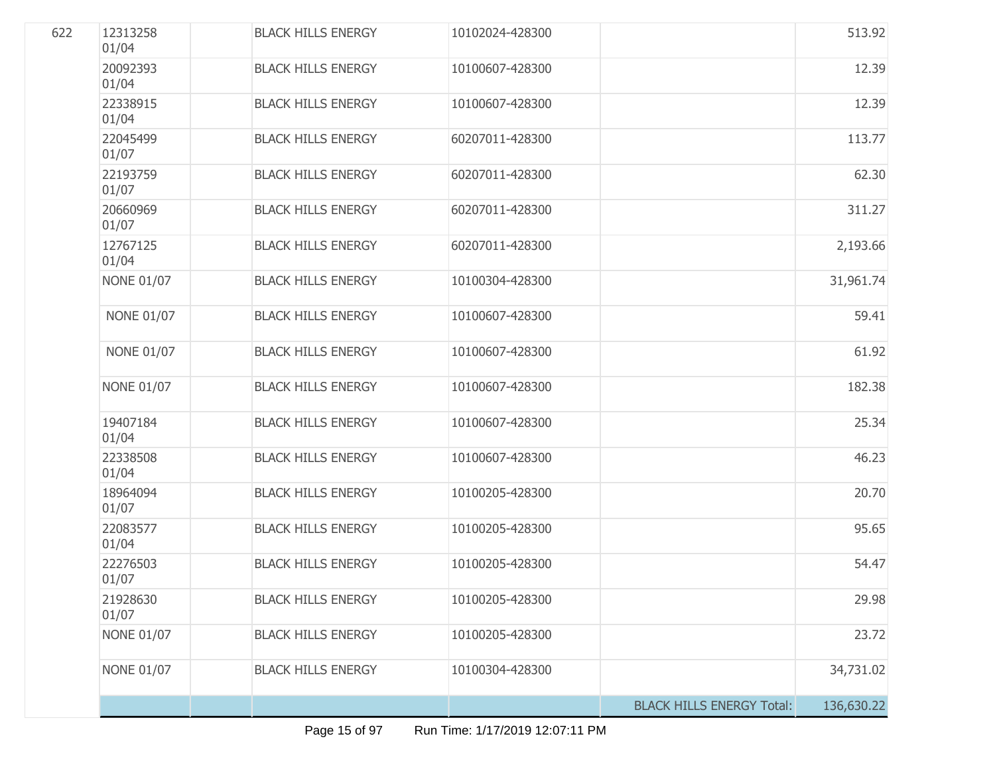| 622 | 12313258<br>01/04 | <b>BLACK HILLS ENERGY</b> | 10102024-428300 |                                  | 513.92     |
|-----|-------------------|---------------------------|-----------------|----------------------------------|------------|
|     | 20092393<br>01/04 | <b>BLACK HILLS ENERGY</b> | 10100607-428300 |                                  | 12.39      |
|     | 22338915<br>01/04 | <b>BLACK HILLS ENERGY</b> | 10100607-428300 |                                  | 12.39      |
|     | 22045499<br>01/07 | <b>BLACK HILLS ENERGY</b> | 60207011-428300 |                                  | 113.77     |
|     | 22193759<br>01/07 | <b>BLACK HILLS ENERGY</b> | 60207011-428300 |                                  | 62.30      |
|     | 20660969<br>01/07 | <b>BLACK HILLS ENERGY</b> | 60207011-428300 |                                  | 311.27     |
|     | 12767125<br>01/04 | <b>BLACK HILLS ENERGY</b> | 60207011-428300 |                                  | 2,193.66   |
|     | <b>NONE 01/07</b> | <b>BLACK HILLS ENERGY</b> | 10100304-428300 |                                  | 31,961.74  |
|     | <b>NONE 01/07</b> | <b>BLACK HILLS ENERGY</b> | 10100607-428300 |                                  | 59.41      |
|     | <b>NONE 01/07</b> | <b>BLACK HILLS ENERGY</b> | 10100607-428300 |                                  | 61.92      |
|     | <b>NONE 01/07</b> | <b>BLACK HILLS ENERGY</b> | 10100607-428300 |                                  | 182.38     |
|     | 19407184<br>01/04 | <b>BLACK HILLS ENERGY</b> | 10100607-428300 |                                  | 25.34      |
|     | 22338508<br>01/04 | <b>BLACK HILLS ENERGY</b> | 10100607-428300 |                                  | 46.23      |
|     | 18964094<br>01/07 | <b>BLACK HILLS ENERGY</b> | 10100205-428300 |                                  | 20.70      |
|     | 22083577<br>01/04 | <b>BLACK HILLS ENERGY</b> | 10100205-428300 |                                  | 95.65      |
|     | 22276503<br>01/07 | <b>BLACK HILLS ENERGY</b> | 10100205-428300 |                                  | 54.47      |
|     | 21928630<br>01/07 | <b>BLACK HILLS ENERGY</b> | 10100205-428300 |                                  | 29.98      |
|     | <b>NONE 01/07</b> | <b>BLACK HILLS ENERGY</b> | 10100205-428300 |                                  | 23.72      |
|     | <b>NONE 01/07</b> | <b>BLACK HILLS ENERGY</b> | 10100304-428300 |                                  | 34,731.02  |
|     |                   |                           |                 | <b>BLACK HILLS ENERGY Total:</b> | 136,630.22 |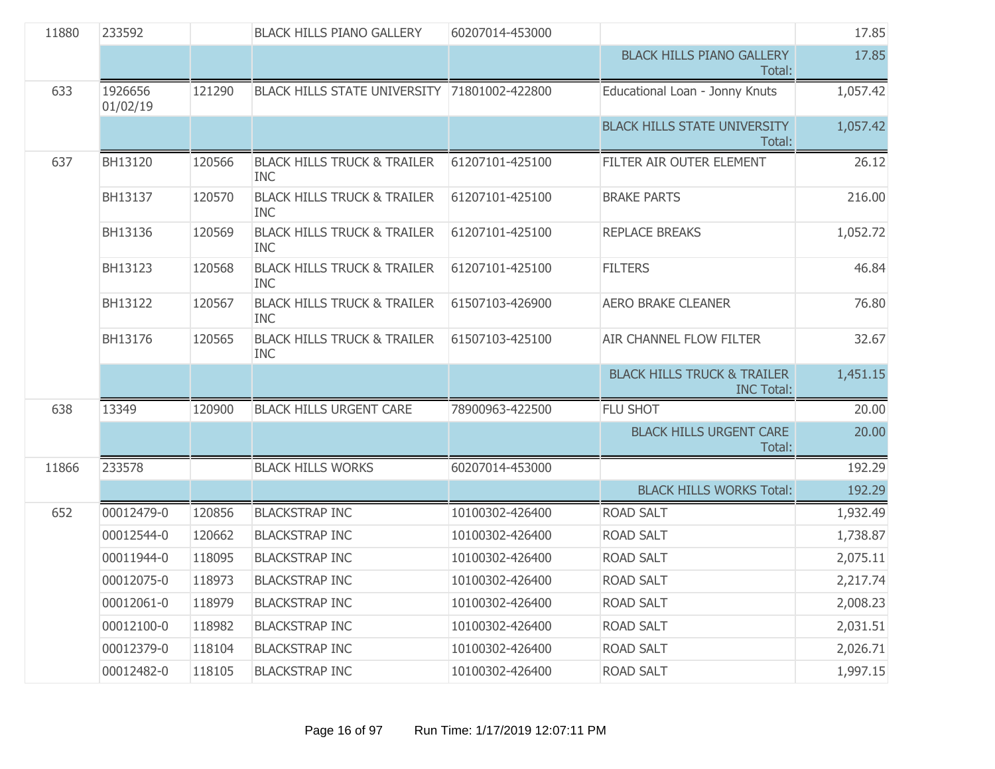| 11880 | 233592              |        | <b>BLACK HILLS PIANO GALLERY</b>                     | 60207014-453000 |                                                             | 17.85    |
|-------|---------------------|--------|------------------------------------------------------|-----------------|-------------------------------------------------------------|----------|
|       |                     |        |                                                      |                 | <b>BLACK HILLS PIANO GALLERY</b><br>Total:                  | 17.85    |
| 633   | 1926656<br>01/02/19 | 121290 | BLACK HILLS STATE UNIVERSITY 71801002-422800         |                 | Educational Loan - Jonny Knuts                              | 1,057.42 |
|       |                     |        |                                                      |                 | <b>BLACK HILLS STATE UNIVERSITY</b><br>Total:               | 1,057.42 |
| 637   | BH13120             | 120566 | <b>BLACK HILLS TRUCK &amp; TRAILER</b><br><b>INC</b> | 61207101-425100 | FILTER AIR OUTER ELEMENT                                    | 26.12    |
|       | BH13137             | 120570 | <b>BLACK HILLS TRUCK &amp; TRAILER</b><br><b>INC</b> | 61207101-425100 | <b>BRAKE PARTS</b>                                          | 216.00   |
|       | BH13136             | 120569 | <b>BLACK HILLS TRUCK &amp; TRAILER</b><br><b>INC</b> | 61207101-425100 | <b>REPLACE BREAKS</b>                                       | 1,052.72 |
|       | BH13123             | 120568 | <b>BLACK HILLS TRUCK &amp; TRAILER</b><br><b>INC</b> | 61207101-425100 | <b>FILTERS</b>                                              | 46.84    |
|       | BH13122             | 120567 | <b>BLACK HILLS TRUCK &amp; TRAILER</b><br><b>INC</b> | 61507103-426900 | <b>AERO BRAKE CLEANER</b>                                   | 76.80    |
|       | BH13176             | 120565 | <b>BLACK HILLS TRUCK &amp; TRAILER</b><br><b>INC</b> | 61507103-425100 | <b>AIR CHANNEL FLOW FILTER</b>                              | 32.67    |
|       |                     |        |                                                      |                 | <b>BLACK HILLS TRUCK &amp; TRAILER</b><br><b>INC Total:</b> | 1,451.15 |
| 638   | 13349               | 120900 | <b>BLACK HILLS URGENT CARE</b>                       | 78900963-422500 | FLU SHOT                                                    | 20.00    |
|       |                     |        |                                                      |                 | <b>BLACK HILLS URGENT CARE</b><br>Total:                    | 20.00    |
| 11866 | 233578              |        | <b>BLACK HILLS WORKS</b>                             | 60207014-453000 |                                                             | 192.29   |
|       |                     |        |                                                      |                 | <b>BLACK HILLS WORKS Total:</b>                             | 192.29   |
| 652   | 00012479-0          | 120856 | <b>BLACKSTRAP INC</b>                                | 10100302-426400 | <b>ROAD SALT</b>                                            | 1,932.49 |
|       | 00012544-0          | 120662 | <b>BLACKSTRAP INC</b>                                | 10100302-426400 | <b>ROAD SALT</b>                                            | 1,738.87 |
|       | 00011944-0          | 118095 | <b>BLACKSTRAP INC</b>                                | 10100302-426400 | <b>ROAD SALT</b>                                            | 2,075.11 |
|       | 00012075-0          | 118973 | <b>BLACKSTRAP INC</b>                                | 10100302-426400 | <b>ROAD SALT</b>                                            | 2,217.74 |
|       | 00012061-0          | 118979 | <b>BLACKSTRAP INC</b>                                | 10100302-426400 | <b>ROAD SALT</b>                                            | 2,008.23 |
|       | 00012100-0          | 118982 | <b>BLACKSTRAP INC</b>                                | 10100302-426400 | <b>ROAD SALT</b>                                            | 2,031.51 |
|       | 00012379-0          | 118104 | <b>BLACKSTRAP INC</b>                                | 10100302-426400 | <b>ROAD SALT</b>                                            | 2,026.71 |
|       | 00012482-0          | 118105 | <b>BLACKSTRAP INC</b>                                | 10100302-426400 | <b>ROAD SALT</b>                                            | 1,997.15 |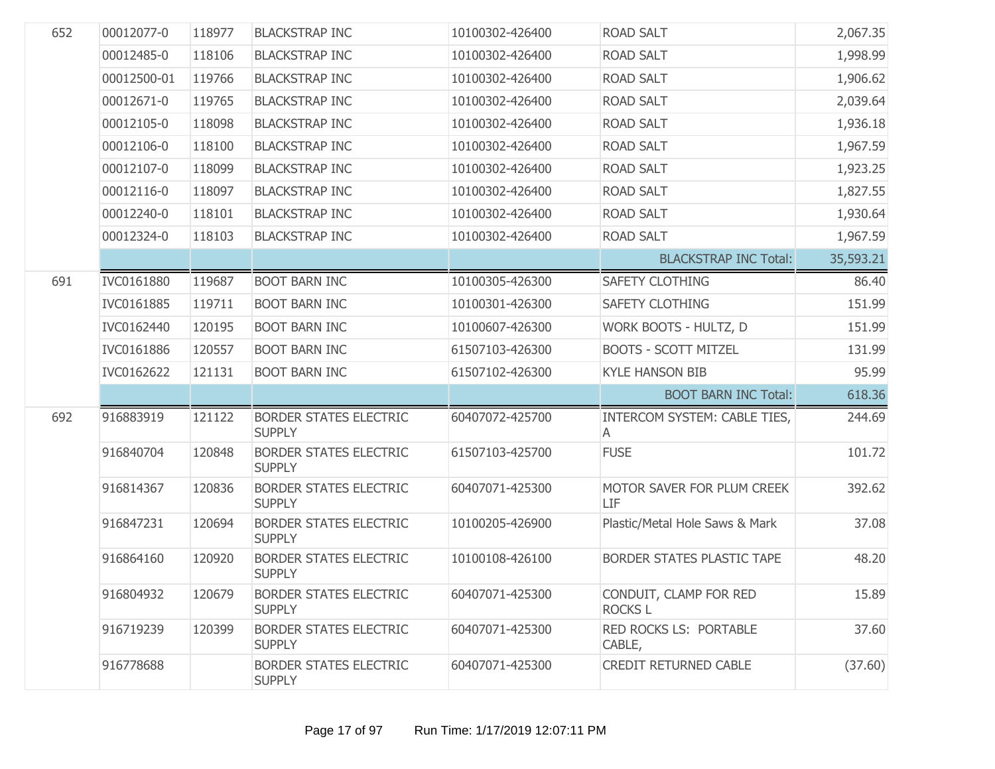| 652 | 00012077-0  | 118977 | <b>BLACKSTRAP INC</b>                          | 10100302-426400 | <b>ROAD SALT</b>                         | 2,067.35  |
|-----|-------------|--------|------------------------------------------------|-----------------|------------------------------------------|-----------|
|     | 00012485-0  | 118106 | <b>BLACKSTRAP INC</b>                          | 10100302-426400 | <b>ROAD SALT</b>                         | 1,998.99  |
|     | 00012500-01 | 119766 | <b>BLACKSTRAP INC</b>                          | 10100302-426400 | <b>ROAD SALT</b>                         | 1,906.62  |
|     | 00012671-0  | 119765 | <b>BLACKSTRAP INC</b>                          | 10100302-426400 | <b>ROAD SALT</b>                         | 2,039.64  |
|     | 00012105-0  | 118098 | <b>BLACKSTRAP INC</b>                          | 10100302-426400 | <b>ROAD SALT</b>                         | 1,936.18  |
|     | 00012106-0  | 118100 | <b>BLACKSTRAP INC</b>                          | 10100302-426400 | <b>ROAD SALT</b>                         | 1,967.59  |
|     | 00012107-0  | 118099 | <b>BLACKSTRAP INC</b>                          | 10100302-426400 | <b>ROAD SALT</b>                         | 1,923.25  |
|     | 00012116-0  | 118097 | <b>BLACKSTRAP INC</b>                          | 10100302-426400 | <b>ROAD SALT</b>                         | 1,827.55  |
|     | 00012240-0  | 118101 | <b>BLACKSTRAP INC</b>                          | 10100302-426400 | <b>ROAD SALT</b>                         | 1,930.64  |
|     | 00012324-0  | 118103 | <b>BLACKSTRAP INC</b>                          | 10100302-426400 | <b>ROAD SALT</b>                         | 1,967.59  |
|     |             |        |                                                |                 | <b>BLACKSTRAP INC Total:</b>             | 35,593.21 |
| 691 | IVC0161880  | 119687 | <b>BOOT BARN INC</b>                           | 10100305-426300 | <b>SAFETY CLOTHING</b>                   | 86.40     |
|     | IVC0161885  | 119711 | <b>BOOT BARN INC</b>                           | 10100301-426300 | <b>SAFETY CLOTHING</b>                   | 151.99    |
|     | IVC0162440  | 120195 | <b>BOOT BARN INC</b>                           | 10100607-426300 | WORK BOOTS - HULTZ, D                    | 151.99    |
|     | IVC0161886  | 120557 | <b>BOOT BARN INC</b>                           | 61507103-426300 | <b>BOOTS - SCOTT MITZEL</b>              | 131.99    |
|     | IVC0162622  | 121131 | <b>BOOT BARN INC</b>                           | 61507102-426300 | <b>KYLE HANSON BIB</b>                   | 95.99     |
|     |             |        |                                                |                 | <b>BOOT BARN INC Total:</b>              | 618.36    |
| 692 | 916883919   | 121122 | <b>BORDER STATES ELECTRIC</b><br><b>SUPPLY</b> | 60407072-425700 | INTERCOM SYSTEM: CABLE TIES,<br>A        | 244.69    |
|     | 916840704   | 120848 | <b>BORDER STATES ELECTRIC</b><br><b>SUPPLY</b> | 61507103-425700 | <b>FUSE</b>                              | 101.72    |
|     | 916814367   | 120836 | <b>BORDER STATES ELECTRIC</b><br><b>SUPPLY</b> | 60407071-425300 | MOTOR SAVER FOR PLUM CREEK<br>LIF        | 392.62    |
|     | 916847231   | 120694 | <b>BORDER STATES ELECTRIC</b><br><b>SUPPLY</b> | 10100205-426900 | Plastic/Metal Hole Saws & Mark           | 37.08     |
|     | 916864160   | 120920 | <b>BORDER STATES ELECTRIC</b><br><b>SUPPLY</b> | 10100108-426100 | BORDER STATES PLASTIC TAPE               | 48.20     |
|     | 916804932   | 120679 | <b>BORDER STATES ELECTRIC</b><br><b>SUPPLY</b> | 60407071-425300 | CONDUIT, CLAMP FOR RED<br><b>ROCKS L</b> | 15.89     |
|     | 916719239   | 120399 | <b>BORDER STATES ELECTRIC</b><br><b>SUPPLY</b> | 60407071-425300 | RED ROCKS LS: PORTABLE<br>CABLE,         | 37.60     |
|     | 916778688   |        | <b>BORDER STATES ELECTRIC</b><br><b>SUPPLY</b> | 60407071-425300 | <b>CREDIT RETURNED CABLE</b>             | (37.60)   |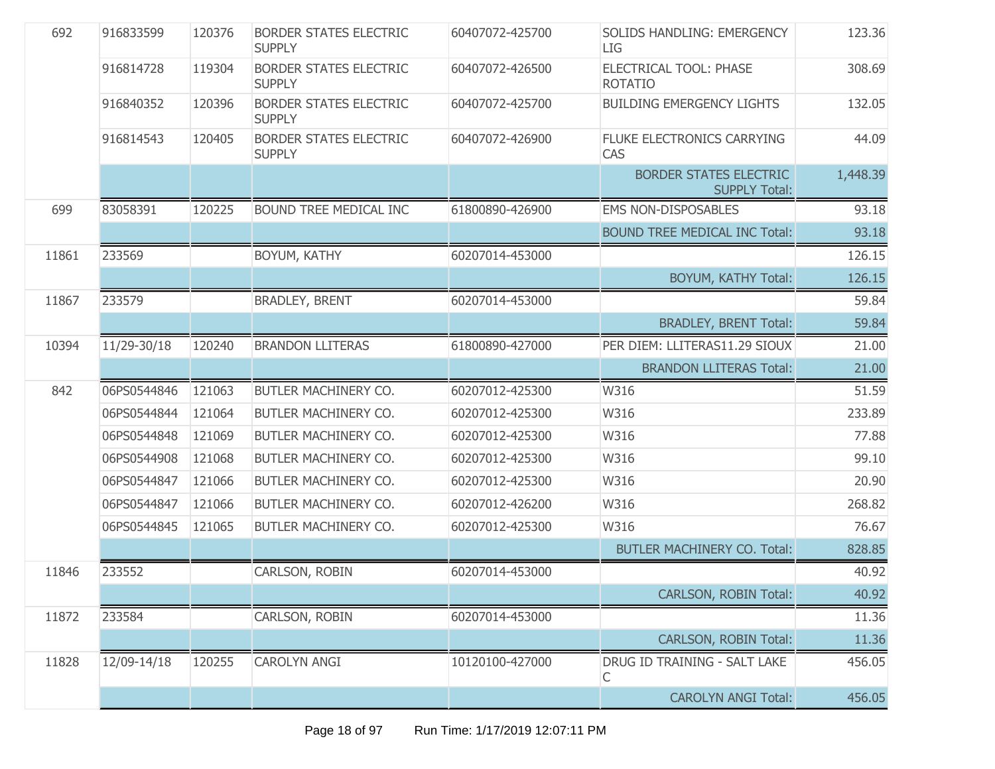| 692   | 916833599   | 120376 | <b>BORDER STATES ELECTRIC</b><br><b>SUPPLY</b> | 60407072-425700 | SOLIDS HANDLING: EMERGENCY<br>LIG                     | 123.36   |
|-------|-------------|--------|------------------------------------------------|-----------------|-------------------------------------------------------|----------|
|       | 916814728   | 119304 | <b>BORDER STATES ELECTRIC</b><br><b>SUPPLY</b> | 60407072-426500 | <b>ELECTRICAL TOOL: PHASE</b><br><b>ROTATIO</b>       | 308.69   |
|       | 916840352   | 120396 | <b>BORDER STATES ELECTRIC</b><br><b>SUPPLY</b> | 60407072-425700 | <b>BUILDING EMERGENCY LIGHTS</b>                      | 132.05   |
|       | 916814543   | 120405 | <b>BORDER STATES ELECTRIC</b><br><b>SUPPLY</b> | 60407072-426900 | FLUKE ELECTRONICS CARRYING<br>CAS                     | 44.09    |
|       |             |        |                                                |                 | <b>BORDER STATES ELECTRIC</b><br><b>SUPPLY Total:</b> | 1,448.39 |
| 699   | 83058391    | 120225 | BOUND TREE MEDICAL INC                         | 61800890-426900 | <b>EMS NON-DISPOSABLES</b>                            | 93.18    |
|       |             |        |                                                |                 | <b>BOUND TREE MEDICAL INC Total:</b>                  | 93.18    |
| 11861 | 233569      |        | BOYUM, KATHY                                   | 60207014-453000 |                                                       | 126.15   |
|       |             |        |                                                |                 | BOYUM, KATHY Total:                                   | 126.15   |
| 11867 | 233579      |        | <b>BRADLEY, BRENT</b>                          | 60207014-453000 |                                                       | 59.84    |
|       |             |        |                                                |                 | <b>BRADLEY, BRENT Total:</b>                          | 59.84    |
| 10394 | 11/29-30/18 | 120240 | <b>BRANDON LLITERAS</b>                        | 61800890-427000 | PER DIEM: LLITERAS11.29 SIOUX                         | 21.00    |
|       |             |        |                                                |                 | <b>BRANDON LLITERAS Total:</b>                        | 21.00    |
|       |             |        |                                                |                 |                                                       |          |
| 842   | 06PS0544846 | 121063 | BUTLER MACHINERY CO.                           | 60207012-425300 | W316                                                  | 51.59    |
|       | 06PS0544844 | 121064 | BUTLER MACHINERY CO.                           | 60207012-425300 | W316                                                  | 233.89   |
|       | 06PS0544848 | 121069 | BUTLER MACHINERY CO.                           | 60207012-425300 | W316                                                  | 77.88    |
|       | 06PS0544908 | 121068 | BUTLER MACHINERY CO.                           | 60207012-425300 | W316                                                  | 99.10    |
|       | 06PS0544847 | 121066 | BUTLER MACHINERY CO.                           | 60207012-425300 | W316                                                  | 20.90    |
|       | 06PS0544847 | 121066 | BUTLER MACHINERY CO.                           | 60207012-426200 | W316                                                  | 268.82   |
|       | 06PS0544845 | 121065 | BUTLER MACHINERY CO.                           | 60207012-425300 | W316                                                  | 76.67    |
|       |             |        |                                                |                 | <b>BUTLER MACHINERY CO. Total:</b>                    | 828.85   |
| 11846 | 233552      |        | CARLSON, ROBIN                                 | 60207014-453000 |                                                       | 40.92    |
|       |             |        |                                                |                 | CARLSON, ROBIN Total:                                 | 40.92    |
| 11872 | 233584      |        | CARLSON, ROBIN                                 | 60207014-453000 |                                                       | 11.36    |
|       |             |        |                                                |                 | CARLSON, ROBIN Total:                                 | 11.36    |
| 11828 | 12/09-14/18 | 120255 | <b>CAROLYN ANGI</b>                            | 10120100-427000 | DRUG ID TRAINING - SALT LAKE<br>С                     | 456.05   |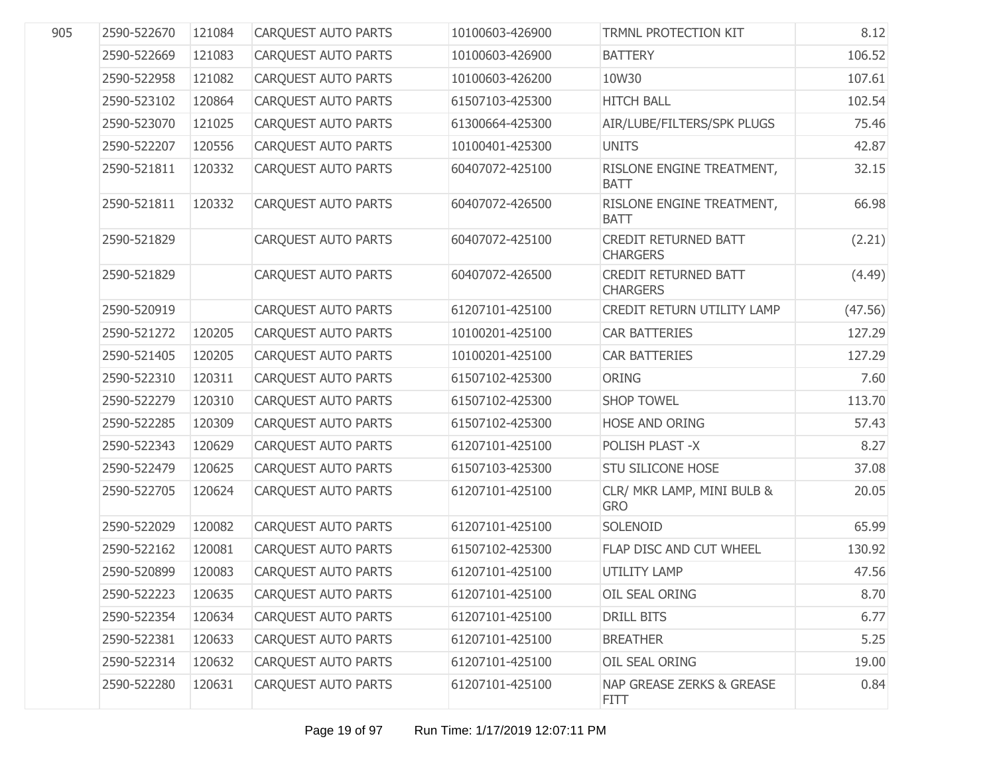| 905 | 2590-522670 | 121084 | <b>CARQUEST AUTO PARTS</b> | 10100603-426900 | TRMNL PROTECTION KIT                     | 8.12    |
|-----|-------------|--------|----------------------------|-----------------|------------------------------------------|---------|
|     | 2590-522669 | 121083 | CARQUEST AUTO PARTS        | 10100603-426900 | <b>BATTERY</b>                           | 106.52  |
|     | 2590-522958 | 121082 | CARQUEST AUTO PARTS        | 10100603-426200 | 10W30                                    | 107.61  |
|     | 2590-523102 | 120864 | CARQUEST AUTO PARTS        | 61507103-425300 | <b>HITCH BALL</b>                        | 102.54  |
|     | 2590-523070 | 121025 | CARQUEST AUTO PARTS        | 61300664-425300 | AIR/LUBE/FILTERS/SPK PLUGS               | 75.46   |
|     | 2590-522207 | 120556 | <b>CARQUEST AUTO PARTS</b> | 10100401-425300 | <b>UNITS</b>                             | 42.87   |
|     | 2590-521811 | 120332 | <b>CARQUEST AUTO PARTS</b> | 60407072-425100 | RISLONE ENGINE TREATMENT,<br><b>BATT</b> | 32.15   |
|     | 2590-521811 | 120332 | <b>CARQUEST AUTO PARTS</b> | 60407072-426500 | RISLONE ENGINE TREATMENT,<br><b>BATT</b> | 66.98   |
|     | 2590-521829 |        | <b>CARQUEST AUTO PARTS</b> | 60407072-425100 | CREDIT RETURNED BATT<br><b>CHARGERS</b>  | (2.21)  |
|     | 2590-521829 |        | <b>CARQUEST AUTO PARTS</b> | 60407072-426500 | CREDIT RETURNED BATT<br><b>CHARGERS</b>  | (4.49)  |
|     | 2590-520919 |        | <b>CARQUEST AUTO PARTS</b> | 61207101-425100 | CREDIT RETURN UTILITY LAMP               | (47.56) |
|     | 2590-521272 | 120205 | <b>CARQUEST AUTO PARTS</b> | 10100201-425100 | <b>CAR BATTERIES</b>                     | 127.29  |
|     | 2590-521405 | 120205 | <b>CARQUEST AUTO PARTS</b> | 10100201-425100 | <b>CAR BATTERIES</b>                     | 127.29  |
|     | 2590-522310 | 120311 | <b>CARQUEST AUTO PARTS</b> | 61507102-425300 | <b>ORING</b>                             | 7.60    |
|     | 2590-522279 | 120310 | <b>CARQUEST AUTO PARTS</b> | 61507102-425300 | <b>SHOP TOWEL</b>                        | 113.70  |
|     | 2590-522285 | 120309 | <b>CARQUEST AUTO PARTS</b> | 61507102-425300 | HOSE AND ORING                           | 57.43   |
|     | 2590-522343 | 120629 | <b>CARQUEST AUTO PARTS</b> | 61207101-425100 | POLISH PLAST -X                          | 8.27    |
|     | 2590-522479 | 120625 | <b>CARQUEST AUTO PARTS</b> | 61507103-425300 | <b>STU SILICONE HOSE</b>                 | 37.08   |
|     | 2590-522705 | 120624 | CARQUEST AUTO PARTS        | 61207101-425100 | CLR/ MKR LAMP, MINI BULB &<br><b>GRO</b> | 20.05   |
|     | 2590-522029 | 120082 | <b>CARQUEST AUTO PARTS</b> | 61207101-425100 | SOLENOID                                 | 65.99   |
|     | 2590-522162 | 120081 | <b>CAROUEST AUTO PARTS</b> | 61507102-425300 | FLAP DISC AND CUT WHEEL                  | 130.92  |
|     | 2590-520899 | 120083 | <b>CARQUEST AUTO PARTS</b> | 61207101-425100 | <b>UTILITY LAMP</b>                      | 47.56   |
|     | 2590-522223 | 120635 | <b>CARQUEST AUTO PARTS</b> | 61207101-425100 | OIL SEAL ORING                           | 8.70    |
|     | 2590-522354 | 120634 | <b>CARQUEST AUTO PARTS</b> | 61207101-425100 | DRILL BITS                               | 6.77    |
|     | 2590-522381 | 120633 | <b>CARQUEST AUTO PARTS</b> | 61207101-425100 | <b>BREATHER</b>                          | 5.25    |
|     | 2590-522314 | 120632 | <b>CARQUEST AUTO PARTS</b> | 61207101-425100 | OIL SEAL ORING                           | 19.00   |
|     | 2590-522280 | 120631 | CARQUEST AUTO PARTS        | 61207101-425100 | NAP GREASE ZERKS & GREASE<br><b>FITT</b> | 0.84    |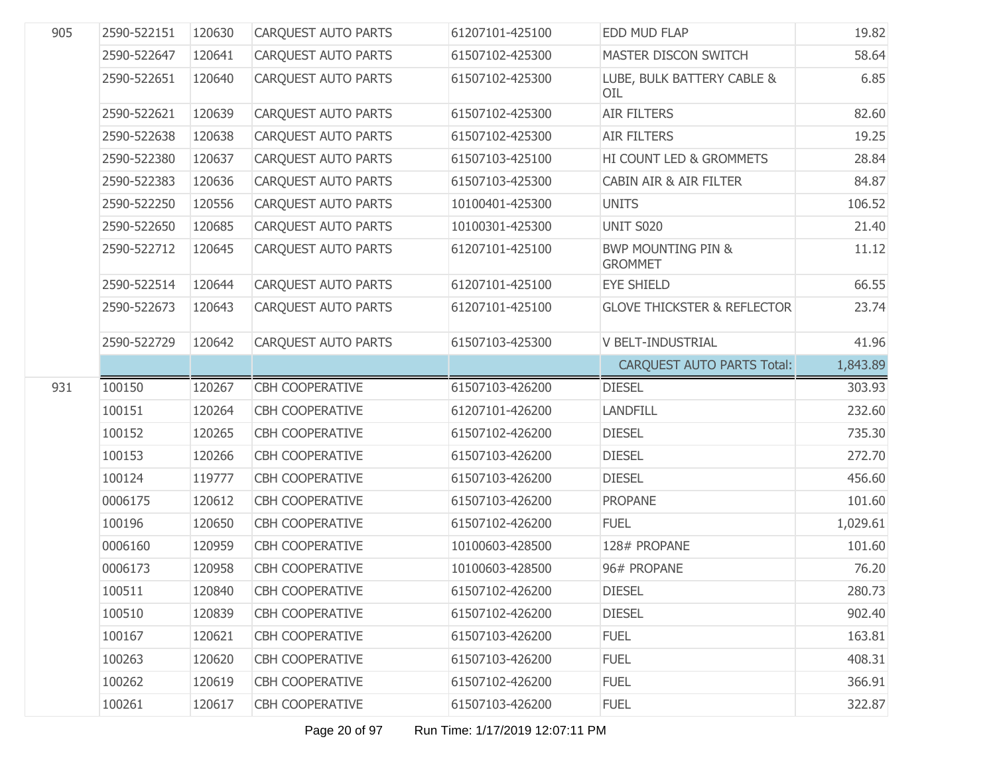| 905 | 2590-522151 | 120630 | <b>CARQUEST AUTO PARTS</b> | 61207101-425100 | EDD MUD FLAP                                    | 19.82    |
|-----|-------------|--------|----------------------------|-----------------|-------------------------------------------------|----------|
|     | 2590-522647 | 120641 | CARQUEST AUTO PARTS        | 61507102-425300 | MASTER DISCON SWITCH                            | 58.64    |
|     | 2590-522651 | 120640 | <b>CARQUEST AUTO PARTS</b> | 61507102-425300 | LUBE, BULK BATTERY CABLE &<br>OIL               | 6.85     |
|     | 2590-522621 | 120639 | <b>CAROUEST AUTO PARTS</b> | 61507102-425300 | <b>AIR FILTERS</b>                              | 82.60    |
|     | 2590-522638 | 120638 | <b>CARQUEST AUTO PARTS</b> | 61507102-425300 | <b>AIR FILTERS</b>                              | 19.25    |
|     | 2590-522380 | 120637 | <b>CARQUEST AUTO PARTS</b> | 61507103-425100 | HI COUNT LED & GROMMETS                         | 28.84    |
|     | 2590-522383 | 120636 | <b>CAROUEST AUTO PARTS</b> | 61507103-425300 | <b>CABIN AIR &amp; AIR FILTER</b>               | 84.87    |
|     | 2590-522250 | 120556 | <b>CARQUEST AUTO PARTS</b> | 10100401-425300 | <b>UNITS</b>                                    | 106.52   |
|     | 2590-522650 | 120685 | <b>CARQUEST AUTO PARTS</b> | 10100301-425300 | <b>UNIT S020</b>                                | 21.40    |
|     | 2590-522712 | 120645 | <b>CARQUEST AUTO PARTS</b> | 61207101-425100 | <b>BWP MOUNTING PIN &amp;</b><br><b>GROMMET</b> | 11.12    |
|     | 2590-522514 | 120644 | <b>CARQUEST AUTO PARTS</b> | 61207101-425100 | <b>EYE SHIELD</b>                               | 66.55    |
|     | 2590-522673 | 120643 | <b>CARQUEST AUTO PARTS</b> | 61207101-425100 | <b>GLOVE THICKSTER &amp; REFLECTOR</b>          | 23.74    |
|     | 2590-522729 | 120642 | CARQUEST AUTO PARTS        | 61507103-425300 | V BELT-INDUSTRIAL                               | 41.96    |
|     |             |        |                            |                 | <b>CARQUEST AUTO PARTS Total:</b>               | 1,843.89 |
| 931 | 100150      | 120267 | <b>CBH COOPERATIVE</b>     | 61507103-426200 | <b>DIESEL</b>                                   | 303.93   |
|     | 100151      | 120264 | <b>CBH COOPERATIVE</b>     | 61207101-426200 | <b>LANDFILL</b>                                 | 232.60   |
|     | 100152      | 120265 | <b>CBH COOPERATIVE</b>     | 61507102-426200 | <b>DIESEL</b>                                   | 735.30   |
|     | 100153      | 120266 | <b>CBH COOPERATIVE</b>     | 61507103-426200 | <b>DIESEL</b>                                   | 272.70   |
|     | 100124      | 119777 | <b>CBH COOPERATIVE</b>     | 61507103-426200 | <b>DIESEL</b>                                   | 456.60   |
|     | 0006175     | 120612 | <b>CBH COOPERATIVE</b>     | 61507103-426200 | <b>PROPANE</b>                                  | 101.60   |
|     | 100196      | 120650 | <b>CBH COOPERATIVE</b>     | 61507102-426200 | <b>FUEL</b>                                     | 1,029.61 |
|     | 0006160     | 120959 | <b>CBH COOPERATIVE</b>     | 10100603-428500 | 128# PROPANE                                    | 101.60   |
|     | 0006173     | 120958 | <b>CBH COOPERATIVE</b>     | 10100603-428500 | 96# PROPANE                                     | 76.20    |
|     | 100511      | 120840 | CBH COOPERATIVE            | 61507102-426200 | <b>DIESEL</b>                                   | 280.73   |
|     | 100510      | 120839 | <b>CBH COOPERATIVE</b>     | 61507102-426200 | <b>DIESEL</b>                                   | 902.40   |
|     | 100167      | 120621 | <b>CBH COOPERATIVE</b>     | 61507103-426200 | <b>FUEL</b>                                     | 163.81   |
|     | 100263      | 120620 | <b>CBH COOPERATIVE</b>     | 61507103-426200 | <b>FUEL</b>                                     | 408.31   |
|     |             |        |                            |                 |                                                 |          |
|     | 100262      | 120619 | <b>CBH COOPERATIVE</b>     | 61507102-426200 | <b>FUEL</b>                                     | 366.91   |
|     | 100261      | 120617 | <b>CBH COOPERATIVE</b>     | 61507103-426200 | <b>FUEL</b>                                     | 322.87   |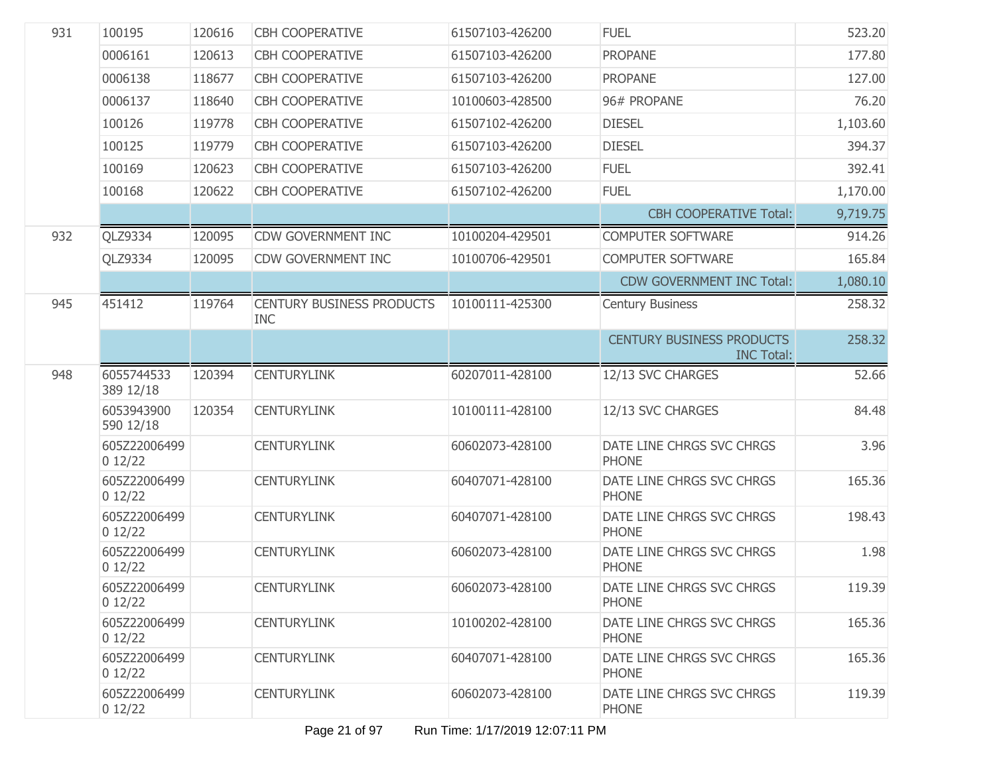| 931 | 100195                  | 120616 | <b>CBH COOPERATIVE</b>                         | 61507103-426200 | <b>FUEL</b>                                           | 523.20   |
|-----|-------------------------|--------|------------------------------------------------|-----------------|-------------------------------------------------------|----------|
|     | 0006161                 | 120613 | <b>CBH COOPERATIVE</b>                         | 61507103-426200 | <b>PROPANE</b>                                        | 177.80   |
|     | 0006138                 | 118677 | <b>CBH COOPERATIVE</b>                         | 61507103-426200 | <b>PROPANE</b>                                        | 127.00   |
|     | 0006137                 | 118640 | <b>CBH COOPERATIVE</b>                         | 10100603-428500 | 96# PROPANE                                           | 76.20    |
|     | 100126                  | 119778 | <b>CBH COOPERATIVE</b>                         | 61507102-426200 | <b>DIESEL</b>                                         | 1,103.60 |
|     | 100125                  | 119779 | <b>CBH COOPERATIVE</b>                         | 61507103-426200 | <b>DIESEL</b>                                         | 394.37   |
|     | 100169                  | 120623 | <b>CBH COOPERATIVE</b>                         | 61507103-426200 | <b>FUEL</b>                                           | 392.41   |
|     | 100168                  | 120622 | <b>CBH COOPERATIVE</b>                         | 61507102-426200 | <b>FUEL</b>                                           | 1,170.00 |
|     |                         |        |                                                |                 | <b>CBH COOPERATIVE Total:</b>                         | 9,719.75 |
| 932 | QLZ9334                 | 120095 | <b>CDW GOVERNMENT INC</b>                      | 10100204-429501 | <b>COMPUTER SOFTWARE</b>                              | 914.26   |
|     | QLZ9334                 | 120095 | CDW GOVERNMENT INC                             | 10100706-429501 | <b>COMPUTER SOFTWARE</b>                              | 165.84   |
|     |                         |        |                                                |                 | <b>CDW GOVERNMENT INC Total:</b>                      | 1,080.10 |
| 945 | 451412                  | 119764 | <b>CENTURY BUSINESS PRODUCTS</b><br><b>INC</b> | 10100111-425300 | <b>Century Business</b>                               | 258,32   |
|     |                         |        |                                                |                 | <b>CENTURY BUSINESS PRODUCTS</b><br><b>INC Total:</b> | 258.32   |
| 948 | 6055744533<br>389 12/18 | 120394 | <b>CENTURYLINK</b>                             | 60207011-428100 | 12/13 SVC CHARGES                                     | 52.66    |
|     | 6053943900<br>590 12/18 | 120354 | <b>CENTURYLINK</b>                             | 10100111-428100 | 12/13 SVC CHARGES                                     | 84.48    |
|     | 605Z22006499<br>012/22  |        | <b>CENTURYLINK</b>                             | 60602073-428100 | DATE LINE CHRGS SVC CHRGS<br><b>PHONE</b>             | 3.96     |
|     | 605Z22006499<br>012/22  |        | <b>CENTURYLINK</b>                             | 60407071-428100 | DATE LINE CHRGS SVC CHRGS<br><b>PHONE</b>             | 165.36   |
|     | 605Z22006499<br>012/22  |        | <b>CENTURYLINK</b>                             | 60407071-428100 | DATE LINE CHRGS SVC CHRGS<br><b>PHONE</b>             | 198.43   |
|     | 605Z22006499<br>012/22  |        | <b>CENTURYLINK</b>                             | 60602073-428100 | DATE LINE CHRGS SVC CHRGS<br><b>PHONE</b>             | 1.98     |
|     | 605Z22006499<br>012/22  |        | <b>CENTURYLINK</b>                             | 60602073-428100 | DATE LINE CHRGS SVC CHRGS<br><b>PHONE</b>             | 119.39   |
|     | 605Z22006499<br>012/22  |        | <b>CENTURYLINK</b>                             | 10100202-428100 | DATE LINE CHRGS SVC CHRGS<br><b>PHONE</b>             | 165.36   |
|     | 605Z22006499<br>012/22  |        | <b>CENTURYLINK</b>                             | 60407071-428100 | DATE LINE CHRGS SVC CHRGS<br><b>PHONE</b>             | 165.36   |
|     | 605Z22006499<br>012/22  |        | <b>CENTURYLINK</b>                             | 60602073-428100 | DATE LINE CHRGS SVC CHRGS<br><b>PHONE</b>             | 119.39   |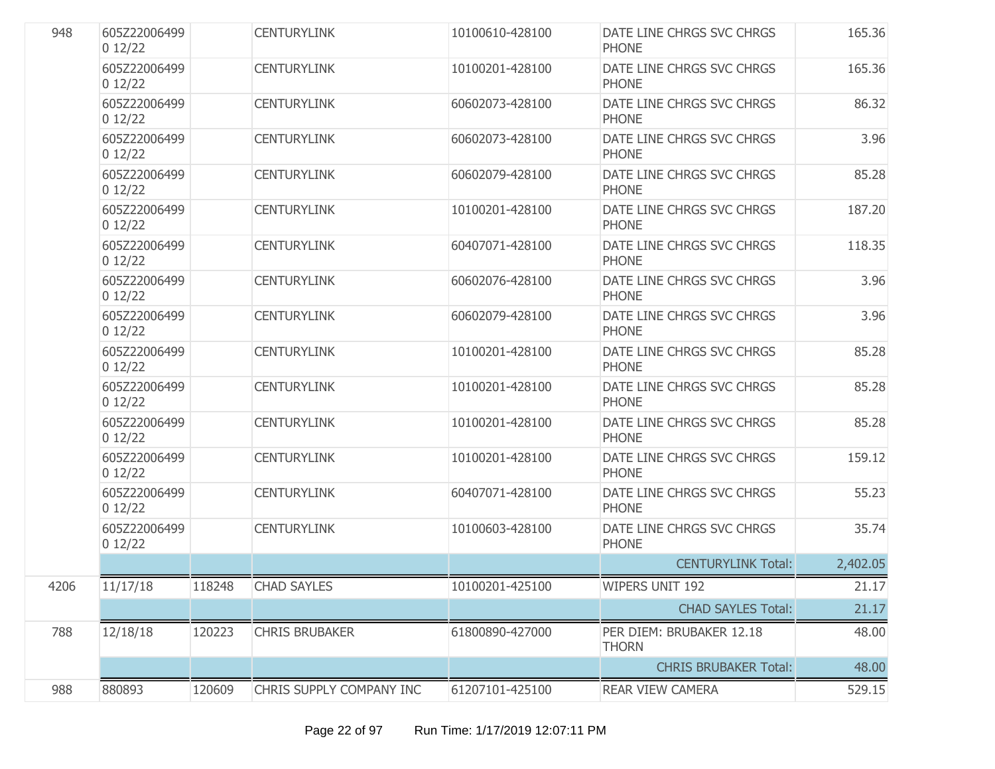| 948  | 605Z22006499<br>012/22 |        | <b>CENTURYLINK</b>       | 10100610-428100 | DATE LINE CHRGS SVC CHRGS<br><b>PHONE</b> | 165.36   |
|------|------------------------|--------|--------------------------|-----------------|-------------------------------------------|----------|
|      | 605Z22006499<br>012/22 |        | <b>CENTURYLINK</b>       | 10100201-428100 | DATE LINE CHRGS SVC CHRGS<br><b>PHONE</b> | 165.36   |
|      | 605Z22006499<br>012/22 |        | <b>CENTURYLINK</b>       | 60602073-428100 | DATE LINE CHRGS SVC CHRGS<br><b>PHONE</b> | 86.32    |
|      | 605Z22006499<br>012/22 |        | <b>CENTURYLINK</b>       | 60602073-428100 | DATE LINE CHRGS SVC CHRGS<br><b>PHONE</b> | 3.96     |
|      | 605Z22006499<br>012/22 |        | <b>CENTURYLINK</b>       | 60602079-428100 | DATE LINE CHRGS SVC CHRGS<br><b>PHONE</b> | 85.28    |
|      | 605Z22006499<br>012/22 |        | <b>CENTURYLINK</b>       | 10100201-428100 | DATE LINE CHRGS SVC CHRGS<br><b>PHONE</b> | 187.20   |
|      | 605Z22006499<br>012/22 |        | <b>CENTURYLINK</b>       | 60407071-428100 | DATE LINE CHRGS SVC CHRGS<br><b>PHONE</b> | 118.35   |
|      | 605Z22006499<br>012/22 |        | <b>CENTURYLINK</b>       | 60602076-428100 | DATE LINE CHRGS SVC CHRGS<br><b>PHONE</b> | 3.96     |
|      | 605Z22006499<br>012/22 |        | <b>CENTURYLINK</b>       | 60602079-428100 | DATE LINE CHRGS SVC CHRGS<br><b>PHONE</b> | 3.96     |
|      | 605Z22006499<br>012/22 |        | <b>CENTURYLINK</b>       | 10100201-428100 | DATE LINE CHRGS SVC CHRGS<br><b>PHONE</b> | 85.28    |
|      | 605Z22006499<br>012/22 |        | <b>CENTURYLINK</b>       | 10100201-428100 | DATE LINE CHRGS SVC CHRGS<br><b>PHONE</b> | 85.28    |
|      | 605Z22006499<br>012/22 |        | <b>CENTURYLINK</b>       | 10100201-428100 | DATE LINE CHRGS SVC CHRGS<br><b>PHONE</b> | 85.28    |
|      | 605Z22006499<br>012/22 |        | <b>CENTURYLINK</b>       | 10100201-428100 | DATE LINE CHRGS SVC CHRGS<br><b>PHONE</b> | 159.12   |
|      | 605Z22006499<br>012/22 |        | <b>CENTURYLINK</b>       | 60407071-428100 | DATE LINE CHRGS SVC CHRGS<br><b>PHONE</b> | 55.23    |
|      | 605Z22006499<br>012/22 |        | <b>CENTURYLINK</b>       | 10100603-428100 | DATE LINE CHRGS SVC CHRGS<br><b>PHONE</b> | 35.74    |
|      |                        |        |                          |                 | <b>CENTURYLINK Total:</b>                 | 2,402.05 |
| 4206 | 11/17/18               | 118248 | <b>CHAD SAYLES</b>       | 10100201-425100 | <b>WIPERS UNIT 192</b>                    | 21.17    |
|      |                        |        |                          |                 | <b>CHAD SAYLES Total:</b>                 | 21.17    |
| 788  | 12/18/18               | 120223 | <b>CHRIS BRUBAKER</b>    | 61800890-427000 | PER DIEM: BRUBAKER 12.18<br><b>THORN</b>  | 48.00    |
|      |                        |        |                          |                 | <b>CHRIS BRUBAKER Total:</b>              | 48.00    |
| 988  | 880893                 | 120609 | CHRIS SUPPLY COMPANY INC | 61207101-425100 | REAR VIEW CAMERA                          | 529.15   |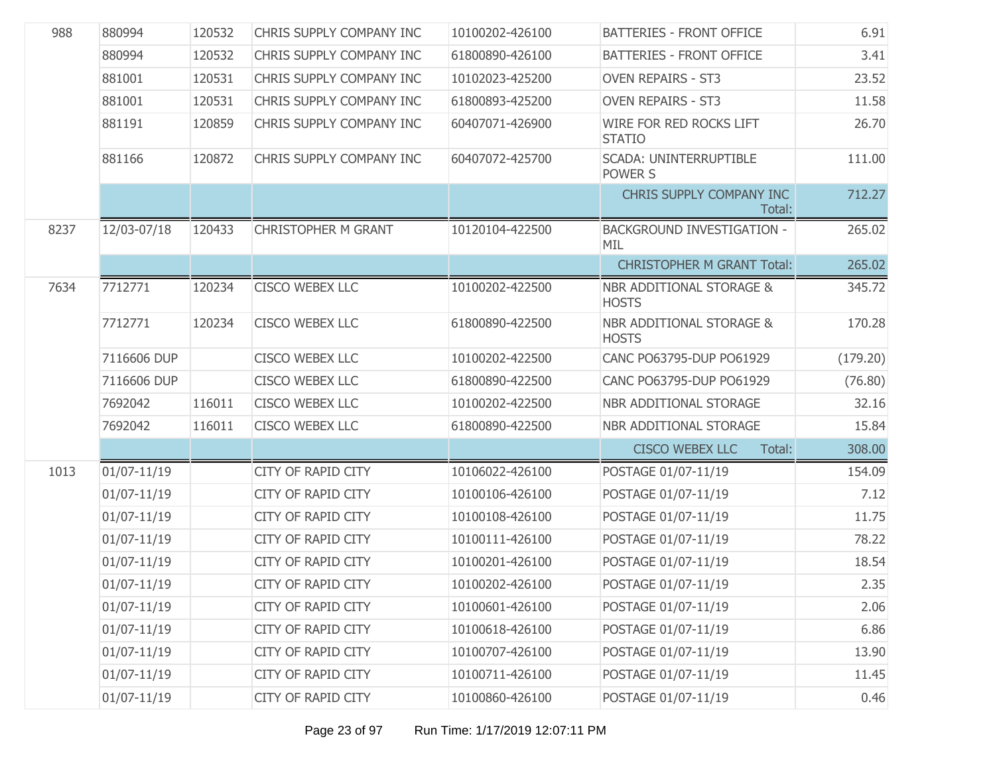| 988  | 880994          | 120532 | CHRIS SUPPLY COMPANY INC   | 10100202-426100 | <b>BATTERIES - FRONT OFFICE</b>                     | 6.91     |
|------|-----------------|--------|----------------------------|-----------------|-----------------------------------------------------|----------|
|      | 880994          | 120532 | CHRIS SUPPLY COMPANY INC   | 61800890-426100 | <b>BATTERIES - FRONT OFFICE</b>                     | 3.41     |
|      | 881001          | 120531 | CHRIS SUPPLY COMPANY INC   | 10102023-425200 | <b>OVEN REPAIRS - ST3</b>                           | 23.52    |
|      | 881001          | 120531 | CHRIS SUPPLY COMPANY INC   | 61800893-425200 | <b>OVEN REPAIRS - ST3</b>                           | 11.58    |
|      | 881191          | 120859 | CHRIS SUPPLY COMPANY INC   | 60407071-426900 | WIRE FOR RED ROCKS LIFT<br><b>STATIO</b>            | 26.70    |
|      | 881166          | 120872 | CHRIS SUPPLY COMPANY INC   | 60407072-425700 | <b>SCADA: UNINTERRUPTIBLE</b><br>POWER S            | 111.00   |
|      |                 |        |                            |                 | CHRIS SUPPLY COMPANY INC<br>Total:                  | 712.27   |
| 8237 | 12/03-07/18     | 120433 | <b>CHRISTOPHER M GRANT</b> | 10120104-422500 | <b>BACKGROUND INVESTIGATION -</b><br>MIL            | 265.02   |
|      |                 |        |                            |                 | <b>CHRISTOPHER M GRANT Total:</b>                   | 265.02   |
| 7634 | 7712771         | 120234 | <b>CISCO WEBEX LLC</b>     | 10100202-422500 | <b>NBR ADDITIONAL STORAGE &amp;</b><br><b>HOSTS</b> | 345.72   |
|      | 7712771         | 120234 | <b>CISCO WEBEX LLC</b>     | 61800890-422500 | NBR ADDITIONAL STORAGE &<br><b>HOSTS</b>            | 170.28   |
|      | 7116606 DUP     |        | <b>CISCO WEBEX LLC</b>     | 10100202-422500 | CANC PO63795-DUP PO61929                            | (179.20) |
|      | 7116606 DUP     |        | CISCO WEBEX LLC            | 61800890-422500 | CANC PO63795-DUP PO61929                            | (76.80)  |
|      | 7692042         | 116011 | CISCO WEBEX LLC            | 10100202-422500 | NBR ADDITIONAL STORAGE                              | 32.16    |
|      | 7692042         | 116011 | CISCO WEBEX LLC            | 61800890-422500 | NBR ADDITIONAL STORAGE                              | 15.84    |
|      |                 |        |                            |                 | <b>CISCO WEBEX LLC</b><br>Total:                    | 308.00   |
| 1013 | $01/07 - 11/19$ |        | CITY OF RAPID CITY         | 10106022-426100 | POSTAGE 01/07-11/19                                 | 154.09   |
|      | $01/07 - 11/19$ |        | CITY OF RAPID CITY         | 10100106-426100 | POSTAGE 01/07-11/19                                 | 7.12     |
|      | $01/07 - 11/19$ |        | CITY OF RAPID CITY         | 10100108-426100 | POSTAGE 01/07-11/19                                 | 11.75    |
|      | $01/07 - 11/19$ |        | CITY OF RAPID CITY         | 10100111-426100 | POSTAGE 01/07-11/19                                 | 78.22    |
|      | $01/07 - 11/19$ |        | CITY OF RAPID CITY         | 10100201-426100 | POSTAGE 01/07-11/19                                 | 18.54    |
|      | 01/07-11/19     |        | CITY OF RAPID CITY         | 10100202-426100 | POSTAGE 01/07-11/19                                 | 2.35     |
|      | $01/07 - 11/19$ |        | <b>CITY OF RAPID CITY</b>  | 10100601-426100 | POSTAGE 01/07-11/19                                 | 2.06     |
|      | $01/07 - 11/19$ |        | CITY OF RAPID CITY         | 10100618-426100 | POSTAGE 01/07-11/19                                 | 6.86     |
|      | $01/07 - 11/19$ |        | CITY OF RAPID CITY         | 10100707-426100 | POSTAGE 01/07-11/19                                 | 13.90    |
|      | $01/07 - 11/19$ |        | <b>CITY OF RAPID CITY</b>  | 10100711-426100 | POSTAGE 01/07-11/19                                 | 11.45    |
|      | $01/07 - 11/19$ |        | CITY OF RAPID CITY         | 10100860-426100 | POSTAGE 01/07-11/19                                 | 0.46     |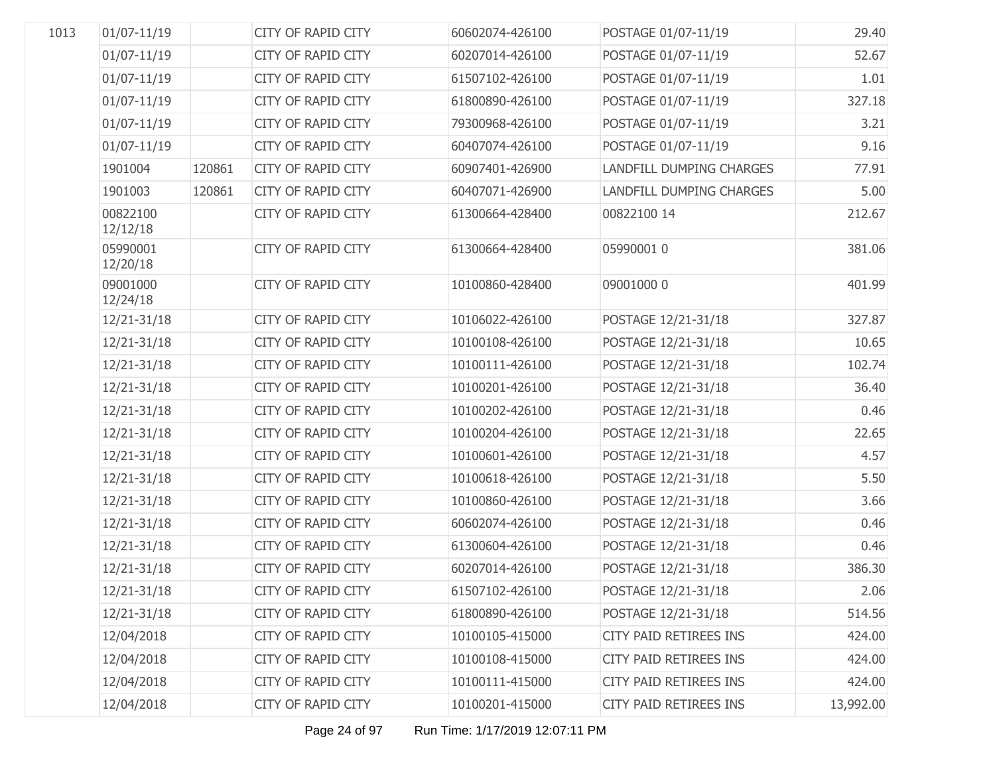| 1013 | $01/07 - 11/19$      |        | <b>CITY OF RAPID CITY</b> | 60602074-426100 | POSTAGE 01/07-11/19      | 29.40     |
|------|----------------------|--------|---------------------------|-----------------|--------------------------|-----------|
|      |                      |        |                           |                 |                          |           |
|      | $01/07 - 11/19$      |        | <b>CITY OF RAPID CITY</b> | 60207014-426100 | POSTAGE 01/07-11/19      | 52.67     |
|      | $01/07 - 11/19$      |        | <b>CITY OF RAPID CITY</b> | 61507102-426100 | POSTAGE 01/07-11/19      | 1.01      |
|      | $01/07 - 11/19$      |        | <b>CITY OF RAPID CITY</b> | 61800890-426100 | POSTAGE 01/07-11/19      | 327.18    |
|      | $01/07 - 11/19$      |        | <b>CITY OF RAPID CITY</b> | 79300968-426100 | POSTAGE 01/07-11/19      | 3.21      |
|      | 01/07-11/19          |        | <b>CITY OF RAPID CITY</b> | 60407074-426100 | POSTAGE 01/07-11/19      | 9.16      |
|      | 1901004              | 120861 | <b>CITY OF RAPID CITY</b> | 60907401-426900 | LANDFILL DUMPING CHARGES | 77.91     |
|      | 1901003              | 120861 | <b>CITY OF RAPID CITY</b> | 60407071-426900 | LANDFILL DUMPING CHARGES | 5.00      |
|      | 00822100<br>12/12/18 |        | CITY OF RAPID CITY        | 61300664-428400 | 00822100 14              | 212.67    |
|      | 05990001<br>12/20/18 |        | <b>CITY OF RAPID CITY</b> | 61300664-428400 | 05990001 0               | 381.06    |
|      | 09001000<br>12/24/18 |        | CITY OF RAPID CITY        | 10100860-428400 | 09001000 0               | 401.99    |
|      | 12/21-31/18          |        | CITY OF RAPID CITY        | 10106022-426100 | POSTAGE 12/21-31/18      | 327.87    |
|      | $12/21 - 31/18$      |        | CITY OF RAPID CITY        | 10100108-426100 | POSTAGE 12/21-31/18      | 10.65     |
|      | $12/21 - 31/18$      |        | <b>CITY OF RAPID CITY</b> | 10100111-426100 | POSTAGE 12/21-31/18      | 102.74    |
|      | $12/21 - 31/18$      |        | <b>CITY OF RAPID CITY</b> | 10100201-426100 | POSTAGE 12/21-31/18      | 36.40     |
|      | $12/21 - 31/18$      |        | <b>CITY OF RAPID CITY</b> | 10100202-426100 | POSTAGE 12/21-31/18      | 0.46      |
|      | $12/21 - 31/18$      |        | <b>CITY OF RAPID CITY</b> | 10100204-426100 | POSTAGE 12/21-31/18      | 22.65     |
|      | $12/21 - 31/18$      |        | CITY OF RAPID CITY        | 10100601-426100 | POSTAGE 12/21-31/18      | 4.57      |
|      | $12/21 - 31/18$      |        | <b>CITY OF RAPID CITY</b> | 10100618-426100 | POSTAGE 12/21-31/18      | 5.50      |
|      | $12/21 - 31/18$      |        | <b>CITY OF RAPID CITY</b> | 10100860-426100 | POSTAGE 12/21-31/18      | 3.66      |
|      | $12/21 - 31/18$      |        | <b>CITY OF RAPID CITY</b> | 60602074-426100 | POSTAGE 12/21-31/18      | 0.46      |
|      | $12/21 - 31/18$      |        | <b>CITY OF RAPID CITY</b> | 61300604-426100 | POSTAGE 12/21-31/18      | 0.46      |
|      | $12/21 - 31/18$      |        | <b>CITY OF RAPID CITY</b> | 60207014-426100 | POSTAGE 12/21-31/18      | 386.30    |
|      | 12/21-31/18          |        | CITY OF RAPID CITY        | 61507102-426100 | POSTAGE 12/21-31/18      | 2.06      |
|      | 12/21-31/18          |        | CITY OF RAPID CITY        | 61800890-426100 | POSTAGE 12/21-31/18      | 514.56    |
|      | 12/04/2018           |        | CITY OF RAPID CITY        | 10100105-415000 | CITY PAID RETIREES INS   | 424.00    |
|      | 12/04/2018           |        | CITY OF RAPID CITY        | 10100108-415000 | CITY PAID RETIREES INS   | 424.00    |
|      | 12/04/2018           |        | CITY OF RAPID CITY        | 10100111-415000 | CITY PAID RETIREES INS   | 424.00    |
|      | 12/04/2018           |        | CITY OF RAPID CITY        | 10100201-415000 | CITY PAID RETIREES INS   | 13,992.00 |
|      |                      |        |                           |                 |                          |           |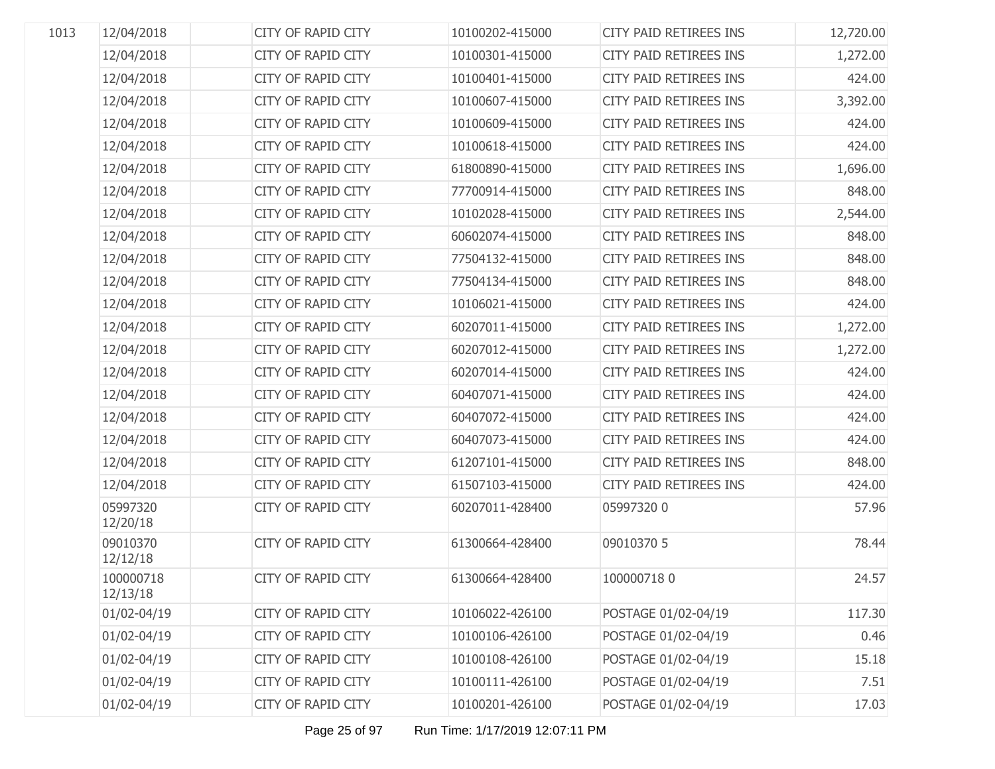| 1013 | 12/04/2018            | <b>CITY OF RAPID CITY</b> | 10100202-415000 | <b>CITY PAID RETIREES INS</b> | 12,720.00 |
|------|-----------------------|---------------------------|-----------------|-------------------------------|-----------|
|      | 12/04/2018            | <b>CITY OF RAPID CITY</b> | 10100301-415000 | <b>CITY PAID RETIREES INS</b> | 1,272.00  |
|      | 12/04/2018            | <b>CITY OF RAPID CITY</b> | 10100401-415000 | <b>CITY PAID RETIREES INS</b> | 424.00    |
|      | 12/04/2018            | <b>CITY OF RAPID CITY</b> | 10100607-415000 | <b>CITY PAID RETIREES INS</b> | 3,392.00  |
|      | 12/04/2018            | <b>CITY OF RAPID CITY</b> | 10100609-415000 | <b>CITY PAID RETIREES INS</b> | 424.00    |
|      | 12/04/2018            | <b>CITY OF RAPID CITY</b> | 10100618-415000 | <b>CITY PAID RETIREES INS</b> | 424.00    |
|      | 12/04/2018            | <b>CITY OF RAPID CITY</b> | 61800890-415000 | <b>CITY PAID RETIREES INS</b> | 1,696.00  |
|      | 12/04/2018            | <b>CITY OF RAPID CITY</b> | 77700914-415000 | <b>CITY PAID RETIREES INS</b> | 848.00    |
|      | 12/04/2018            | <b>CITY OF RAPID CITY</b> | 10102028-415000 | <b>CITY PAID RETIREES INS</b> | 2,544.00  |
|      | 12/04/2018            | <b>CITY OF RAPID CITY</b> | 60602074-415000 | <b>CITY PAID RETIREES INS</b> | 848.00    |
|      | 12/04/2018            | <b>CITY OF RAPID CITY</b> | 77504132-415000 | <b>CITY PAID RETIREES INS</b> | 848.00    |
|      | 12/04/2018            | <b>CITY OF RAPID CITY</b> | 77504134-415000 | <b>CITY PAID RETIREES INS</b> | 848.00    |
|      | 12/04/2018            | <b>CITY OF RAPID CITY</b> | 10106021-415000 | <b>CITY PAID RETIREES INS</b> | 424.00    |
|      | 12/04/2018            | <b>CITY OF RAPID CITY</b> | 60207011-415000 | <b>CITY PAID RETIREES INS</b> | 1,272.00  |
|      | 12/04/2018            | <b>CITY OF RAPID CITY</b> | 60207012-415000 | <b>CITY PAID RETIREES INS</b> | 1,272.00  |
|      | 12/04/2018            | <b>CITY OF RAPID CITY</b> | 60207014-415000 | <b>CITY PAID RETIREES INS</b> | 424.00    |
|      | 12/04/2018            | <b>CITY OF RAPID CITY</b> | 60407071-415000 | <b>CITY PAID RETIREES INS</b> | 424.00    |
|      | 12/04/2018            | <b>CITY OF RAPID CITY</b> | 60407072-415000 | <b>CITY PAID RETIREES INS</b> | 424.00    |
|      | 12/04/2018            | <b>CITY OF RAPID CITY</b> | 60407073-415000 | <b>CITY PAID RETIREES INS</b> | 424.00    |
|      | 12/04/2018            | <b>CITY OF RAPID CITY</b> | 61207101-415000 | <b>CITY PAID RETIREES INS</b> | 848.00    |
|      | 12/04/2018            | <b>CITY OF RAPID CITY</b> | 61507103-415000 | <b>CITY PAID RETIREES INS</b> | 424.00    |
|      | 05997320<br>12/20/18  | <b>CITY OF RAPID CITY</b> | 60207011-428400 | 05997320 0                    | 57.96     |
|      | 09010370<br>12/12/18  | <b>CITY OF RAPID CITY</b> | 61300664-428400 | 09010370 5                    | 78.44     |
|      | 100000718<br>12/13/18 | <b>CITY OF RAPID CITY</b> | 61300664-428400 | 1000007180                    | 24.57     |
|      | 01/02-04/19           | <b>CITY OF RAPID CITY</b> | 10106022-426100 | POSTAGE 01/02-04/19           | 117.30    |
|      | 01/02-04/19           | CITY OF RAPID CITY        | 10100106-426100 | POSTAGE 01/02-04/19           | 0.46      |
|      | 01/02-04/19           | CITY OF RAPID CITY        | 10100108-426100 | POSTAGE 01/02-04/19           | 15.18     |
|      | 01/02-04/19           | CITY OF RAPID CITY        | 10100111-426100 | POSTAGE 01/02-04/19           | 7.51      |
|      | 01/02-04/19           | CITY OF RAPID CITY        | 10100201-426100 | POSTAGE 01/02-04/19           | 17.03     |
|      |                       |                           |                 |                               |           |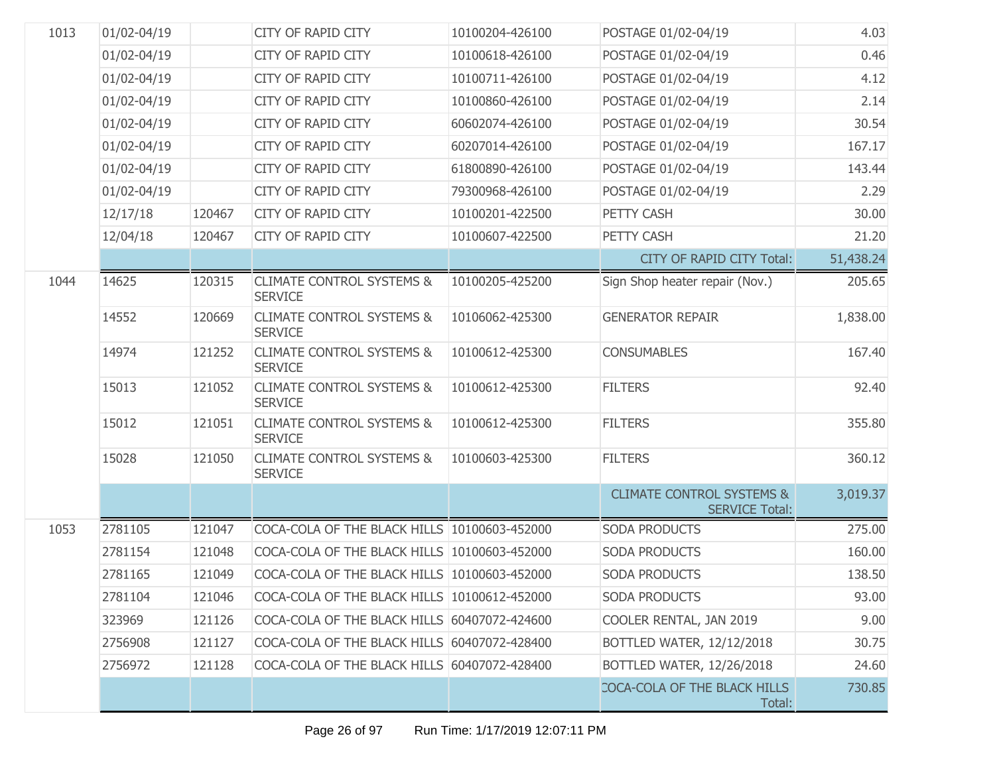| 1013 | 01/02-04/19 |        | <b>CITY OF RAPID CITY</b>                              | 10100204-426100 | POSTAGE 01/02-04/19                                           | 4.03      |
|------|-------------|--------|--------------------------------------------------------|-----------------|---------------------------------------------------------------|-----------|
|      | 01/02-04/19 |        | <b>CITY OF RAPID CITY</b>                              | 10100618-426100 | POSTAGE 01/02-04/19                                           | 0.46      |
|      | 01/02-04/19 |        | <b>CITY OF RAPID CITY</b>                              | 10100711-426100 | POSTAGE 01/02-04/19                                           | 4.12      |
|      | 01/02-04/19 |        | <b>CITY OF RAPID CITY</b>                              | 10100860-426100 | POSTAGE 01/02-04/19                                           | 2.14      |
|      | 01/02-04/19 |        | <b>CITY OF RAPID CITY</b>                              | 60602074-426100 | POSTAGE 01/02-04/19                                           | 30.54     |
|      | 01/02-04/19 |        | <b>CITY OF RAPID CITY</b>                              | 60207014-426100 | POSTAGE 01/02-04/19                                           | 167.17    |
|      | 01/02-04/19 |        | <b>CITY OF RAPID CITY</b>                              | 61800890-426100 | POSTAGE 01/02-04/19                                           | 143.44    |
|      | 01/02-04/19 |        | <b>CITY OF RAPID CITY</b>                              | 79300968-426100 | POSTAGE 01/02-04/19                                           | 2.29      |
|      | 12/17/18    | 120467 | <b>CITY OF RAPID CITY</b>                              | 10100201-422500 | PETTY CASH                                                    | 30.00     |
|      | 12/04/18    | 120467 | CITY OF RAPID CITY                                     | 10100607-422500 | PETTY CASH                                                    | 21.20     |
|      |             |        |                                                        |                 | CITY OF RAPID CITY Total:                                     | 51,438.24 |
| 1044 | 14625       | 120315 | <b>CLIMATE CONTROL SYSTEMS &amp;</b><br><b>SERVICE</b> | 10100205-425200 | Sign Shop heater repair (Nov.)                                | 205.65    |
|      | 14552       | 120669 | <b>CLIMATE CONTROL SYSTEMS &amp;</b><br><b>SERVICE</b> | 10106062-425300 | <b>GENERATOR REPAIR</b>                                       | 1,838.00  |
|      | 14974       | 121252 | <b>CLIMATE CONTROL SYSTEMS &amp;</b><br><b>SERVICE</b> | 10100612-425300 | <b>CONSUMABLES</b>                                            | 167.40    |
|      | 15013       | 121052 | <b>CLIMATE CONTROL SYSTEMS &amp;</b><br><b>SERVICE</b> | 10100612-425300 | <b>FILTERS</b>                                                | 92.40     |
|      | 15012       | 121051 | <b>CLIMATE CONTROL SYSTEMS &amp;</b><br><b>SERVICE</b> | 10100612-425300 | <b>FILTERS</b>                                                | 355.80    |
|      | 15028       | 121050 | <b>CLIMATE CONTROL SYSTEMS &amp;</b><br><b>SERVICE</b> | 10100603-425300 | <b>FILTERS</b>                                                | 360.12    |
|      |             |        |                                                        |                 | <b>CLIMATE CONTROL SYSTEMS &amp;</b><br><b>SERVICE Total:</b> | 3,019.37  |
| 1053 | 2781105     | 121047 | COCA-COLA OF THE BLACK HILLS 10100603-452000           |                 | <b>SODA PRODUCTS</b>                                          | 275.00    |
|      | 2781154     | 121048 | COCA-COLA OF THE BLACK HILLS 10100603-452000           |                 | <b>SODA PRODUCTS</b>                                          | 160.00    |
|      | 2781165     | 121049 | COCA-COLA OF THE BLACK HILLS 10100603-452000           |                 | <b>SODA PRODUCTS</b>                                          | 138.50    |
|      | 2781104     | 121046 | COCA-COLA OF THE BLACK HILLS 10100612-452000           |                 | <b>SODA PRODUCTS</b>                                          | 93.00     |
|      | 323969      | 121126 | COCA-COLA OF THE BLACK HILLS 60407072-424600           |                 | COOLER RENTAL, JAN 2019                                       | 9.00      |
|      | 2756908     | 121127 | COCA-COLA OF THE BLACK HILLS 60407072-428400           |                 | BOTTLED WATER, 12/12/2018                                     | 30.75     |
|      | 2756972     | 121128 | COCA-COLA OF THE BLACK HILLS 60407072-428400           |                 | BOTTLED WATER, 12/26/2018                                     | 24.60     |
|      |             |        |                                                        |                 | COCA-COLA OF THE BLACK HILLS<br>Total:                        | 730.85    |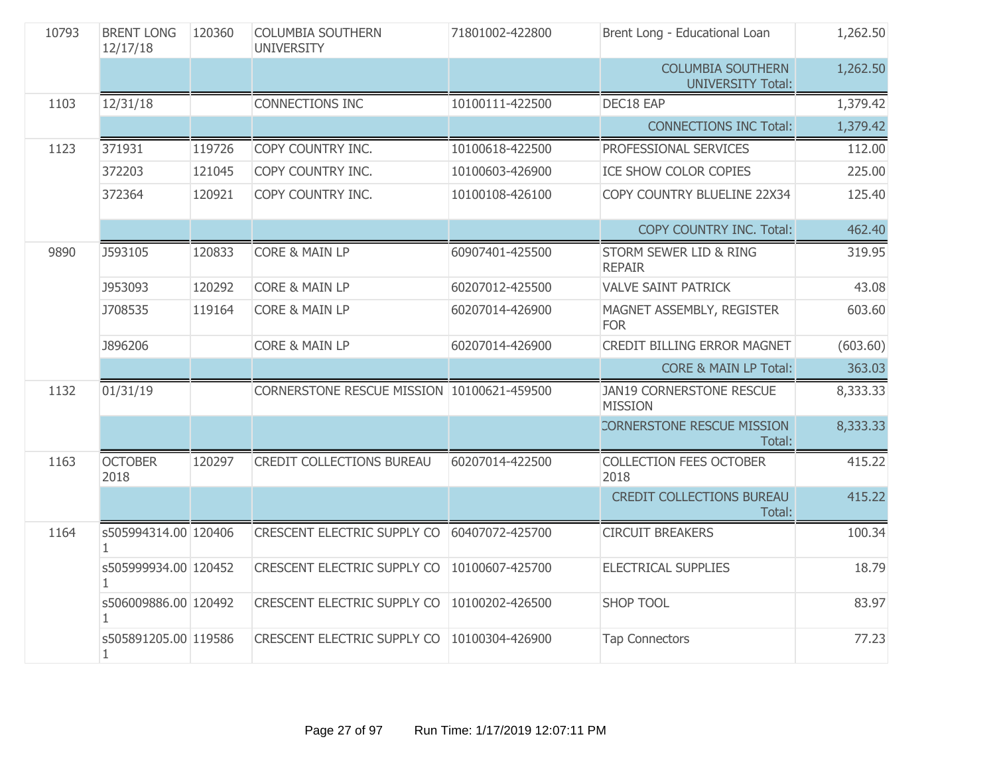| 10793 | <b>BRENT LONG</b><br>12/17/18 | 120360 | <b>COLUMBIA SOUTHERN</b><br><b>UNIVERSITY</b> | 71801002-422800 | Brent Long - Educational Loan                        | 1,262.50 |
|-------|-------------------------------|--------|-----------------------------------------------|-----------------|------------------------------------------------------|----------|
|       |                               |        |                                               |                 | <b>COLUMBIA SOUTHERN</b><br><b>UNIVERSITY Total:</b> | 1,262.50 |
| 1103  | 12/31/18                      |        | <b>CONNECTIONS INC</b>                        | 10100111-422500 | DEC18 EAP                                            | 1,379.42 |
|       |                               |        |                                               |                 | <b>CONNECTIONS INC Total:</b>                        | 1,379.42 |
| 1123  | 371931                        | 119726 | COPY COUNTRY INC.                             | 10100618-422500 | PROFESSIONAL SERVICES                                | 112.00   |
|       | 372203                        | 121045 | COPY COUNTRY INC.                             | 10100603-426900 | ICE SHOW COLOR COPIES                                | 225.00   |
|       | 372364                        | 120921 | COPY COUNTRY INC.                             | 10100108-426100 | COPY COUNTRY BLUELINE 22X34                          | 125.40   |
|       |                               |        |                                               |                 | COPY COUNTRY INC. Total:                             | 462.40   |
| 9890  | J593105                       | 120833 | <b>CORE &amp; MAIN LP</b>                     | 60907401-425500 | STORM SEWER LID & RING<br><b>REPAIR</b>              | 319.95   |
|       | J953093                       | 120292 | <b>CORE &amp; MAIN LP</b>                     | 60207012-425500 | <b>VALVE SAINT PATRICK</b>                           | 43.08    |
|       | J708535                       | 119164 | <b>CORE &amp; MAIN LP</b>                     | 60207014-426900 | MAGNET ASSEMBLY, REGISTER<br><b>FOR</b>              | 603.60   |
|       | <b>J896206</b>                |        | <b>CORE &amp; MAIN LP</b>                     | 60207014-426900 | <b>CREDIT BILLING ERROR MAGNET</b>                   | (603.60) |
|       |                               |        |                                               |                 | <b>CORE &amp; MAIN LP Total:</b>                     | 363.03   |
| 1132  | 01/31/19                      |        | CORNERSTONE RESCUE MISSION 10100621-459500    |                 | JAN19 CORNERSTONE RESCUE<br><b>MISSION</b>           | 8,333.33 |
|       |                               |        |                                               |                 | CORNERSTONE RESCUE MISSION<br>Total:                 | 8,333.33 |
| 1163  | <b>OCTOBER</b><br>2018        | 120297 | <b>CREDIT COLLECTIONS BUREAU</b>              | 60207014-422500 | <b>COLLECTION FEES OCTOBER</b><br>2018               | 415.22   |
|       |                               |        |                                               |                 | CREDIT COLLECTIONS BUREAU<br>Total:                  | 415.22   |
| 1164  | s505994314.00 120406<br>1.    |        | <b>CRESCENT ELECTRIC SUPPLY CO</b>            | 60407072-425700 | <b>CIRCUIT BREAKERS</b>                              | 100.34   |
|       | s505999934.00 120452<br>1.    |        | CRESCENT ELECTRIC SUPPLY CO                   | 10100607-425700 | ELECTRICAL SUPPLIES                                  | 18.79    |
|       | s506009886.00 120492<br>1.    |        | <b>CRESCENT ELECTRIC SUPPLY CO</b>            | 10100202-426500 | <b>SHOP TOOL</b>                                     | 83.97    |
|       | s505891205.00 119586<br>1     |        | <b>CRESCENT ELECTRIC SUPPLY CO</b>            | 10100304-426900 | <b>Tap Connectors</b>                                | 77.23    |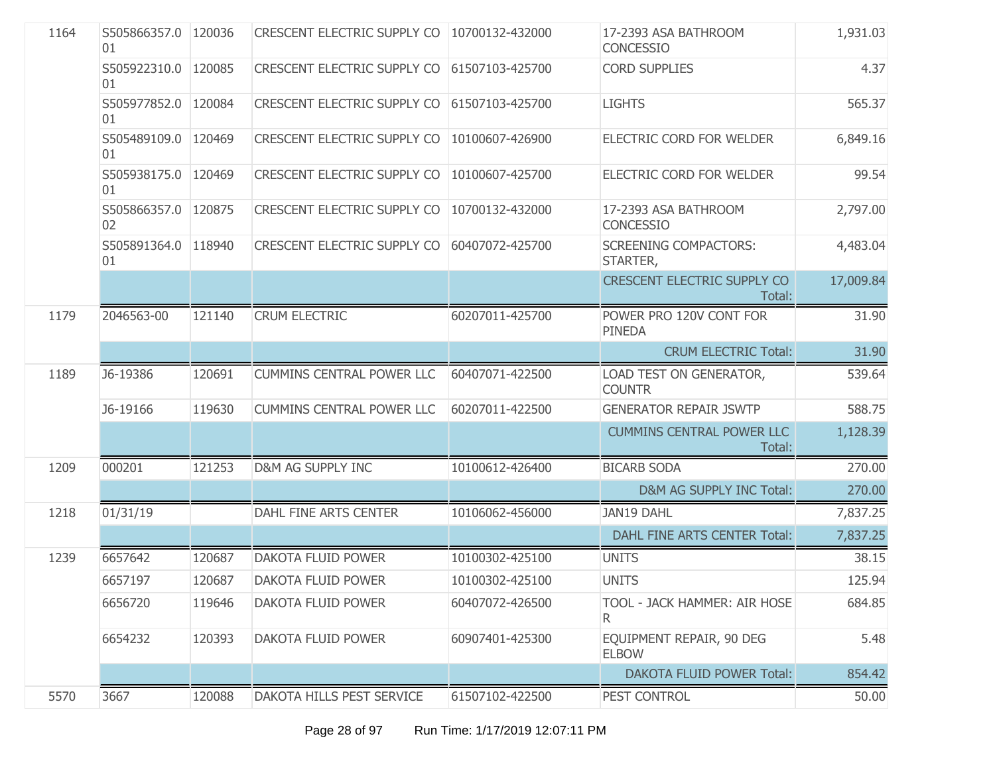| 1164 | S505866357.0 120036<br>01   |        | CRESCENT ELECTRIC SUPPLY CO   10700132-432000 |                 | 17-2393 ASA BATHROOM<br>CONCESSIO            | 1,931.03  |
|------|-----------------------------|--------|-----------------------------------------------|-----------------|----------------------------------------------|-----------|
|      | S505922310.0 120085<br>01   |        | CRESCENT ELECTRIC SUPPLY CO 61507103-425700   |                 | <b>CORD SUPPLIES</b>                         | 4.37      |
|      | S505977852.0<br>01          | 120084 | <b>CRESCENT ELECTRIC SUPPLY CO</b>            | 61507103-425700 | <b>LIGHTS</b>                                | 565.37    |
|      | S505489109.0   120469<br>01 |        | CRESCENT ELECTRIC SUPPLY CO                   | 10100607-426900 | ELECTRIC CORD FOR WELDER                     | 6,849.16  |
|      | S505938175.0<br>01          | 120469 | <b>CRESCENT ELECTRIC SUPPLY CO</b>            | 10100607-425700 | ELECTRIC CORD FOR WELDER                     | 99.54     |
|      | S505866357.0<br>02          | 120875 | CRESCENT ELECTRIC SUPPLY CO                   | 10700132-432000 | 17-2393 ASA BATHROOM<br>CONCESSIO            | 2,797.00  |
|      | S505891364.0 118940<br>01   |        | <b>CRESCENT ELECTRIC SUPPLY CO</b>            | 60407072-425700 | <b>SCREENING COMPACTORS:</b><br>STARTER,     | 4,483.04  |
|      |                             |        |                                               |                 | <b>CRESCENT ELECTRIC SUPPLY CO</b><br>Total: | 17,009.84 |
| 1179 | 2046563-00                  | 121140 | <b>CRUM ELECTRIC</b>                          | 60207011-425700 | POWER PRO 120V CONT FOR<br><b>PINEDA</b>     | 31.90     |
|      |                             |        |                                               |                 | <b>CRUM ELECTRIC Total:</b>                  | 31.90     |
| 1189 | J6-19386                    | 120691 | <b>CUMMINS CENTRAL POWER LLC</b>              | 60407071-422500 | LOAD TEST ON GENERATOR,<br><b>COUNTR</b>     | 539.64    |
|      | J6-19166                    | 119630 | <b>CUMMINS CENTRAL POWER LLC</b>              | 60207011-422500 | <b>GENERATOR REPAIR JSWTP</b>                | 588.75    |
|      |                             |        |                                               |                 | <b>CUMMINS CENTRAL POWER LLC</b><br>Total:   | 1,128.39  |
| 1209 | 000201                      | 121253 | D&M AG SUPPLY INC                             | 10100612-426400 | <b>BICARB SODA</b>                           | 270.00    |
|      |                             |        |                                               |                 | D&M AG SUPPLY INC Total:                     | 270.00    |
| 1218 | 01/31/19                    |        | DAHL FINE ARTS CENTER                         | 10106062-456000 | JAN19 DAHL                                   | 7,837.25  |
|      |                             |        |                                               |                 | DAHL FINE ARTS CENTER Total:                 | 7,837.25  |
| 1239 | 6657642                     | 120687 | <b>DAKOTA FLUID POWER</b>                     | 10100302-425100 | <b>UNITS</b>                                 | 38.15     |
|      | 6657197                     | 120687 | DAKOTA FLUID POWER                            | 10100302-425100 | <b>UNITS</b>                                 | 125.94    |
|      | 6656720                     | 119646 | DAKOTA FLUID POWER                            | 60407072-426500 | TOOL - JACK HAMMER: AIR HOSE<br>R.           | 684.85    |
|      | 6654232                     | 120393 | DAKOTA FLUID POWER                            | 60907401-425300 | EQUIPMENT REPAIR, 90 DEG<br><b>ELBOW</b>     | 5.48      |
|      |                             |        |                                               |                 | <b>DAKOTA FLUID POWER Total:</b>             | 854.42    |
| 5570 | 3667                        | 120088 | DAKOTA HILLS PEST SERVICE                     | 61507102-422500 | PEST CONTROL                                 | 50.00     |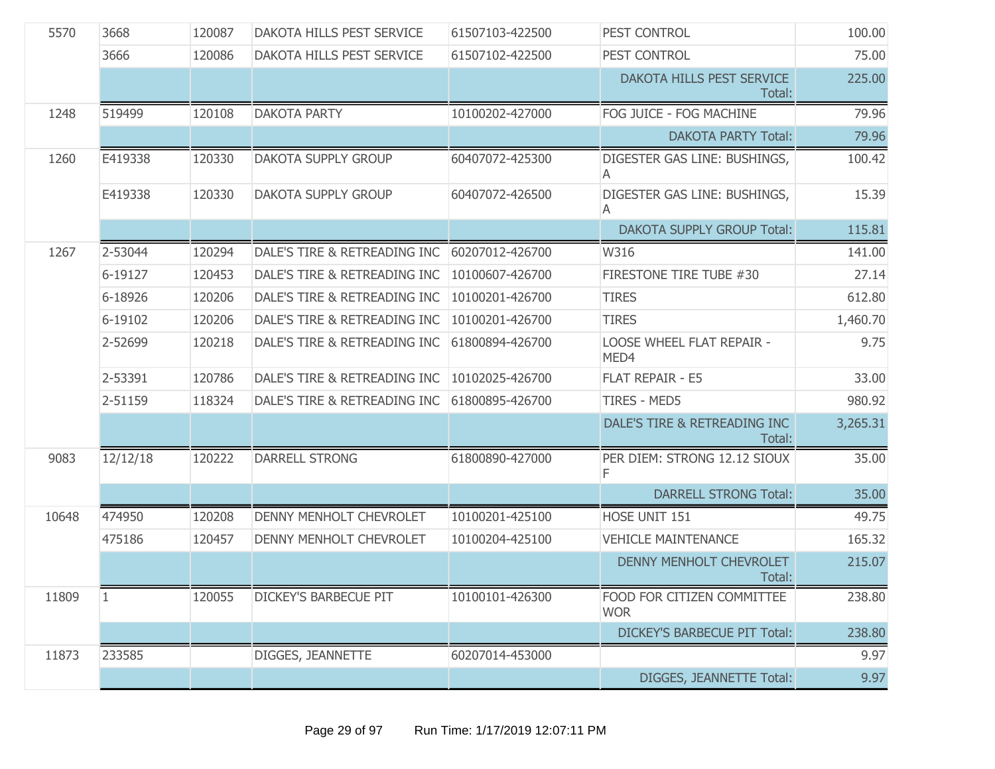| 5570  | 3668         | 120087 | DAKOTA HILLS PEST SERVICE    | 61507103-422500 | PEST CONTROL                             | 100.00   |
|-------|--------------|--------|------------------------------|-----------------|------------------------------------------|----------|
|       | 3666         | 120086 | DAKOTA HILLS PEST SERVICE    | 61507102-422500 | PEST CONTROL                             | 75.00    |
|       |              |        |                              |                 | DAKOTA HILLS PEST SERVICE<br>Total:      | 225.00   |
| 1248  | 519499       | 120108 | <b>DAKOTA PARTY</b>          | 10100202-427000 | FOG JUICE - FOG MACHINE                  | 79.96    |
|       |              |        |                              |                 | <b>DAKOTA PARTY Total:</b>               | 79.96    |
| 1260  | E419338      | 120330 | <b>DAKOTA SUPPLY GROUP</b>   | 60407072-425300 | DIGESTER GAS LINE: BUSHINGS,<br>A        | 100.42   |
|       | E419338      | 120330 | DAKOTA SUPPLY GROUP          | 60407072-426500 | DIGESTER GAS LINE: BUSHINGS,<br>A        | 15.39    |
|       |              |        |                              |                 | <b>DAKOTA SUPPLY GROUP Total:</b>        | 115.81   |
| 1267  | 2-53044      | 120294 | DALE'S TIRE & RETREADING INC | 60207012-426700 | W316                                     | 141.00   |
|       | 6-19127      | 120453 | DALE'S TIRE & RETREADING INC | 10100607-426700 | FIRESTONE TIRE TUBE #30                  | 27.14    |
|       | 6-18926      | 120206 | DALE'S TIRE & RETREADING INC | 10100201-426700 | <b>TIRES</b>                             | 612.80   |
|       | 6-19102      | 120206 | DALE'S TIRE & RETREADING INC | 10100201-426700 | <b>TIRES</b>                             | 1,460.70 |
|       | 2-52699      | 120218 | DALE'S TIRE & RETREADING INC | 61800894-426700 | <b>LOOSE WHEEL FLAT REPAIR -</b><br>MED4 | 9.75     |
|       | 2-53391      | 120786 | DALE'S TIRE & RETREADING INC | 10102025-426700 | <b>FLAT REPAIR - E5</b>                  | 33.00    |
|       | 2-51159      | 118324 | DALE'S TIRE & RETREADING INC | 61800895-426700 | <b>TIRES - MED5</b>                      | 980.92   |
|       |              |        |                              |                 | DALE'S TIRE & RETREADING INC<br>Total:   | 3,265.31 |
| 9083  | 12/12/18     | 120222 | <b>DARRELL STRONG</b>        | 61800890-427000 | PER DIEM: STRONG 12.12 SIOUX<br>F        | 35.00    |
|       |              |        |                              |                 | <b>DARRELL STRONG Total:</b>             | 35.00    |
| 10648 | 474950       | 120208 | DENNY MENHOLT CHEVROLET      | 10100201-425100 | HOSE UNIT 151                            | 49.75    |
|       | 475186       | 120457 | DENNY MENHOLT CHEVROLET      | 10100204-425100 | <b>VEHICLE MAINTENANCE</b>               | 165.32   |
|       |              |        |                              |                 | <b>DENNY MENHOLT CHEVROLET</b><br>Total: | 215.07   |
| 11809 | $\mathbf{1}$ | 120055 | <b>DICKEY'S BARBECUE PIT</b> | 10100101-426300 | FOOD FOR CITIZEN COMMITTEE<br><b>WOR</b> | 238.80   |
|       |              |        |                              |                 | <b>DICKEY'S BARBECUE PIT Total:</b>      | 238.80   |
| 11873 | 233585       |        | DIGGES, JEANNETTE            | 60207014-453000 |                                          | 9.97     |
|       |              |        |                              |                 | DIGGES, JEANNETTE Total:                 | 9.97     |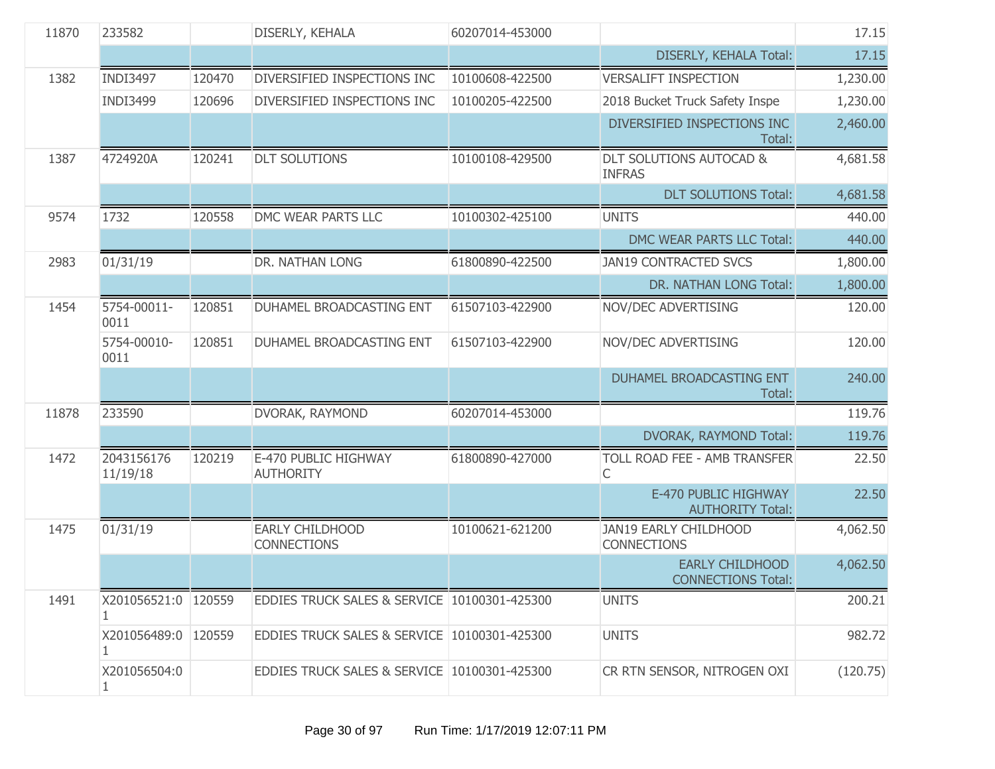| 11870 | 233582                   |        | DISERLY, KEHALA                              | 60207014-453000 |                                                     | 17.15    |
|-------|--------------------------|--------|----------------------------------------------|-----------------|-----------------------------------------------------|----------|
|       |                          |        |                                              |                 | DISERLY, KEHALA Total:                              | 17.15    |
| 1382  | <b>INDI3497</b>          | 120470 | DIVERSIFIED INSPECTIONS INC                  | 10100608-422500 | <b>VERSALIFT INSPECTION</b>                         | 1,230.00 |
|       | <b>INDI3499</b>          | 120696 | DIVERSIFIED INSPECTIONS INC                  | 10100205-422500 | 2018 Bucket Truck Safety Inspe                      | 1,230.00 |
|       |                          |        |                                              |                 | DIVERSIFIED INSPECTIONS INC<br>Total:               | 2,460.00 |
| 1387  | 4724920A                 | 120241 | <b>DLT SOLUTIONS</b>                         | 10100108-429500 | DLT SOLUTIONS AUTOCAD &<br><b>INFRAS</b>            | 4,681.58 |
|       |                          |        |                                              |                 | <b>DLT SOLUTIONS Total:</b>                         | 4,681.58 |
| 9574  | 1732                     | 120558 | DMC WEAR PARTS LLC                           | 10100302-425100 | <b>UNITS</b>                                        | 440.00   |
|       |                          |        |                                              |                 | DMC WEAR PARTS LLC Total:                           | 440.00   |
| 2983  | 01/31/19                 |        | DR. NATHAN LONG                              | 61800890-422500 | <b>JAN19 CONTRACTED SVCS</b>                        | 1,800.00 |
|       |                          |        |                                              |                 | DR. NATHAN LONG Total:                              | 1,800.00 |
| 1454  | 5754-00011-<br>0011      | 120851 | DUHAMEL BROADCASTING ENT                     | 61507103-422900 | NOV/DEC ADVERTISING                                 | 120.00   |
|       | 5754-00010-<br>0011      | 120851 | DUHAMEL BROADCASTING ENT                     | 61507103-422900 | NOV/DEC ADVERTISING                                 | 120.00   |
|       |                          |        |                                              |                 | DUHAMEL BROADCASTING ENT<br>Total:                  | 240.00   |
| 11878 | 233590                   |        | DVORAK, RAYMOND                              | 60207014-453000 |                                                     | 119.76   |
|       |                          |        |                                              |                 | DVORAK, RAYMOND Total:                              | 119.76   |
| 1472  | 2043156176<br>11/19/18   | 120219 | E-470 PUBLIC HIGHWAY<br><b>AUTHORITY</b>     | 61800890-427000 | TOLL ROAD FEE - AMB TRANSFER<br>С                   | 22.50    |
|       |                          |        |                                              |                 | E-470 PUBLIC HIGHWAY<br><b>AUTHORITY Total:</b>     | 22.50    |
| 1475  | 01/31/19                 |        | <b>EARLY CHILDHOOD</b><br><b>CONNECTIONS</b> | 10100621-621200 | JAN19 EARLY CHILDHOOD<br><b>CONNECTIONS</b>         | 4,062.50 |
|       |                          |        |                                              |                 | <b>EARLY CHILDHOOD</b><br><b>CONNECTIONS Total:</b> | 4,062.50 |
| 1491  | X201056521:0   120559    |        | EDDIES TRUCK SALES & SERVICE 10100301-425300 |                 | <b>UNITS</b>                                        | 200.21   |
|       | X201056489:0 120559<br>1 |        | EDDIES TRUCK SALES & SERVICE 10100301-425300 |                 | <b>UNITS</b>                                        | 982.72   |
|       | X201056504:0<br>1.       |        | EDDIES TRUCK SALES & SERVICE 10100301-425300 |                 | CR RTN SENSOR, NITROGEN OXI                         | (120.75) |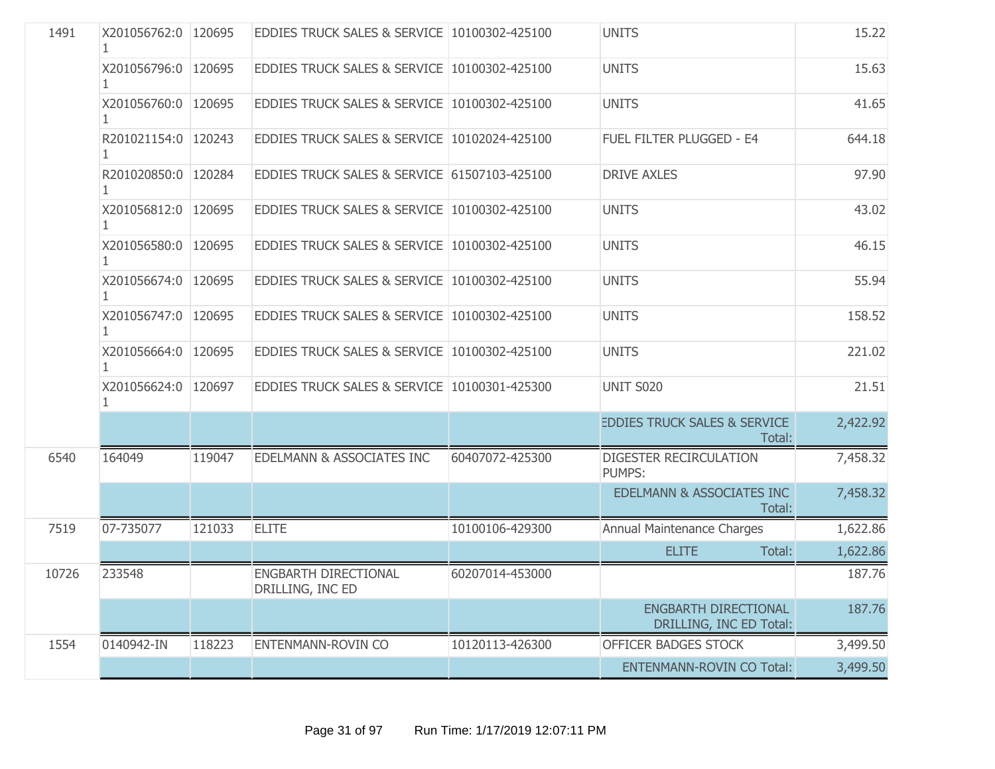| 1491  | X201056762:0 120695 |        | EDDIES TRUCK SALES & SERVICE 10100302-425100 |                 | <b>UNITS</b>                                      | 15.22    |
|-------|---------------------|--------|----------------------------------------------|-----------------|---------------------------------------------------|----------|
|       | X201056796:0 120695 |        | EDDIES TRUCK SALES & SERVICE 10100302-425100 |                 | <b>UNITS</b>                                      | 15.63    |
|       | X201056760:0 120695 |        | EDDIES TRUCK SALES & SERVICE 10100302-425100 |                 | <b>UNITS</b>                                      | 41.65    |
|       | R201021154:0 120243 |        | EDDIES TRUCK SALES & SERVICE 10102024-425100 |                 | FUEL FILTER PLUGGED - E4                          | 644.18   |
|       | R201020850:0 120284 |        | EDDIES TRUCK SALES & SERVICE 61507103-425100 |                 | <b>DRIVE AXLES</b>                                | 97.90    |
|       | X201056812:0 120695 |        | EDDIES TRUCK SALES & SERVICE 10100302-425100 |                 | <b>UNITS</b>                                      | 43.02    |
|       | X201056580:0 120695 |        | EDDIES TRUCK SALES & SERVICE 10100302-425100 |                 | <b>UNITS</b>                                      | 46.15    |
|       | X201056674:0 120695 |        | EDDIES TRUCK SALES & SERVICE 10100302-425100 |                 | <b>UNITS</b>                                      | 55.94    |
|       | X201056747:0 120695 |        | EDDIES TRUCK SALES & SERVICE 10100302-425100 |                 | <b>UNITS</b>                                      | 158.52   |
|       | X201056664:0 120695 |        | EDDIES TRUCK SALES & SERVICE 10100302-425100 |                 | <b>UNITS</b>                                      | 221.02   |
|       | X201056624:0 120697 |        | EDDIES TRUCK SALES & SERVICE 10100301-425300 |                 | <b>UNIT S020</b>                                  | 21.51    |
|       |                     |        |                                              |                 | <b>EDDIES TRUCK SALES &amp; SERVICE</b><br>Total: | 2,422.92 |
| 6540  | 164049              | 119047 | <b>EDELMANN &amp; ASSOCIATES INC</b>         | 60407072-425300 | <b>DIGESTER RECIRCULATION</b><br><b>PUMPS:</b>    | 7,458.32 |
|       |                     |        |                                              |                 | EDELMANN & ASSOCIATES INC<br>Total:               | 7,458.32 |
| 7519  | 07-735077           | 121033 | <b>ELITE</b>                                 | 10100106-429300 | Annual Maintenance Charges                        | 1,622.86 |
|       |                     |        |                                              |                 | <b>ELITE</b><br>Total:                            | 1,622.86 |
| 10726 | 233548              |        | ENGBARTH DIRECTIONAL<br>DRILLING, INC ED     | 60207014-453000 |                                                   | 187.76   |
|       |                     |        |                                              |                 | ENGBARTH DIRECTIONAL<br>DRILLING, INC ED Total:   | 187.76   |
| 1554  | 0140942-IN          | 118223 | ENTENMANN-ROVIN CO                           | 10120113-426300 | OFFICER BADGES STOCK                              | 3,499.50 |
|       |                     |        |                                              |                 | <b>ENTENMANN-ROVIN CO Total:</b>                  | 3,499.50 |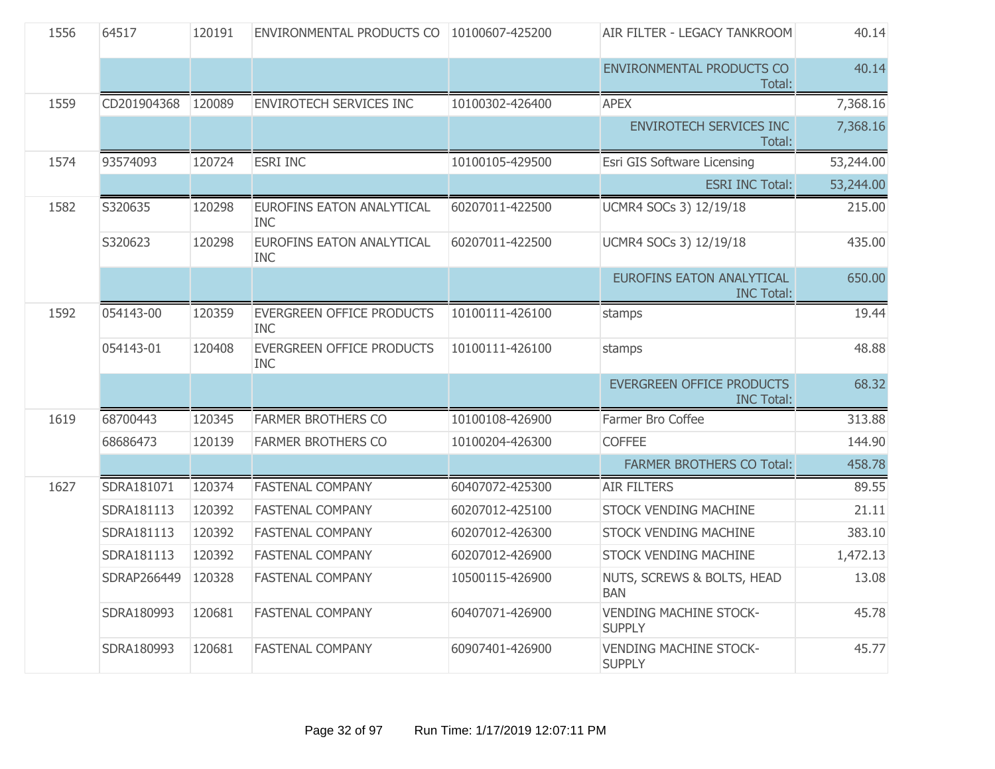| 1556 | 64517       | 120191 | ENVIRONMENTAL PRODUCTS CO   10100607-425200 |                 | AIR FILTER - LEGACY TANKROOM                          | 40.14     |
|------|-------------|--------|---------------------------------------------|-----------------|-------------------------------------------------------|-----------|
|      |             |        |                                             |                 | ENVIRONMENTAL PRODUCTS CO<br>Total:                   | 40.14     |
| 1559 | CD201904368 | 120089 | <b>ENVIROTECH SERVICES INC</b>              | 10100302-426400 | <b>APEX</b>                                           | 7,368.16  |
|      |             |        |                                             |                 | <b>ENVIROTECH SERVICES INC</b><br>Total:              | 7,368.16  |
| 1574 | 93574093    | 120724 | <b>ESRI INC</b>                             | 10100105-429500 | Esri GIS Software Licensing                           | 53,244.00 |
|      |             |        |                                             |                 | <b>ESRI INC Total:</b>                                | 53,244.00 |
| 1582 | S320635     | 120298 | EUROFINS EATON ANALYTICAL<br><b>INC</b>     | 60207011-422500 | UCMR4 SOCs 3) 12/19/18                                | 215.00    |
|      | S320623     | 120298 | EUROFINS EATON ANALYTICAL<br>INC.           | 60207011-422500 | UCMR4 SOCs 3) 12/19/18                                | 435.00    |
|      |             |        |                                             |                 | <b>EUROFINS EATON ANALYTICAL</b><br><b>INC Total:</b> | 650.00    |
| 1592 | 054143-00   | 120359 | EVERGREEN OFFICE PRODUCTS<br><b>INC</b>     | 10100111-426100 | stamps                                                | 19.44     |
|      | 054143-01   | 120408 | EVERGREEN OFFICE PRODUCTS<br><b>INC</b>     | 10100111-426100 | stamps                                                | 48.88     |
|      |             |        |                                             |                 | <b>EVERGREEN OFFICE PRODUCTS</b><br><b>INC Total:</b> | 68.32     |
| 1619 | 68700443    | 120345 | <b>FARMER BROTHERS CO</b>                   | 10100108-426900 | Farmer Bro Coffee                                     | 313.88    |
|      | 68686473    | 120139 | <b>FARMER BROTHERS CO</b>                   | 10100204-426300 | <b>COFFEE</b>                                         | 144.90    |
|      |             |        |                                             |                 | <b>FARMER BROTHERS CO Total:</b>                      | 458.78    |
| 1627 | SDRA181071  | 120374 | <b>FASTENAL COMPANY</b>                     | 60407072-425300 | <b>AIR FILTERS</b>                                    | 89.55     |
|      | SDRA181113  | 120392 | <b>FASTENAL COMPANY</b>                     | 60207012-425100 | <b>STOCK VENDING MACHINE</b>                          | 21.11     |
|      | SDRA181113  | 120392 | <b>FASTENAL COMPANY</b>                     | 60207012-426300 | <b>STOCK VENDING MACHINE</b>                          | 383.10    |
|      | SDRA181113  | 120392 | <b>FASTENAL COMPANY</b>                     | 60207012-426900 | <b>STOCK VENDING MACHINE</b>                          | 1,472.13  |
|      | SDRAP266449 | 120328 | <b>FASTENAL COMPANY</b>                     | 10500115-426900 | NUTS, SCREWS & BOLTS, HEAD<br><b>BAN</b>              | 13.08     |
|      | SDRA180993  | 120681 | <b>FASTENAL COMPANY</b>                     | 60407071-426900 | <b>VENDING MACHINE STOCK-</b><br><b>SUPPLY</b>        | 45.78     |
|      | SDRA180993  | 120681 | <b>FASTENAL COMPANY</b>                     | 60907401-426900 | <b>VENDING MACHINE STOCK-</b><br><b>SUPPLY</b>        | 45.77     |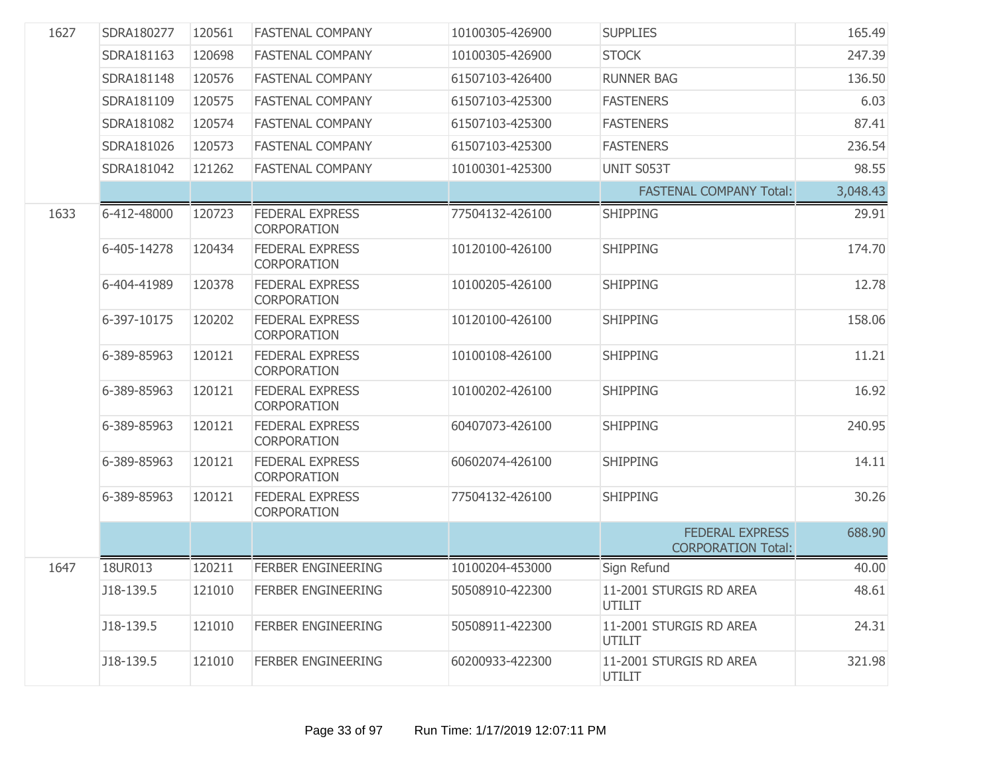| 1627 | SDRA180277  | 120561 | <b>FASTENAL COMPANY</b>               | 10100305-426900 | <b>SUPPLIES</b>                                     | 165.49   |
|------|-------------|--------|---------------------------------------|-----------------|-----------------------------------------------------|----------|
|      | SDRA181163  | 120698 | <b>FASTENAL COMPANY</b>               | 10100305-426900 | <b>STOCK</b>                                        | 247.39   |
|      | SDRA181148  | 120576 | <b>FASTENAL COMPANY</b>               | 61507103-426400 | <b>RUNNER BAG</b>                                   | 136.50   |
|      | SDRA181109  | 120575 | <b>FASTENAL COMPANY</b>               | 61507103-425300 | <b>FASTENERS</b>                                    | 6.03     |
|      | SDRA181082  | 120574 | <b>FASTENAL COMPANY</b>               | 61507103-425300 | <b>FASTENERS</b>                                    | 87.41    |
|      | SDRA181026  | 120573 | <b>FASTENAL COMPANY</b>               | 61507103-425300 | <b>FASTENERS</b>                                    | 236.54   |
|      | SDRA181042  | 121262 | <b>FASTENAL COMPANY</b>               | 10100301-425300 | UNIT S053T                                          | 98.55    |
|      |             |        |                                       |                 | <b>FASTENAL COMPANY Total:</b>                      | 3,048.43 |
| 1633 | 6-412-48000 | 120723 | <b>FEDERAL EXPRESS</b><br>CORPORATION | 77504132-426100 | <b>SHIPPING</b>                                     | 29.91    |
|      | 6-405-14278 | 120434 | <b>FEDERAL EXPRESS</b><br>CORPORATION | 10120100-426100 | <b>SHIPPING</b>                                     | 174.70   |
|      | 6-404-41989 | 120378 | <b>FEDERAL EXPRESS</b><br>CORPORATION | 10100205-426100 | <b>SHIPPING</b>                                     | 12.78    |
|      | 6-397-10175 | 120202 | <b>FEDERAL EXPRESS</b><br>CORPORATION | 10120100-426100 | <b>SHIPPING</b>                                     | 158.06   |
|      | 6-389-85963 | 120121 | <b>FEDERAL EXPRESS</b><br>CORPORATION | 10100108-426100 | <b>SHIPPING</b>                                     | 11.21    |
|      | 6-389-85963 | 120121 | <b>FEDERAL EXPRESS</b><br>CORPORATION | 10100202-426100 | <b>SHIPPING</b>                                     | 16.92    |
|      | 6-389-85963 | 120121 | <b>FEDERAL EXPRESS</b><br>CORPORATION | 60407073-426100 | <b>SHIPPING</b>                                     | 240.95   |
|      | 6-389-85963 | 120121 | <b>FEDERAL EXPRESS</b><br>CORPORATION | 60602074-426100 | <b>SHIPPING</b>                                     | 14.11    |
|      | 6-389-85963 | 120121 | <b>FEDERAL EXPRESS</b><br>CORPORATION | 77504132-426100 | <b>SHIPPING</b>                                     | 30.26    |
|      |             |        |                                       |                 | <b>FEDERAL EXPRESS</b><br><b>CORPORATION Total:</b> | 688.90   |
| 1647 | 18UR013     | 120211 | <b>FERBER ENGINEERING</b>             | 10100204-453000 | Sign Refund                                         | 40.00    |
|      | J18-139.5   | 121010 | FERBER ENGINEERING                    | 50508910-422300 | 11-2001 STURGIS RD AREA<br>UTILIT                   | 48.61    |
|      | J18-139.5   | 121010 | <b>FERBER ENGINEERING</b>             | 50508911-422300 | 11-2001 STURGIS RD AREA<br>UTILIT                   | 24.31    |
|      | J18-139.5   | 121010 | <b>FERBER ENGINEERING</b>             | 60200933-422300 | 11-2001 STURGIS RD AREA<br>UTILIT                   | 321.98   |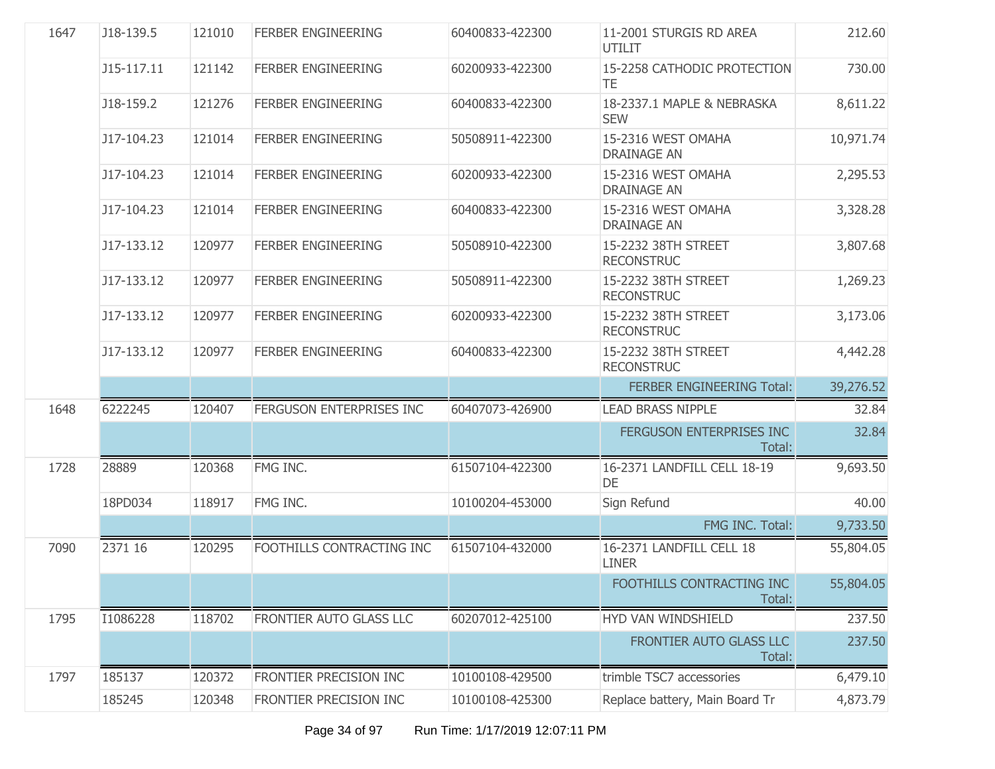| 1647 | J18-139.5  | 121010 | <b>FERBER ENGINEERING</b> | 60400833-422300 | 11-2001 STURGIS RD AREA<br><b>UTILIT</b> | 212.60    |
|------|------------|--------|---------------------------|-----------------|------------------------------------------|-----------|
|      | J15-117.11 | 121142 | <b>FERBER ENGINEERING</b> | 60200933-422300 | 15-2258 CATHODIC PROTECTION<br>TE        | 730,00    |
|      | J18-159.2  | 121276 | <b>FERBER ENGINEERING</b> | 60400833-422300 | 18-2337.1 MAPLE & NEBRASKA<br><b>SEW</b> | 8,611.22  |
|      | J17-104.23 | 121014 | <b>FERBER ENGINEERING</b> | 50508911-422300 | 15-2316 WEST OMAHA<br><b>DRAINAGE AN</b> | 10,971.74 |
|      | J17-104.23 | 121014 | <b>FERBER ENGINEERING</b> | 60200933-422300 | 15-2316 WEST OMAHA<br><b>DRAINAGE AN</b> | 2,295.53  |
|      | J17-104.23 | 121014 | <b>FERBER ENGINEERING</b> | 60400833-422300 | 15-2316 WEST OMAHA<br><b>DRAINAGE AN</b> | 3,328.28  |
|      | J17-133.12 | 120977 | <b>FERBER ENGINEERING</b> | 50508910-422300 | 15-2232 38TH STREET<br><b>RECONSTRUC</b> | 3,807.68  |
|      | J17-133.12 | 120977 | <b>FERBER ENGINEERING</b> | 50508911-422300 | 15-2232 38TH STREET<br><b>RECONSTRUC</b> | 1,269.23  |
|      | J17-133.12 | 120977 | <b>FERBER ENGINEERING</b> | 60200933-422300 | 15-2232 38TH STREET<br><b>RECONSTRUC</b> | 3,173.06  |
|      | J17-133.12 | 120977 | <b>FERBER ENGINEERING</b> | 60400833-422300 | 15-2232 38TH STREET<br><b>RECONSTRUC</b> | 4,442.28  |
|      |            |        |                           |                 | <b>FERBER ENGINEERING Total:</b>         | 39,276.52 |
| 1648 | 6222245    | 120407 | FERGUSON ENTERPRISES INC  | 60407073-426900 | <b>LEAD BRASS NIPPLE</b>                 | 32.84     |
|      |            |        |                           |                 | FERGUSON ENTERPRISES INC<br>Total:       | 32.84     |
| 1728 | 28889      | 120368 | FMG INC.                  | 61507104-422300 | 16-2371 LANDFILL CELL 18-19<br>DE        | 9,693.50  |
|      | 18PD034    | 118917 | FMG INC.                  | 10100204-453000 | Sign Refund                              | 40.00     |
|      |            |        |                           |                 | FMG INC. Total:                          | 9,733.50  |
| 7090 | 2371 16    | 120295 | FOOTHILLS CONTRACTING INC | 61507104-432000 | 16-2371 LANDFILL CELL 18<br><b>LINER</b> | 55,804.05 |
|      |            |        |                           |                 | FOOTHILLS CONTRACTING INC<br>Total:      | 55,804.05 |
| 1795 | I1086228   | 118702 | FRONTIER AUTO GLASS LLC   | 60207012-425100 | HYD VAN WINDSHIELD                       | 237.50    |
|      |            |        |                           |                 | FRONTIER AUTO GLASS LLC<br>Total:        | 237.50    |
| 1797 | 185137     | 120372 | FRONTIER PRECISION INC    | 10100108-429500 | trimble TSC7 accessories                 | 6,479.10  |
|      | 185245     | 120348 | FRONTIER PRECISION INC    | 10100108-425300 | Replace battery, Main Board Tr           | 4,873.79  |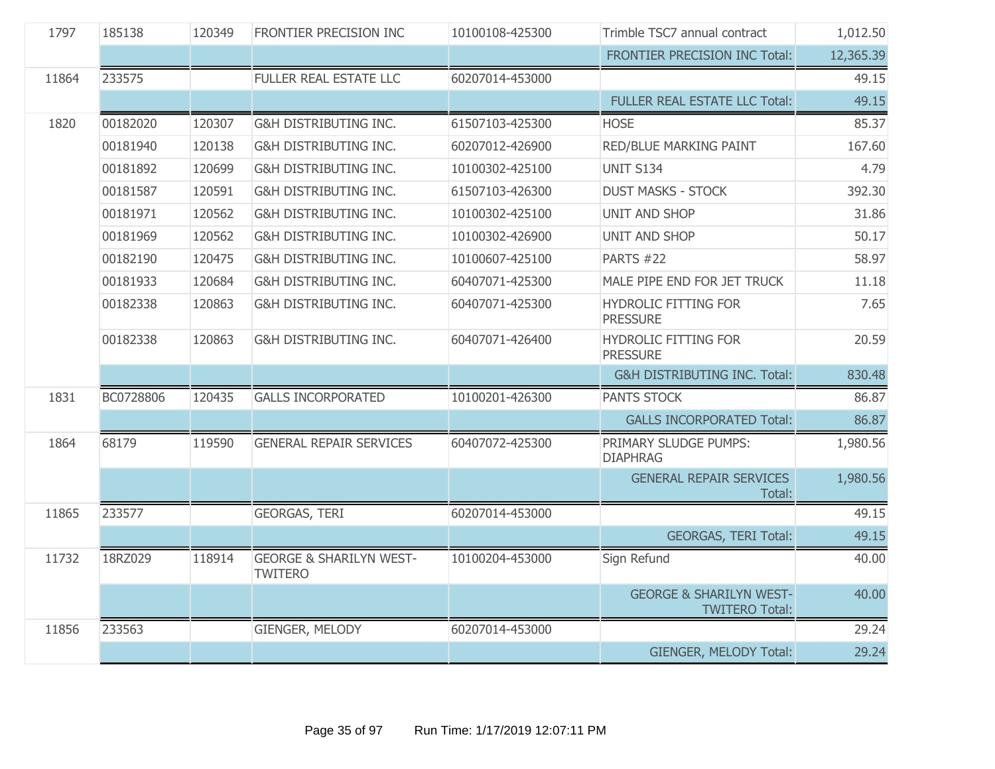| 1797  | 185138    | 120349 | FRONTIER PRECISION INC                               | 10100108-425300 | Trimble TSC7 annual contract                                | 1,012.50  |
|-------|-----------|--------|------------------------------------------------------|-----------------|-------------------------------------------------------------|-----------|
|       |           |        |                                                      |                 | FRONTIER PRECISION INC Total:                               | 12,365.39 |
| 11864 | 233575    |        | <b>FULLER REAL ESTATE LLC</b>                        | 60207014-453000 |                                                             | 49.15     |
|       |           |        |                                                      |                 | FULLER REAL ESTATE LLC Total:                               | 49.15     |
| 1820  | 00182020  | 120307 | <b>G&amp;H DISTRIBUTING INC.</b>                     | 61507103-425300 | <b>HOSE</b>                                                 | 85.37     |
|       | 00181940  | 120138 | G&H DISTRIBUTING INC.                                | 60207012-426900 | <b>RED/BLUE MARKING PAINT</b>                               | 167.60    |
|       | 00181892  | 120699 | G&H DISTRIBUTING INC.                                | 10100302-425100 | <b>UNIT S134</b>                                            | 4.79      |
|       | 00181587  | 120591 | G&H DISTRIBUTING INC.                                | 61507103-426300 | <b>DUST MASKS - STOCK</b>                                   | 392.30    |
|       | 00181971  | 120562 | G&H DISTRIBUTING INC.                                | 10100302-425100 | <b>UNIT AND SHOP</b>                                        | 31.86     |
|       | 00181969  | 120562 | <b>G&amp;H DISTRIBUTING INC.</b>                     | 10100302-426900 | <b>UNIT AND SHOP</b>                                        | 50.17     |
|       | 00182190  | 120475 | <b>G&amp;H DISTRIBUTING INC.</b>                     | 10100607-425100 | <b>PARTS #22</b>                                            | 58.97     |
|       | 00181933  | 120684 | G&H DISTRIBUTING INC.                                | 60407071-425300 | MALE PIPE END FOR JET TRUCK                                 | 11.18     |
|       | 00182338  | 120863 | G&H DISTRIBUTING INC.                                | 60407071-425300 | HYDROLIC FITTING FOR<br><b>PRESSURE</b>                     | 7.65      |
|       | 00182338  | 120863 | G&H DISTRIBUTING INC.                                | 60407071-426400 | <b>HYDROLIC FITTING FOR</b><br><b>PRESSURE</b>              | 20.59     |
|       |           |        |                                                      |                 | <b>G&amp;H DISTRIBUTING INC. Total:</b>                     | 830.48    |
| 1831  | BC0728806 | 120435 | <b>GALLS INCORPORATED</b>                            | 10100201-426300 | PANTS STOCK                                                 | 86.87     |
|       |           |        |                                                      |                 | <b>GALLS INCORPORATED Total:</b>                            | 86.87     |
| 1864  | 68179     | 119590 | <b>GENERAL REPAIR SERVICES</b>                       | 60407072-425300 | PRIMARY SLUDGE PUMPS:<br><b>DIAPHRAG</b>                    | 1,980.56  |
|       |           |        |                                                      |                 | <b>GENERAL REPAIR SERVICES</b><br>Total:                    | 1,980.56  |
| 11865 | 233577    |        | <b>GEORGAS, TERI</b>                                 | 60207014-453000 |                                                             | 49.15     |
|       |           |        |                                                      |                 | <b>GEORGAS, TERI Total:</b>                                 | 49.15     |
| 11732 | 18RZ029   | 118914 | <b>GEORGE &amp; SHARILYN WEST-</b><br><b>TWITERO</b> | 10100204-453000 | Sign Refund                                                 | 40.00     |
|       |           |        |                                                      |                 | <b>GEORGE &amp; SHARILYN WEST-</b><br><b>TWITERO Total:</b> | 40.00     |
| 11856 | 233563    |        | GIENGER, MELODY                                      | 60207014-453000 |                                                             | 29.24     |
|       |           |        |                                                      |                 | GIENGER, MELODY Total:                                      | 29.24     |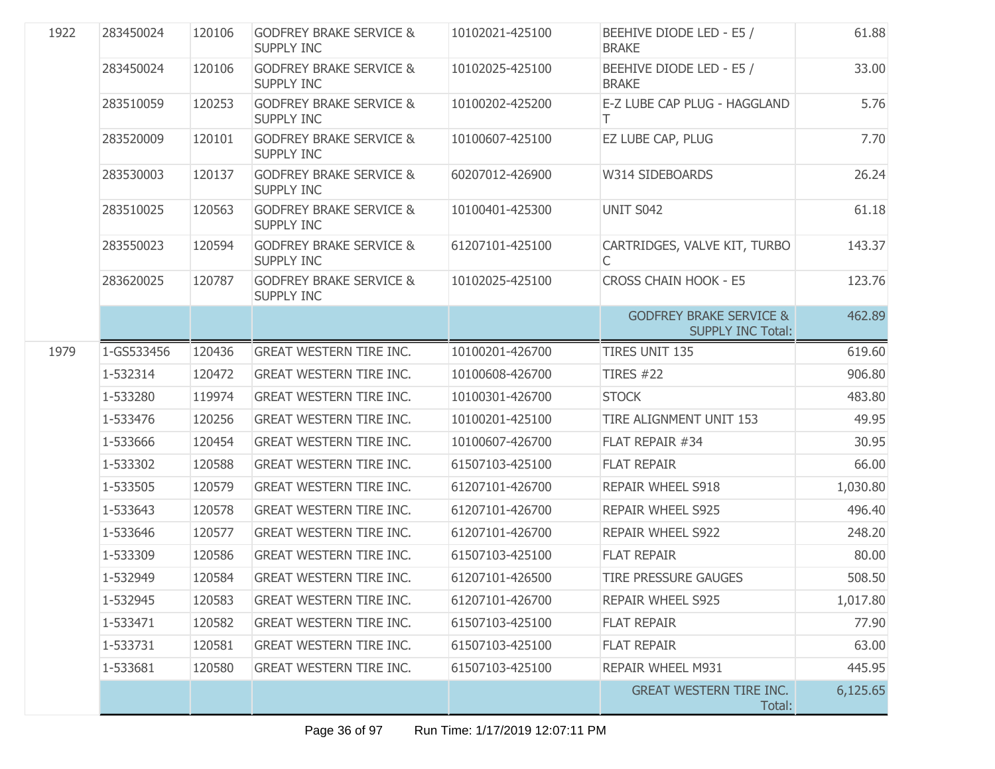| 1922 | 283450024  | 120106 | <b>GODFREY BRAKE SERVICE &amp;</b><br><b>SUPPLY INC</b> | 10102021-425100 | BEEHIVE DIODE LED - E5 /<br><b>BRAKE</b>                       | 61.88    |
|------|------------|--------|---------------------------------------------------------|-----------------|----------------------------------------------------------------|----------|
|      | 283450024  | 120106 | <b>GODFREY BRAKE SERVICE &amp;</b><br><b>SUPPLY INC</b> | 10102025-425100 | BEEHIVE DIODE LED - E5 /<br><b>BRAKE</b>                       | 33.00    |
|      | 283510059  | 120253 | <b>GODFREY BRAKE SERVICE &amp;</b><br><b>SUPPLY INC</b> | 10100202-425200 | E-Z LUBE CAP PLUG - HAGGLAND<br>T.                             | 5.76     |
|      | 283520009  | 120101 | <b>GODFREY BRAKE SERVICE &amp;</b><br><b>SUPPLY INC</b> | 10100607-425100 | EZ LUBE CAP, PLUG                                              | 7.70     |
|      | 283530003  | 120137 | <b>GODFREY BRAKE SERVICE &amp;</b><br><b>SUPPLY INC</b> | 60207012-426900 | W314 SIDEBOARDS                                                | 26.24    |
|      | 283510025  | 120563 | <b>GODFREY BRAKE SERVICE &amp;</b><br><b>SUPPLY INC</b> | 10100401-425300 | UNIT S042                                                      | 61.18    |
|      | 283550023  | 120594 | <b>GODFREY BRAKE SERVICE &amp;</b><br><b>SUPPLY INC</b> | 61207101-425100 | CARTRIDGES, VALVE KIT, TURBO<br>C                              | 143.37   |
|      | 283620025  | 120787 | <b>GODFREY BRAKE SERVICE &amp;</b><br>SUPPLY INC        | 10102025-425100 | <b>CROSS CHAIN HOOK - E5</b>                                   | 123.76   |
|      |            |        |                                                         |                 | <b>GODFREY BRAKE SERVICE &amp;</b><br><b>SUPPLY INC Total:</b> | 462.89   |
| 1979 | 1-GS533456 | 120436 | <b>GREAT WESTERN TIRE INC.</b>                          | 10100201-426700 | <b>TIRES UNIT 135</b>                                          | 619.60   |
|      | 1-532314   | 120472 | <b>GREAT WESTERN TIRE INC.</b>                          | 10100608-426700 | <b>TIRES #22</b>                                               | 906.80   |
|      | 1-533280   | 119974 | <b>GREAT WESTERN TIRE INC.</b>                          | 10100301-426700 | <b>STOCK</b>                                                   | 483.80   |
|      | 1-533476   | 120256 | <b>GREAT WESTERN TIRE INC.</b>                          | 10100201-425100 | TIRE ALIGNMENT UNIT 153                                        | 49.95    |
|      | 1-533666   | 120454 | <b>GREAT WESTERN TIRE INC.</b>                          | 10100607-426700 | FLAT REPAIR #34                                                | 30.95    |
|      | 1-533302   | 120588 | <b>GREAT WESTERN TIRE INC.</b>                          | 61507103-425100 | <b>FLAT REPAIR</b>                                             | 66.00    |
|      | 1-533505   | 120579 | <b>GREAT WESTERN TIRE INC.</b>                          | 61207101-426700 | REPAIR WHEEL S918                                              | 1,030.80 |
|      | 1-533643   | 120578 | <b>GREAT WESTERN TIRE INC.</b>                          | 61207101-426700 | <b>REPAIR WHEEL S925</b>                                       | 496.40   |
|      | 1-533646   | 120577 | <b>GREAT WESTERN TIRE INC.</b>                          | 61207101-426700 | <b>REPAIR WHEEL S922</b>                                       | 248.20   |
|      | 1-533309   | 120586 | <b>GREAT WESTERN TIRE INC.</b>                          | 61507103-425100 | <b>FLAT REPAIR</b>                                             | 80.00    |
|      | 1-532949   | 120584 | <b>GREAT WESTERN TIRE INC.</b>                          | 61207101-426500 | <b>TIRE PRESSURE GAUGES</b>                                    | 508.50   |
|      | 1-532945   | 120583 | <b>GREAT WESTERN TIRE INC.</b>                          | 61207101-426700 | <b>REPAIR WHEEL S925</b>                                       | 1,017.80 |
|      | 1-533471   | 120582 | <b>GREAT WESTERN TIRE INC.</b>                          | 61507103-425100 | <b>FLAT REPAIR</b>                                             | 77.90    |
|      | 1-533731   | 120581 | <b>GREAT WESTERN TIRE INC.</b>                          | 61507103-425100 | <b>FLAT REPAIR</b>                                             | 63.00    |
|      | 1-533681   | 120580 | <b>GREAT WESTERN TIRE INC.</b>                          | 61507103-425100 | REPAIR WHEEL M931                                              | 445.95   |
|      |            |        |                                                         |                 | <b>GREAT WESTERN TIRE INC.</b><br>Total:                       | 6,125.65 |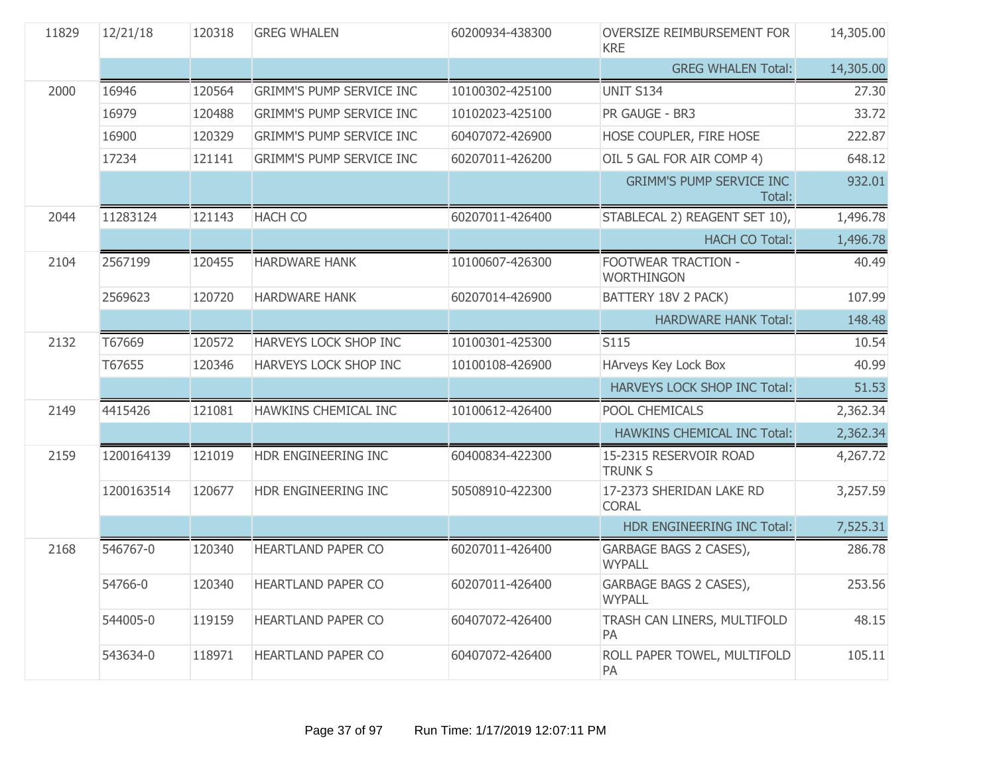| 11829 | 12/21/18   | 120318 | <b>GREG WHALEN</b>              | 60200934-438300 | OVERSIZE REIMBURSEMENT FOR<br><b>KRE</b>  | 14,305.00 |
|-------|------------|--------|---------------------------------|-----------------|-------------------------------------------|-----------|
|       |            |        |                                 |                 | <b>GREG WHALEN Total:</b>                 | 14,305.00 |
| 2000  | 16946      | 120564 | <b>GRIMM'S PUMP SERVICE INC</b> | 10100302-425100 | <b>UNIT S134</b>                          | 27.30     |
|       | 16979      | 120488 | <b>GRIMM'S PUMP SERVICE INC</b> | 10102023-425100 | PR GAUGE - BR3                            | 33.72     |
|       | 16900      | 120329 | <b>GRIMM'S PUMP SERVICE INC</b> | 60407072-426900 | HOSE COUPLER, FIRE HOSE                   | 222.87    |
|       | 17234      | 121141 | <b>GRIMM'S PUMP SERVICE INC</b> | 60207011-426200 | OIL 5 GAL FOR AIR COMP 4)                 | 648.12    |
|       |            |        |                                 |                 | <b>GRIMM'S PUMP SERVICE INC</b><br>Total: | 932.01    |
| 2044  | 11283124   | 121143 | <b>HACH CO</b>                  | 60207011-426400 | STABLECAL 2) REAGENT SET 10),             | 1,496.78  |
|       |            |        |                                 |                 | <b>HACH CO Total:</b>                     | 1,496.78  |
| 2104  | 2567199    | 120455 | <b>HARDWARE HANK</b>            | 10100607-426300 | FOOTWEAR TRACTION -<br><b>WORTHINGON</b>  | 40.49     |
|       | 2569623    | 120720 | <b>HARDWARE HANK</b>            | 60207014-426900 | BATTERY 18V 2 PACK)                       | 107.99    |
|       |            |        |                                 |                 | <b>HARDWARE HANK Total:</b>               | 148.48    |
| 2132  | T67669     | 120572 | HARVEYS LOCK SHOP INC           | 10100301-425300 | S115                                      | 10.54     |
|       | T67655     | 120346 | HARVEYS LOCK SHOP INC           | 10100108-426900 | HArveys Key Lock Box                      | 40.99     |
|       |            |        |                                 |                 | HARVEYS LOCK SHOP INC Total:              | 51.53     |
| 2149  | 4415426    | 121081 | HAWKINS CHEMICAL INC            | 10100612-426400 | POOL CHEMICALS                            | 2,362.34  |
|       |            |        |                                 |                 | <b>HAWKINS CHEMICAL INC Total:</b>        | 2,362.34  |
| 2159  | 1200164139 | 121019 | HDR ENGINEERING INC             | 60400834-422300 | 15-2315 RESERVOIR ROAD<br><b>TRUNK S</b>  | 4,267.72  |
|       | 1200163514 | 120677 | HDR ENGINEERING INC             | 50508910-422300 | 17-2373 SHERIDAN LAKE RD<br><b>CORAL</b>  | 3,257.59  |
|       |            |        |                                 |                 | HDR ENGINEERING INC Total:                | 7,525.31  |
| 2168  | 546767-0   | 120340 | <b>HEARTLAND PAPER CO</b>       | 60207011-426400 | GARBAGE BAGS 2 CASES),<br><b>WYPALL</b>   | 286.78    |
|       | 54766-0    | 120340 | HEARTLAND PAPER CO              | 60207011-426400 | GARBAGE BAGS 2 CASES),<br><b>WYPALL</b>   | 253.56    |
|       | 544005-0   | 119159 | <b>HEARTLAND PAPER CO</b>       | 60407072-426400 | TRASH CAN LINERS, MULTIFOLD<br>PA         | 48.15     |
|       | 543634-0   | 118971 | <b>HEARTLAND PAPER CO</b>       | 60407072-426400 | ROLL PAPER TOWEL, MULTIFOLD<br>PA         | 105.11    |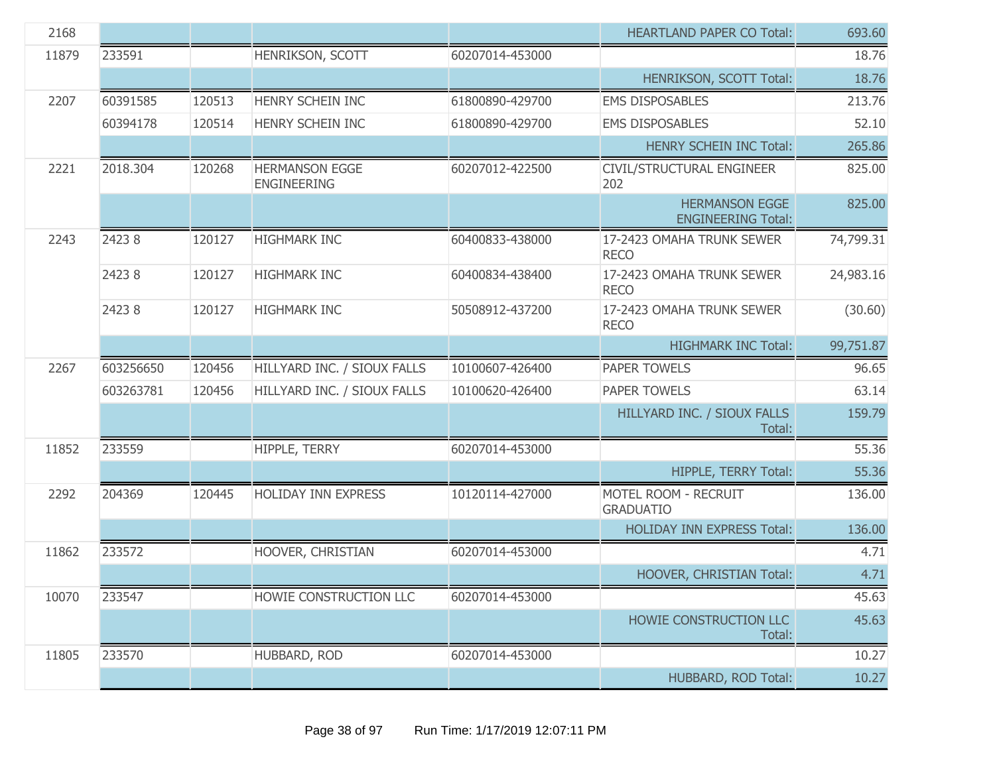| 2168  |           |        |                                             |                 | <b>HEARTLAND PAPER CO Total:</b>                   | 693.60    |
|-------|-----------|--------|---------------------------------------------|-----------------|----------------------------------------------------|-----------|
| 11879 | 233591    |        | HENRIKSON, SCOTT                            | 60207014-453000 |                                                    | 18.76     |
|       |           |        |                                             |                 | HENRIKSON, SCOTT Total:                            | 18.76     |
| 2207  | 60391585  | 120513 | HENRY SCHEIN INC                            | 61800890-429700 | <b>EMS DISPOSABLES</b>                             | 213.76    |
|       | 60394178  | 120514 | HENRY SCHEIN INC                            | 61800890-429700 | <b>EMS DISPOSABLES</b>                             | 52.10     |
|       |           |        |                                             |                 | <b>HENRY SCHEIN INC Total:</b>                     | 265.86    |
| 2221  | 2018.304  | 120268 | <b>HERMANSON EGGE</b><br><b>ENGINEERING</b> | 60207012-422500 | CIVIL/STRUCTURAL ENGINEER<br>202                   | 825.00    |
|       |           |        |                                             |                 | <b>HERMANSON EGGE</b><br><b>ENGINEERING Total:</b> | 825.00    |
| 2243  | 24238     | 120127 | <b>HIGHMARK INC</b>                         | 60400833-438000 | 17-2423 OMAHA TRUNK SEWER<br><b>RECO</b>           | 74,799.31 |
|       | 24238     | 120127 | <b>HIGHMARK INC</b>                         | 60400834-438400 | 17-2423 OMAHA TRUNK SEWER<br><b>RECO</b>           | 24,983.16 |
|       | 24238     | 120127 | <b>HIGHMARK INC</b>                         | 50508912-437200 | 17-2423 OMAHA TRUNK SEWER<br><b>RECO</b>           | (30.60)   |
|       |           |        |                                             |                 | <b>HIGHMARK INC Total:</b>                         | 99,751.87 |
| 2267  | 603256650 | 120456 | HILLYARD INC. / SIOUX FALLS                 | 10100607-426400 | PAPER TOWELS                                       | 96.65     |
|       | 603263781 | 120456 | HILLYARD INC. / SIOUX FALLS                 | 10100620-426400 | PAPER TOWELS                                       | 63.14     |
|       |           |        |                                             |                 | HILLYARD INC. / SIOUX FALLS<br>Total:              | 159.79    |
| 11852 | 233559    |        | HIPPLE, TERRY                               | 60207014-453000 |                                                    | 55.36     |
|       |           |        |                                             |                 | HIPPLE, TERRY Total:                               | 55.36     |
| 2292  | 204369    | 120445 | <b>HOLIDAY INN EXPRESS</b>                  | 10120114-427000 | MOTEL ROOM - RECRUIT<br><b>GRADUATIO</b>           | 136.00    |
|       |           |        |                                             |                 | <b>HOLIDAY INN EXPRESS Total:</b>                  | 136.00    |
| 11862 | 233572    |        | HOOVER, CHRISTIAN                           | 60207014-453000 |                                                    | 4.71      |
|       |           |        |                                             |                 | HOOVER, CHRISTIAN Total:                           | 4.71      |
| 10070 | 233547    |        | HOWIE CONSTRUCTION LLC                      | 60207014-453000 |                                                    | 45.63     |
|       |           |        |                                             |                 | HOWIE CONSTRUCTION LLC<br>Total:                   | 45.63     |
| 11805 | 233570    |        | HUBBARD, ROD                                | 60207014-453000 |                                                    | 10.27     |
|       |           |        |                                             |                 | HUBBARD, ROD Total:                                | 10.27     |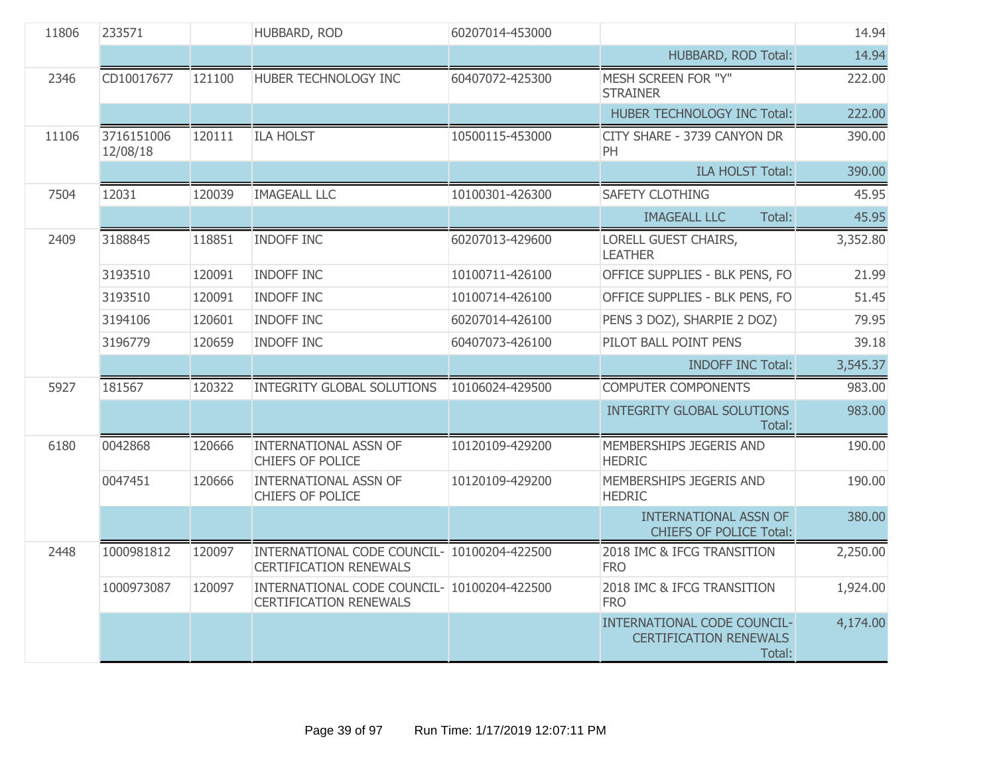| 11806 | 233571                 |        | HUBBARD, ROD                                                                 | 60207014-453000 |                                                                        | 14.94    |
|-------|------------------------|--------|------------------------------------------------------------------------------|-----------------|------------------------------------------------------------------------|----------|
|       |                        |        |                                                                              |                 | HUBBARD, ROD Total:                                                    | 14.94    |
| 2346  | CD10017677             | 121100 | HUBER TECHNOLOGY INC                                                         | 60407072-425300 | MESH SCREEN FOR "Y"<br><b>STRAINER</b>                                 | 222.00   |
|       |                        |        |                                                                              |                 | HUBER TECHNOLOGY INC Total:                                            | 222.00   |
| 11106 | 3716151006<br>12/08/18 | 120111 | <b>ILA HOLST</b>                                                             | 10500115-453000 | CITY SHARE - 3739 CANYON DR<br>PH                                      | 390.00   |
|       |                        |        |                                                                              |                 | <b>ILA HOLST Total:</b>                                                | 390.00   |
| 7504  | 12031                  | 120039 | <b>IMAGEALL LLC</b>                                                          | 10100301-426300 | <b>SAFETY CLOTHING</b>                                                 | 45.95    |
|       |                        |        |                                                                              |                 | <b>IMAGEALL LLC</b><br>Total:                                          | 45.95    |
| 2409  | 3188845                | 118851 | <b>INDOFF INC</b>                                                            | 60207013-429600 | LORELL GUEST CHAIRS,<br><b>LEATHER</b>                                 | 3,352.80 |
|       | 3193510                | 120091 | <b>INDOFF INC</b>                                                            | 10100711-426100 | OFFICE SUPPLIES - BLK PENS, FO                                         | 21.99    |
|       | 3193510                | 120091 | <b>INDOFF INC</b>                                                            | 10100714-426100 | OFFICE SUPPLIES - BLK PENS, FO                                         | 51.45    |
|       | 3194106                | 120601 | <b>INDOFF INC</b>                                                            | 60207014-426100 | PENS 3 DOZ), SHARPIE 2 DOZ)                                            | 79.95    |
|       | 3196779                | 120659 | <b>INDOFF INC</b>                                                            | 60407073-426100 | PILOT BALL POINT PENS                                                  | 39.18    |
|       |                        |        |                                                                              |                 | <b>INDOFF INC Total:</b>                                               | 3,545.37 |
| 5927  | 181567                 | 120322 | <b>INTEGRITY GLOBAL SOLUTIONS</b>                                            | 10106024-429500 | <b>COMPUTER COMPONENTS</b>                                             | 983.00   |
|       |                        |        |                                                                              |                 | <b>INTEGRITY GLOBAL SOLUTIONS</b><br>Total:                            | 983.00   |
| 6180  | 0042868                | 120666 | <b>INTERNATIONAL ASSN OF</b><br>CHIEFS OF POLICE                             | 10120109-429200 | MEMBERSHIPS JEGERIS AND<br><b>HEDRIC</b>                               | 190.00   |
|       | 0047451                | 120666 | <b>INTERNATIONAL ASSN OF</b><br>CHIEFS OF POLICE                             | 10120109-429200 | MEMBERSHIPS JEGERIS AND<br><b>HEDRIC</b>                               | 190.00   |
|       |                        |        |                                                                              |                 | <b>INTERNATIONAL ASSN OF</b><br><b>CHIEFS OF POLICE Total:</b>         | 380.00   |
| 2448  | 1000981812             | 120097 | INTERNATIONAL CODE COUNCIL- 10100204-422500<br><b>CERTIFICATION RENEWALS</b> |                 | 2018 IMC & IFCG TRANSITION<br><b>FRO</b>                               | 2,250.00 |
|       | 1000973087             | 120097 | INTERNATIONAL CODE COUNCIL- 10100204-422500<br><b>CERTIFICATION RENEWALS</b> |                 | 2018 IMC & IFCG TRANSITION<br><b>FRO</b>                               | 1,924.00 |
|       |                        |        |                                                                              |                 | INTERNATIONAL CODE COUNCIL-<br><b>CERTIFICATION RENEWALS</b><br>Total: | 4,174.00 |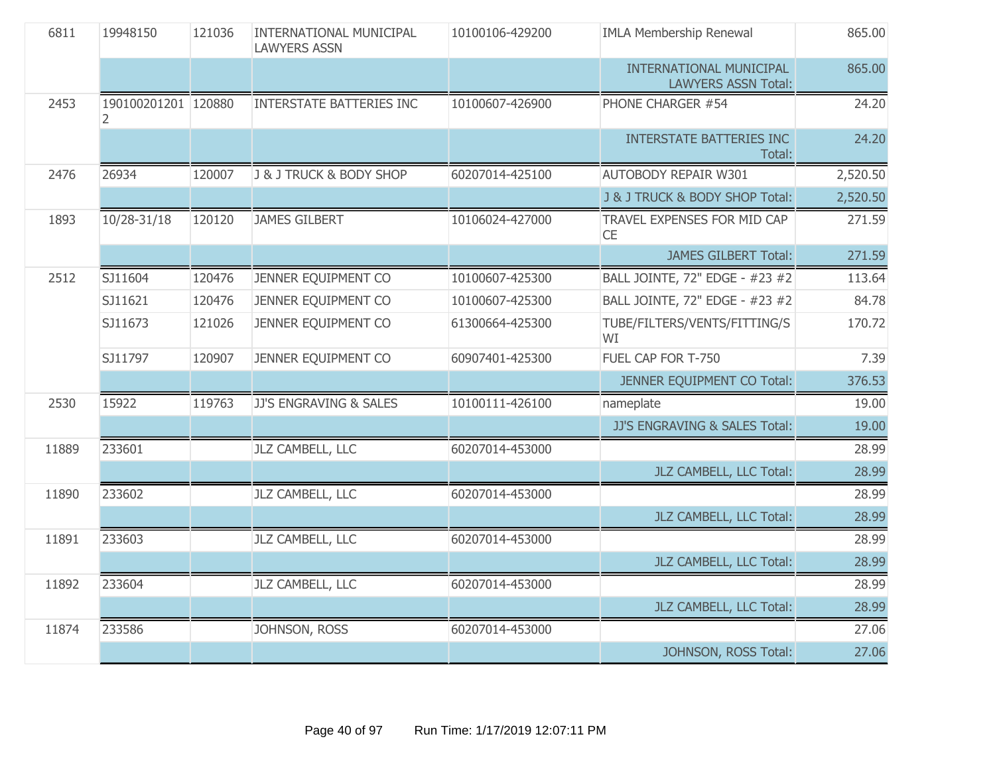| 6811  | 19948150                 | 121036 | <b>INTERNATIONAL MUNICIPAL</b><br><b>LAWYERS ASSN</b> | 10100106-429200 | <b>IMLA Membership Renewal</b>                        | 865.00   |
|-------|--------------------------|--------|-------------------------------------------------------|-----------------|-------------------------------------------------------|----------|
|       |                          |        |                                                       |                 | INTERNATIONAL MUNICIPAL<br><b>LAWYERS ASSN Total:</b> | 865.00   |
| 2453  | 190100201201 120880<br>2 |        | <b>INTERSTATE BATTERIES INC</b>                       | 10100607-426900 | PHONE CHARGER #54                                     | 24.20    |
|       |                          |        |                                                       |                 | <b>INTERSTATE BATTERIES INC</b><br>Total:             | 24.20    |
| 2476  | 26934                    | 120007 | J & J TRUCK & BODY SHOP                               | 60207014-425100 | <b>AUTOBODY REPAIR W301</b>                           | 2,520.50 |
|       |                          |        |                                                       |                 | J & J TRUCK & BODY SHOP Total:                        | 2,520.50 |
| 1893  | 10/28-31/18              | 120120 | <b>JAMES GILBERT</b>                                  | 10106024-427000 | TRAVEL EXPENSES FOR MID CAP<br><b>CE</b>              | 271.59   |
|       |                          |        |                                                       |                 | <b>JAMES GILBERT Total:</b>                           | 271.59   |
| 2512  | SJ11604                  | 120476 | JENNER EQUIPMENT CO                                   | 10100607-425300 | BALL JOINTE, 72" EDGE - #23 #2                        | 113.64   |
|       | SJ11621                  | 120476 | JENNER EQUIPMENT CO                                   | 10100607-425300 | BALL JOINTE, 72" EDGE - #23 #2                        | 84.78    |
|       | SJ11673                  | 121026 | JENNER EQUIPMENT CO                                   | 61300664-425300 | TUBE/FILTERS/VENTS/FITTING/S<br>WI                    | 170.72   |
|       | SJ11797                  | 120907 | JENNER EQUIPMENT CO                                   | 60907401-425300 | FUEL CAP FOR T-750                                    | 7.39     |
|       |                          |        |                                                       |                 | JENNER EQUIPMENT CO Total:                            | 376.53   |
| 2530  | 15922                    | 119763 | JJ'S ENGRAVING & SALES                                | 10100111-426100 | nameplate                                             | 19.00    |
|       |                          |        |                                                       |                 | JJ'S ENGRAVING & SALES Total:                         | 19.00    |
| 11889 | 233601                   |        | JLZ CAMBELL, LLC                                      | 60207014-453000 |                                                       | 28.99    |
|       |                          |        |                                                       |                 | JLZ CAMBELL, LLC Total:                               | 28.99    |
| 11890 | 233602                   |        | JLZ CAMBELL, LLC                                      | 60207014-453000 |                                                       | 28.99    |
|       |                          |        |                                                       |                 | JLZ CAMBELL, LLC Total:                               | 28.99    |
| 11891 | 233603                   |        | JLZ CAMBELL, LLC                                      | 60207014-453000 |                                                       | 28.99    |
|       |                          |        |                                                       |                 | JLZ CAMBELL, LLC Total:                               | 28.99    |
| 11892 | 233604                   |        | JLZ CAMBELL, LLC                                      | 60207014-453000 |                                                       | 28.99    |
|       |                          |        |                                                       |                 | JLZ CAMBELL, LLC Total:                               | 28.99    |
| 11874 | 233586                   |        | JOHNSON, ROSS                                         | 60207014-453000 |                                                       | 27.06    |
|       |                          |        |                                                       |                 | JOHNSON, ROSS Total:                                  | 27.06    |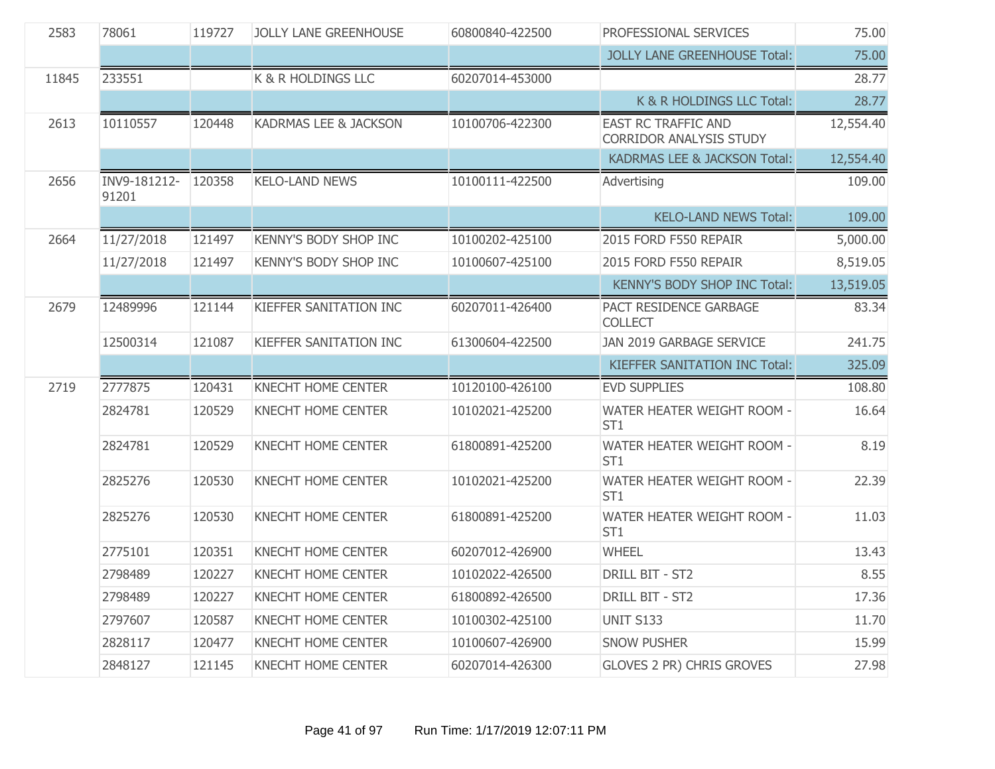| 2583  | 78061                 | 119727 | <b>JOLLY LANE GREENHOUSE</b> | 60800840-422500 | PROFESSIONAL SERVICES                                        | 75.00     |
|-------|-----------------------|--------|------------------------------|-----------------|--------------------------------------------------------------|-----------|
|       |                       |        |                              |                 | <b>JOLLY LANE GREENHOUSE Total:</b>                          | 75.00     |
| 11845 | 233551                |        | K & R HOLDINGS LLC           | 60207014-453000 |                                                              | 28.77     |
|       |                       |        |                              |                 | K & R HOLDINGS LLC Total:                                    | 28.77     |
| 2613  | 10110557              | 120448 | KADRMAS LEE & JACKSON        | 10100706-422300 | <b>EAST RC TRAFFIC AND</b><br><b>CORRIDOR ANALYSIS STUDY</b> | 12,554.40 |
|       |                       |        |                              |                 | KADRMAS LEE & JACKSON Total:                                 | 12,554.40 |
| 2656  | INV9-181212-<br>91201 | 120358 | <b>KELO-LAND NEWS</b>        | 10100111-422500 | Advertising                                                  | 109.00    |
|       |                       |        |                              |                 | <b>KELO-LAND NEWS Total:</b>                                 | 109.00    |
| 2664  | 11/27/2018            | 121497 | <b>KENNY'S BODY SHOP INC</b> | 10100202-425100 | 2015 FORD F550 REPAIR                                        | 5,000.00  |
|       | 11/27/2018            | 121497 | KENNY'S BODY SHOP INC        | 10100607-425100 | 2015 FORD F550 REPAIR                                        | 8,519.05  |
|       |                       |        |                              |                 | KENNY'S BODY SHOP INC Total:                                 | 13,519.05 |
| 2679  | 12489996              | 121144 | KIEFFER SANITATION INC       | 60207011-426400 | PACT RESIDENCE GARBAGE<br><b>COLLECT</b>                     | 83.34     |
|       | 12500314              | 121087 | KIEFFER SANITATION INC       | 61300604-422500 | JAN 2019 GARBAGE SERVICE                                     | 241.75    |
|       |                       |        |                              |                 |                                                              |           |
|       |                       |        |                              |                 | KIEFFER SANITATION INC Total:                                | 325.09    |
| 2719  | 2777875               | 120431 | <b>KNECHT HOME CENTER</b>    | 10120100-426100 | <b>EVD SUPPLIES</b>                                          | 108.80    |
|       | 2824781               | 120529 | KNECHT HOME CENTER           | 10102021-425200 | WATER HEATER WEIGHT ROOM -<br>ST <sub>1</sub>                | 16.64     |
|       | 2824781               | 120529 | KNECHT HOME CENTER           | 61800891-425200 | WATER HEATER WEIGHT ROOM -<br>ST <sub>1</sub>                | 8.19      |
|       | 2825276               | 120530 | <b>KNECHT HOME CENTER</b>    | 10102021-425200 | WATER HEATER WEIGHT ROOM -<br>ST <sub>1</sub>                | 22.39     |
|       | 2825276               | 120530 | KNECHT HOME CENTER           | 61800891-425200 | WATER HEATER WEIGHT ROOM -<br>ST <sub>1</sub>                | 11.03     |
|       | 2775101               | 120351 | <b>KNECHT HOME CENTER</b>    | 60207012-426900 | <b>WHEEL</b>                                                 | 13.43     |
|       | 2798489               | 120227 | <b>KNECHT HOME CENTER</b>    | 10102022-426500 | DRILL BIT - ST2                                              | 8.55      |
|       | 2798489               | 120227 | <b>KNECHT HOME CENTER</b>    | 61800892-426500 | DRILL BIT - ST2                                              | 17.36     |
|       | 2797607               | 120587 | <b>KNECHT HOME CENTER</b>    | 10100302-425100 | <b>UNIT S133</b>                                             | 11.70     |
|       | 2828117               | 120477 | <b>KNECHT HOME CENTER</b>    | 10100607-426900 | <b>SNOW PUSHER</b>                                           | 15.99     |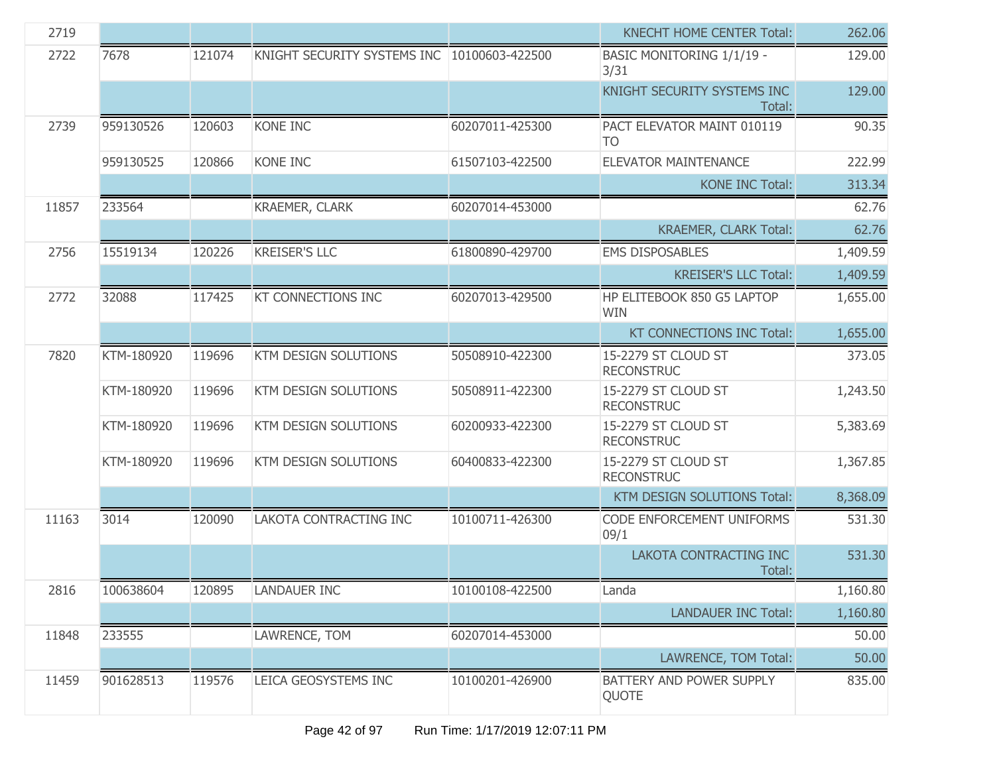| 2719  |            |        |                                             |                 | <b>KNECHT HOME CENTER Total:</b>         | 262.06   |
|-------|------------|--------|---------------------------------------------|-----------------|------------------------------------------|----------|
| 2722  | 7678       | 121074 | KNIGHT SECURITY SYSTEMS INC 10100603-422500 |                 | <b>BASIC MONITORING 1/1/19 -</b><br>3/31 | 129.00   |
|       |            |        |                                             |                 | KNIGHT SECURITY SYSTEMS INC<br>Total:    | 129.00   |
| 2739  | 959130526  | 120603 | <b>KONE INC</b>                             | 60207011-425300 | PACT ELEVATOR MAINT 010119<br><b>TO</b>  | 90.35    |
|       | 959130525  | 120866 | <b>KONE INC</b>                             | 61507103-422500 | <b>ELEVATOR MAINTENANCE</b>              | 222.99   |
|       |            |        |                                             |                 | <b>KONE INC Total:</b>                   | 313.34   |
| 11857 | 233564     |        | <b>KRAEMER, CLARK</b>                       | 60207014-453000 |                                          | 62.76    |
|       |            |        |                                             |                 | <b>KRAEMER, CLARK Total:</b>             | 62.76    |
| 2756  | 15519134   | 120226 | <b>KREISER'S LLC</b>                        | 61800890-429700 | <b>EMS DISPOSABLES</b>                   | 1,409.59 |
|       |            |        |                                             |                 | <b>KREISER'S LLC Total:</b>              | 1,409.59 |
| 2772  | 32088      | 117425 | <b>KT CONNECTIONS INC</b>                   | 60207013-429500 | HP ELITEBOOK 850 G5 LAPTOP<br><b>WIN</b> | 1,655.00 |
|       |            |        |                                             |                 | <b>KT CONNECTIONS INC Total:</b>         | 1,655.00 |
| 7820  | KTM-180920 | 119696 | KTM DESIGN SOLUTIONS                        | 50508910-422300 | 15-2279 ST CLOUD ST<br><b>RECONSTRUC</b> | 373.05   |
|       | KTM-180920 | 119696 | KTM DESIGN SOLUTIONS                        | 50508911-422300 | 15-2279 ST CLOUD ST<br><b>RECONSTRUC</b> | 1,243.50 |
|       | KTM-180920 | 119696 | KTM DESIGN SOLUTIONS                        | 60200933-422300 | 15-2279 ST CLOUD ST<br><b>RECONSTRUC</b> | 5,383.69 |
|       | KTM-180920 | 119696 | KTM DESIGN SOLUTIONS                        | 60400833-422300 | 15-2279 ST CLOUD ST<br><b>RECONSTRUC</b> | 1,367.85 |
|       |            |        |                                             |                 | KTM DESIGN SOLUTIONS Total:              | 8,368.09 |
| 11163 | 3014       | 120090 | LAKOTA CONTRACTING INC                      | 10100711-426300 | CODE ENFORCEMENT UNIFORMS<br>09/1        | 531.30   |
|       |            |        |                                             |                 | LAKOTA CONTRACTING INC<br>Total:         | 531.30   |
| 2816  | 100638604  | 120895 | <b>LANDAUER INC</b>                         | 10100108-422500 | Landa                                    | 1,160.80 |
|       |            |        |                                             |                 | <b>LANDAUER INC Total:</b>               | 1,160.80 |
| 11848 | 233555     |        | LAWRENCE, TOM                               | 60207014-453000 |                                          | 50.00    |
|       |            |        |                                             |                 | LAWRENCE, TOM Total:                     | 50.00    |
| 11459 | 901628513  | 119576 | LEICA GEOSYSTEMS INC                        | 10100201-426900 | BATTERY AND POWER SUPPLY<br>QUOTE        | 835.00   |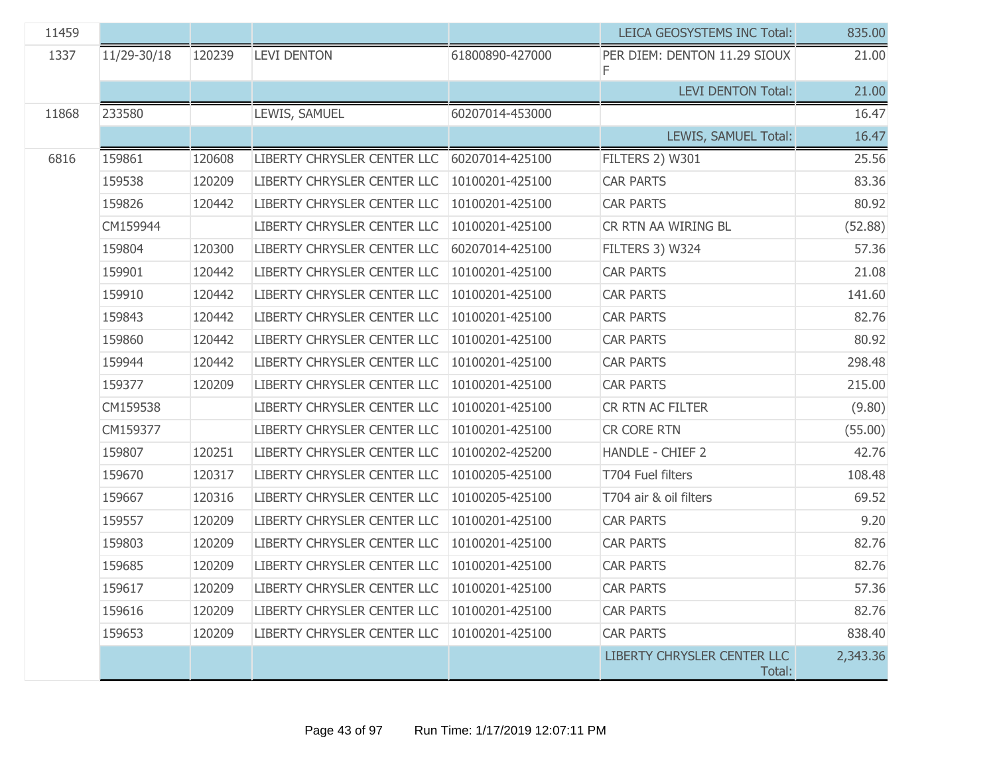| 11459 |             |        |                             |                 | LEICA GEOSYSTEMS INC Total:           | 835.00   |
|-------|-------------|--------|-----------------------------|-----------------|---------------------------------------|----------|
| 1337  | 11/29-30/18 | 120239 | <b>LEVI DENTON</b>          | 61800890-427000 | PER DIEM: DENTON 11.29 SIOUX          | 21.00    |
|       |             |        |                             |                 | <b>LEVI DENTON Total:</b>             | 21.00    |
| 11868 | 233580      |        | LEWIS, SAMUEL               | 60207014-453000 |                                       | 16.47    |
|       |             |        |                             |                 | LEWIS, SAMUEL Total:                  | 16.47    |
| 6816  | 159861      | 120608 | LIBERTY CHRYSLER CENTER LLC | 60207014-425100 | FILTERS 2) W301                       | 25.56    |
|       | 159538      | 120209 | LIBERTY CHRYSLER CENTER LLC | 10100201-425100 | <b>CAR PARTS</b>                      | 83.36    |
|       | 159826      | 120442 | LIBERTY CHRYSLER CENTER LLC | 10100201-425100 | <b>CAR PARTS</b>                      | 80.92    |
|       | CM159944    |        | LIBERTY CHRYSLER CENTER LLC | 10100201-425100 | CR RTN AA WIRING BL                   | (52.88)  |
|       | 159804      | 120300 | LIBERTY CHRYSLER CENTER LLC | 60207014-425100 | FILTERS 3) W324                       | 57.36    |
|       | 159901      | 120442 | LIBERTY CHRYSLER CENTER LLC | 10100201-425100 | <b>CAR PARTS</b>                      | 21.08    |
|       | 159910      | 120442 | LIBERTY CHRYSLER CENTER LLC | 10100201-425100 | <b>CAR PARTS</b>                      | 141.60   |
|       | 159843      | 120442 | LIBERTY CHRYSLER CENTER LLC | 10100201-425100 | <b>CAR PARTS</b>                      | 82.76    |
|       | 159860      | 120442 | LIBERTY CHRYSLER CENTER LLC | 10100201-425100 | <b>CAR PARTS</b>                      | 80.92    |
|       | 159944      | 120442 | LIBERTY CHRYSLER CENTER LLC | 10100201-425100 | <b>CAR PARTS</b>                      | 298.48   |
|       | 159377      | 120209 | LIBERTY CHRYSLER CENTER LLC | 10100201-425100 | <b>CAR PARTS</b>                      | 215.00   |
|       | CM159538    |        | LIBERTY CHRYSLER CENTER LLC | 10100201-425100 | CR RTN AC FILTER                      | (9.80)   |
|       | CM159377    |        | LIBERTY CHRYSLER CENTER LLC | 10100201-425100 | CR CORE RTN                           | (55.00)  |
|       | 159807      | 120251 | LIBERTY CHRYSLER CENTER LLC | 10100202-425200 | <b>HANDLE - CHIEF 2</b>               | 42.76    |
|       | 159670      | 120317 | LIBERTY CHRYSLER CENTER LLC | 10100205-425100 | T704 Fuel filters                     | 108.48   |
|       | 159667      | 120316 | LIBERTY CHRYSLER CENTER LLC | 10100205-425100 | T704 air & oil filters                | 69.52    |
|       | 159557      | 120209 | LIBERTY CHRYSLER CENTER LLC | 10100201-425100 | <b>CAR PARTS</b>                      | 9.20     |
|       | 159803      | 120209 | LIBERTY CHRYSLER CENTER LLC | 10100201-425100 | <b>CAR PARTS</b>                      | 82.76    |
|       | 159685      | 120209 | LIBERTY CHRYSLER CENTER LLC | 10100201-425100 | <b>CAR PARTS</b>                      | 82.76    |
|       | 159617      | 120209 | LIBERTY CHRYSLER CENTER LLC | 10100201-425100 | <b>CAR PARTS</b>                      | 57.36    |
|       | 159616      | 120209 | LIBERTY CHRYSLER CENTER LLC | 10100201-425100 | <b>CAR PARTS</b>                      | 82.76    |
|       | 159653      | 120209 | LIBERTY CHRYSLER CENTER LLC | 10100201-425100 | <b>CAR PARTS</b>                      | 838.40   |
|       |             |        |                             |                 | LIBERTY CHRYSLER CENTER LLC<br>Total: | 2,343.36 |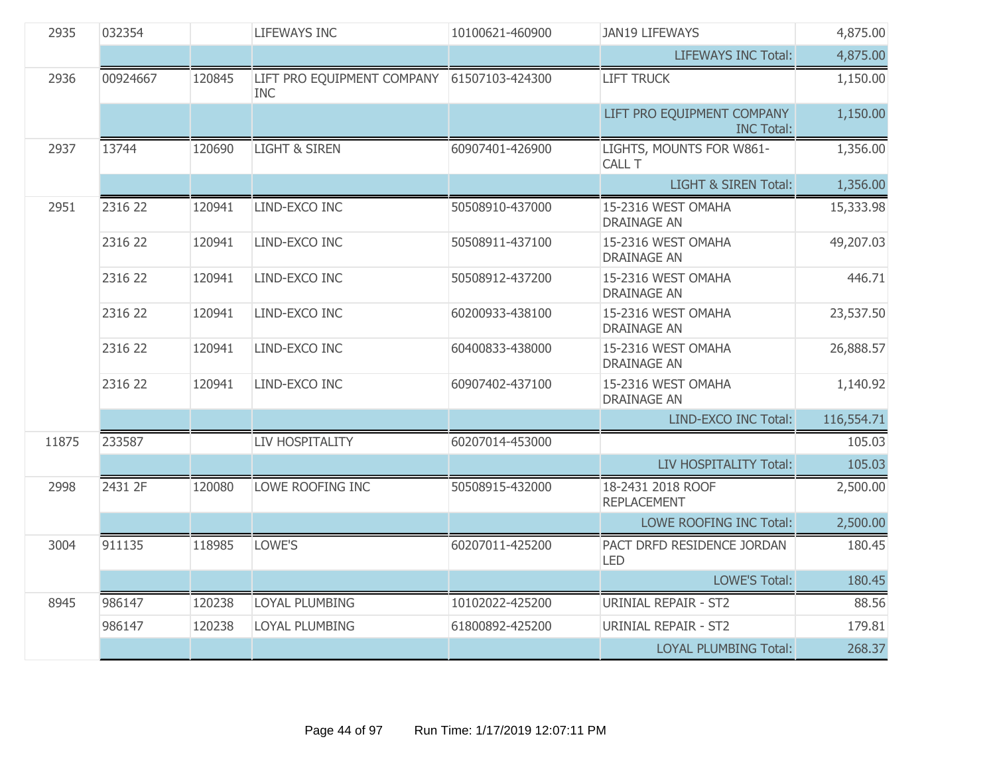| 2935  | 032354   |        | <b>LIFEWAYS INC</b>                                      | 10100621-460900 | <b>JAN19 LIFEWAYS</b>                           | 4,875.00   |
|-------|----------|--------|----------------------------------------------------------|-----------------|-------------------------------------------------|------------|
|       |          |        |                                                          |                 | <b>LIFEWAYS INC Total:</b>                      | 4,875.00   |
| 2936  | 00924667 | 120845 | LIFT PRO EQUIPMENT COMPANY 61507103-424300<br><b>INC</b> |                 | <b>LIFT TRUCK</b>                               | 1,150.00   |
|       |          |        |                                                          |                 | LIFT PRO EQUIPMENT COMPANY<br><b>INC Total:</b> | 1,150.00   |
| 2937  | 13744    | 120690 | <b>LIGHT &amp; SIREN</b>                                 | 60907401-426900 | LIGHTS, MOUNTS FOR W861-<br>CALL T              | 1,356.00   |
|       |          |        |                                                          |                 | <b>LIGHT &amp; SIREN Total:</b>                 | 1,356.00   |
| 2951  | 2316 22  | 120941 | LIND-EXCO INC                                            | 50508910-437000 | 15-2316 WEST OMAHA<br><b>DRAINAGE AN</b>        | 15,333.98  |
|       | 2316 22  | 120941 | LIND-EXCO INC                                            | 50508911-437100 | 15-2316 WEST OMAHA<br><b>DRAINAGE AN</b>        | 49,207.03  |
|       | 2316 22  | 120941 | LIND-EXCO INC                                            | 50508912-437200 | 15-2316 WEST OMAHA<br><b>DRAINAGE AN</b>        | 446.71     |
|       | 2316 22  | 120941 | LIND-EXCO INC                                            | 60200933-438100 | 15-2316 WEST OMAHA<br><b>DRAINAGE AN</b>        | 23,537.50  |
|       | 2316 22  | 120941 | LIND-EXCO INC                                            | 60400833-438000 | 15-2316 WEST OMAHA<br><b>DRAINAGE AN</b>        | 26,888.57  |
|       | 2316 22  | 120941 | LIND-EXCO INC                                            | 60907402-437100 | 15-2316 WEST OMAHA<br><b>DRAINAGE AN</b>        | 1,140.92   |
|       |          |        |                                                          |                 | LIND-EXCO INC Total:                            | 116,554.71 |
| 11875 | 233587   |        | LIV HOSPITALITY                                          | 60207014-453000 |                                                 | 105.03     |
|       |          |        |                                                          |                 | LIV HOSPITALITY Total:                          | 105.03     |
| 2998  | 2431 2F  | 120080 | LOWE ROOFING INC                                         | 50508915-432000 | 18-2431 2018 ROOF<br><b>REPLACEMENT</b>         | 2,500.00   |
|       |          |        |                                                          |                 | LOWE ROOFING INC Total:                         | 2,500.00   |
| 3004  | 911135   | 118985 | LOWE'S                                                   | 60207011-425200 | PACT DRFD RESIDENCE JORDAN<br><b>LED</b>        | 180.45     |
|       |          |        |                                                          |                 | <b>LOWE'S Total:</b>                            | 180.45     |
| 8945  | 986147   | 120238 | LOYAL PLUMBING                                           | 10102022-425200 | URINIAL REPAIR - ST2                            | 88.56      |
|       | 986147   | 120238 | LOYAL PLUMBING                                           | 61800892-425200 | URINIAL REPAIR - ST2                            | 179.81     |
|       |          |        |                                                          |                 | <b>LOYAL PLUMBING Total:</b>                    | 268.37     |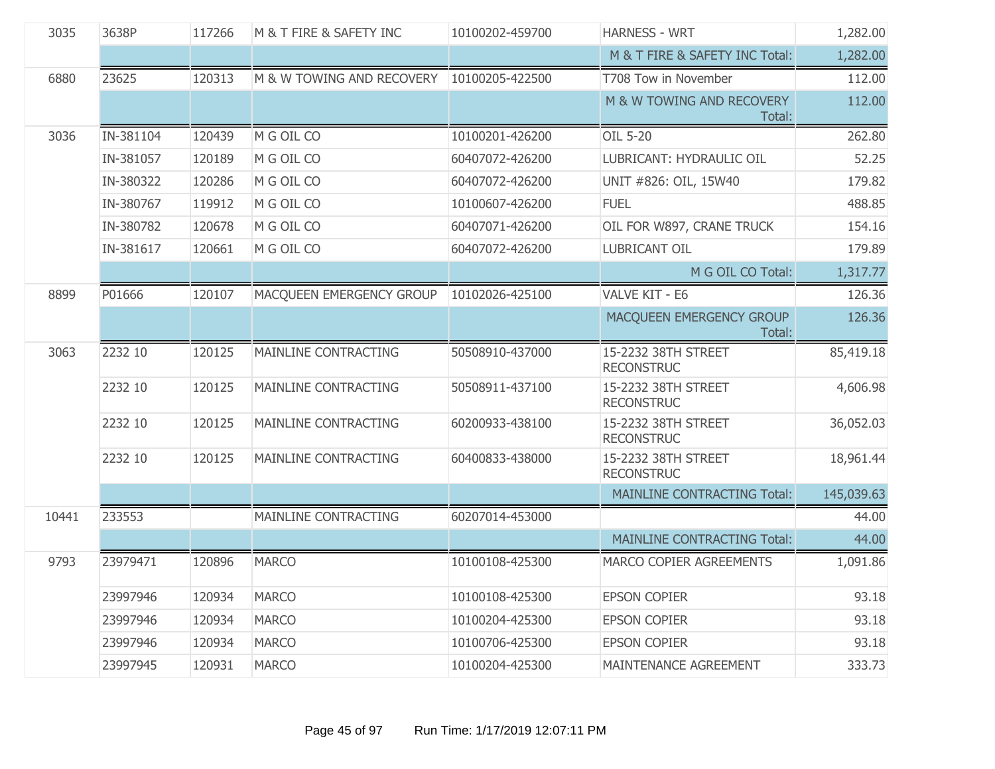| 3035  | 3638P     | 117266 | M & T FIRE & SAFETY INC     | 10100202-459700 | <b>HARNESS - WRT</b>                     | 1,282.00   |
|-------|-----------|--------|-----------------------------|-----------------|------------------------------------------|------------|
|       |           |        |                             |                 | M & T FIRE & SAFETY INC Total:           | 1,282.00   |
| 6880  | 23625     | 120313 | M & W TOWING AND RECOVERY   | 10100205-422500 | T708 Tow in November                     | 112.00     |
|       |           |        |                             |                 | M & W TOWING AND RECOVERY<br>Total:      | 112.00     |
| 3036  | IN-381104 | 120439 | M G OIL CO                  | 10100201-426200 | OIL 5-20                                 | 262.80     |
|       | IN-381057 | 120189 | M G OIL CO                  | 60407072-426200 | LUBRICANT: HYDRAULIC OIL                 | 52.25      |
|       | IN-380322 | 120286 | M G OIL CO                  | 60407072-426200 | UNIT #826: OIL, 15W40                    | 179.82     |
|       | IN-380767 | 119912 | M G OIL CO                  | 10100607-426200 | <b>FUEL</b>                              | 488.85     |
|       | IN-380782 | 120678 | M G OIL CO                  | 60407071-426200 | OIL FOR W897, CRANE TRUCK                | 154.16     |
|       | IN-381617 | 120661 | M G OIL CO                  | 60407072-426200 | <b>LUBRICANT OIL</b>                     | 179.89     |
|       |           |        |                             |                 | M G OIL CO Total:                        | 1,317.77   |
| 8899  | P01666    | 120107 | MACQUEEN EMERGENCY GROUP    | 10102026-425100 | VALVE KIT - E6                           | 126.36     |
|       |           |        |                             |                 | MACQUEEN EMERGENCY GROUP<br>Total:       | 126.36     |
| 3063  | 2232 10   | 120125 | MAINLINE CONTRACTING        | 50508910-437000 | 15-2232 38TH STREET<br><b>RECONSTRUC</b> | 85,419.18  |
|       | 2232 10   | 120125 | <b>MAINLINE CONTRACTING</b> | 50508911-437100 | 15-2232 38TH STREET<br><b>RECONSTRUC</b> | 4,606.98   |
|       | 2232 10   | 120125 | <b>MAINLINE CONTRACTING</b> | 60200933-438100 | 15-2232 38TH STREET<br><b>RECONSTRUC</b> | 36,052.03  |
|       | 2232 10   | 120125 | <b>MAINLINE CONTRACTING</b> | 60400833-438000 | 15-2232 38TH STREET<br><b>RECONSTRUC</b> | 18,961.44  |
|       |           |        |                             |                 | <b>MAINLINE CONTRACTING Total:</b>       | 145,039.63 |
| 10441 | 233553    |        | MAINLINE CONTRACTING        | 60207014-453000 |                                          | 44.00      |
|       |           |        |                             |                 | <b>MAINLINE CONTRACTING Total:</b>       | 44.00      |
| 9793  | 23979471  | 120896 | <b>MARCO</b>                | 10100108-425300 | MARCO COPIER AGREEMENTS                  | 1,091.86   |
|       | 23997946  | 120934 | <b>MARCO</b>                | 10100108-425300 | <b>EPSON COPIER</b>                      | 93.18      |
|       | 23997946  | 120934 | <b>MARCO</b>                | 10100204-425300 | <b>EPSON COPIER</b>                      | 93.18      |
|       | 23997946  | 120934 | <b>MARCO</b>                | 10100706-425300 | <b>EPSON COPIER</b>                      | 93.18      |
|       | 23997945  | 120931 | <b>MARCO</b>                | 10100204-425300 | MAINTENANCE AGREEMENT                    | 333.73     |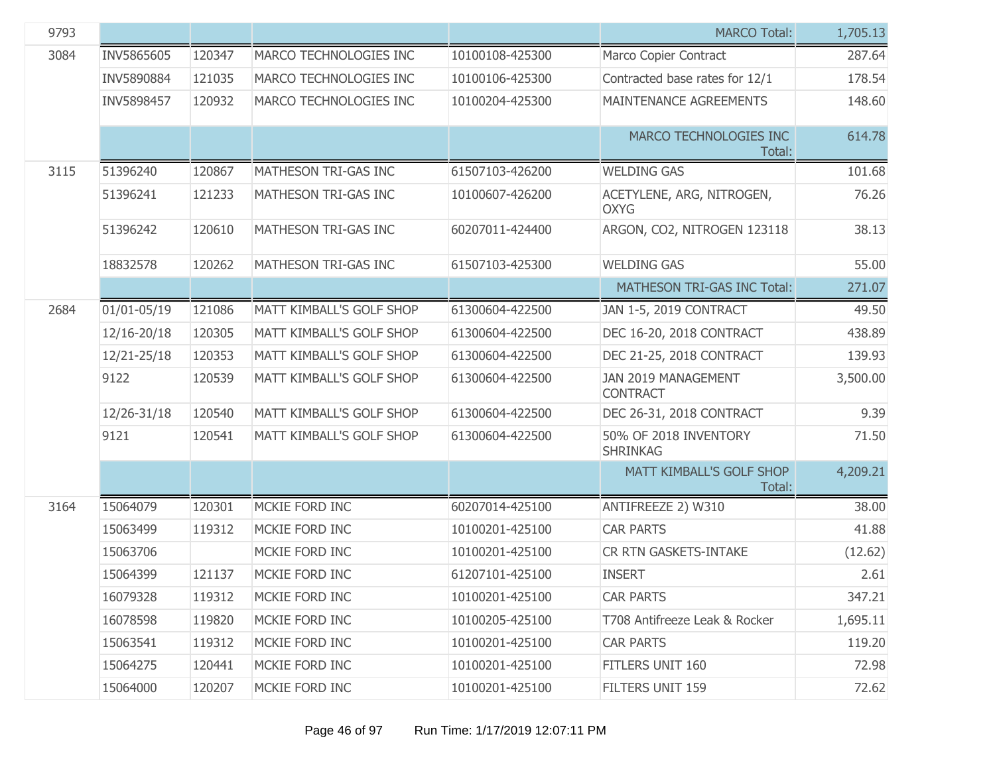| 9793 |                 |        |                                 |                 | <b>MARCO Total:</b>                      | 1,705.13 |
|------|-----------------|--------|---------------------------------|-----------------|------------------------------------------|----------|
| 3084 | INV5865605      | 120347 | MARCO TECHNOLOGIES INC          | 10100108-425300 | Marco Copier Contract                    | 287.64   |
|      | INV5890884      | 121035 | MARCO TECHNOLOGIES INC          | 10100106-425300 | Contracted base rates for 12/1           | 178.54   |
|      | INV5898457      | 120932 | MARCO TECHNOLOGIES INC          | 10100204-425300 | MAINTENANCE AGREEMENTS                   | 148.60   |
|      |                 |        |                                 |                 | MARCO TECHNOLOGIES INC<br>Total:         | 614.78   |
| 3115 | 51396240        | 120867 | MATHESON TRI-GAS INC            | 61507103-426200 | <b>WELDING GAS</b>                       | 101.68   |
|      | 51396241        | 121233 | MATHESON TRI-GAS INC            | 10100607-426200 | ACETYLENE, ARG, NITROGEN,<br><b>OXYG</b> | 76.26    |
|      | 51396242        | 120610 | MATHESON TRI-GAS INC            | 60207011-424400 | ARGON, CO2, NITROGEN 123118              | 38.13    |
|      | 18832578        | 120262 | MATHESON TRI-GAS INC            | 61507103-425300 | <b>WELDING GAS</b>                       | 55.00    |
|      |                 |        |                                 |                 | MATHESON TRI-GAS INC Total:              | 271.07   |
| 2684 | $01/01 - 05/19$ | 121086 | <b>MATT KIMBALL'S GOLF SHOP</b> | 61300604-422500 | JAN 1-5, 2019 CONTRACT                   | 49.50    |
|      | 12/16-20/18     | 120305 | MATT KIMBALL'S GOLF SHOP        | 61300604-422500 | DEC 16-20, 2018 CONTRACT                 | 438.89   |
|      | 12/21-25/18     | 120353 | MATT KIMBALL'S GOLF SHOP        | 61300604-422500 | DEC 21-25, 2018 CONTRACT                 | 139.93   |
|      | 9122            | 120539 | MATT KIMBALL'S GOLF SHOP        | 61300604-422500 | JAN 2019 MANAGEMENT<br><b>CONTRACT</b>   | 3,500.00 |
|      | 12/26-31/18     | 120540 | MATT KIMBALL'S GOLF SHOP        | 61300604-422500 | DEC 26-31, 2018 CONTRACT                 | 9.39     |
|      | 9121            | 120541 | MATT KIMBALL'S GOLF SHOP        | 61300604-422500 | 50% OF 2018 INVENTORY<br><b>SHRINKAG</b> | 71.50    |
|      |                 |        |                                 |                 | MATT KIMBALL'S GOLF SHOP<br>Total:       | 4,209.21 |
| 3164 | 15064079        | 120301 | MCKIE FORD INC                  | 60207014-425100 | ANTIFREEZE 2) W310                       | 38.00    |
|      | 15063499        | 119312 | MCKIE FORD INC                  | 10100201-425100 | <b>CAR PARTS</b>                         | 41.88    |
|      | 15063706        |        | MCKIE FORD INC                  | 10100201-425100 | CR RTN GASKETS-INTAKE                    | (12.62)  |
|      | 15064399        | 121137 | MCKIE FORD INC                  | 61207101-425100 | <b>INSERT</b>                            | 2.61     |
|      | 16079328        | 119312 | MCKIE FORD INC                  | 10100201-425100 | <b>CAR PARTS</b>                         | 347.21   |
|      | 16078598        | 119820 | MCKIE FORD INC                  | 10100205-425100 | T708 Antifreeze Leak & Rocker            | 1,695.11 |
|      | 15063541        | 119312 | MCKIE FORD INC                  | 10100201-425100 | <b>CAR PARTS</b>                         | 119.20   |
|      | 15064275        | 120441 | MCKIE FORD INC                  | 10100201-425100 | FITLERS UNIT 160                         | 72.98    |
|      | 15064000        | 120207 | MCKIE FORD INC                  | 10100201-425100 | FILTERS UNIT 159                         | 72.62    |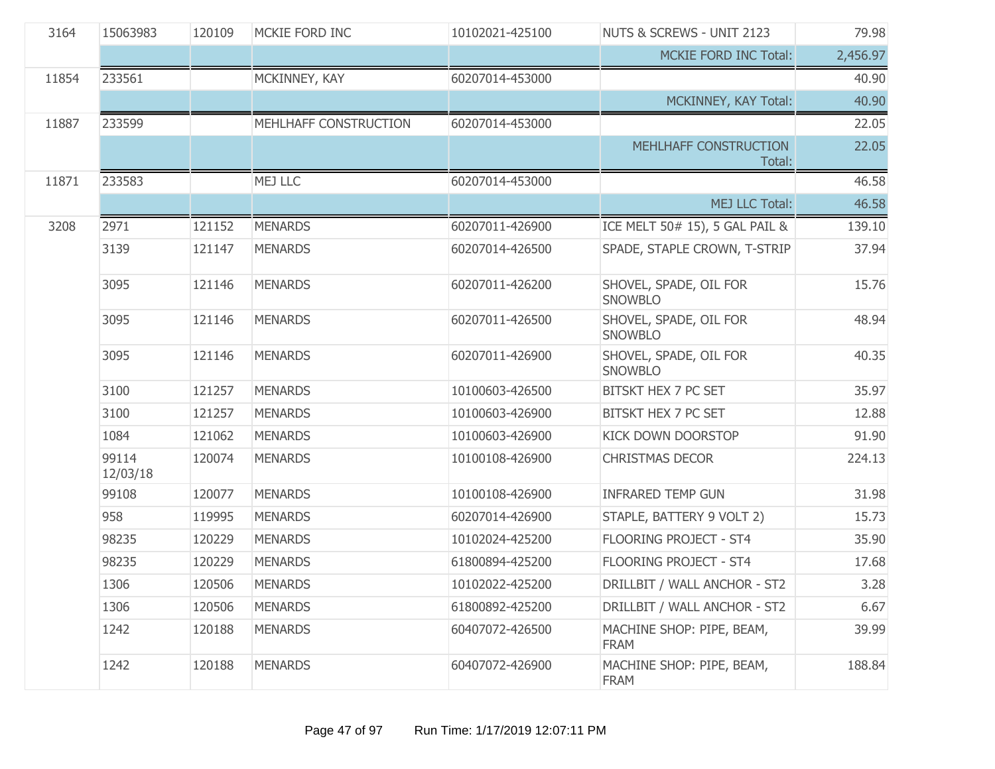| 3164  | 15063983          | 120109 | MCKIE FORD INC        | 10102021-425100 | NUTS & SCREWS - UNIT 2123                | 79.98    |
|-------|-------------------|--------|-----------------------|-----------------|------------------------------------------|----------|
|       |                   |        |                       |                 | <b>MCKIE FORD INC Total:</b>             | 2,456.97 |
| 11854 | 233561            |        | MCKINNEY, KAY         | 60207014-453000 |                                          | 40.90    |
|       |                   |        |                       |                 | MCKINNEY, KAY Total:                     | 40.90    |
| 11887 | 233599            |        | MEHLHAFF CONSTRUCTION | 60207014-453000 |                                          | 22.05    |
|       |                   |        |                       |                 | MEHLHAFF CONSTRUCTION<br>Total:          | 22.05    |
| 11871 | 233583            |        | <b>MEJ LLC</b>        | 60207014-453000 |                                          | 46.58    |
|       |                   |        |                       |                 | MEJ LLC Total:                           | 46.58    |
| 3208  | 2971              | 121152 | <b>MENARDS</b>        | 60207011-426900 | ICE MELT 50# 15), 5 GAL PAIL &           | 139.10   |
|       | 3139              | 121147 | <b>MENARDS</b>        | 60207014-426500 | SPADE, STAPLE CROWN, T-STRIP             | 37.94    |
|       | 3095              | 121146 | <b>MENARDS</b>        | 60207011-426200 | SHOVEL, SPADE, OIL FOR<br><b>SNOWBLO</b> | 15.76    |
|       | 3095              | 121146 | <b>MENARDS</b>        | 60207011-426500 | SHOVEL, SPADE, OIL FOR<br><b>SNOWBLO</b> | 48.94    |
|       | 3095              | 121146 | <b>MENARDS</b>        | 60207011-426900 | SHOVEL, SPADE, OIL FOR<br><b>SNOWBLO</b> | 40.35    |
|       | 3100              | 121257 | <b>MENARDS</b>        | 10100603-426500 | BITSKT HEX 7 PC SET                      | 35.97    |
|       | 3100              | 121257 | <b>MENARDS</b>        | 10100603-426900 | BITSKT HEX 7 PC SET                      | 12.88    |
|       | 1084              | 121062 | <b>MENARDS</b>        | 10100603-426900 | KICK DOWN DOORSTOP                       | 91.90    |
|       | 99114<br>12/03/18 | 120074 | <b>MENARDS</b>        | 10100108-426900 | <b>CHRISTMAS DECOR</b>                   | 224.13   |
|       | 99108             | 120077 | <b>MENARDS</b>        | 10100108-426900 | <b>INFRARED TEMP GUN</b>                 | 31.98    |
|       | 958               | 119995 | <b>MENARDS</b>        | 60207014-426900 | STAPLE, BATTERY 9 VOLT 2)                | 15.73    |
|       | 98235             | 120229 | <b>MENARDS</b>        | 10102024-425200 | FLOORING PROJECT - ST4                   | 35.90    |
|       | 98235             | 120229 | <b>MENARDS</b>        | 61800894-425200 | FLOORING PROJECT - ST4                   | 17.68    |
|       | 1306              | 120506 | <b>MENARDS</b>        | 10102022-425200 | DRILLBIT / WALL ANCHOR - ST2             | 3.28     |
|       | 1306              | 120506 | <b>MENARDS</b>        | 61800892-425200 | DRILLBIT / WALL ANCHOR - ST2             | 6.67     |
|       | 1242              | 120188 | <b>MENARDS</b>        | 60407072-426500 | MACHINE SHOP: PIPE, BEAM,<br><b>FRAM</b> | 39.99    |
|       | 1242              | 120188 | <b>MENARDS</b>        | 60407072-426900 | MACHINE SHOP: PIPE, BEAM,<br><b>FRAM</b> | 188.84   |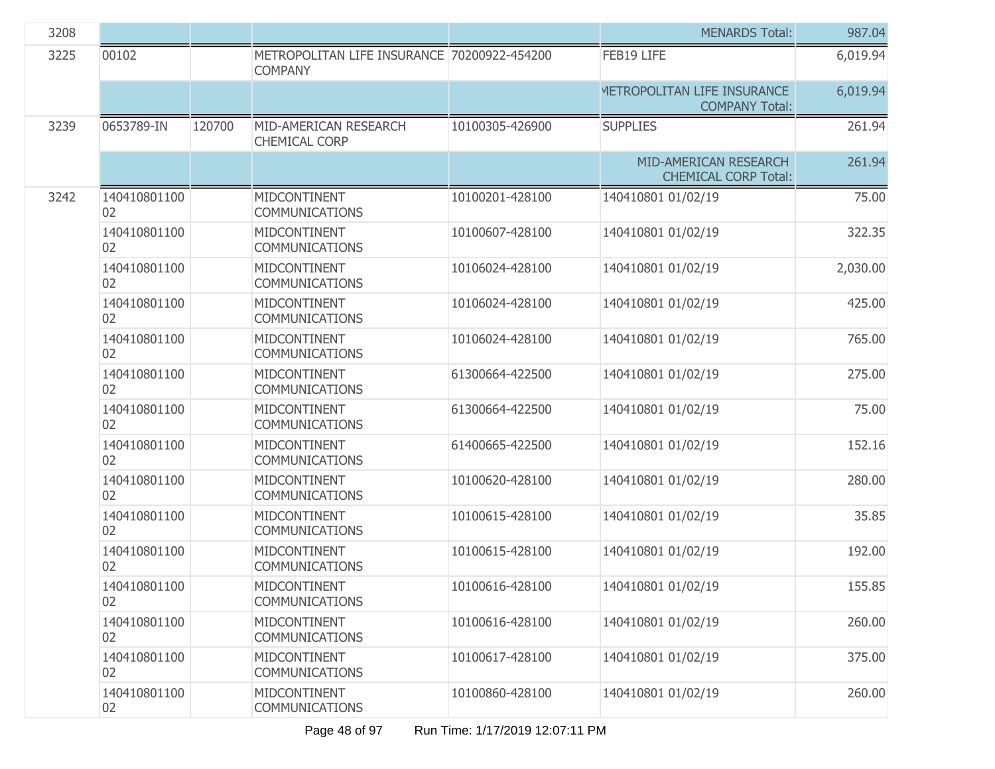| 3208 |                    |        |                                                               |                 | <b>MENARDS Total:</b>                                | 987.04   |
|------|--------------------|--------|---------------------------------------------------------------|-----------------|------------------------------------------------------|----------|
| 3225 | 00102              |        | METROPOLITAN LIFE INSURANCE 70200922-454200<br><b>COMPANY</b> |                 | FEB19 LIFE                                           | 6,019.94 |
|      |                    |        |                                                               |                 | METROPOLITAN LIFE INSURANCE<br><b>COMPANY Total:</b> | 6,019.94 |
| 3239 | 0653789-IN         | 120700 | MID-AMERICAN RESEARCH<br><b>CHEMICAL CORP</b>                 | 10100305-426900 | <b>SUPPLIES</b>                                      | 261.94   |
|      |                    |        |                                                               |                 | MID-AMERICAN RESEARCH<br><b>CHEMICAL CORP Total:</b> | 261.94   |
| 3242 | 140410801100<br>02 |        | MIDCONTINENT<br><b>COMMUNICATIONS</b>                         | 10100201-428100 | 140410801 01/02/19                                   | 75.00    |
|      | 140410801100<br>02 |        | MIDCONTINENT<br><b>COMMUNICATIONS</b>                         | 10100607-428100 | 140410801 01/02/19                                   | 322.35   |
|      | 140410801100<br>02 |        | MIDCONTINENT<br><b>COMMUNICATIONS</b>                         | 10106024-428100 | 140410801 01/02/19                                   | 2,030.00 |
|      | 140410801100<br>02 |        | MIDCONTINENT<br><b>COMMUNICATIONS</b>                         | 10106024-428100 | 140410801 01/02/19                                   | 425.00   |
|      | 140410801100<br>02 |        | MIDCONTINENT<br><b>COMMUNICATIONS</b>                         | 10106024-428100 | 140410801 01/02/19                                   | 765.00   |
|      | 140410801100<br>02 |        | MIDCONTINENT<br><b>COMMUNICATIONS</b>                         | 61300664-422500 | 140410801 01/02/19                                   | 275.00   |
|      | 140410801100<br>02 |        | MIDCONTINENT<br><b>COMMUNICATIONS</b>                         | 61300664-422500 | 140410801 01/02/19                                   | 75.00    |
|      | 140410801100<br>02 |        | MIDCONTINENT<br><b>COMMUNICATIONS</b>                         | 61400665-422500 | 140410801 01/02/19                                   | 152.16   |
|      | 140410801100<br>02 |        | MIDCONTINENT<br><b>COMMUNICATIONS</b>                         | 10100620-428100 | 140410801 01/02/19                                   | 280.00   |
|      | 140410801100<br>02 |        | MIDCONTINENT<br><b>COMMUNICATIONS</b>                         | 10100615-428100 | 140410801 01/02/19                                   | 35.85    |
|      | 140410801100<br>02 |        | MIDCONTINENT<br><b>COMMUNICATIONS</b>                         | 10100615-428100 | 140410801 01/02/19                                   | 192.00   |
|      | 140410801100<br>02 |        | MIDCONTINENT<br><b>COMMUNICATIONS</b>                         | 10100616-428100 | 140410801 01/02/19                                   | 155.85   |
|      | 140410801100<br>02 |        | MIDCONTINENT<br><b>COMMUNICATIONS</b>                         | 10100616-428100 | 140410801 01/02/19                                   | 260.00   |
|      | 140410801100<br>02 |        | MIDCONTINENT<br><b>COMMUNICATIONS</b>                         | 10100617-428100 | 140410801 01/02/19                                   | 375.00   |
|      | 140410801100<br>02 |        | MIDCONTINENT<br><b>COMMUNICATIONS</b>                         | 10100860-428100 | 140410801 01/02/19                                   | 260.00   |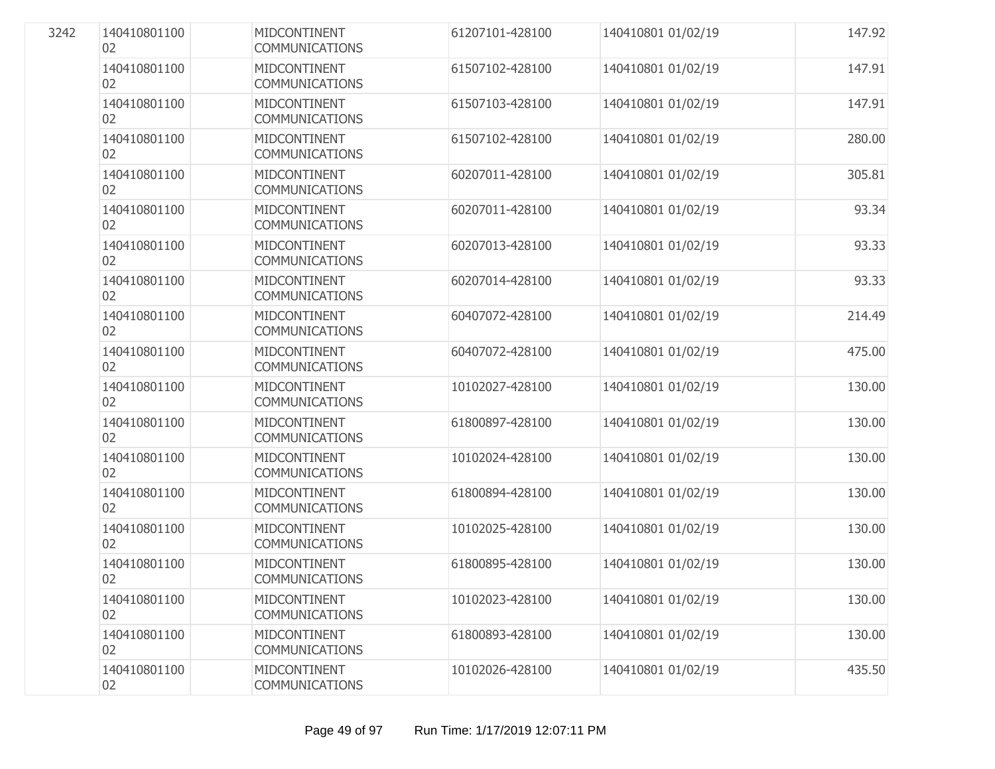| 3242 | 140410801100<br>02 | MIDCONTINENT<br>COMMUNICATIONS               | 61207101-428100 | 140410801 01/02/19 | 147.92 |
|------|--------------------|----------------------------------------------|-----------------|--------------------|--------|
|      | 140410801100<br>02 | MIDCONTINENT<br><b>COMMUNICATIONS</b>        | 61507102-428100 | 140410801 01/02/19 | 147.91 |
|      | 140410801100<br>02 | MIDCONTINENT<br><b>COMMUNICATIONS</b>        | 61507103-428100 | 140410801 01/02/19 | 147.91 |
|      | 140410801100<br>02 | MIDCONTINENT<br><b>COMMUNICATIONS</b>        | 61507102-428100 | 140410801 01/02/19 | 280.00 |
|      | 140410801100<br>02 | <b>MIDCONTINENT</b><br><b>COMMUNICATIONS</b> | 60207011-428100 | 140410801 01/02/19 | 305.81 |
|      | 140410801100<br>02 | MIDCONTINENT<br><b>COMMUNICATIONS</b>        | 60207011-428100 | 140410801 01/02/19 | 93.34  |
|      | 140410801100<br>02 | MIDCONTINENT<br><b>COMMUNICATIONS</b>        | 60207013-428100 | 140410801 01/02/19 | 93.33  |
|      | 140410801100<br>02 | MIDCONTINENT<br><b>COMMUNICATIONS</b>        | 60207014-428100 | 140410801 01/02/19 | 93.33  |
|      | 140410801100<br>02 | MIDCONTINENT<br><b>COMMUNICATIONS</b>        | 60407072-428100 | 140410801 01/02/19 | 214.49 |
|      | 140410801100<br>02 | <b>MIDCONTINENT</b><br><b>COMMUNICATIONS</b> | 60407072-428100 | 140410801 01/02/19 | 475.00 |
|      | 140410801100<br>02 | MIDCONTINENT<br><b>COMMUNICATIONS</b>        | 10102027-428100 | 140410801 01/02/19 | 130.00 |
|      | 140410801100<br>02 | MIDCONTINENT<br><b>COMMUNICATIONS</b>        | 61800897-428100 | 140410801 01/02/19 | 130.00 |
|      | 140410801100<br>02 | MIDCONTINENT<br><b>COMMUNICATIONS</b>        | 10102024-428100 | 140410801 01/02/19 | 130.00 |
|      | 140410801100<br>02 | MIDCONTINENT<br><b>COMMUNICATIONS</b>        | 61800894-428100 | 140410801 01/02/19 | 130.00 |
|      | 140410801100<br>02 | <b>MIDCONTINENT</b><br><b>COMMUNICATIONS</b> | 10102025-428100 | 140410801 01/02/19 | 130.00 |
|      | 140410801100<br>02 | MIDCONTINENT<br><b>COMMUNICATIONS</b>        | 61800895-428100 | 140410801 01/02/19 | 130.00 |
|      | 140410801100<br>02 | MIDCONTINENT<br><b>COMMUNICATIONS</b>        | 10102023-428100 | 140410801 01/02/19 | 130.00 |
|      | 140410801100<br>02 | MIDCONTINENT<br><b>COMMUNICATIONS</b>        | 61800893-428100 | 140410801 01/02/19 | 130.00 |
|      | 140410801100<br>02 | MIDCONTINENT<br><b>COMMUNICATIONS</b>        | 10102026-428100 | 140410801 01/02/19 | 435.50 |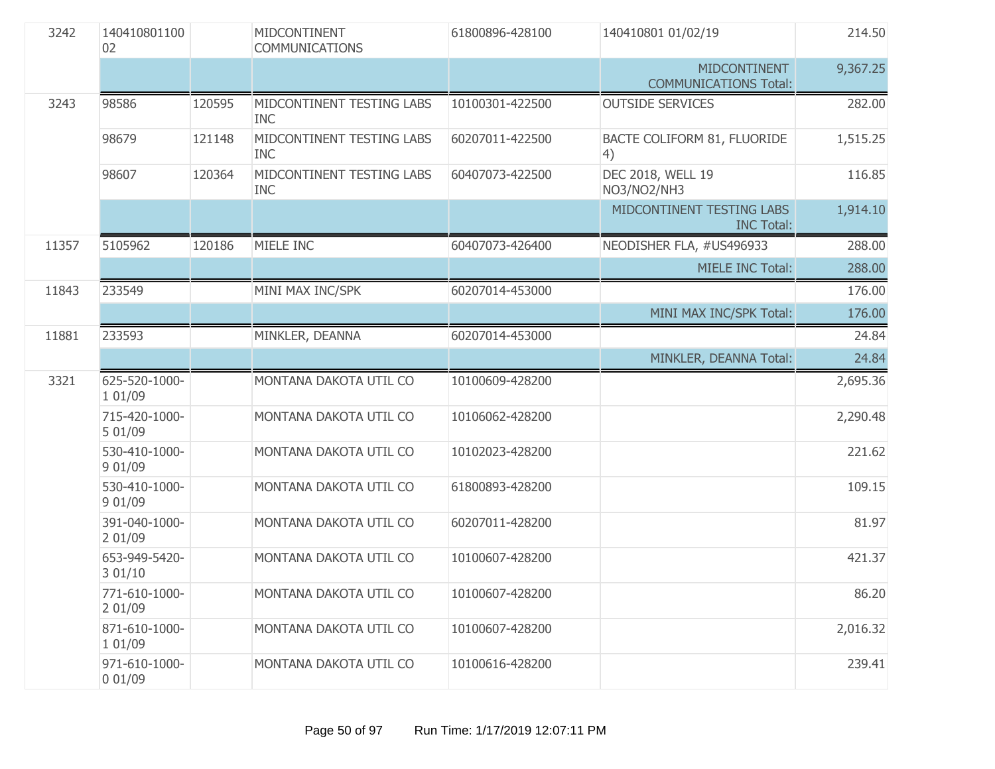| 3242  | 140410801100<br>02       |        | MIDCONTINENT<br><b>COMMUNICATIONS</b>   | 61800896-428100 | 140410801 01/02/19                                  | 214.50   |
|-------|--------------------------|--------|-----------------------------------------|-----------------|-----------------------------------------------------|----------|
|       |                          |        |                                         |                 | <b>MIDCONTINENT</b><br><b>COMMUNICATIONS Total:</b> | 9,367.25 |
| 3243  | 98586                    | 120595 | MIDCONTINENT TESTING LABS<br><b>INC</b> | 10100301-422500 | <b>OUTSIDE SERVICES</b>                             | 282.00   |
|       | 98679                    | 121148 | MIDCONTINENT TESTING LABS<br><b>INC</b> | 60207011-422500 | BACTE COLIFORM 81, FLUORIDE<br>4)                   | 1,515.25 |
|       | 98607                    | 120364 | MIDCONTINENT TESTING LABS<br><b>INC</b> | 60407073-422500 | DEC 2018, WELL 19<br>NO3/NO2/NH3                    | 116.85   |
|       |                          |        |                                         |                 | MIDCONTINENT TESTING LABS<br><b>INC Total:</b>      | 1,914.10 |
| 11357 | 5105962                  | 120186 | MIELE INC                               | 60407073-426400 | NEODISHER FLA, #US496933                            | 288.00   |
|       |                          |        |                                         |                 | <b>MIELE INC Total:</b>                             | 288.00   |
| 11843 | 233549                   |        | MINI MAX INC/SPK                        | 60207014-453000 |                                                     | 176.00   |
|       |                          |        |                                         |                 | MINI MAX INC/SPK Total:                             | 176.00   |
| 11881 | 233593                   |        | MINKLER, DEANNA                         | 60207014-453000 |                                                     | 24.84    |
|       |                          |        |                                         |                 | MINKLER, DEANNA Total:                              | 24.84    |
| 3321  | 625-520-1000-<br>1 01/09 |        | MONTANA DAKOTA UTIL CO                  | 10100609-428200 |                                                     | 2,695.36 |
|       | 715-420-1000-<br>5 01/09 |        | MONTANA DAKOTA UTIL CO                  | 10106062-428200 |                                                     | 2,290.48 |
|       | 530-410-1000-<br>9 01/09 |        | MONTANA DAKOTA UTIL CO                  | 10102023-428200 |                                                     | 221.62   |
|       | 530-410-1000-<br>9 01/09 |        | MONTANA DAKOTA UTIL CO                  | 61800893-428200 |                                                     | 109.15   |
|       | 391-040-1000-<br>2 01/09 |        | MONTANA DAKOTA UTIL CO                  | 60207011-428200 |                                                     | 81.97    |
|       | 653-949-5420-<br>3 01/10 |        | MONTANA DAKOTA UTIL CO                  | 10100607-428200 |                                                     | 421.37   |
|       | 771-610-1000-<br>2 01/09 |        | MONTANA DAKOTA UTIL CO                  | 10100607-428200 |                                                     | 86.20    |
|       | 871-610-1000-<br>1 01/09 |        | MONTANA DAKOTA UTIL CO                  | 10100607-428200 |                                                     | 2,016.32 |
|       | 971-610-1000-<br>001/09  |        | MONTANA DAKOTA UTIL CO                  | 10100616-428200 |                                                     | 239.41   |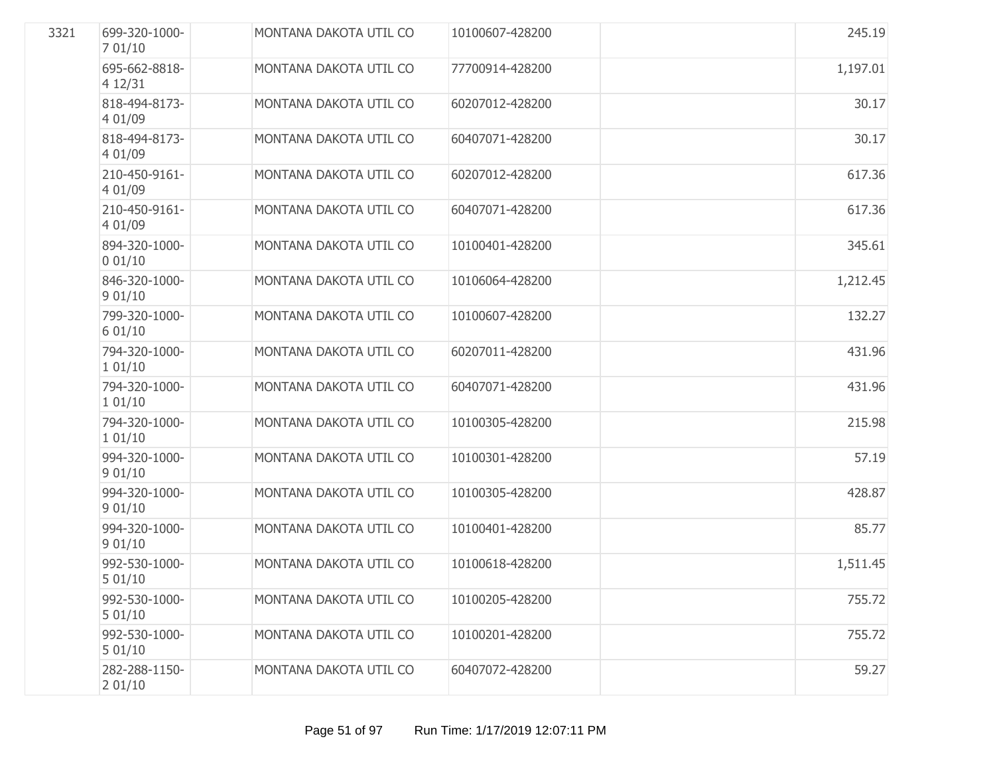| 3321 | 699-320-1000-<br>701/10  | MONTANA DAKOTA UTIL CO | 10100607-428200 | 245.19   |
|------|--------------------------|------------------------|-----------------|----------|
|      | 695-662-8818-<br>4 12/31 | MONTANA DAKOTA UTIL CO | 77700914-428200 | 1,197.01 |
|      | 818-494-8173-<br>4 01/09 | MONTANA DAKOTA UTIL CO | 60207012-428200 | 30.17    |
|      | 818-494-8173-<br>4 01/09 | MONTANA DAKOTA UTIL CO | 60407071-428200 | 30.17    |
|      | 210-450-9161-<br>4 01/09 | MONTANA DAKOTA UTIL CO | 60207012-428200 | 617.36   |
|      | 210-450-9161-<br>4 01/09 | MONTANA DAKOTA UTIL CO | 60407071-428200 | 617.36   |
|      | 894-320-1000-<br>001/10  | MONTANA DAKOTA UTIL CO | 10100401-428200 | 345.61   |
|      | 846-320-1000-<br>901/10  | MONTANA DAKOTA UTIL CO | 10106064-428200 | 1,212.45 |
|      | 799-320-1000-<br>6 01/10 | MONTANA DAKOTA UTIL CO | 10100607-428200 | 132.27   |
|      | 794-320-1000-<br>101/10  | MONTANA DAKOTA UTIL CO | 60207011-428200 | 431.96   |
|      | 794-320-1000-<br>101/10  | MONTANA DAKOTA UTIL CO | 60407071-428200 | 431.96   |
|      | 794-320-1000-<br>101/10  | MONTANA DAKOTA UTIL CO | 10100305-428200 | 215.98   |
|      | 994-320-1000-<br>901/10  | MONTANA DAKOTA UTIL CO | 10100301-428200 | 57.19    |
|      | 994-320-1000-<br>901/10  | MONTANA DAKOTA UTIL CO | 10100305-428200 | 428.87   |
|      | 994-320-1000-<br>901/10  | MONTANA DAKOTA UTIL CO | 10100401-428200 | 85.77    |
|      | 992-530-1000-<br>501/10  | MONTANA DAKOTA UTIL CO | 10100618-428200 | 1,511.45 |
|      | 992-530-1000-<br>501/10  | MONTANA DAKOTA UTIL CO | 10100205-428200 | 755.72   |
|      | 992-530-1000-<br>501/10  | MONTANA DAKOTA UTIL CO | 10100201-428200 | 755.72   |
|      | 282-288-1150-<br>201/10  | MONTANA DAKOTA UTIL CO | 60407072-428200 | 59.27    |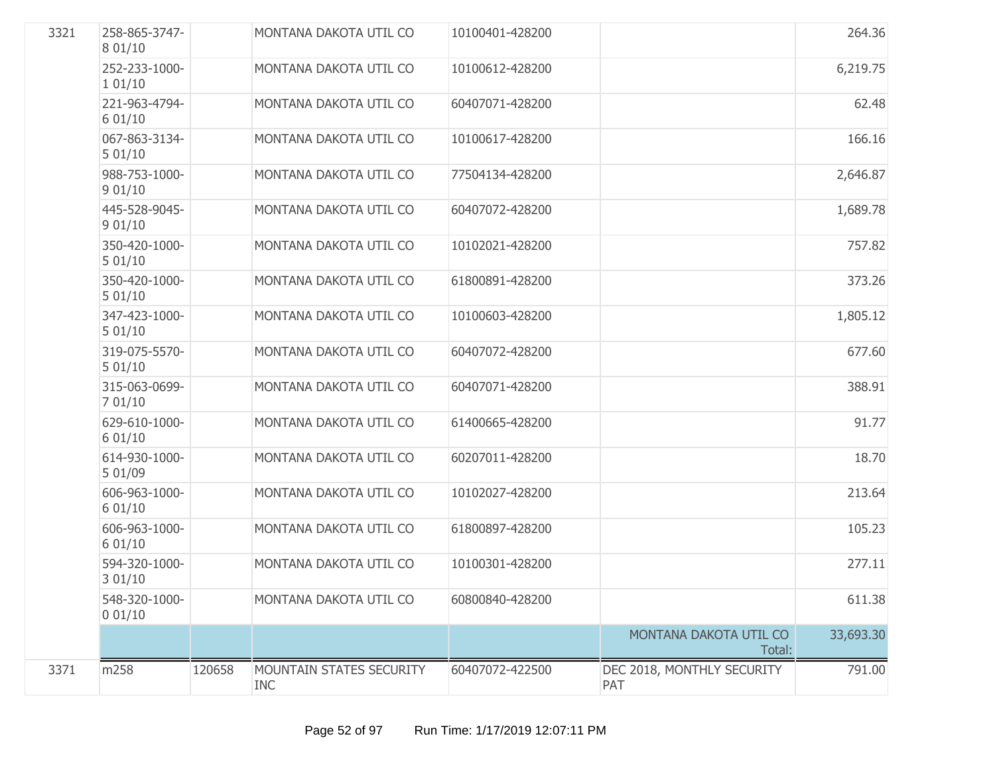| 3321 | 258-865-3747-<br>8 01/10 |        | MONTANA DAKOTA UTIL CO                 | 10100401-428200 |                                   | 264.36    |
|------|--------------------------|--------|----------------------------------------|-----------------|-----------------------------------|-----------|
|      | 252-233-1000-<br>101/10  |        | MONTANA DAKOTA UTIL CO                 | 10100612-428200 |                                   | 6,219.75  |
|      | 221-963-4794-<br>601/10  |        | MONTANA DAKOTA UTIL CO                 | 60407071-428200 |                                   | 62.48     |
|      | 067-863-3134-<br>501/10  |        | MONTANA DAKOTA UTIL CO                 | 10100617-428200 |                                   | 166.16    |
|      | 988-753-1000-<br>901/10  |        | MONTANA DAKOTA UTIL CO                 | 77504134-428200 |                                   | 2,646.87  |
|      | 445-528-9045-<br>901/10  |        | MONTANA DAKOTA UTIL CO                 | 60407072-428200 |                                   | 1,689.78  |
|      | 350-420-1000-<br>501/10  |        | MONTANA DAKOTA UTIL CO                 | 10102021-428200 |                                   | 757.82    |
|      | 350-420-1000-<br>501/10  |        | MONTANA DAKOTA UTIL CO                 | 61800891-428200 |                                   | 373.26    |
|      | 347-423-1000-<br>501/10  |        | MONTANA DAKOTA UTIL CO                 | 10100603-428200 |                                   | 1,805.12  |
|      | 319-075-5570-<br>501/10  |        | MONTANA DAKOTA UTIL CO                 | 60407072-428200 |                                   | 677.60    |
|      | 315-063-0699-<br>701/10  |        | MONTANA DAKOTA UTIL CO                 | 60407071-428200 |                                   | 388.91    |
|      | 629-610-1000-<br>601/10  |        | MONTANA DAKOTA UTIL CO                 | 61400665-428200 |                                   | 91.77     |
|      | 614-930-1000-<br>5 01/09 |        | MONTANA DAKOTA UTIL CO                 | 60207011-428200 |                                   | 18.70     |
|      | 606-963-1000-<br>601/10  |        | MONTANA DAKOTA UTIL CO                 | 10102027-428200 |                                   | 213.64    |
|      | 606-963-1000-<br>601/10  |        | MONTANA DAKOTA UTIL CO                 | 61800897-428200 |                                   | 105.23    |
|      | 594-320-1000-<br>301/10  |        | MONTANA DAKOTA UTIL CO                 | 10100301-428200 |                                   | 277.11    |
|      | 548-320-1000-<br>001/10  |        | MONTANA DAKOTA UTIL CO                 | 60800840-428200 |                                   | 611.38    |
|      |                          |        |                                        |                 | MONTANA DAKOTA UTIL CO<br>Total:  | 33,693.30 |
| 3371 | m258                     | 120658 | MOUNTAIN STATES SECURITY<br><b>INC</b> | 60407072-422500 | DEC 2018, MONTHLY SECURITY<br>PAT | 791.00    |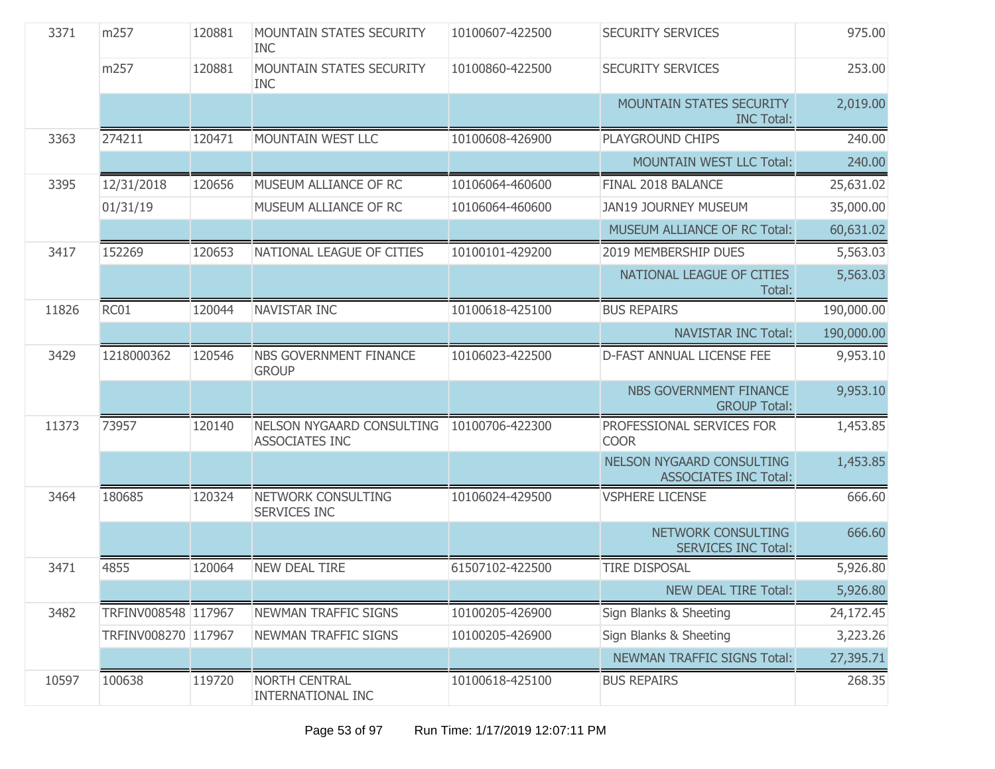| 3371  | m257                | 120881 | <b>MOUNTAIN STATES SECURITY</b><br><b>INC</b>      | 10100607-422500 | <b>SECURITY SERVICES</b>                                         | 975.00     |
|-------|---------------------|--------|----------------------------------------------------|-----------------|------------------------------------------------------------------|------------|
|       | m257                | 120881 | <b>MOUNTAIN STATES SECURITY</b><br><b>INC</b>      | 10100860-422500 | <b>SECURITY SERVICES</b>                                         | 253.00     |
|       |                     |        |                                                    |                 | <b>MOUNTAIN STATES SECURITY</b><br><b>INC Total:</b>             | 2,019.00   |
| 3363  | 274211              | 120471 | MOUNTAIN WEST LLC                                  | 10100608-426900 | PLAYGROUND CHIPS                                                 | 240.00     |
|       |                     |        |                                                    |                 | <b>MOUNTAIN WEST LLC Total:</b>                                  | 240.00     |
| 3395  | 12/31/2018          | 120656 | MUSEUM ALLIANCE OF RC                              | 10106064-460600 | FINAL 2018 BALANCE                                               | 25,631.02  |
|       | 01/31/19            |        | MUSEUM ALLIANCE OF RC                              | 10106064-460600 | <b>JAN19 JOURNEY MUSEUM</b>                                      | 35,000.00  |
|       |                     |        |                                                    |                 | MUSEUM ALLIANCE OF RC Total:                                     | 60,631.02  |
| 3417  | 152269              | 120653 | NATIONAL LEAGUE OF CITIES                          | 10100101-429200 | 2019 MEMBERSHIP DUES                                             | 5,563.03   |
|       |                     |        |                                                    |                 | NATIONAL LEAGUE OF CITIES<br>Total:                              | 5,563.03   |
| 11826 | RC01                | 120044 | NAVISTAR INC                                       | 10100618-425100 | <b>BUS REPAIRS</b>                                               | 190,000.00 |
|       |                     |        |                                                    |                 | <b>NAVISTAR INC Total:</b>                                       | 190,000.00 |
| 3429  | 1218000362          | 120546 | NBS GOVERNMENT FINANCE<br><b>GROUP</b>             | 10106023-422500 | D-FAST ANNUAL LICENSE FEE                                        | 9,953.10   |
|       |                     |        |                                                    |                 | NBS GOVERNMENT FINANCE<br><b>GROUP Total:</b>                    | 9,953.10   |
| 11373 | 73957               | 120140 | NELSON NYGAARD CONSULTING<br><b>ASSOCIATES INC</b> | 10100706-422300 | PROFESSIONAL SERVICES FOR<br><b>COOR</b>                         | 1,453.85   |
|       |                     |        |                                                    |                 | <b>NELSON NYGAARD CONSULTING</b><br><b>ASSOCIATES INC Total:</b> | 1,453.85   |
| 3464  | 180685              | 120324 | NETWORK CONSULTING<br><b>SERVICES INC</b>          | 10106024-429500 | <b>VSPHERE LICENSE</b>                                           | 666.60     |
|       |                     |        |                                                    |                 | NETWORK CONSULTING<br><b>SERVICES INC Total:</b>                 | 666.60     |
| 3471  | 4855                | 120064 | <b>NEW DEAL TIRE</b>                               | 61507102-422500 | <b>TIRE DISPOSAL</b>                                             | 5,926.80   |
|       |                     |        |                                                    |                 | <b>NEW DEAL TIRE Total:</b>                                      | 5,926.80   |
| 3482  | TRFINV008548 117967 |        | NEWMAN TRAFFIC SIGNS                               | 10100205-426900 | Sign Blanks & Sheeting                                           | 24,172.45  |
|       | TRFINV008270 117967 |        | NEWMAN TRAFFIC SIGNS                               | 10100205-426900 | Sign Blanks & Sheeting                                           | 3,223.26   |
|       |                     |        |                                                    |                 | NEWMAN TRAFFIC SIGNS Total:                                      | 27,395.71  |
| 10597 | 100638              | 119720 | <b>NORTH CENTRAL</b><br><b>INTERNATIONAL INC</b>   | 10100618-425100 | <b>BUS REPAIRS</b>                                               | 268.35     |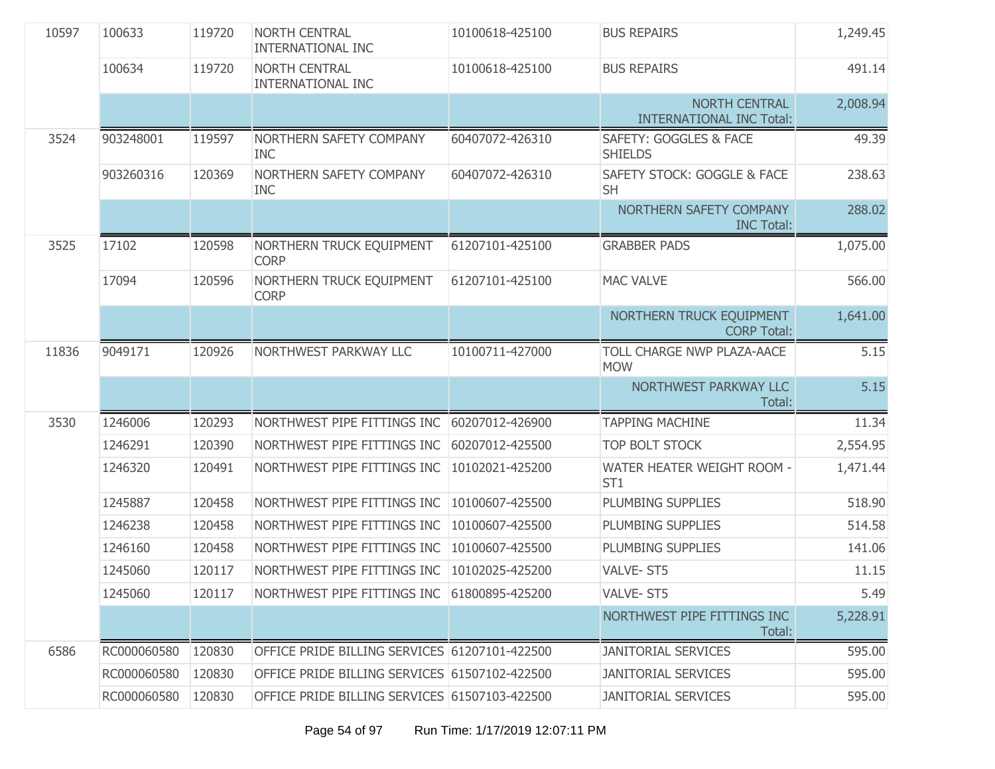| 10597 | 100633      | 119720 | <b>NORTH CENTRAL</b><br><b>INTERNATIONAL INC</b> | 10100618-425100 | <b>BUS REPAIRS</b>                                      | 1,249.45 |
|-------|-------------|--------|--------------------------------------------------|-----------------|---------------------------------------------------------|----------|
|       | 100634      | 119720 | NORTH CENTRAL<br><b>INTERNATIONAL INC</b>        | 10100618-425100 | <b>BUS REPAIRS</b>                                      | 491.14   |
|       |             |        |                                                  |                 | <b>NORTH CENTRAL</b><br><b>INTERNATIONAL INC Total:</b> | 2,008.94 |
| 3524  | 903248001   | 119597 | NORTHERN SAFETY COMPANY<br><b>INC</b>            | 60407072-426310 | SAFETY: GOGGLES & FACE<br><b>SHIELDS</b>                | 49.39    |
|       | 903260316   | 120369 | NORTHERN SAFETY COMPANY<br><b>INC</b>            | 60407072-426310 | SAFETY STOCK: GOGGLE & FACE<br><b>SH</b>                | 238.63   |
|       |             |        |                                                  |                 | NORTHERN SAFETY COMPANY<br><b>INC Total:</b>            | 288.02   |
| 3525  | 17102       | 120598 | NORTHERN TRUCK EQUIPMENT<br><b>CORP</b>          | 61207101-425100 | <b>GRABBER PADS</b>                                     | 1,075.00 |
|       | 17094       | 120596 | NORTHERN TRUCK EQUIPMENT<br><b>CORP</b>          | 61207101-425100 | <b>MAC VALVE</b>                                        | 566.00   |
|       |             |        |                                                  |                 | NORTHERN TRUCK EQUIPMENT<br><b>CORP Total:</b>          | 1,641.00 |
| 11836 | 9049171     | 120926 | NORTHWEST PARKWAY LLC                            | 10100711-427000 | TOLL CHARGE NWP PLAZA-AACE<br><b>MOW</b>                | 5.15     |
|       |             |        |                                                  |                 | NORTHWEST PARKWAY LLC<br>Total:                         | 5.15     |
| 3530  | 1246006     | 120293 | NORTHWEST PIPE FITTINGS INC                      | 60207012-426900 | <b>TAPPING MACHINE</b>                                  | 11.34    |
|       | 1246291     | 120390 | NORTHWEST PIPE FITTINGS INC                      | 60207012-425500 | TOP BOLT STOCK                                          | 2,554.95 |
|       | 1246320     | 120491 | NORTHWEST PIPE FITTINGS INC                      | 10102021-425200 | WATER HEATER WEIGHT ROOM -<br>ST <sub>1</sub>           | 1,471.44 |
|       | 1245887     | 120458 | NORTHWEST PIPE FITTINGS INC                      | 10100607-425500 | PLUMBING SUPPLIES                                       | 518.90   |
|       | 1246238     | 120458 | NORTHWEST PIPE FITTINGS INC                      | 10100607-425500 | PLUMBING SUPPLIES                                       | 514.58   |
|       | 1246160     | 120458 | NORTHWEST PIPE FITTINGS INC                      | 10100607-425500 | PLUMBING SUPPLIES                                       | 141.06   |
|       | 1245060     | 120117 | NORTHWEST PIPE FITTINGS INC                      | 10102025-425200 | VALVE-ST5                                               | 11.15    |
|       | 1245060     | 120117 | NORTHWEST PIPE FITTINGS INC 61800895-425200      |                 | VALVE-ST5                                               | 5.49     |
|       |             |        |                                                  |                 | NORTHWEST PIPE FITTINGS INC<br>Total:                   | 5,228.91 |
| 6586  | RC000060580 | 120830 | OFFICE PRIDE BILLING SERVICES 61207101-422500    |                 | <b>JANITORIAL SERVICES</b>                              | 595.00   |
|       | RC000060580 | 120830 | OFFICE PRIDE BILLING SERVICES 61507102-422500    |                 | <b>JANITORIAL SERVICES</b>                              | 595.00   |
|       | RC000060580 | 120830 | OFFICE PRIDE BILLING SERVICES 61507103-422500    |                 | <b>JANITORIAL SERVICES</b>                              | 595.00   |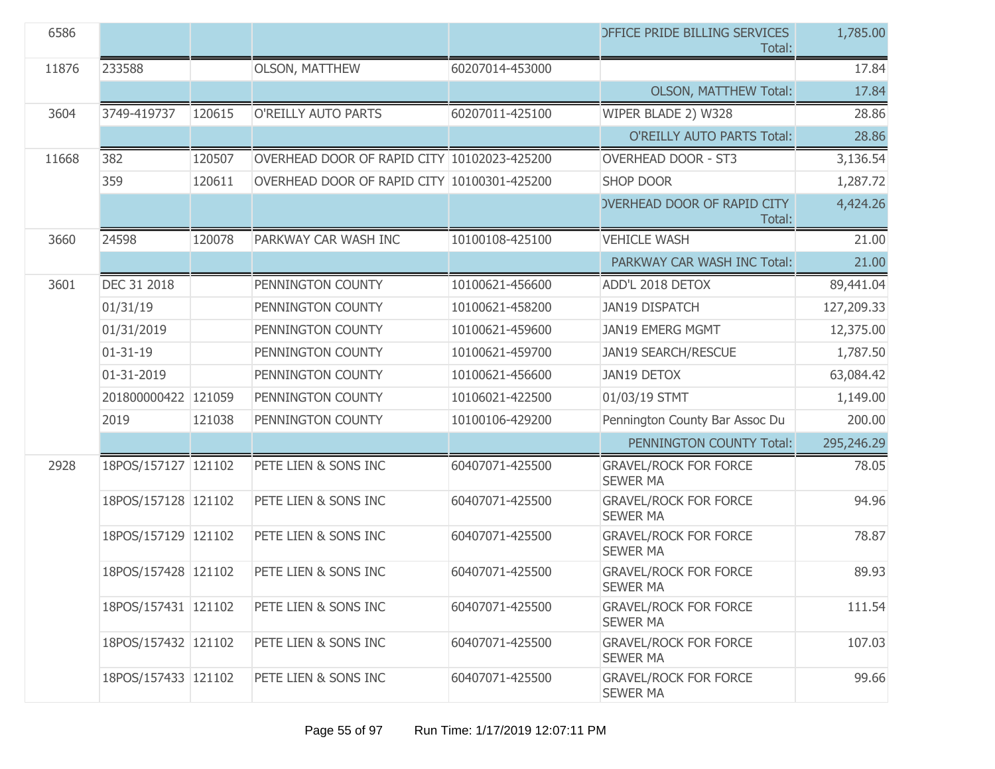| 6586  |                     |        |                                             |                 | <b>DEFICE PRIDE BILLING SERVICES</b><br>Total:  | 1,785.00   |
|-------|---------------------|--------|---------------------------------------------|-----------------|-------------------------------------------------|------------|
| 11876 | 233588              |        | <b>OLSON, MATTHEW</b>                       | 60207014-453000 |                                                 | 17.84      |
|       |                     |        |                                             |                 | <b>OLSON, MATTHEW Total:</b>                    | 17.84      |
| 3604  | 3749-419737         | 120615 | O'REILLY AUTO PARTS                         | 60207011-425100 | WIPER BLADE 2) W328                             | 28.86      |
|       |                     |        |                                             |                 | <b>O'REILLY AUTO PARTS Total:</b>               | 28.86      |
| 11668 | 382                 | 120507 | OVERHEAD DOOR OF RAPID CITY 10102023-425200 |                 | <b>OVERHEAD DOOR - ST3</b>                      | 3,136.54   |
|       | 359                 | 120611 | OVERHEAD DOOR OF RAPID CITY 10100301-425200 |                 | <b>SHOP DOOR</b>                                | 1,287.72   |
|       |                     |        |                                             |                 | <b>OVERHEAD DOOR OF RAPID CITY</b><br>Total:    | 4,424.26   |
| 3660  | 24598               | 120078 | PARKWAY CAR WASH INC                        | 10100108-425100 | <b>VEHICLE WASH</b>                             | 21.00      |
|       |                     |        |                                             |                 | PARKWAY CAR WASH INC Total:                     | 21.00      |
| 3601  | DEC 31 2018         |        | PENNINGTON COUNTY                           | 10100621-456600 | ADD'L 2018 DETOX                                | 89,441.04  |
|       | 01/31/19            |        | PENNINGTON COUNTY                           | 10100621-458200 | <b>JAN19 DISPATCH</b>                           | 127,209.33 |
|       | 01/31/2019          |        | PENNINGTON COUNTY                           | 10100621-459600 | <b>JAN19 EMERG MGMT</b>                         | 12,375.00  |
|       | $01 - 31 - 19$      |        | PENNINGTON COUNTY                           | 10100621-459700 | <b>JAN19 SEARCH/RESCUE</b>                      | 1,787.50   |
|       | 01-31-2019          |        | PENNINGTON COUNTY                           | 10100621-456600 | <b>JAN19 DETOX</b>                              | 63,084.42  |
|       | 201800000422 121059 |        | PENNINGTON COUNTY                           | 10106021-422500 | 01/03/19 STMT                                   | 1,149.00   |
|       | 2019                | 121038 | PENNINGTON COUNTY                           | 10100106-429200 | Pennington County Bar Assoc Du                  | 200.00     |
|       |                     |        |                                             |                 | PENNINGTON COUNTY Total:                        | 295,246.29 |
| 2928  | 18POS/157127 121102 |        | PETE LIEN & SONS INC                        | 60407071-425500 | <b>GRAVEL/ROCK FOR FORCE</b><br><b>SEWER MA</b> | 78.05      |
|       | 18POS/157128 121102 |        | PETE LIEN & SONS INC                        | 60407071-425500 | <b>GRAVEL/ROCK FOR FORCE</b><br><b>SEWER MA</b> | 94.96      |
|       | 18POS/157129 121102 |        | PETE LIEN & SONS INC                        | 60407071-425500 | <b>GRAVEL/ROCK FOR FORCE</b><br><b>SEWER MA</b> | 78.87      |
|       | 18POS/157428 121102 |        | PETE LIEN & SONS INC                        | 60407071-425500 | <b>GRAVEL/ROCK FOR FORCE</b><br><b>SEWER MA</b> | 89.93      |
|       | 18POS/157431 121102 |        | PETE LIEN & SONS INC                        | 60407071-425500 | <b>GRAVEL/ROCK FOR FORCE</b><br><b>SEWER MA</b> | 111.54     |
|       | 18POS/157432 121102 |        | PETE LIEN & SONS INC                        | 60407071-425500 | <b>GRAVEL/ROCK FOR FORCE</b><br><b>SEWER MA</b> | 107.03     |
|       | 18POS/157433 121102 |        | PETE LIEN & SONS INC                        | 60407071-425500 | <b>GRAVEL/ROCK FOR FORCE</b><br><b>SEWER MA</b> | 99.66      |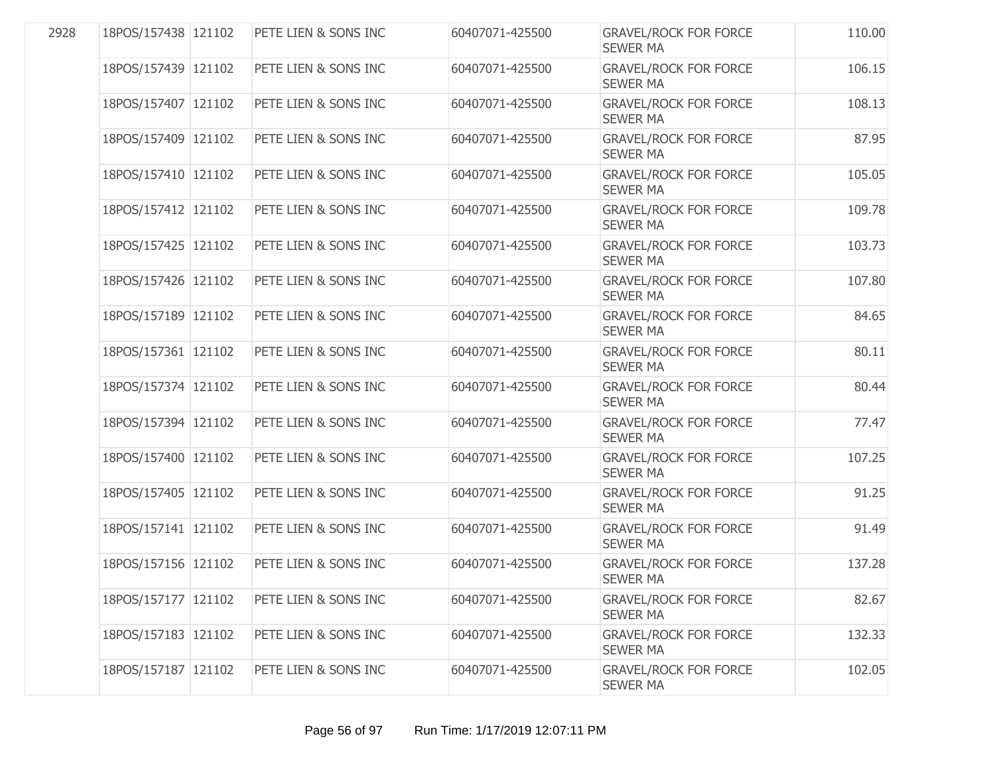| 2928 | 18POS/157438 121102 | PETE LIEN & SONS INC | 60407071-425500 | <b>GRAVEL/ROCK FOR FORCE</b><br><b>SEWER MA</b> | 110.00 |
|------|---------------------|----------------------|-----------------|-------------------------------------------------|--------|
|      | 18POS/157439 121102 | PETE LIEN & SONS INC | 60407071-425500 | <b>GRAVEL/ROCK FOR FORCE</b><br><b>SEWER MA</b> | 106.15 |
|      | 18POS/157407 121102 | PETE LIEN & SONS INC | 60407071-425500 | <b>GRAVEL/ROCK FOR FORCE</b><br><b>SEWER MA</b> | 108.13 |
|      | 18POS/157409 121102 | PETE LIEN & SONS INC | 60407071-425500 | <b>GRAVEL/ROCK FOR FORCE</b><br><b>SEWER MA</b> | 87.95  |
|      | 18POS/157410 121102 | PETE LIEN & SONS INC | 60407071-425500 | <b>GRAVEL/ROCK FOR FORCE</b><br><b>SEWER MA</b> | 105.05 |
|      | 18POS/157412 121102 | PETE LIEN & SONS INC | 60407071-425500 | <b>GRAVEL/ROCK FOR FORCE</b><br><b>SEWER MA</b> | 109.78 |
|      | 18POS/157425 121102 | PETE LIEN & SONS INC | 60407071-425500 | <b>GRAVEL/ROCK FOR FORCE</b><br><b>SEWER MA</b> | 103.73 |
|      | 18POS/157426 121102 | PETE LIEN & SONS INC | 60407071-425500 | <b>GRAVEL/ROCK FOR FORCE</b><br><b>SEWER MA</b> | 107.80 |
|      | 18POS/157189 121102 | PETE LIEN & SONS INC | 60407071-425500 | <b>GRAVEL/ROCK FOR FORCE</b><br><b>SEWER MA</b> | 84.65  |
|      | 18POS/157361 121102 | PETE LIEN & SONS INC | 60407071-425500 | <b>GRAVEL/ROCK FOR FORCE</b><br><b>SEWER MA</b> | 80.11  |
|      | 18POS/157374 121102 | PETE LIEN & SONS INC | 60407071-425500 | <b>GRAVEL/ROCK FOR FORCE</b><br><b>SEWER MA</b> | 80.44  |
|      | 18POS/157394 121102 | PETE LIEN & SONS INC | 60407071-425500 | <b>GRAVEL/ROCK FOR FORCE</b><br><b>SEWER MA</b> | 77.47  |
|      | 18POS/157400 121102 | PETE LIEN & SONS INC | 60407071-425500 | <b>GRAVEL/ROCK FOR FORCE</b><br><b>SEWER MA</b> | 107.25 |
|      | 18POS/157405 121102 | PETE LIEN & SONS INC | 60407071-425500 | <b>GRAVEL/ROCK FOR FORCE</b><br><b>SEWER MA</b> | 91.25  |
|      | 18POS/157141 121102 | PETE LIEN & SONS INC | 60407071-425500 | <b>GRAVEL/ROCK FOR FORCE</b><br><b>SEWER MA</b> | 91.49  |
|      | 18POS/157156 121102 | PETE LIEN & SONS INC | 60407071-425500 | <b>GRAVEL/ROCK FOR FORCE</b><br><b>SEWER MA</b> | 137.28 |
|      | 18POS/157177 121102 | PETE LIEN & SONS INC | 60407071-425500 | <b>GRAVEL/ROCK FOR FORCE</b><br><b>SEWER MA</b> | 82.67  |
|      | 18POS/157183 121102 | PETE LIEN & SONS INC | 60407071-425500 | <b>GRAVEL/ROCK FOR FORCE</b><br><b>SEWER MA</b> | 132.33 |
|      | 18POS/157187 121102 | PETE LIEN & SONS INC | 60407071-425500 | <b>GRAVEL/ROCK FOR FORCE</b><br><b>SEWER MA</b> | 102.05 |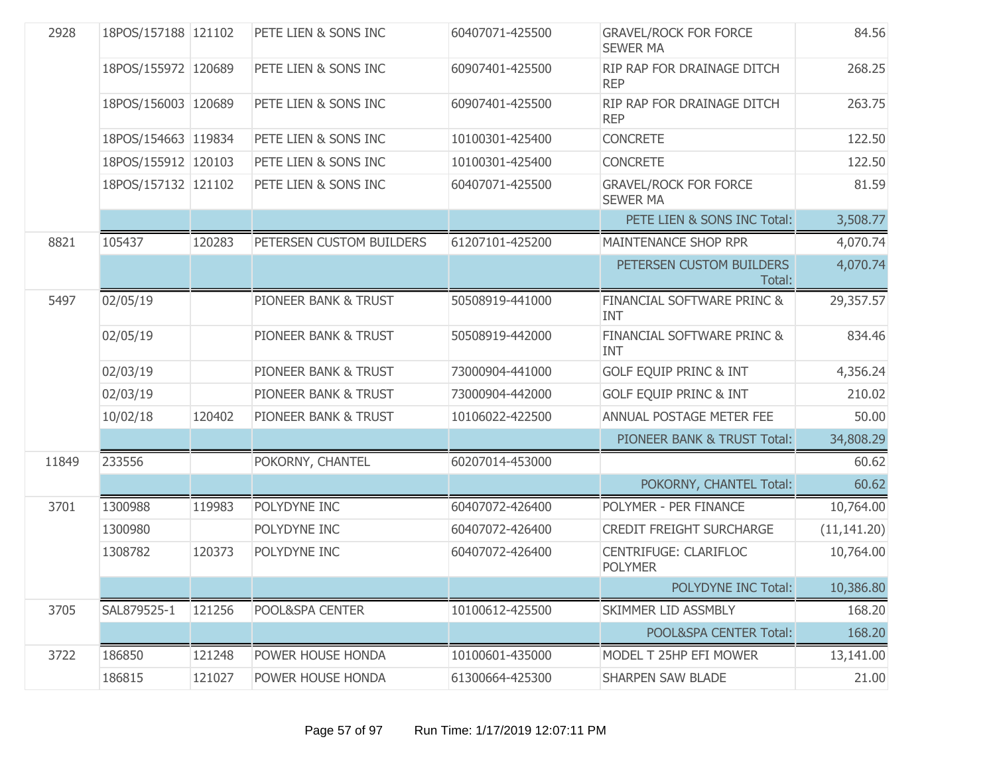| 2928  | 18POS/157188 121102 |        | PETE LIEN & SONS INC     | 60407071-425500 | <b>GRAVEL/ROCK FOR FORCE</b><br><b>SEWER MA</b> | 84.56        |
|-------|---------------------|--------|--------------------------|-----------------|-------------------------------------------------|--------------|
|       | 18POS/155972 120689 |        | PETE LIEN & SONS INC     | 60907401-425500 | RIP RAP FOR DRAINAGE DITCH<br><b>REP</b>        | 268.25       |
|       | 18POS/156003 120689 |        | PETE LIEN & SONS INC     | 60907401-425500 | RIP RAP FOR DRAINAGE DITCH<br><b>REP</b>        | 263.75       |
|       | 18POS/154663 119834 |        | PETE LIEN & SONS INC     | 10100301-425400 | <b>CONCRETE</b>                                 | 122.50       |
|       | 18POS/155912 120103 |        | PETE LIEN & SONS INC     | 10100301-425400 | <b>CONCRETE</b>                                 | 122.50       |
|       | 18POS/157132 121102 |        | PETE LIEN & SONS INC     | 60407071-425500 | <b>GRAVEL/ROCK FOR FORCE</b><br><b>SEWER MA</b> | 81.59        |
|       |                     |        |                          |                 | PETE LIEN & SONS INC Total:                     | 3,508.77     |
| 8821  | 105437              | 120283 | PETERSEN CUSTOM BUILDERS | 61207101-425200 | MAINTENANCE SHOP RPR                            | 4,070.74     |
|       |                     |        |                          |                 | PETERSEN CUSTOM BUILDERS<br>Total:              | 4,070.74     |
| 5497  | 02/05/19            |        | PIONEER BANK & TRUST     | 50508919-441000 | FINANCIAL SOFTWARE PRINC &<br><b>INT</b>        | 29,357.57    |
|       | 02/05/19            |        | PIONEER BANK & TRUST     | 50508919-442000 | FINANCIAL SOFTWARE PRINC &<br><b>INT</b>        | 834.46       |
|       | 02/03/19            |        | PIONEER BANK & TRUST     | 73000904-441000 | <b>GOLF EQUIP PRINC &amp; INT</b>               | 4,356.24     |
|       | 02/03/19            |        | PIONEER BANK & TRUST     | 73000904-442000 | <b>GOLF EQUIP PRINC &amp; INT</b>               | 210.02       |
|       | 10/02/18            | 120402 | PIONEER BANK & TRUST     | 10106022-422500 | ANNUAL POSTAGE METER FEE                        | 50.00        |
|       |                     |        |                          |                 | PIONEER BANK & TRUST Total:                     | 34,808.29    |
| 11849 | 233556              |        | POKORNY, CHANTEL         | 60207014-453000 |                                                 | 60.62        |
|       |                     |        |                          |                 | POKORNY, CHANTEL Total:                         | 60.62        |
| 3701  | 1300988             | 119983 | POLYDYNE INC             | 60407072-426400 | POLYMER - PER FINANCE                           | 10,764.00    |
|       | 1300980             |        | POLYDYNE INC             | 60407072-426400 | <b>CREDIT FREIGHT SURCHARGE</b>                 | (11, 141.20) |
|       | 1308782             | 120373 | POLYDYNE INC             | 60407072-426400 | CENTRIFUGE: CLARIFLOC<br><b>POLYMER</b>         | 10,764.00    |
|       |                     |        |                          |                 | POLYDYNE INC Total:                             | 10,386.80    |
| 3705  | SAL879525-1         | 121256 | POOL&SPA CENTER          | 10100612-425500 | SKIMMER LID ASSMBLY                             | 168.20       |
|       |                     |        |                          |                 | POOL&SPA CENTER Total:                          | 168.20       |
| 3722  | 186850              | 121248 | POWER HOUSE HONDA        | 10100601-435000 | MODEL T 25HP EFI MOWER                          | 13,141.00    |
|       | 186815              | 121027 | POWER HOUSE HONDA        | 61300664-425300 | <b>SHARPEN SAW BLADE</b>                        | 21.00        |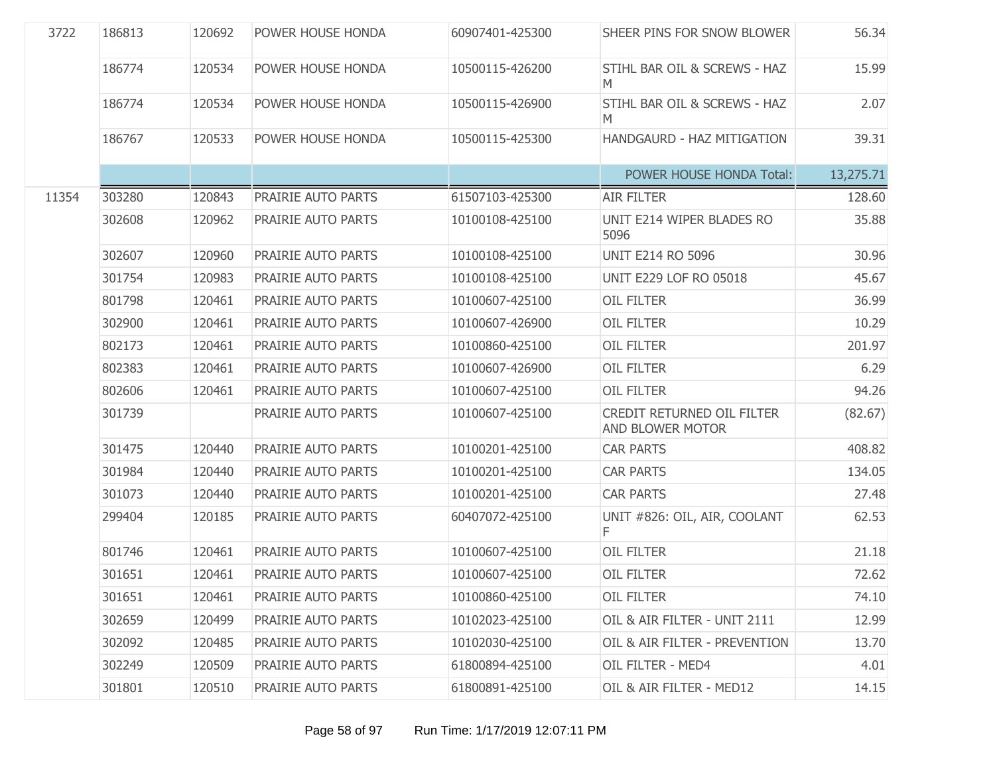| 3722  | 186813 | 120692 | POWER HOUSE HONDA  | 60907401-425300 | SHEER PINS FOR SNOW BLOWER                     | 56.34     |
|-------|--------|--------|--------------------|-----------------|------------------------------------------------|-----------|
|       | 186774 | 120534 | POWER HOUSE HONDA  | 10500115-426200 | STIHL BAR OIL & SCREWS - HAZ<br>M              | 15.99     |
|       | 186774 | 120534 | POWER HOUSE HONDA  | 10500115-426900 | STIHL BAR OIL & SCREWS - HAZ<br>M              | 2.07      |
|       | 186767 | 120533 | POWER HOUSE HONDA  | 10500115-425300 | HANDGAURD - HAZ MITIGATION                     | 39.31     |
|       |        |        |                    |                 | POWER HOUSE HONDA Total:                       | 13,275.71 |
| 11354 | 303280 | 120843 | PRAIRIE AUTO PARTS | 61507103-425300 | <b>AIR FILTER</b>                              | 128.60    |
|       | 302608 | 120962 | PRAIRIE AUTO PARTS | 10100108-425100 | UNIT E214 WIPER BLADES RO<br>5096              | 35.88     |
|       | 302607 | 120960 | PRAIRIE AUTO PARTS | 10100108-425100 | <b>UNIT E214 RO 5096</b>                       | 30.96     |
|       | 301754 | 120983 | PRAIRIE AUTO PARTS | 10100108-425100 | <b>UNIT E229 LOF RO 05018</b>                  | 45.67     |
|       | 801798 | 120461 | PRAIRIE AUTO PARTS | 10100607-425100 | <b>OIL FILTER</b>                              | 36.99     |
|       | 302900 | 120461 | PRAIRIE AUTO PARTS | 10100607-426900 | <b>OIL FILTER</b>                              | 10.29     |
|       | 802173 | 120461 | PRAIRIE AUTO PARTS | 10100860-425100 | <b>OIL FILTER</b>                              | 201.97    |
|       | 802383 | 120461 | PRAIRIE AUTO PARTS | 10100607-426900 | <b>OIL FILTER</b>                              | 6.29      |
|       | 802606 | 120461 | PRAIRIE AUTO PARTS | 10100607-425100 | <b>OIL FILTER</b>                              | 94.26     |
|       | 301739 |        | PRAIRIE AUTO PARTS | 10100607-425100 | CREDIT RETURNED OIL FILTER<br>AND BLOWER MOTOR | (82.67)   |
|       | 301475 | 120440 | PRAIRIE AUTO PARTS | 10100201-425100 | <b>CAR PARTS</b>                               | 408.82    |
|       | 301984 | 120440 | PRAIRIE AUTO PARTS | 10100201-425100 | <b>CAR PARTS</b>                               | 134.05    |
|       | 301073 | 120440 | PRAIRIE AUTO PARTS | 10100201-425100 | <b>CAR PARTS</b>                               | 27.48     |
|       | 299404 | 120185 | PRAIRIE AUTO PARTS | 60407072-425100 | UNIT #826: OIL, AIR, COOLANT<br>F              | 62.53     |
|       | 801746 | 120461 | PRAIRIE AUTO PARTS | 10100607-425100 | <b>OIL FILTER</b>                              | 21.18     |
|       | 301651 | 120461 | PRAIRIE AUTO PARTS | 10100607-425100 | <b>OIL FILTER</b>                              | 72.62     |
|       | 301651 | 120461 | PRAIRIE AUTO PARTS | 10100860-425100 | <b>OIL FILTER</b>                              | 74.10     |
|       | 302659 | 120499 | PRAIRIE AUTO PARTS | 10102023-425100 | OIL & AIR FILTER - UNIT 2111                   | 12.99     |
|       | 302092 | 120485 | PRAIRIE AUTO PARTS | 10102030-425100 | OIL & AIR FILTER - PREVENTION                  | 13.70     |
|       | 302249 | 120509 | PRAIRIE AUTO PARTS | 61800894-425100 | OIL FILTER - MED4                              | 4.01      |
|       | 301801 | 120510 | PRAIRIE AUTO PARTS | 61800891-425100 | OIL & AIR FILTER - MED12                       | 14.15     |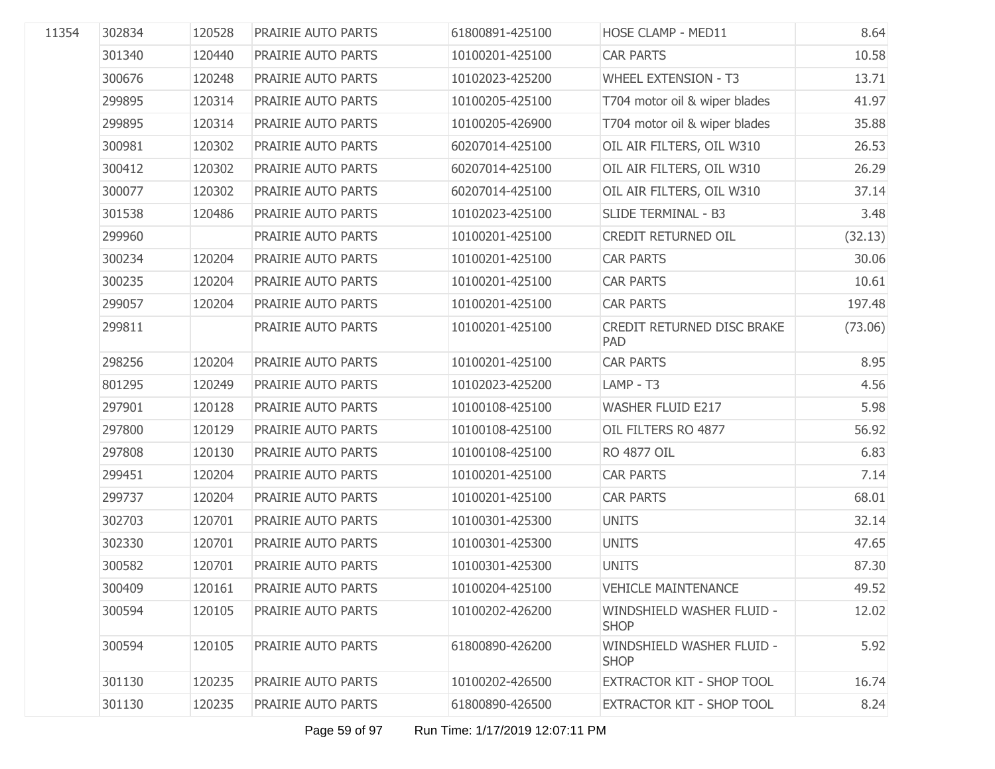| 11354 | 302834 | 120528 | PRAIRIE AUTO PARTS | 61800891-425100 | HOSE CLAMP - MED11                       | 8.64    |
|-------|--------|--------|--------------------|-----------------|------------------------------------------|---------|
|       | 301340 | 120440 | PRAIRIE AUTO PARTS | 10100201-425100 | <b>CAR PARTS</b>                         | 10.58   |
|       | 300676 | 120248 | PRAIRIE AUTO PARTS | 10102023-425200 | <b>WHEEL EXTENSION - T3</b>              | 13.71   |
|       | 299895 | 120314 | PRAIRIE AUTO PARTS | 10100205-425100 | T704 motor oil & wiper blades            | 41.97   |
|       | 299895 | 120314 | PRAIRIE AUTO PARTS | 10100205-426900 | T704 motor oil & wiper blades            | 35.88   |
|       | 300981 | 120302 | PRAIRIE AUTO PARTS | 60207014-425100 | OIL AIR FILTERS, OIL W310                | 26.53   |
|       | 300412 | 120302 | PRAIRIE AUTO PARTS | 60207014-425100 | OIL AIR FILTERS, OIL W310                | 26.29   |
|       | 300077 | 120302 | PRAIRIE AUTO PARTS | 60207014-425100 | OIL AIR FILTERS, OIL W310                | 37.14   |
|       | 301538 | 120486 | PRAIRIE AUTO PARTS | 10102023-425100 | SLIDE TERMINAL - B3                      | 3.48    |
|       | 299960 |        | PRAIRIE AUTO PARTS | 10100201-425100 | CREDIT RETURNED OIL                      | (32.13) |
|       | 300234 | 120204 | PRAIRIE AUTO PARTS | 10100201-425100 | <b>CAR PARTS</b>                         | 30.06   |
|       | 300235 | 120204 | PRAIRIE AUTO PARTS | 10100201-425100 | <b>CAR PARTS</b>                         | 10.61   |
|       | 299057 | 120204 | PRAIRIE AUTO PARTS | 10100201-425100 | <b>CAR PARTS</b>                         | 197.48  |
|       | 299811 |        | PRAIRIE AUTO PARTS | 10100201-425100 | CREDIT RETURNED DISC BRAKE<br>PAD        | (73.06) |
|       | 298256 | 120204 | PRAIRIE AUTO PARTS | 10100201-425100 | <b>CAR PARTS</b>                         | 8.95    |
|       | 801295 | 120249 | PRAIRIE AUTO PARTS | 10102023-425200 | LAMP - T3                                | 4.56    |
|       | 297901 | 120128 | PRAIRIE AUTO PARTS | 10100108-425100 | <b>WASHER FLUID E217</b>                 | 5.98    |
|       | 297800 | 120129 | PRAIRIE AUTO PARTS | 10100108-425100 | OIL FILTERS RO 4877                      | 56.92   |
|       | 297808 | 120130 | PRAIRIE AUTO PARTS | 10100108-425100 | RO 4877 OIL                              | 6.83    |
|       | 299451 | 120204 | PRAIRIE AUTO PARTS | 10100201-425100 | <b>CAR PARTS</b>                         | 7.14    |
|       | 299737 | 120204 | PRAIRIE AUTO PARTS | 10100201-425100 | <b>CAR PARTS</b>                         | 68.01   |
|       | 302703 | 120701 | PRAIRIE AUTO PARTS | 10100301-425300 | <b>UNITS</b>                             | 32.14   |
|       | 302330 | 120701 | PRAIRIE AUTO PARTS | 10100301-425300 | <b>UNITS</b>                             | 47.65   |
|       | 300582 | 120701 | PRAIRIE AUTO PARTS | 10100301-425300 | <b>UNITS</b>                             | 87.30   |
|       | 300409 | 120161 | PRAIRIE AUTO PARTS | 10100204-425100 | <b>VEHICLE MAINTENANCE</b>               | 49.52   |
|       | 300594 | 120105 | PRAIRIE AUTO PARTS | 10100202-426200 | WINDSHIELD WASHER FLUID -<br><b>SHOP</b> | 12.02   |
|       | 300594 | 120105 | PRAIRIE AUTO PARTS | 61800890-426200 | WINDSHIELD WASHER FLUID -<br><b>SHOP</b> | 5.92    |
|       | 301130 | 120235 | PRAIRIE AUTO PARTS | 10100202-426500 | EXTRACTOR KIT - SHOP TOOL                | 16.74   |
|       | 301130 | 120235 | PRAIRIE AUTO PARTS | 61800890-426500 | EXTRACTOR KIT - SHOP TOOL                | 8.24    |

Page 59 of 97 Run Time: 1/17/2019 12:07:11 PM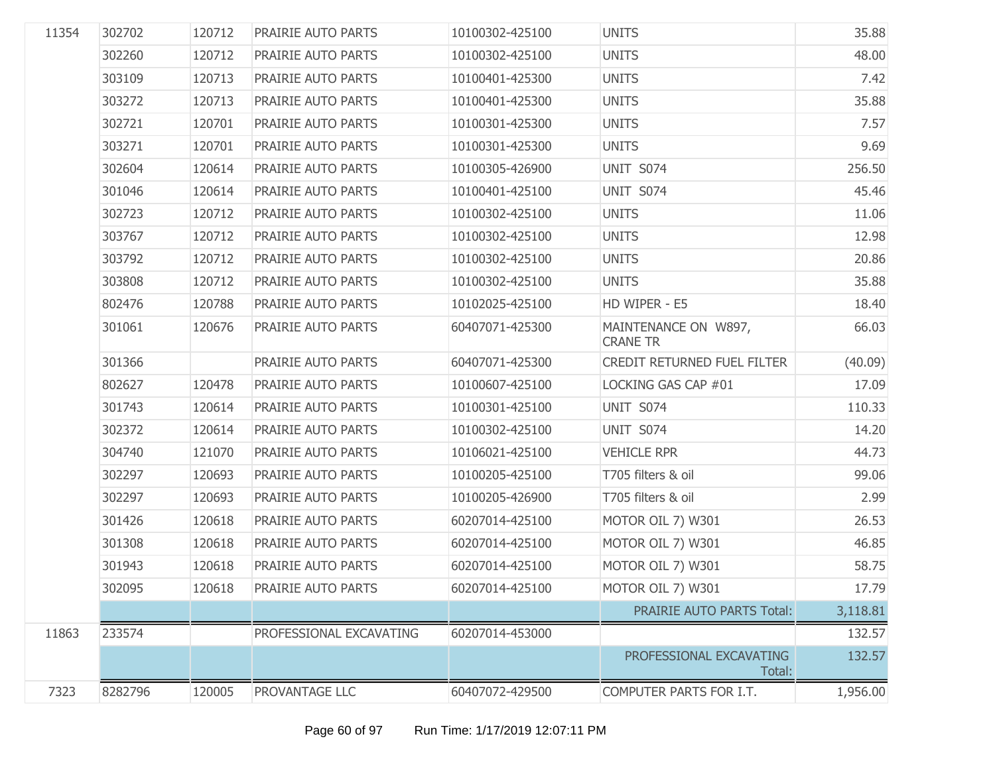| 11354 | 302702  | 120712 | PRAIRIE AUTO PARTS      | 10100302-425100 | <b>UNITS</b>                            | 35.88    |
|-------|---------|--------|-------------------------|-----------------|-----------------------------------------|----------|
|       | 302260  | 120712 | PRAIRIE AUTO PARTS      | 10100302-425100 | <b>UNITS</b>                            | 48.00    |
|       | 303109  | 120713 | PRAIRIE AUTO PARTS      | 10100401-425300 | <b>UNITS</b>                            | 7.42     |
|       | 303272  | 120713 | PRAIRIE AUTO PARTS      | 10100401-425300 | <b>UNITS</b>                            | 35.88    |
|       | 302721  | 120701 | PRAIRIE AUTO PARTS      | 10100301-425300 | <b>UNITS</b>                            | 7.57     |
|       | 303271  | 120701 | PRAIRIE AUTO PARTS      | 10100301-425300 | <b>UNITS</b>                            | 9.69     |
|       | 302604  | 120614 | PRAIRIE AUTO PARTS      | 10100305-426900 | UNIT S074                               | 256.50   |
|       | 301046  | 120614 | PRAIRIE AUTO PARTS      | 10100401-425100 | UNIT S074                               | 45.46    |
|       | 302723  | 120712 | PRAIRIE AUTO PARTS      | 10100302-425100 | <b>UNITS</b>                            | 11.06    |
|       | 303767  | 120712 | PRAIRIE AUTO PARTS      | 10100302-425100 | <b>UNITS</b>                            | 12.98    |
|       | 303792  | 120712 | PRAIRIE AUTO PARTS      | 10100302-425100 | <b>UNITS</b>                            | 20.86    |
|       | 303808  | 120712 | PRAIRIE AUTO PARTS      | 10100302-425100 | <b>UNITS</b>                            | 35.88    |
|       | 802476  | 120788 | PRAIRIE AUTO PARTS      | 10102025-425100 | HD WIPER - E5                           | 18.40    |
|       | 301061  | 120676 | PRAIRIE AUTO PARTS      | 60407071-425300 | MAINTENANCE ON W897,<br><b>CRANE TR</b> | 66.03    |
|       | 301366  |        | PRAIRIE AUTO PARTS      | 60407071-425300 | <b>CREDIT RETURNED FUEL FILTER</b>      | (40.09)  |
|       | 802627  | 120478 | PRAIRIE AUTO PARTS      | 10100607-425100 | LOCKING GAS CAP #01                     | 17.09    |
|       | 301743  | 120614 | PRAIRIE AUTO PARTS      | 10100301-425100 | UNIT S074                               | 110.33   |
|       | 302372  | 120614 | PRAIRIE AUTO PARTS      | 10100302-425100 | UNIT S074                               | 14.20    |
|       | 304740  | 121070 | PRAIRIE AUTO PARTS      | 10106021-425100 | <b>VEHICLE RPR</b>                      | 44.73    |
|       | 302297  | 120693 | PRAIRIE AUTO PARTS      | 10100205-425100 | T705 filters & oil                      | 99.06    |
|       | 302297  | 120693 | PRAIRIE AUTO PARTS      | 10100205-426900 | T705 filters & oil                      | 2.99     |
|       | 301426  | 120618 | PRAIRIE AUTO PARTS      | 60207014-425100 | MOTOR OIL 7) W301                       | 26.53    |
|       | 301308  | 120618 | PRAIRIE AUTO PARTS      | 60207014-425100 | MOTOR OIL 7) W301                       | 46.85    |
|       | 301943  | 120618 | PRAIRIE AUTO PARTS      | 60207014-425100 | MOTOR OIL 7) W301                       | 58.75    |
|       | 302095  | 120618 | PRAIRIE AUTO PARTS      | 60207014-425100 | MOTOR OIL 7) W301                       | 17.79    |
|       |         |        |                         |                 | PRAIRIE AUTO PARTS Total:               | 3,118.81 |
| 11863 | 233574  |        | PROFESSIONAL EXCAVATING | 60207014-453000 |                                         | 132.57   |
|       |         |        |                         |                 | PROFESSIONAL EXCAVATING<br>Total:       | 132.57   |
| 7323  | 8282796 | 120005 | PROVANTAGE LLC          | 60407072-429500 | COMPUTER PARTS FOR I.T.                 | 1,956.00 |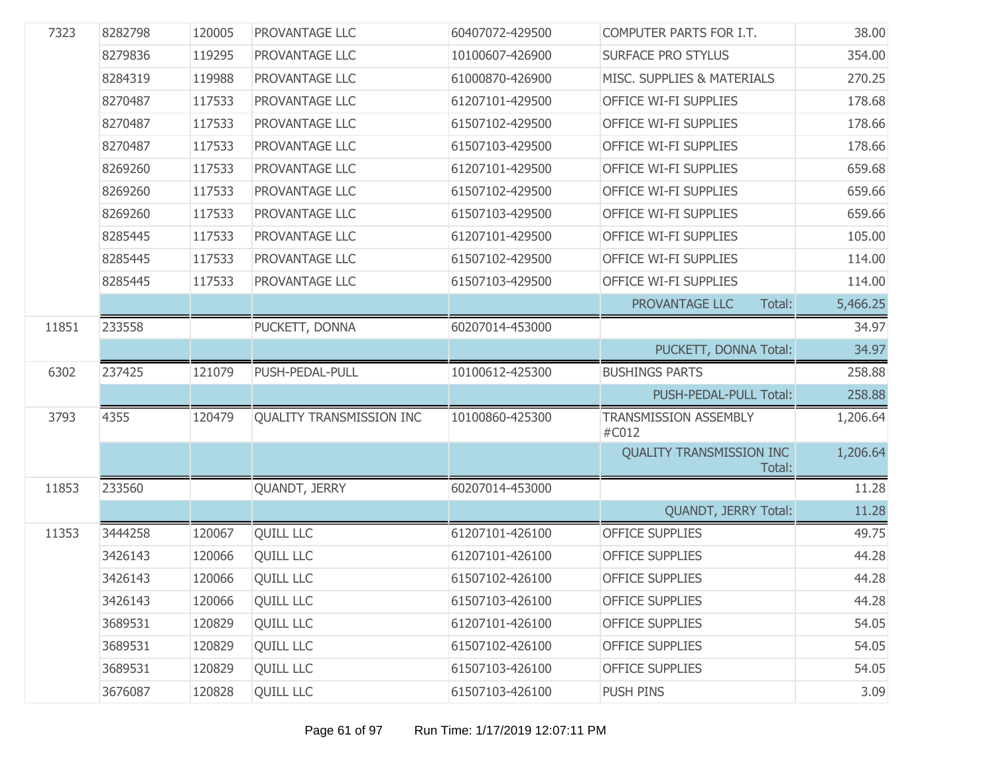| 7323  | 8282798 | 120005 | PROVANTAGE LLC                  | 60407072-429500 | COMPUTER PARTS FOR I.T.                   | 38.00    |
|-------|---------|--------|---------------------------------|-----------------|-------------------------------------------|----------|
|       | 8279836 | 119295 | PROVANTAGE LLC                  | 10100607-426900 | <b>SURFACE PRO STYLUS</b>                 | 354.00   |
|       | 8284319 | 119988 | PROVANTAGE LLC                  | 61000870-426900 | MISC. SUPPLIES & MATERIALS                | 270.25   |
|       | 8270487 | 117533 | PROVANTAGE LLC                  | 61207101-429500 | OFFICE WI-FI SUPPLIES                     | 178.68   |
|       | 8270487 | 117533 | PROVANTAGE LLC                  | 61507102-429500 | OFFICE WI-FI SUPPLIES                     | 178.66   |
|       | 8270487 | 117533 | PROVANTAGE LLC                  | 61507103-429500 | OFFICE WI-FI SUPPLIES                     | 178.66   |
|       | 8269260 | 117533 | PROVANTAGE LLC                  | 61207101-429500 | OFFICE WI-FI SUPPLIES                     | 659.68   |
|       | 8269260 | 117533 | PROVANTAGE LLC                  | 61507102-429500 | OFFICE WI-FI SUPPLIES                     | 659.66   |
|       | 8269260 | 117533 | PROVANTAGE LLC                  | 61507103-429500 | OFFICE WI-FI SUPPLIES                     | 659.66   |
|       | 8285445 | 117533 | PROVANTAGE LLC                  | 61207101-429500 | OFFICE WI-FI SUPPLIES                     | 105.00   |
|       | 8285445 | 117533 | PROVANTAGE LLC                  | 61507102-429500 | OFFICE WI-FI SUPPLIES                     | 114.00   |
|       | 8285445 | 117533 | PROVANTAGE LLC                  | 61507103-429500 | OFFICE WI-FI SUPPLIES                     | 114.00   |
|       |         |        |                                 |                 | PROVANTAGE LLC<br>Total:                  | 5,466.25 |
| 11851 | 233558  |        | PUCKETT, DONNA                  | 60207014-453000 |                                           | 34.97    |
|       |         |        |                                 |                 | PUCKETT, DONNA Total:                     | 34.97    |
| 6302  | 237425  | 121079 | PUSH-PEDAL-PULL                 | 10100612-425300 | <b>BUSHINGS PARTS</b>                     | 258.88   |
|       |         |        |                                 |                 | PUSH-PEDAL-PULL Total:                    | 258.88   |
| 3793  | 4355    | 120479 | <b>QUALITY TRANSMISSION INC</b> | 10100860-425300 | <b>TRANSMISSION ASSEMBLY</b><br>#C012     | 1,206.64 |
|       |         |        |                                 |                 | <b>QUALITY TRANSMISSION INC</b><br>Total: | 1,206.64 |
| 11853 | 233560  |        | QUANDT, JERRY                   | 60207014-453000 |                                           | 11.28    |
|       |         |        |                                 |                 | QUANDT, JERRY Total:                      | 11.28    |
| 11353 | 3444258 | 120067 | <b>QUILL LLC</b>                | 61207101-426100 | <b>OFFICE SUPPLIES</b>                    | 49.75    |
|       | 3426143 | 120066 | <b>QUILL LLC</b>                | 61207101-426100 | <b>OFFICE SUPPLIES</b>                    | 44.28    |
|       | 3426143 | 120066 | <b>QUILL LLC</b>                | 61507102-426100 | <b>OFFICE SUPPLIES</b>                    | 44.28    |
|       | 3426143 | 120066 | <b>QUILL LLC</b>                | 61507103-426100 | <b>OFFICE SUPPLIES</b>                    | 44.28    |
|       | 3689531 | 120829 | <b>QUILL LLC</b>                | 61207101-426100 | <b>OFFICE SUPPLIES</b>                    | 54.05    |
|       | 3689531 | 120829 | <b>QUILL LLC</b>                | 61507102-426100 | <b>OFFICE SUPPLIES</b>                    | 54.05    |
|       | 3689531 | 120829 | <b>QUILL LLC</b>                | 61507103-426100 | <b>OFFICE SUPPLIES</b>                    | 54.05    |
|       | 3676087 | 120828 | <b>QUILL LLC</b>                | 61507103-426100 | PUSH PINS                                 | 3.09     |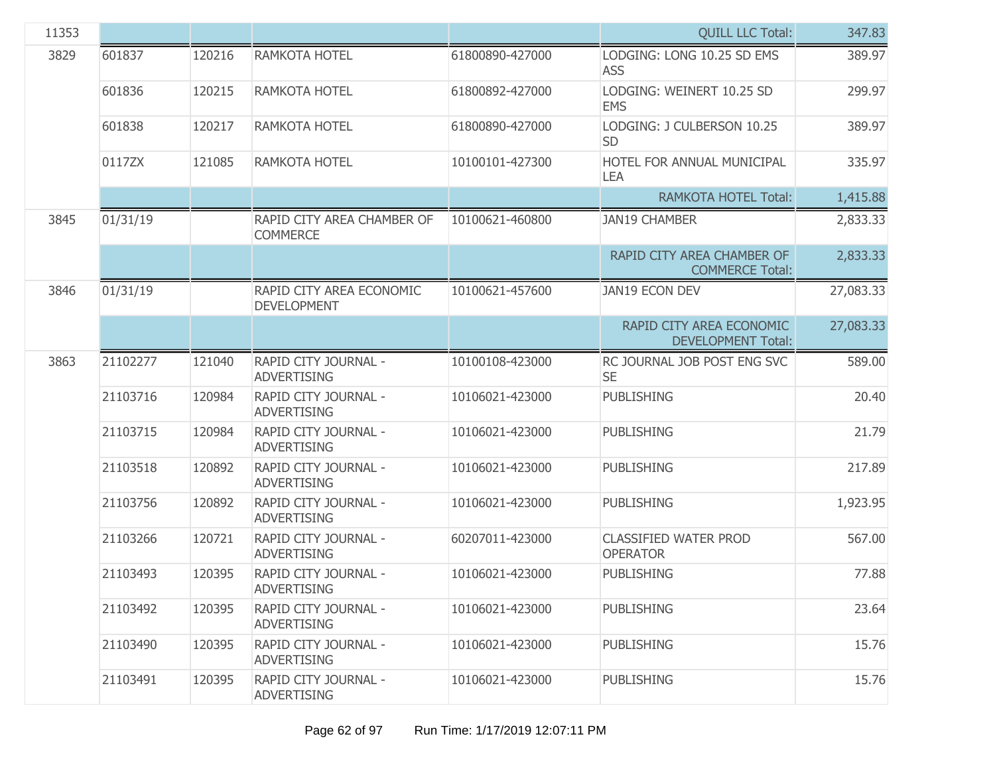| 11353 |          |        |                                                |                 | <b>QUILL LLC Total:</b>                               | 347.83    |
|-------|----------|--------|------------------------------------------------|-----------------|-------------------------------------------------------|-----------|
| 3829  | 601837   | 120216 | RAMKOTA HOTEL                                  | 61800890-427000 | LODGING: LONG 10.25 SD EMS<br><b>ASS</b>              | 389.97    |
|       | 601836   | 120215 | RAMKOTA HOTEL                                  | 61800892-427000 | LODGING: WEINERT 10.25 SD<br><b>EMS</b>               | 299.97    |
|       | 601838   | 120217 | RAMKOTA HOTEL                                  | 61800890-427000 | LODGING: J CULBERSON 10.25<br><b>SD</b>               | 389.97    |
|       | 0117ZX   | 121085 | RAMKOTA HOTEL                                  | 10100101-427300 | HOTEL FOR ANNUAL MUNICIPAL<br>LEA                     | 335.97    |
|       |          |        |                                                |                 | <b>RAMKOTA HOTEL Total:</b>                           | 1,415.88  |
| 3845  | 01/31/19 |        | RAPID CITY AREA CHAMBER OF<br><b>COMMERCE</b>  | 10100621-460800 | <b>JAN19 CHAMBER</b>                                  | 2,833.33  |
|       |          |        |                                                |                 | RAPID CITY AREA CHAMBER OF<br><b>COMMERCE Total:</b>  | 2,833.33  |
| 3846  | 01/31/19 |        | RAPID CITY AREA ECONOMIC<br><b>DEVELOPMENT</b> | 10100621-457600 | <b>JAN19 ECON DEV</b>                                 | 27,083.33 |
|       |          |        |                                                |                 | RAPID CITY AREA ECONOMIC<br><b>DEVELOPMENT Total:</b> | 27,083.33 |
| 3863  | 21102277 | 121040 | RAPID CITY JOURNAL -<br><b>ADVERTISING</b>     | 10100108-423000 | RC JOURNAL JOB POST ENG SVC<br><b>SE</b>              | 589.00    |
|       | 21103716 | 120984 | RAPID CITY JOURNAL -<br><b>ADVERTISING</b>     | 10106021-423000 | <b>PUBLISHING</b>                                     | 20.40     |
|       | 21103715 | 120984 | RAPID CITY JOURNAL -<br><b>ADVERTISING</b>     | 10106021-423000 | <b>PUBLISHING</b>                                     | 21.79     |
|       | 21103518 | 120892 | RAPID CITY JOURNAL -<br><b>ADVERTISING</b>     | 10106021-423000 | <b>PUBLISHING</b>                                     | 217.89    |
|       | 21103756 | 120892 | RAPID CITY JOURNAL -<br><b>ADVERTISING</b>     | 10106021-423000 | <b>PUBLISHING</b>                                     | 1,923.95  |
|       | 21103266 | 120721 | RAPID CITY JOURNAL -<br><b>ADVERTISING</b>     | 60207011-423000 | <b>CLASSIFIED WATER PROD</b><br><b>OPERATOR</b>       | 567.00    |
|       | 21103493 | 120395 | RAPID CITY JOURNAL -<br><b>ADVERTISING</b>     | 10106021-423000 | <b>PUBLISHING</b>                                     | 77.88     |
|       | 21103492 | 120395 | RAPID CITY JOURNAL -<br><b>ADVERTISING</b>     | 10106021-423000 | <b>PUBLISHING</b>                                     | 23.64     |
|       | 21103490 | 120395 | RAPID CITY JOURNAL -<br><b>ADVERTISING</b>     | 10106021-423000 | <b>PUBLISHING</b>                                     | 15.76     |
|       | 21103491 | 120395 | RAPID CITY JOURNAL -<br><b>ADVERTISING</b>     | 10106021-423000 | <b>PUBLISHING</b>                                     | 15.76     |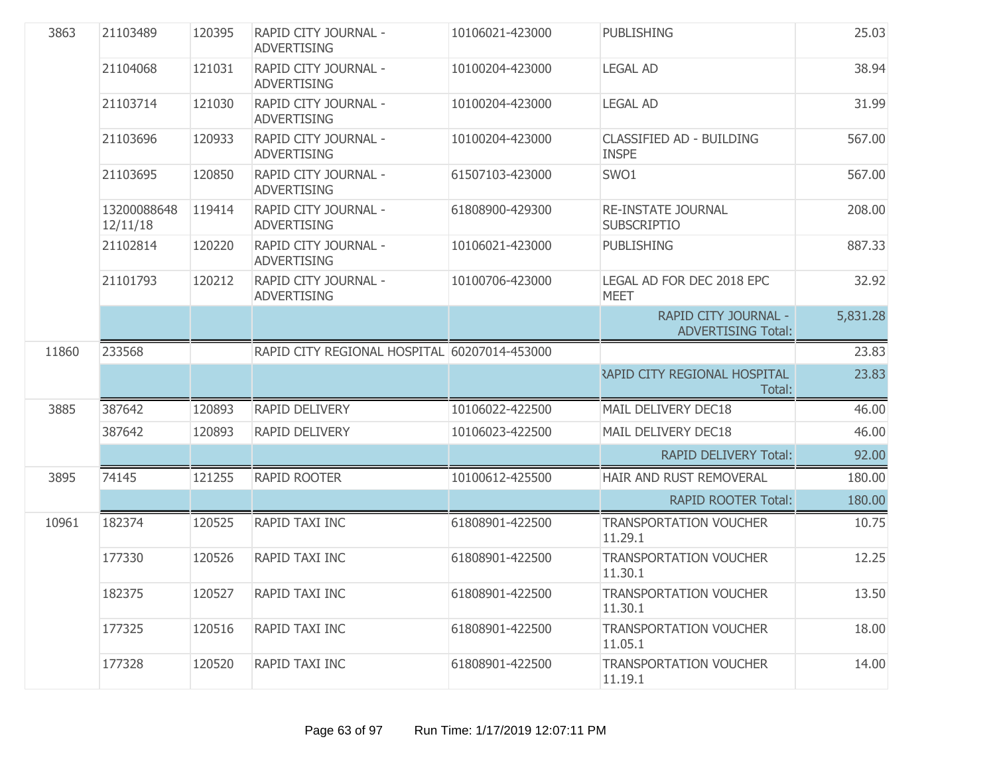| 3863  | 21103489                | 120395 | RAPID CITY JOURNAL -<br><b>ADVERTISING</b>   | 10106021-423000 | <b>PUBLISHING</b>                                 | 25.03    |
|-------|-------------------------|--------|----------------------------------------------|-----------------|---------------------------------------------------|----------|
|       | 21104068                | 121031 | RAPID CITY JOURNAL -<br><b>ADVERTISING</b>   | 10100204-423000 | <b>LEGAL AD</b>                                   | 38.94    |
|       | 21103714                | 121030 | RAPID CITY JOURNAL -<br><b>ADVERTISING</b>   | 10100204-423000 | <b>LEGAL AD</b>                                   | 31.99    |
|       | 21103696                | 120933 | RAPID CITY JOURNAL -<br><b>ADVERTISING</b>   | 10100204-423000 | <b>CLASSIFIED AD - BUILDING</b><br><b>INSPE</b>   | 567.00   |
|       | 21103695                | 120850 | RAPID CITY JOURNAL -<br><b>ADVERTISING</b>   | 61507103-423000 | SWO1                                              | 567.00   |
|       | 13200088648<br>12/11/18 | 119414 | RAPID CITY JOURNAL -<br><b>ADVERTISING</b>   | 61808900-429300 | <b>RE-INSTATE JOURNAL</b><br><b>SUBSCRIPTIO</b>   | 208.00   |
|       | 21102814                | 120220 | RAPID CITY JOURNAL -<br><b>ADVERTISING</b>   | 10106021-423000 | <b>PUBLISHING</b>                                 | 887.33   |
|       | 21101793                | 120212 | RAPID CITY JOURNAL -<br><b>ADVERTISING</b>   | 10100706-423000 | LEGAL AD FOR DEC 2018 EPC<br><b>MEET</b>          | 32.92    |
|       |                         |        |                                              |                 | RAPID CITY JOURNAL -<br><b>ADVERTISING Total:</b> | 5,831.28 |
| 11860 | 233568                  |        | RAPID CITY REGIONAL HOSPITAL 60207014-453000 |                 |                                                   | 23.83    |
|       |                         |        |                                              |                 | <b>APID CITY REGIONAL HOSPITAL</b><br>Total:      | 23.83    |
| 3885  | 387642                  | 120893 | RAPID DELIVERY                               | 10106022-422500 | MAIL DELIVERY DEC18                               | 46.00    |
|       | 387642                  | 120893 | <b>RAPID DELIVERY</b>                        | 10106023-422500 | MAIL DELIVERY DEC18                               | 46.00    |
|       |                         |        |                                              |                 | <b>RAPID DELIVERY Total:</b>                      | 92.00    |
| 3895  | 74145                   | 121255 | <b>RAPID ROOTER</b>                          | 10100612-425500 | HAIR AND RUST REMOVERAL                           | 180.00   |
|       |                         |        |                                              |                 | <b>RAPID ROOTER Total:</b>                        | 180.00   |
| 10961 | 182374                  | 120525 | RAPID TAXI INC                               | 61808901-422500 | <b>TRANSPORTATION VOUCHER</b><br>11.29.1          | 10.75    |
|       | 177330                  | 120526 | RAPID TAXI INC                               | 61808901-422500 | <b>TRANSPORTATION VOUCHER</b><br>11.30.1          | 12.25    |
|       | 182375                  | 120527 | RAPID TAXI INC                               | 61808901-422500 | <b>TRANSPORTATION VOUCHER</b><br>11.30.1          | 13.50    |
|       | 177325                  | 120516 | RAPID TAXI INC                               | 61808901-422500 | <b>TRANSPORTATION VOUCHER</b><br>11.05.1          | 18.00    |
|       | 177328                  | 120520 | RAPID TAXI INC                               | 61808901-422500 | <b>TRANSPORTATION VOUCHER</b><br>11.19.1          | 14.00    |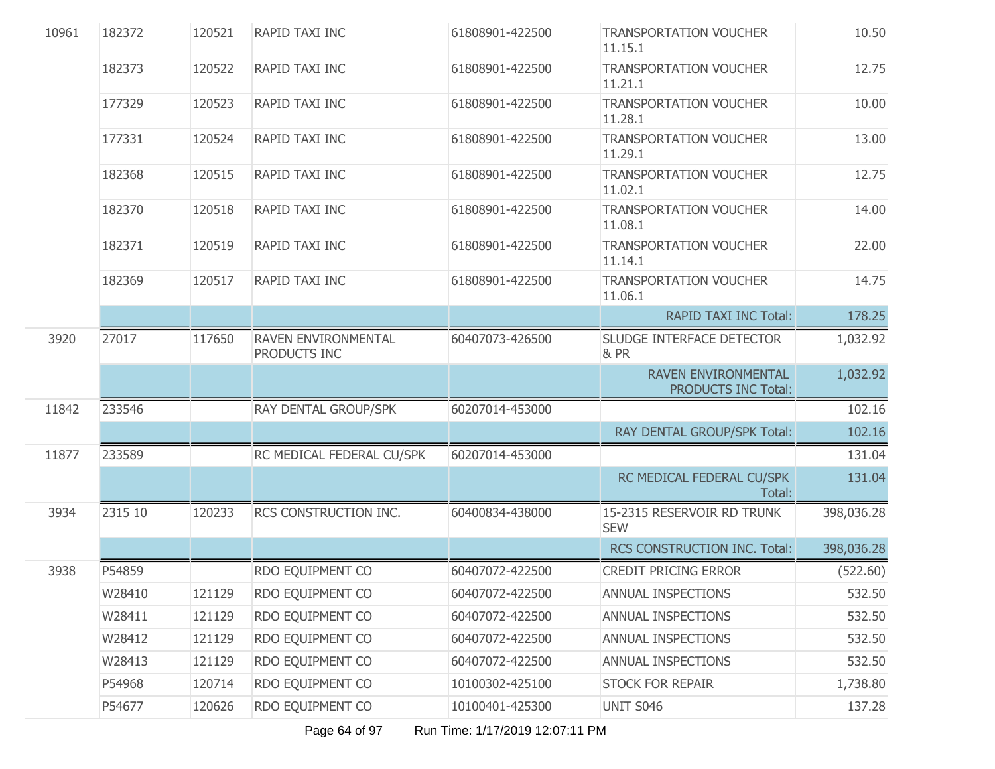| 10961 | 182372  | 120521 | RAPID TAXI INC                      | 61808901-422500 | <b>TRANSPORTATION VOUCHER</b><br>11.15.1   | 10.50      |
|-------|---------|--------|-------------------------------------|-----------------|--------------------------------------------|------------|
|       | 182373  | 120522 | RAPID TAXI INC                      | 61808901-422500 | <b>TRANSPORTATION VOUCHER</b><br>11.21.1   | 12.75      |
|       | 177329  | 120523 | RAPID TAXI INC                      | 61808901-422500 | <b>TRANSPORTATION VOUCHER</b><br>11.28.1   | 10.00      |
|       | 177331  | 120524 | RAPID TAXI INC                      | 61808901-422500 | <b>TRANSPORTATION VOUCHER</b><br>11.29.1   | 13.00      |
|       | 182368  | 120515 | RAPID TAXI INC                      | 61808901-422500 | <b>TRANSPORTATION VOUCHER</b><br>11.02.1   | 12.75      |
|       | 182370  | 120518 | RAPID TAXI INC                      | 61808901-422500 | <b>TRANSPORTATION VOUCHER</b><br>11.08.1   | 14.00      |
|       | 182371  | 120519 | RAPID TAXI INC                      | 61808901-422500 | <b>TRANSPORTATION VOUCHER</b><br>11.14.1   | 22.00      |
|       | 182369  | 120517 | RAPID TAXI INC                      | 61808901-422500 | <b>TRANSPORTATION VOUCHER</b><br>11.06.1   | 14.75      |
|       |         |        |                                     |                 | <b>RAPID TAXI INC Total:</b>               | 178.25     |
| 3920  | 27017   | 117650 | RAVEN ENVIRONMENTAL<br>PRODUCTS INC | 60407073-426500 | SLUDGE INTERFACE DETECTOR<br>& PR          | 1,032.92   |
|       |         |        |                                     |                 | RAVEN ENVIRONMENTAL<br>PRODUCTS INC Total: | 1,032.92   |
| 11842 | 233546  |        | RAY DENTAL GROUP/SPK                | 60207014-453000 |                                            | 102.16     |
|       |         |        |                                     |                 | RAY DENTAL GROUP/SPK Total:                | 102.16     |
| 11877 | 233589  |        | RC MEDICAL FEDERAL CU/SPK           | 60207014-453000 |                                            | 131.04     |
|       |         |        |                                     |                 | RC MEDICAL FEDERAL CU/SPK<br>Total:        | 131.04     |
| 3934  | 2315 10 | 120233 | RCS CONSTRUCTION INC.               | 60400834-438000 | 15-2315 RESERVOIR RD TRUNK<br><b>SEW</b>   | 398,036.28 |
|       |         |        |                                     |                 | RCS CONSTRUCTION INC. Total:               | 398,036.28 |
| 3938  | P54859  |        | RDO EQUIPMENT CO                    | 60407072-422500 | <b>CREDIT PRICING ERROR</b>                | (522.60)   |
|       | W28410  | 121129 | RDO EQUIPMENT CO                    | 60407072-422500 | ANNUAL INSPECTIONS                         | 532.50     |
|       | W28411  | 121129 | RDO EQUIPMENT CO                    | 60407072-422500 | ANNUAL INSPECTIONS                         | 532.50     |
|       | W28412  | 121129 | RDO EQUIPMENT CO                    | 60407072-422500 | <b>ANNUAL INSPECTIONS</b>                  | 532.50     |
|       | W28413  | 121129 | RDO EQUIPMENT CO                    | 60407072-422500 | ANNUAL INSPECTIONS                         | 532.50     |
|       | P54968  | 120714 | RDO EQUIPMENT CO                    | 10100302-425100 | <b>STOCK FOR REPAIR</b>                    | 1,738.80   |
|       | P54677  | 120626 | RDO EQUIPMENT CO                    | 10100401-425300 | UNIT S046                                  | 137.28     |

Page 64 of 97 Run Time: 1/17/2019 12:07:11 PM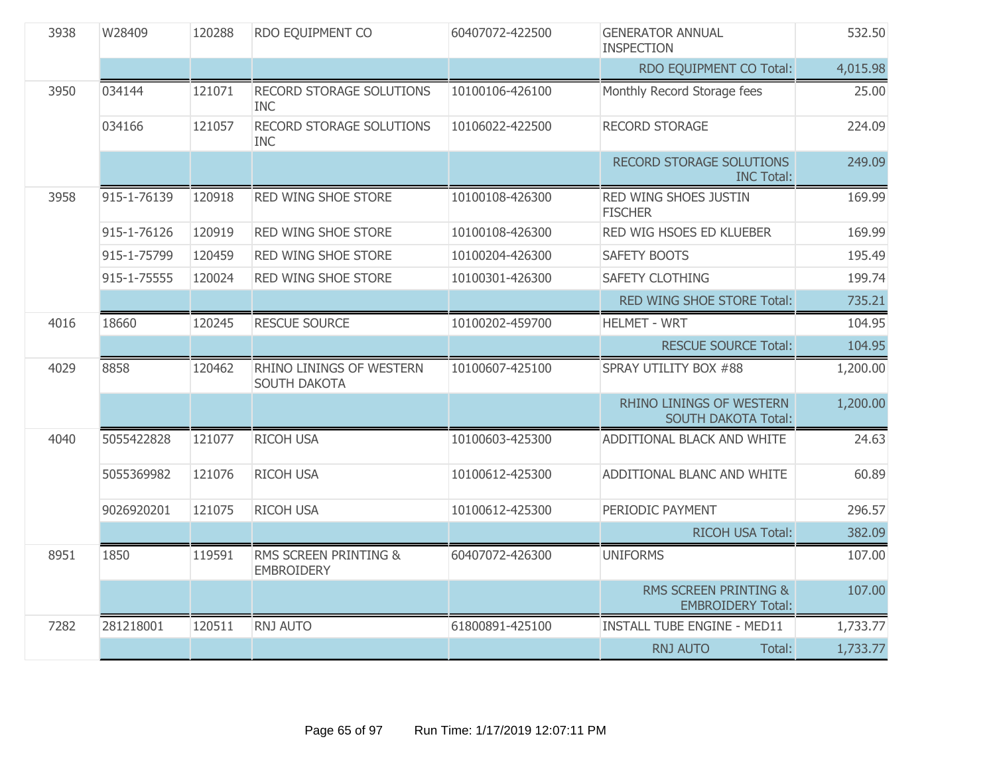| 3938 | W28409      | 120288 | RDO EQUIPMENT CO                              | 60407072-422500 | <b>GENERATOR ANNUAL</b><br><b>INSPECTION</b>                 | 532.50   |
|------|-------------|--------|-----------------------------------------------|-----------------|--------------------------------------------------------------|----------|
|      |             |        |                                               |                 | RDO EQUIPMENT CO Total:                                      | 4,015.98 |
| 3950 | 034144      | 121071 | <b>RECORD STORAGE SOLUTIONS</b><br><b>INC</b> | 10100106-426100 | Monthly Record Storage fees                                  | 25.00    |
|      | 034166      | 121057 | RECORD STORAGE SOLUTIONS<br><b>INC</b>        | 10106022-422500 | <b>RECORD STORAGE</b>                                        | 224.09   |
|      |             |        |                                               |                 | RECORD STORAGE SOLUTIONS<br><b>INC Total:</b>                | 249.09   |
| 3958 | 915-1-76139 | 120918 | <b>RED WING SHOE STORE</b>                    | 10100108-426300 | RED WING SHOES JUSTIN<br><b>FISCHER</b>                      | 169.99   |
|      | 915-1-76126 | 120919 | RED WING SHOE STORE                           | 10100108-426300 | RED WIG HSOES ED KLUEBER                                     | 169.99   |
|      | 915-1-75799 | 120459 | RED WING SHOE STORE                           | 10100204-426300 | <b>SAFETY BOOTS</b>                                          | 195.49   |
|      | 915-1-75555 | 120024 | RED WING SHOE STORE                           | 10100301-426300 | <b>SAFETY CLOTHING</b>                                       | 199.74   |
|      |             |        |                                               |                 | RED WING SHOE STORE Total:                                   | 735.21   |
| 4016 | 18660       | 120245 | <b>RESCUE SOURCE</b>                          | 10100202-459700 | <b>HELMET - WRT</b>                                          | 104.95   |
|      |             |        |                                               |                 | <b>RESCUE SOURCE Total:</b>                                  | 104.95   |
| 4029 | 8858        | 120462 | RHINO LININGS OF WESTERN<br>SOUTH DAKOTA      | 10100607-425100 | SPRAY UTILITY BOX #88                                        | 1,200.00 |
|      |             |        |                                               |                 | RHINO LININGS OF WESTERN<br><b>SOUTH DAKOTA Total:</b>       | 1,200.00 |
| 4040 | 5055422828  | 121077 | <b>RICOH USA</b>                              | 10100603-425300 | ADDITIONAL BLACK AND WHITE                                   | 24.63    |
|      | 5055369982  | 121076 | RICOH USA                                     | 10100612-425300 | ADDITIONAL BLANC AND WHITE                                   | 60.89    |
|      | 9026920201  | 121075 | RICOH USA                                     | 10100612-425300 | PERIODIC PAYMENT                                             | 296.57   |
|      |             |        |                                               |                 | RICOH USA Total:                                             | 382.09   |
| 8951 | 1850        | 119591 | RMS SCREEN PRINTING &<br><b>EMBROIDERY</b>    | 60407072-426300 | <b>UNIFORMS</b>                                              | 107.00   |
|      |             |        |                                               |                 | <b>RMS SCREEN PRINTING &amp;</b><br><b>EMBROIDERY Total:</b> | 107.00   |
| 7282 | 281218001   | 120511 | RNJ AUTO                                      | 61800891-425100 | <b>INSTALL TUBE ENGINE - MED11</b>                           | 1,733.77 |
|      |             |        |                                               |                 | <b>RNJ AUTO</b><br>Total:                                    | 1,733.77 |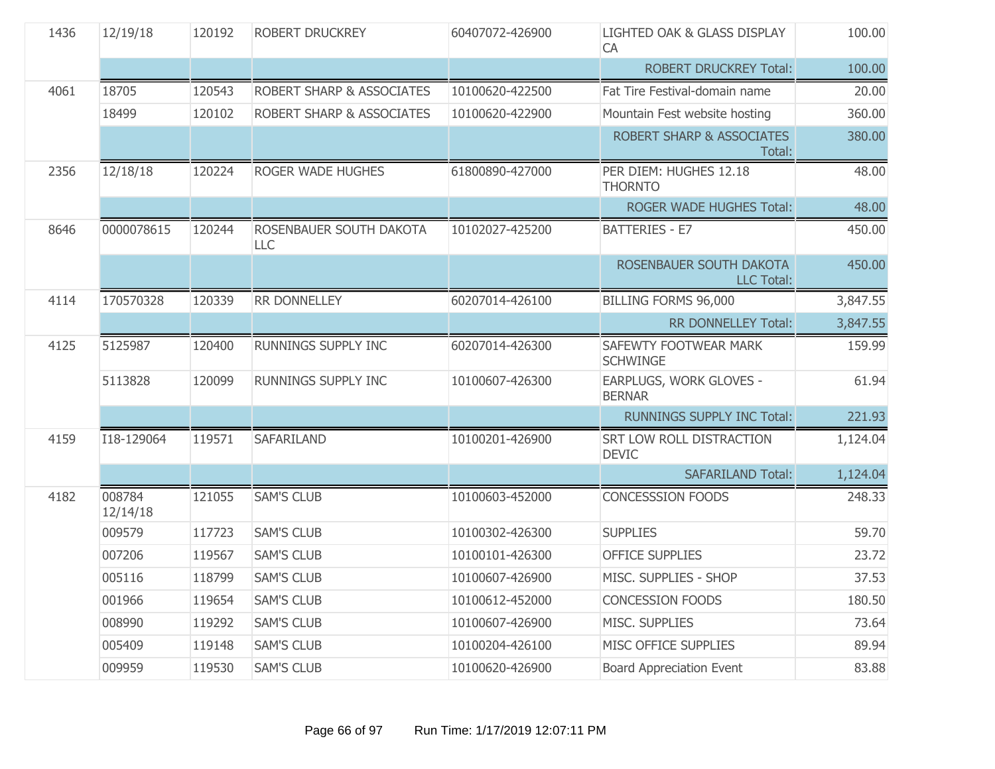| 1436 | 12/19/18           | 120192 | ROBERT DRUCKREY                | 60407072-426900 | LIGHTED OAK & GLASS DISPLAY<br>CA              | 100.00   |
|------|--------------------|--------|--------------------------------|-----------------|------------------------------------------------|----------|
|      |                    |        |                                |                 | <b>ROBERT DRUCKREY Total:</b>                  | 100.00   |
| 4061 | 18705              | 120543 | ROBERT SHARP & ASSOCIATES      | 10100620-422500 | Fat Tire Festival-domain name                  | 20.00    |
|      | 18499              | 120102 | ROBERT SHARP & ASSOCIATES      | 10100620-422900 | Mountain Fest website hosting                  | 360.00   |
|      |                    |        |                                |                 | <b>ROBERT SHARP &amp; ASSOCIATES</b><br>Total: | 380.00   |
| 2356 | 12/18/18           | 120224 | <b>ROGER WADE HUGHES</b>       | 61800890-427000 | PER DIEM: HUGHES 12.18<br><b>THORNTO</b>       | 48.00    |
|      |                    |        |                                |                 | ROGER WADE HUGHES Total:                       | 48.00    |
| 8646 | 0000078615         | 120244 | ROSENBAUER SOUTH DAKOTA<br>LLC | 10102027-425200 | <b>BATTERIES - E7</b>                          | 450.00   |
|      |                    |        |                                |                 | ROSENBAUER SOUTH DAKOTA<br><b>LLC Total:</b>   | 450.00   |
| 4114 | 170570328          | 120339 | RR DONNELLEY                   | 60207014-426100 | BILLING FORMS 96,000                           | 3,847.55 |
|      |                    |        |                                |                 | <b>RR DONNELLEY Total:</b>                     | 3,847.55 |
| 4125 | 5125987            | 120400 | <b>RUNNINGS SUPPLY INC</b>     | 60207014-426300 | SAFEWTY FOOTWEAR MARK<br><b>SCHWINGE</b>       | 159.99   |
|      | 5113828            | 120099 | RUNNINGS SUPPLY INC            | 10100607-426300 | EARPLUGS, WORK GLOVES -<br><b>BERNAR</b>       | 61.94    |
|      |                    |        |                                |                 | <b>RUNNINGS SUPPLY INC Total:</b>              | 221.93   |
| 4159 | I18-129064         | 119571 | <b>SAFARILAND</b>              | 10100201-426900 | SRT LOW ROLL DISTRACTION<br><b>DEVIC</b>       | 1,124.04 |
|      |                    |        |                                |                 | <b>SAFARILAND Total:</b>                       | 1,124.04 |
| 4182 | 008784<br>12/14/18 | 121055 | <b>SAM'S CLUB</b>              | 10100603-452000 | <b>CONCESSSION FOODS</b>                       | 248.33   |
|      | 009579             | 117723 | <b>SAM'S CLUB</b>              | 10100302-426300 | <b>SUPPLIES</b>                                | 59.70    |
|      | 007206             | 119567 | <b>SAM'S CLUB</b>              | 10100101-426300 | <b>OFFICE SUPPLIES</b>                         | 23.72    |
|      | 005116             | 118799 | <b>SAM'S CLUB</b>              | 10100607-426900 | MISC. SUPPLIES - SHOP                          | 37.53    |
|      | 001966             | 119654 | <b>SAM'S CLUB</b>              | 10100612-452000 | <b>CONCESSION FOODS</b>                        | 180.50   |
|      | 008990             | 119292 | <b>SAM'S CLUB</b>              | 10100607-426900 | MISC. SUPPLIES                                 | 73.64    |
|      | 005409             | 119148 | <b>SAM'S CLUB</b>              | 10100204-426100 | MISC OFFICE SUPPLIES                           | 89.94    |
|      | 009959             | 119530 | <b>SAM'S CLUB</b>              | 10100620-426900 | <b>Board Appreciation Event</b>                | 83.88    |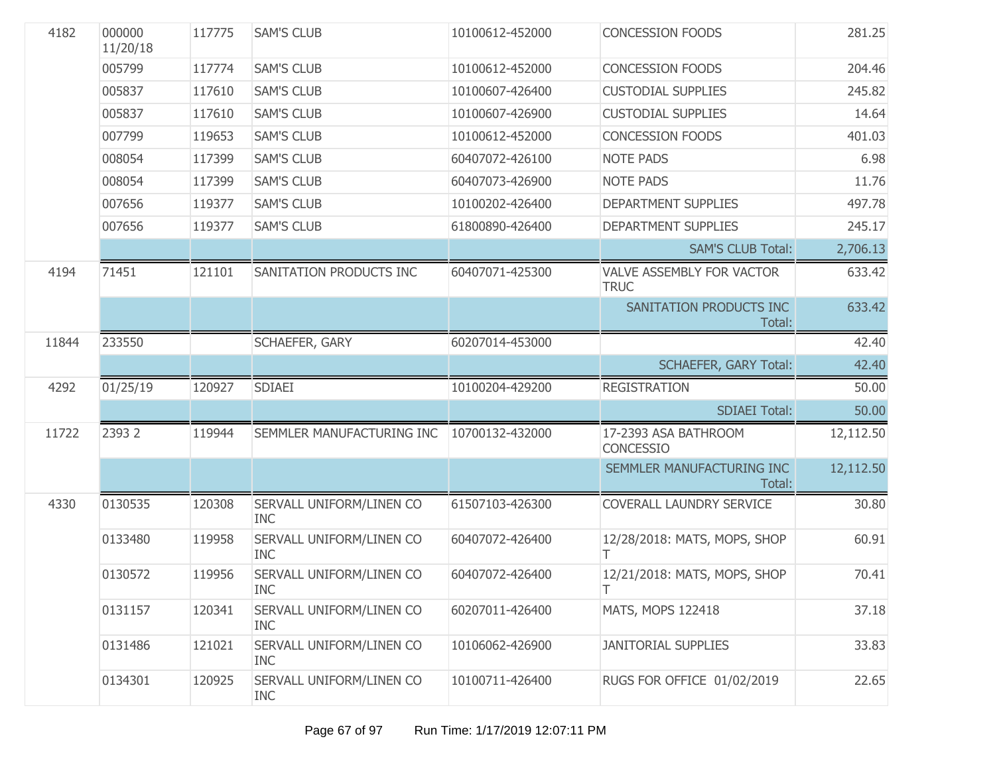| 4182  | 000000<br>11/20/18 | 117775 | <b>SAM'S CLUB</b>                      | 10100612-452000 | <b>CONCESSION FOODS</b>                  | 281.25    |
|-------|--------------------|--------|----------------------------------------|-----------------|------------------------------------------|-----------|
|       | 005799             | 117774 | <b>SAM'S CLUB</b>                      | 10100612-452000 | <b>CONCESSION FOODS</b>                  | 204.46    |
|       | 005837             | 117610 | <b>SAM'S CLUB</b>                      | 10100607-426400 | <b>CUSTODIAL SUPPLIES</b>                | 245.82    |
|       | 005837             | 117610 | <b>SAM'S CLUB</b>                      | 10100607-426900 | <b>CUSTODIAL SUPPLIES</b>                | 14.64     |
|       | 007799             | 119653 | <b>SAM'S CLUB</b>                      | 10100612-452000 | <b>CONCESSION FOODS</b>                  | 401.03    |
|       | 008054             | 117399 | <b>SAM'S CLUB</b>                      | 60407072-426100 | <b>NOTE PADS</b>                         | 6.98      |
|       | 008054             | 117399 | <b>SAM'S CLUB</b>                      | 60407073-426900 | <b>NOTE PADS</b>                         | 11.76     |
|       | 007656             | 119377 | <b>SAM'S CLUB</b>                      | 10100202-426400 | <b>DEPARTMENT SUPPLIES</b>               | 497.78    |
|       | 007656             | 119377 | <b>SAM'S CLUB</b>                      | 61800890-426400 | <b>DEPARTMENT SUPPLIES</b>               | 245.17    |
|       |                    |        |                                        |                 | <b>SAM'S CLUB Total:</b>                 | 2,706.13  |
| 4194  | 71451              | 121101 | SANITATION PRODUCTS INC                | 60407071-425300 | VALVE ASSEMBLY FOR VACTOR<br><b>TRUC</b> | 633.42    |
|       |                    |        |                                        |                 | SANITATION PRODUCTS INC<br>Total:        | 633.42    |
| 11844 | 233550             |        | SCHAEFER, GARY                         | 60207014-453000 |                                          | 42.40     |
|       |                    |        |                                        |                 | <b>SCHAEFER, GARY Total:</b>             | 42.40     |
| 4292  | 01/25/19           | 120927 | <b>SDIAEI</b>                          | 10100204-429200 | <b>REGISTRATION</b>                      | 50.00     |
|       |                    |        |                                        |                 | <b>SDIAEI Total:</b>                     | 50.00     |
| 11722 | 2393 2             | 119944 | SEMMLER MANUFACTURING INC              | 10700132-432000 | 17-2393 ASA BATHROOM<br><b>CONCESSIO</b> | 12,112.50 |
|       |                    |        |                                        |                 | SEMMLER MANUFACTURING INC<br>Total:      | 12,112.50 |
| 4330  | 0130535            | 120308 | SERVALL UNIFORM/LINEN CO<br><b>INC</b> | 61507103-426300 | COVERALL LAUNDRY SERVICE                 | 30.80     |
|       | 0133480            | 119958 | SERVALL UNIFORM/LINEN CO<br><b>INC</b> | 60407072-426400 | 12/28/2018: MATS, MOPS, SHOP<br>T.       | 60.91     |
|       | 0130572            | 119956 | SERVALL UNIFORM/LINEN CO<br><b>INC</b> | 60407072-426400 | 12/21/2018: MATS, MOPS, SHOP             | 70.41     |
|       | 0131157            | 120341 | SERVALL UNIFORM/LINEN CO<br><b>INC</b> | 60207011-426400 | <b>MATS, MOPS 122418</b>                 | 37.18     |
|       | 0131486            | 121021 | SERVALL UNIFORM/LINEN CO<br><b>INC</b> | 10106062-426900 | <b>JANITORIAL SUPPLIES</b>               | 33.83     |
|       | 0134301            | 120925 | SERVALL UNIFORM/LINEN CO<br><b>INC</b> | 10100711-426400 | RUGS FOR OFFICE 01/02/2019               | 22.65     |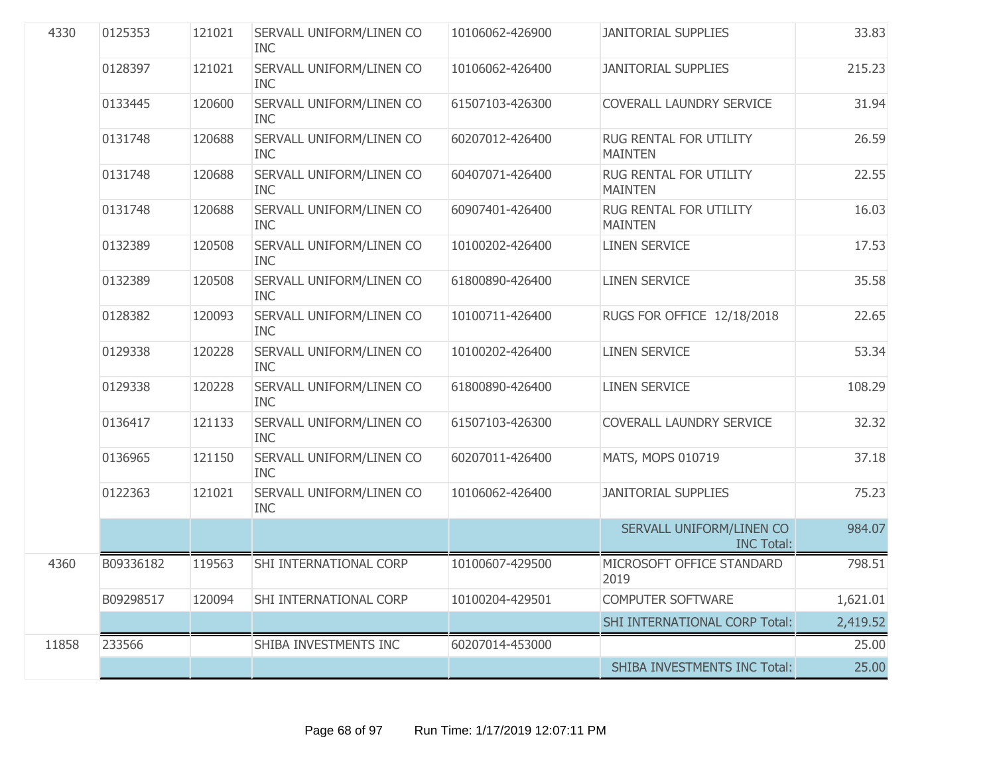| 4330  | 0125353   | 121021 | SERVALL UNIFORM/LINEN CO<br><b>INC</b> | 10106062-426900 | <b>JANITORIAL SUPPLIES</b>                    | 33.83    |
|-------|-----------|--------|----------------------------------------|-----------------|-----------------------------------------------|----------|
|       | 0128397   | 121021 | SERVALL UNIFORM/LINEN CO<br><b>INC</b> | 10106062-426400 | <b>JANITORIAL SUPPLIES</b>                    | 215.23   |
|       | 0133445   | 120600 | SERVALL UNIFORM/LINEN CO<br><b>INC</b> | 61507103-426300 | COVERALL LAUNDRY SERVICE                      | 31.94    |
|       | 0131748   | 120688 | SERVALL UNIFORM/LINEN CO<br><b>INC</b> | 60207012-426400 | RUG RENTAL FOR UTILITY<br><b>MAINTEN</b>      | 26.59    |
|       | 0131748   | 120688 | SERVALL UNIFORM/LINEN CO<br><b>INC</b> | 60407071-426400 | RUG RENTAL FOR UTILITY<br><b>MAINTEN</b>      | 22.55    |
|       | 0131748   | 120688 | SERVALL UNIFORM/LINEN CO<br><b>INC</b> | 60907401-426400 | RUG RENTAL FOR UTILITY<br><b>MAINTEN</b>      | 16.03    |
|       | 0132389   | 120508 | SERVALL UNIFORM/LINEN CO<br><b>INC</b> | 10100202-426400 | <b>LINEN SERVICE</b>                          | 17.53    |
|       | 0132389   | 120508 | SERVALL UNIFORM/LINEN CO<br><b>INC</b> | 61800890-426400 | <b>LINEN SERVICE</b>                          | 35.58    |
|       | 0128382   | 120093 | SERVALL UNIFORM/LINEN CO<br><b>INC</b> | 10100711-426400 | RUGS FOR OFFICE 12/18/2018                    | 22.65    |
|       | 0129338   | 120228 | SERVALL UNIFORM/LINEN CO<br><b>INC</b> | 10100202-426400 | <b>LINEN SERVICE</b>                          | 53.34    |
|       | 0129338   | 120228 | SERVALL UNIFORM/LINEN CO<br><b>INC</b> | 61800890-426400 | <b>LINEN SERVICE</b>                          | 108.29   |
|       | 0136417   | 121133 | SERVALL UNIFORM/LINEN CO<br><b>INC</b> | 61507103-426300 | COVERALL LAUNDRY SERVICE                      | 32.32    |
|       | 0136965   | 121150 | SERVALL UNIFORM/LINEN CO<br><b>INC</b> | 60207011-426400 | MATS, MOPS 010719                             | 37.18    |
|       | 0122363   | 121021 | SERVALL UNIFORM/LINEN CO<br><b>INC</b> | 10106062-426400 | <b>JANITORIAL SUPPLIES</b>                    | 75.23    |
|       |           |        |                                        |                 | SERVALL UNIFORM/LINEN CO<br><b>INC Total:</b> | 984.07   |
| 4360  | B09336182 | 119563 | SHI INTERNATIONAL CORP                 | 10100607-429500 | MICROSOFT OFFICE STANDARD<br>2019             | 798.51   |
|       | B09298517 | 120094 | SHI INTERNATIONAL CORP                 | 10100204-429501 | <b>COMPUTER SOFTWARE</b>                      | 1,621.01 |
|       |           |        |                                        |                 | SHI INTERNATIONAL CORP Total:                 | 2,419.52 |
| 11858 | 233566    |        | SHIBA INVESTMENTS INC                  | 60207014-453000 |                                               | 25.00    |
|       |           |        |                                        |                 | SHIBA INVESTMENTS INC Total:                  | 25.00    |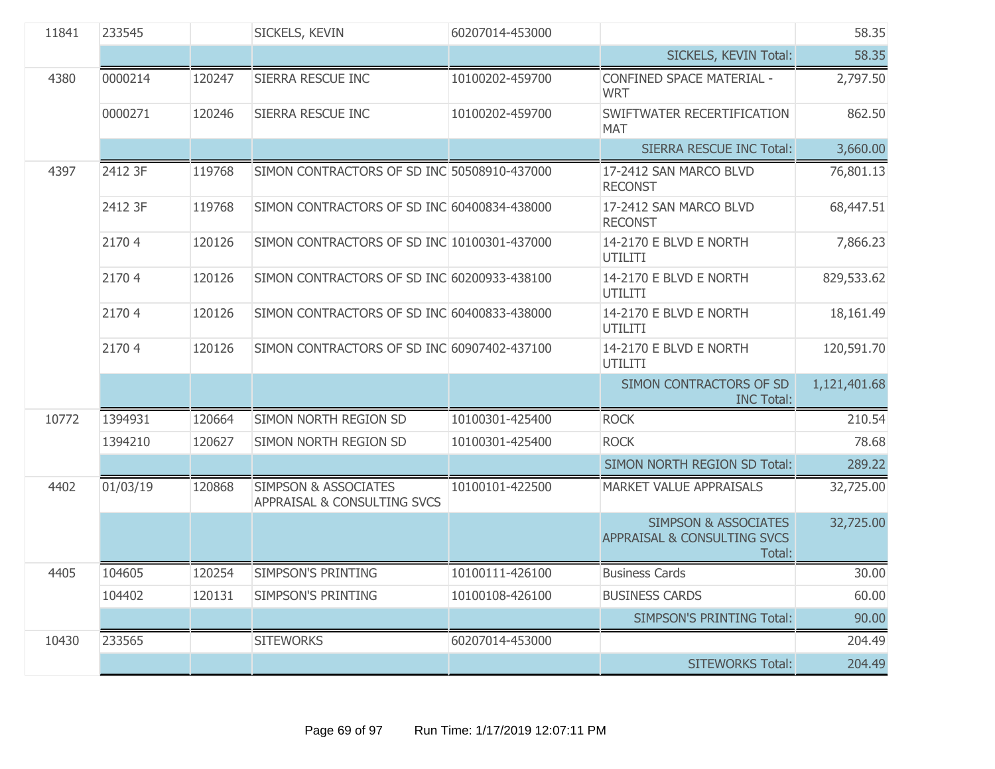| 11841 | 233545   |        | SICKELS, KEVIN                                                 | 60207014-453000 |                                                                                     | 58.35        |
|-------|----------|--------|----------------------------------------------------------------|-----------------|-------------------------------------------------------------------------------------|--------------|
|       |          |        |                                                                |                 | SICKELS, KEVIN Total:                                                               | 58.35        |
| 4380  | 0000214  | 120247 | SIERRA RESCUE INC                                              | 10100202-459700 | CONFINED SPACE MATERIAL -<br><b>WRT</b>                                             | 2,797.50     |
|       | 0000271  | 120246 | SIERRA RESCUE INC                                              | 10100202-459700 | SWIFTWATER RECERTIFICATION<br><b>MAT</b>                                            | 862.50       |
|       |          |        |                                                                |                 | <b>SIERRA RESCUE INC Total:</b>                                                     | 3,660.00     |
| 4397  | 2412 3F  | 119768 | SIMON CONTRACTORS OF SD INC 50508910-437000                    |                 | 17-2412 SAN MARCO BLVD<br><b>RECONST</b>                                            | 76,801.13    |
|       | 2412 3F  | 119768 | SIMON CONTRACTORS OF SD INC 60400834-438000                    |                 | 17-2412 SAN MARCO BLVD<br><b>RECONST</b>                                            | 68,447.51    |
|       | 21704    | 120126 | SIMON CONTRACTORS OF SD INC 10100301-437000                    |                 | 14-2170 E BLVD E NORTH<br><b>UTILITI</b>                                            | 7,866.23     |
|       | 21704    | 120126 | SIMON CONTRACTORS OF SD INC 60200933-438100                    |                 | 14-2170 E BLVD E NORTH<br><b>UTILITI</b>                                            | 829,533.62   |
|       | 21704    | 120126 | SIMON CONTRACTORS OF SD INC 60400833-438000                    |                 | 14-2170 E BLVD E NORTH<br><b>UTILITI</b>                                            | 18,161.49    |
|       | 21704    | 120126 | SIMON CONTRACTORS OF SD INC 60907402-437100                    |                 | 14-2170 E BLVD E NORTH<br><b>UTILITI</b>                                            | 120,591.70   |
|       |          |        |                                                                |                 | SIMON CONTRACTORS OF SD<br><b>INC Total:</b>                                        | 1,121,401.68 |
| 10772 | 1394931  | 120664 | SIMON NORTH REGION SD                                          | 10100301-425400 | <b>ROCK</b>                                                                         | 210.54       |
|       | 1394210  | 120627 | SIMON NORTH REGION SD                                          | 10100301-425400 | <b>ROCK</b>                                                                         | 78.68        |
|       |          |        |                                                                |                 | SIMON NORTH REGION SD Total:                                                        | 289.22       |
| 4402  | 01/03/19 | 120868 | <b>SIMPSON &amp; ASSOCIATES</b><br>APPRAISAL & CONSULTING SVCS | 10100101-422500 | <b>MARKET VALUE APPRAISALS</b>                                                      | 32,725.00    |
|       |          |        |                                                                |                 | <b>SIMPSON &amp; ASSOCIATES</b><br><b>APPRAISAL &amp; CONSULTING SVCS</b><br>Total: | 32,725.00    |
| 4405  | 104605   | 120254 | <b>SIMPSON'S PRINTING</b>                                      | 10100111-426100 | <b>Business Cards</b>                                                               | 30.00        |
|       | 104402   | 120131 | <b>SIMPSON'S PRINTING</b>                                      | 10100108-426100 | <b>BUSINESS CARDS</b>                                                               | 60.00        |
|       |          |        |                                                                |                 | <b>SIMPSON'S PRINTING Total:</b>                                                    | 90.00        |
| 10430 | 233565   |        | <b>SITEWORKS</b>                                               | 60207014-453000 |                                                                                     | 204.49       |
|       |          |        |                                                                |                 | <b>SITEWORKS Total:</b>                                                             | 204.49       |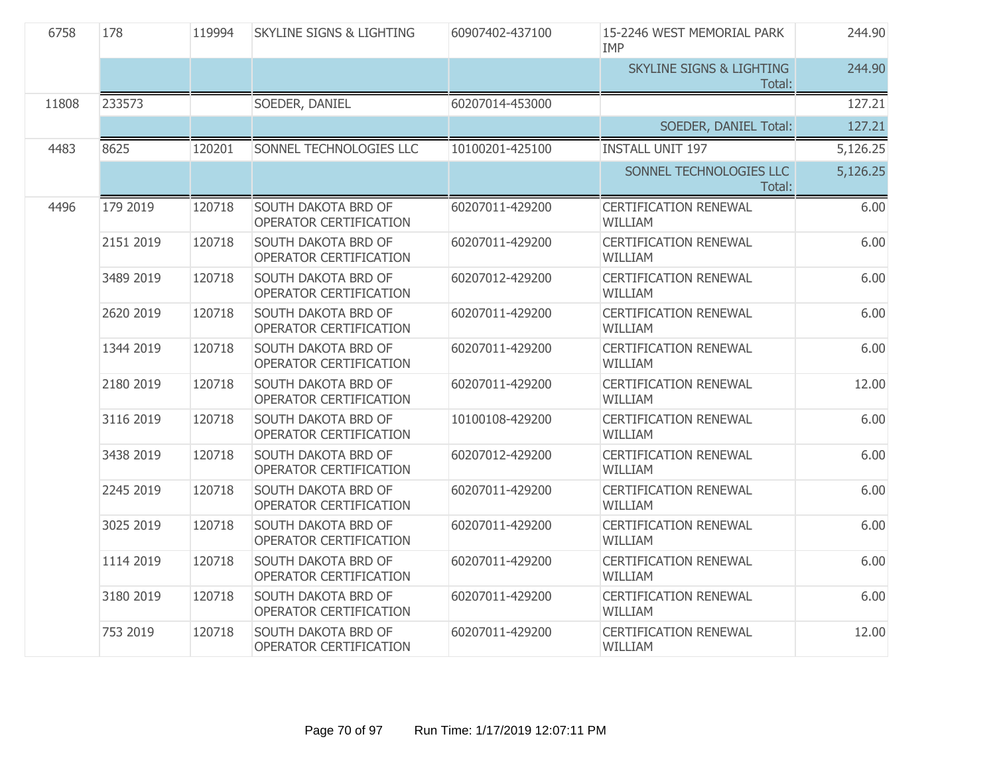| 6758  | 178       | 119994 | <b>SKYLINE SIGNS &amp; LIGHTING</b>                  | 60907402-437100 | 15-2246 WEST MEMORIAL PARK<br><b>IMP</b>       | 244.90   |
|-------|-----------|--------|------------------------------------------------------|-----------------|------------------------------------------------|----------|
|       |           |        |                                                      |                 | <b>SKYLINE SIGNS &amp; LIGHTING</b><br>Total:  | 244.90   |
| 11808 | 233573    |        | SOEDER, DANIEL                                       | 60207014-453000 |                                                | 127.21   |
|       |           |        |                                                      |                 | SOEDER, DANIEL Total:                          | 127.21   |
| 4483  | 8625      | 120201 | SONNEL TECHNOLOGIES LLC                              | 10100201-425100 | <b>INSTALL UNIT 197</b>                        | 5,126.25 |
|       |           |        |                                                      |                 | SONNEL TECHNOLOGIES LLC<br>Total:              | 5,126.25 |
| 4496  | 179 2019  | 120718 | SOUTH DAKOTA BRD OF<br>OPERATOR CERTIFICATION        | 60207011-429200 | <b>CERTIFICATION RENEWAL</b><br><b>WILLIAM</b> | 6.00     |
|       | 2151 2019 | 120718 | SOUTH DAKOTA BRD OF<br>OPERATOR CERTIFICATION        | 60207011-429200 | <b>CERTIFICATION RENEWAL</b><br>WILLIAM        | 6.00     |
|       | 3489 2019 | 120718 | SOUTH DAKOTA BRD OF<br>OPERATOR CERTIFICATION        | 60207012-429200 | <b>CERTIFICATION RENEWAL</b><br>WILLIAM        | 6.00     |
|       | 2620 2019 | 120718 | SOUTH DAKOTA BRD OF<br>OPERATOR CERTIFICATION        | 60207011-429200 | <b>CERTIFICATION RENEWAL</b><br>WILLIAM        | 6.00     |
|       | 1344 2019 | 120718 | SOUTH DAKOTA BRD OF<br>OPERATOR CERTIFICATION        | 60207011-429200 | <b>CERTIFICATION RENEWAL</b><br>WILLIAM        | 6.00     |
|       | 2180 2019 | 120718 | SOUTH DAKOTA BRD OF<br>OPERATOR CERTIFICATION        | 60207011-429200 | <b>CERTIFICATION RENEWAL</b><br>WILLIAM        | 12.00    |
|       | 3116 2019 | 120718 | SOUTH DAKOTA BRD OF<br>OPERATOR CERTIFICATION        | 10100108-429200 | <b>CERTIFICATION RENEWAL</b><br>WILLIAM        | 6.00     |
|       | 3438 2019 | 120718 | SOUTH DAKOTA BRD OF<br>OPERATOR CERTIFICATION        | 60207012-429200 | <b>CERTIFICATION RENEWAL</b><br>WILLIAM        | 6.00     |
|       | 2245 2019 | 120718 | SOUTH DAKOTA BRD OF<br>OPERATOR CERTIFICATION        | 60207011-429200 | <b>CERTIFICATION RENEWAL</b><br><b>WILLIAM</b> | 6.00     |
|       | 3025 2019 | 120718 | SOUTH DAKOTA BRD OF<br>OPERATOR CERTIFICATION        | 60207011-429200 | <b>CERTIFICATION RENEWAL</b><br>WILLIAM        | 6.00     |
|       | 1114 2019 | 120718 | SOUTH DAKOTA BRD OF<br>OPERATOR CERTIFICATION        | 60207011-429200 | <b>CERTIFICATION RENEWAL</b><br><b>WILLIAM</b> | 6.00     |
|       | 3180 2019 | 120718 | SOUTH DAKOTA BRD OF<br>OPERATOR CERTIFICATION        | 60207011-429200 | <b>CERTIFICATION RENEWAL</b><br>WILLIAM        | 6.00     |
|       | 753 2019  | 120718 | <b>SOUTH DAKOTA BRD OF</b><br>OPERATOR CERTIFICATION | 60207011-429200 | <b>CERTIFICATION RENEWAL</b><br>WILLIAM        | 12.00    |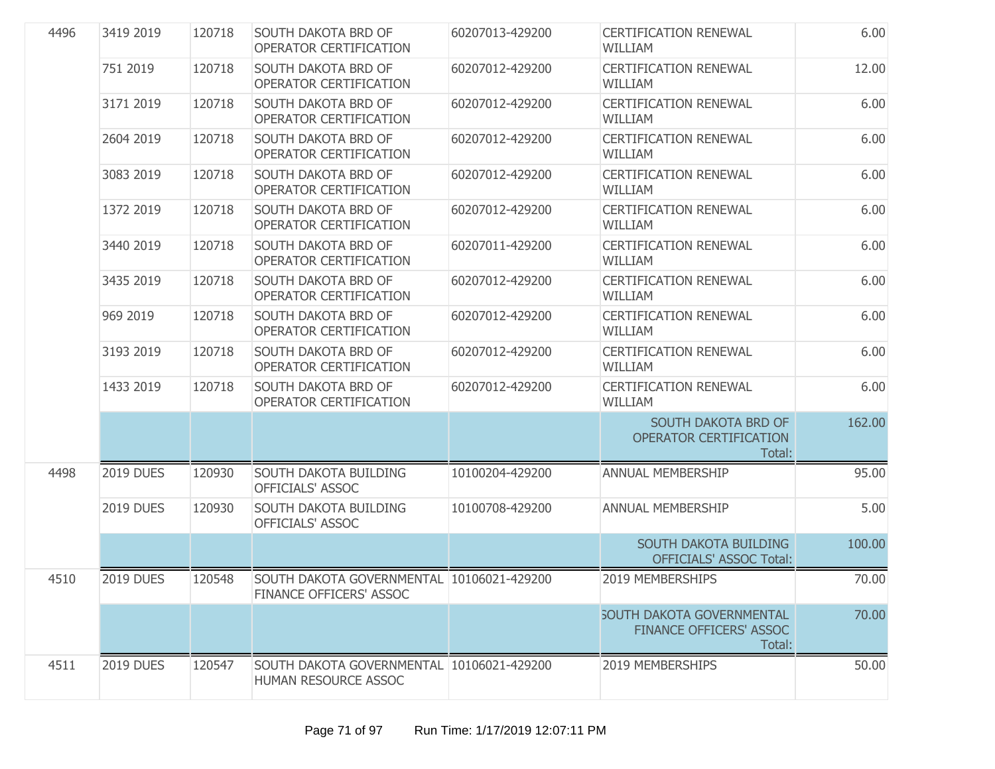| 4496 | 3419 2019        | 120718 | SOUTH DAKOTA BRD OF<br>OPERATOR CERTIFICATION                        | 60207013-429200 | <b>CERTIFICATION RENEWAL</b><br><b>WILLIAM</b>                               | 6.00   |
|------|------------------|--------|----------------------------------------------------------------------|-----------------|------------------------------------------------------------------------------|--------|
|      | 751 2019         | 120718 | SOUTH DAKOTA BRD OF<br>OPERATOR CERTIFICATION                        | 60207012-429200 | <b>CERTIFICATION RENEWAL</b><br><b>WILLIAM</b>                               | 12.00  |
|      | 3171 2019        | 120718 | SOUTH DAKOTA BRD OF<br>OPERATOR CERTIFICATION                        | 60207012-429200 | <b>CERTIFICATION RENEWAL</b><br>WILLIAM                                      | 6.00   |
|      | 2604 2019        | 120718 | SOUTH DAKOTA BRD OF<br>OPERATOR CERTIFICATION                        | 60207012-429200 | <b>CERTIFICATION RENEWAL</b><br><b>WILLIAM</b>                               | 6.00   |
|      | 3083 2019        | 120718 | SOUTH DAKOTA BRD OF<br>OPERATOR CERTIFICATION                        | 60207012-429200 | <b>CERTIFICATION RENEWAL</b><br><b>WILLIAM</b>                               | 6.00   |
|      | 1372 2019        | 120718 | SOUTH DAKOTA BRD OF<br>OPERATOR CERTIFICATION                        | 60207012-429200 | <b>CERTIFICATION RENEWAL</b><br>WILLIAM                                      | 6.00   |
|      | 3440 2019        | 120718 | SOUTH DAKOTA BRD OF<br>OPERATOR CERTIFICATION                        | 60207011-429200 | <b>CERTIFICATION RENEWAL</b><br><b>WILLIAM</b>                               | 6.00   |
|      | 3435 2019        | 120718 | SOUTH DAKOTA BRD OF<br>OPERATOR CERTIFICATION                        | 60207012-429200 | <b>CERTIFICATION RENEWAL</b><br>WILLIAM                                      | 6.00   |
|      | 969 2019         | 120718 | SOUTH DAKOTA BRD OF<br>OPERATOR CERTIFICATION                        | 60207012-429200 | <b>CERTIFICATION RENEWAL</b><br>WILLIAM                                      | 6.00   |
|      | 3193 2019        | 120718 | SOUTH DAKOTA BRD OF<br>OPERATOR CERTIFICATION                        | 60207012-429200 | <b>CERTIFICATION RENEWAL</b><br>WILLIAM                                      | 6.00   |
|      | 1433 2019        | 120718 | SOUTH DAKOTA BRD OF<br>OPERATOR CERTIFICATION                        | 60207012-429200 | <b>CERTIFICATION RENEWAL</b><br>WILLIAM                                      | 6.00   |
|      |                  |        |                                                                      |                 | SOUTH DAKOTA BRD OF<br>OPERATOR CERTIFICATION<br>Total:                      | 162.00 |
| 4498 | <b>2019 DUES</b> | 120930 | SOUTH DAKOTA BUILDING<br>OFFICIALS' ASSOC                            | 10100204-429200 | ANNUAL MEMBERSHIP                                                            | 95.00  |
|      | <b>2019 DUES</b> | 120930 | SOUTH DAKOTA BUILDING<br>OFFICIALS' ASSOC                            | 10100708-429200 | ANNUAL MEMBERSHIP                                                            | 5.00   |
|      |                  |        |                                                                      |                 | <b>SOUTH DAKOTA BUILDING</b><br><b>OFFICIALS' ASSOC Total:</b>               | 100.00 |
| 4510 | <b>2019 DUES</b> | 120548 | SOUTH DAKOTA GOVERNMENTAL 10106021-429200<br>FINANCE OFFICERS' ASSOC |                 | 2019 MEMBERSHIPS                                                             | 70.00  |
|      |                  |        |                                                                      |                 | <b>SOUTH DAKOTA GOVERNMENTAL</b><br><b>FINANCE OFFICERS' ASSOC</b><br>Total: | 70.00  |
| 4511 | <b>2019 DUES</b> | 120547 | SOUTH DAKOTA GOVERNMENTAL 10106021-429200<br>HUMAN RESOURCE ASSOC    |                 | 2019 MEMBERSHIPS                                                             | 50.00  |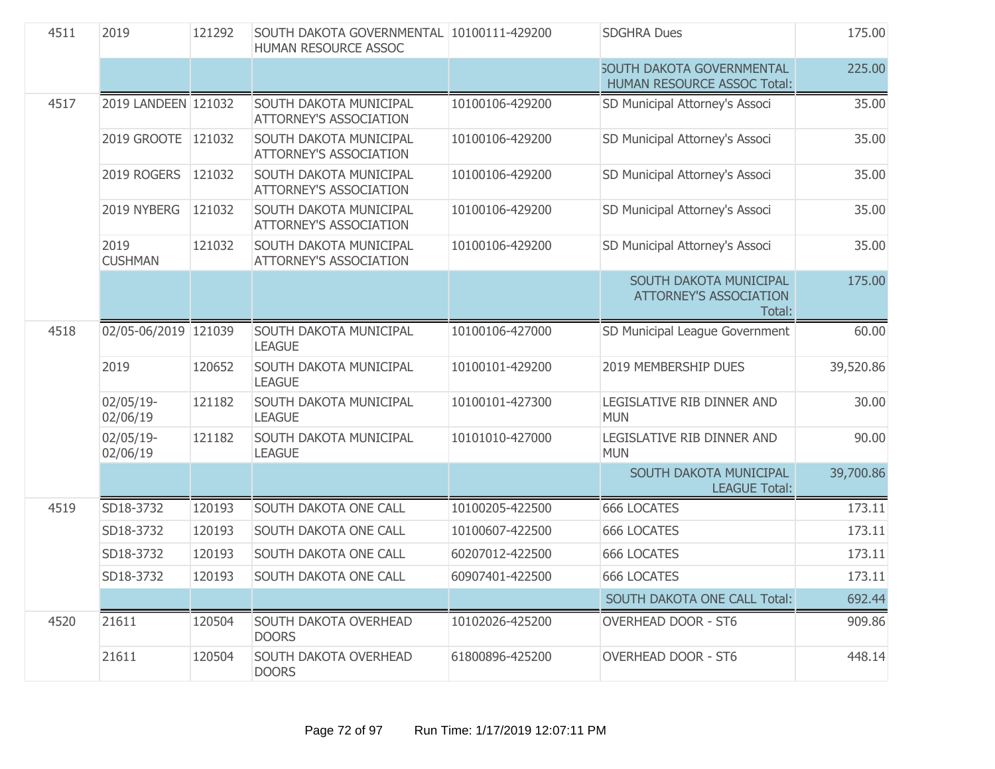| 4511 | 2019                   | 121292 | SOUTH DAKOTA GOVERNMENTAL 10100111-429200<br>HUMAN RESOURCE ASSOC |                 | <b>SDGHRA Dues</b>                                                | 175.00    |
|------|------------------------|--------|-------------------------------------------------------------------|-----------------|-------------------------------------------------------------------|-----------|
|      |                        |        |                                                                   |                 | <b>SOUTH DAKOTA GOVERNMENTAL</b><br>HUMAN RESOURCE ASSOC Total:   | 225.00    |
| 4517 | 2019 LANDEEN 121032    |        | <b>SOUTH DAKOTA MUNICIPAL</b><br><b>ATTORNEY'S ASSOCIATION</b>    | 10100106-429200 | SD Municipal Attorney's Associ                                    | 35.00     |
|      | 2019 GROOTE 121032     |        | SOUTH DAKOTA MUNICIPAL<br><b>ATTORNEY'S ASSOCIATION</b>           | 10100106-429200 | SD Municipal Attorney's Associ                                    | 35.00     |
|      | 2019 ROGERS            | 121032 | SOUTH DAKOTA MUNICIPAL<br><b>ATTORNEY'S ASSOCIATION</b>           | 10100106-429200 | SD Municipal Attorney's Associ                                    | 35.00     |
|      | 2019 NYBERG            | 121032 | SOUTH DAKOTA MUNICIPAL<br><b>ATTORNEY'S ASSOCIATION</b>           | 10100106-429200 | SD Municipal Attorney's Associ                                    | 35.00     |
|      | 2019<br><b>CUSHMAN</b> | 121032 | SOUTH DAKOTA MUNICIPAL<br><b>ATTORNEY'S ASSOCIATION</b>           | 10100106-429200 | SD Municipal Attorney's Associ                                    | 35.00     |
|      |                        |        |                                                                   |                 | SOUTH DAKOTA MUNICIPAL<br><b>ATTORNEY'S ASSOCIATION</b><br>Total: | 175.00    |
| 4518 | 02/05-06/2019 121039   |        | SOUTH DAKOTA MUNICIPAL<br><b>LEAGUE</b>                           | 10100106-427000 | SD Municipal League Government                                    | 60.00     |
|      | 2019                   | 120652 | SOUTH DAKOTA MUNICIPAL<br><b>LEAGUE</b>                           | 10100101-429200 | 2019 MEMBERSHIP DUES                                              | 39,520.86 |
|      | 02/05/19-<br>02/06/19  | 121182 | SOUTH DAKOTA MUNICIPAL<br><b>LEAGUE</b>                           | 10100101-427300 | LEGISLATIVE RIB DINNER AND<br><b>MUN</b>                          | 30.00     |
|      | 02/05/19-<br>02/06/19  | 121182 | SOUTH DAKOTA MUNICIPAL<br><b>LEAGUE</b>                           | 10101010-427000 | LEGISLATIVE RIB DINNER AND<br><b>MUN</b>                          | 90.00     |
|      |                        |        |                                                                   |                 | SOUTH DAKOTA MUNICIPAL<br><b>LEAGUE Total:</b>                    | 39,700.86 |
| 4519 | SD18-3732              | 120193 | SOUTH DAKOTA ONE CALL                                             | 10100205-422500 | <b>666 LOCATES</b>                                                | 173.11    |
|      | SD18-3732              | 120193 | SOUTH DAKOTA ONE CALL                                             | 10100607-422500 | 666 LOCATES                                                       | 173.11    |
|      | SD18-3732              | 120193 | SOUTH DAKOTA ONE CALL                                             | 60207012-422500 | 666 LOCATES                                                       | 173.11    |
|      | SD18-3732              | 120193 | SOUTH DAKOTA ONE CALL                                             | 60907401-422500 | 666 LOCATES                                                       | 173.11    |
|      |                        |        |                                                                   |                 | <b>SOUTH DAKOTA ONE CALL Total:</b>                               | 692.44    |
| 4520 | 21611                  | 120504 | SOUTH DAKOTA OVERHEAD<br><b>DOORS</b>                             | 10102026-425200 | <b>OVERHEAD DOOR - ST6</b>                                        | 909.86    |
|      | 21611                  | 120504 | SOUTH DAKOTA OVERHEAD<br><b>DOORS</b>                             | 61800896-425200 | <b>OVERHEAD DOOR - ST6</b>                                        | 448.14    |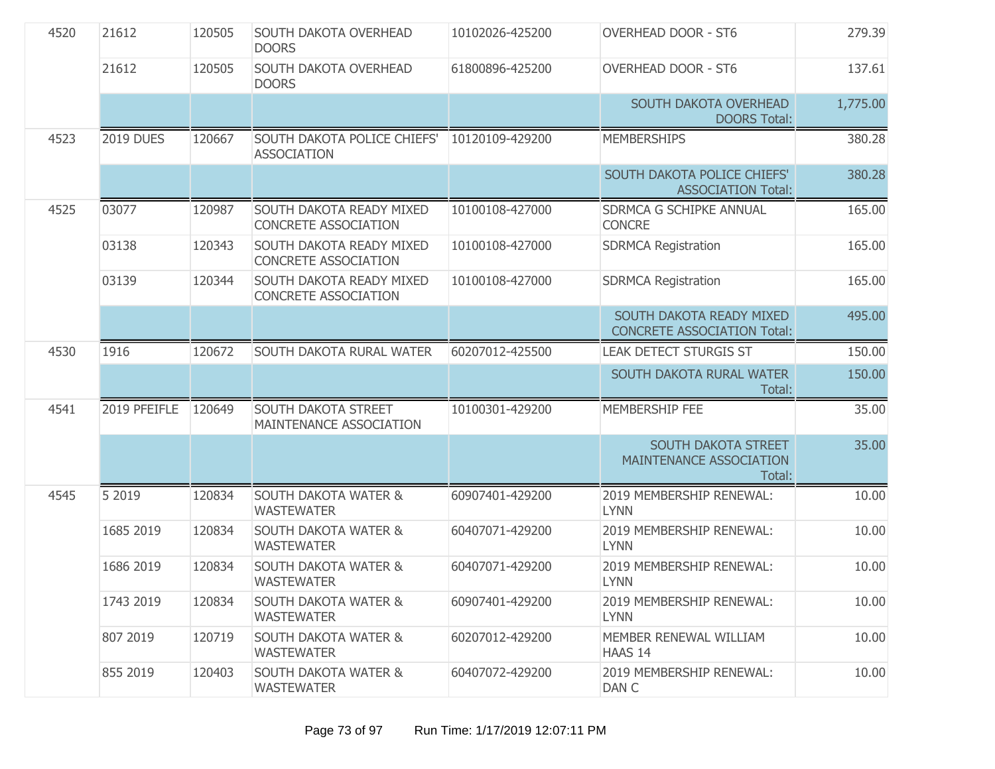| 4520 | 21612            | 120505 | SOUTH DAKOTA OVERHEAD<br><b>DOORS</b>                   | 10102026-425200 | <b>OVERHEAD DOOR - ST6</b>                                     | 279.39   |
|------|------------------|--------|---------------------------------------------------------|-----------------|----------------------------------------------------------------|----------|
|      | 21612            | 120505 | SOUTH DAKOTA OVERHEAD<br><b>DOORS</b>                   | 61800896-425200 | <b>OVERHEAD DOOR - ST6</b>                                     | 137.61   |
|      |                  |        |                                                         |                 | SOUTH DAKOTA OVERHEAD<br><b>DOORS Total:</b>                   | 1,775.00 |
| 4523 | <b>2019 DUES</b> | 120667 | SOUTH DAKOTA POLICE CHIEFS'<br><b>ASSOCIATION</b>       | 10120109-429200 | <b>MEMBERSHIPS</b>                                             | 380.28   |
|      |                  |        |                                                         |                 | SOUTH DAKOTA POLICE CHIEFS'<br><b>ASSOCIATION Total:</b>       | 380.28   |
| 4525 | 03077            | 120987 | SOUTH DAKOTA READY MIXED<br><b>CONCRETE ASSOCIATION</b> | 10100108-427000 | SDRMCA G SCHIPKE ANNUAL<br><b>CONCRE</b>                       | 165.00   |
|      | 03138            | 120343 | SOUTH DAKOTA READY MIXED<br><b>CONCRETE ASSOCIATION</b> | 10100108-427000 | <b>SDRMCA Registration</b>                                     | 165.00   |
|      | 03139            | 120344 | SOUTH DAKOTA READY MIXED<br>CONCRETE ASSOCIATION        | 10100108-427000 | <b>SDRMCA Registration</b>                                     | 165.00   |
|      |                  |        |                                                         |                 | SOUTH DAKOTA READY MIXED<br><b>CONCRETE ASSOCIATION Total:</b> | 495.00   |
| 4530 | 1916             | 120672 | SOUTH DAKOTA RURAL WATER                                | 60207012-425500 | <b>LEAK DETECT STURGIS ST</b>                                  | 150.00   |
|      |                  |        |                                                         |                 | SOUTH DAKOTA RURAL WATER<br>Total:                             | 150.00   |
| 4541 | 2019 PFEIFLE     | 120649 | SOUTH DAKOTA STREET<br>MAINTENANCE ASSOCIATION          | 10100301-429200 | MEMBERSHIP FEE                                                 | 35.00    |
|      |                  |        |                                                         |                 | SOUTH DAKOTA STREET<br>MAINTENANCE ASSOCIATION<br>Total:       | 35.00    |
| 4545 | 5 2019           | 120834 | <b>SOUTH DAKOTA WATER &amp;</b><br><b>WASTEWATER</b>    | 60907401-429200 | 2019 MEMBERSHIP RENEWAL:<br><b>LYNN</b>                        | 10.00    |
|      | 1685 2019        | 120834 | <b>SOUTH DAKOTA WATER &amp;</b><br><b>WASTEWATER</b>    | 60407071-429200 | 2019 MEMBERSHIP RENEWAL:<br><b>LYNN</b>                        | 10.00    |
|      | 1686 2019        | 120834 | <b>SOUTH DAKOTA WATER &amp;</b><br><b>WASTEWATER</b>    | 60407071-429200 | 2019 MEMBERSHIP RENEWAL:<br><b>LYNN</b>                        | 10.00    |
|      | 1743 2019        | 120834 | <b>SOUTH DAKOTA WATER &amp;</b><br><b>WASTEWATER</b>    | 60907401-429200 | 2019 MEMBERSHIP RENEWAL:<br><b>LYNN</b>                        | 10.00    |
|      | 807 2019         | 120719 | <b>SOUTH DAKOTA WATER &amp;</b><br><b>WASTEWATER</b>    | 60207012-429200 | MEMBER RENEWAL WILLIAM<br>HAAS 14                              | 10.00    |
|      | 855 2019         | 120403 | <b>SOUTH DAKOTA WATER &amp;</b><br><b>WASTEWATER</b>    | 60407072-429200 | 2019 MEMBERSHIP RENEWAL:<br>DAN C                              | 10.00    |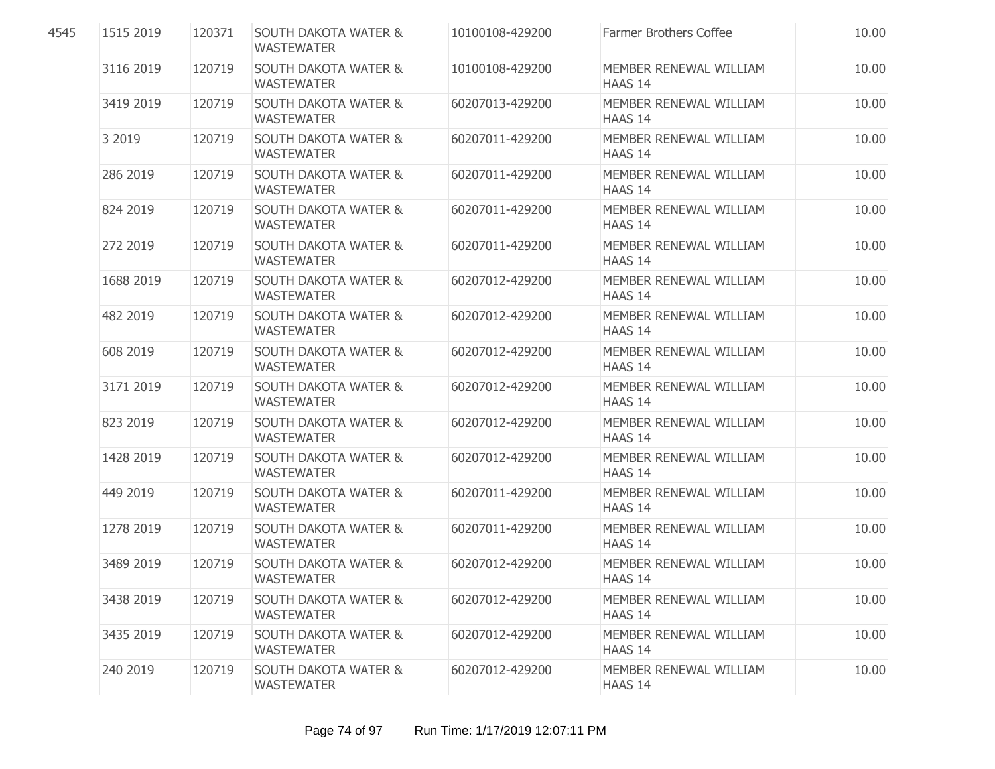| 4545 | 1515 2019 | 120371 | <b>SOUTH DAKOTA WATER &amp;</b><br><b>WASTEWATER</b> | 10100108-429200 | <b>Farmer Brothers Coffee</b>            | 10.00 |
|------|-----------|--------|------------------------------------------------------|-----------------|------------------------------------------|-------|
|      | 3116 2019 | 120719 | <b>SOUTH DAKOTA WATER &amp;</b><br><b>WASTEWATER</b> | 10100108-429200 | MEMBER RENEWAL WILLIAM<br><b>HAAS 14</b> | 10.00 |
|      | 3419 2019 | 120719 | <b>SOUTH DAKOTA WATER &amp;</b><br><b>WASTEWATER</b> | 60207013-429200 | MEMBER RENEWAL WILLIAM<br><b>HAAS 14</b> | 10.00 |
|      | 3 2019    | 120719 | <b>SOUTH DAKOTA WATER &amp;</b><br><b>WASTEWATER</b> | 60207011-429200 | MEMBER RENEWAL WILLIAM<br><b>HAAS 14</b> | 10.00 |
|      | 286 2019  | 120719 | <b>SOUTH DAKOTA WATER &amp;</b><br><b>WASTEWATER</b> | 60207011-429200 | MEMBER RENEWAL WILLIAM<br>HAAS 14        | 10.00 |
|      | 824 2019  | 120719 | <b>SOUTH DAKOTA WATER &amp;</b><br><b>WASTEWATER</b> | 60207011-429200 | MEMBER RENEWAL WILLIAM<br><b>HAAS 14</b> | 10.00 |
|      | 272 2019  | 120719 | <b>SOUTH DAKOTA WATER &amp;</b><br><b>WASTEWATER</b> | 60207011-429200 | MEMBER RENEWAL WILLIAM<br><b>HAAS 14</b> | 10.00 |
|      | 1688 2019 | 120719 | <b>SOUTH DAKOTA WATER &amp;</b><br><b>WASTEWATER</b> | 60207012-429200 | MEMBER RENEWAL WILLIAM<br>HAAS 14        | 10.00 |
|      | 482 2019  | 120719 | <b>SOUTH DAKOTA WATER &amp;</b><br><b>WASTEWATER</b> | 60207012-429200 | MEMBER RENEWAL WILLIAM<br>HAAS 14        | 10.00 |
|      | 608 2019  | 120719 | <b>SOUTH DAKOTA WATER &amp;</b><br><b>WASTEWATER</b> | 60207012-429200 | MEMBER RENEWAL WILLIAM<br>HAAS 14        | 10.00 |
|      | 3171 2019 | 120719 | <b>SOUTH DAKOTA WATER &amp;</b><br><b>WASTEWATER</b> | 60207012-429200 | MEMBER RENEWAL WILLIAM<br>HAAS 14        | 10.00 |
|      | 823 2019  | 120719 | <b>SOUTH DAKOTA WATER &amp;</b><br><b>WASTEWATER</b> | 60207012-429200 | MEMBER RENEWAL WILLIAM<br>HAAS 14        | 10.00 |
|      | 1428 2019 | 120719 | <b>SOUTH DAKOTA WATER &amp;</b><br><b>WASTEWATER</b> | 60207012-429200 | MEMBER RENEWAL WILLIAM<br>HAAS 14        | 10.00 |
|      | 449 2019  | 120719 | <b>SOUTH DAKOTA WATER &amp;</b><br><b>WASTEWATER</b> | 60207011-429200 | MEMBER RENEWAL WILLIAM<br><b>HAAS 14</b> | 10.00 |
|      | 1278 2019 | 120719 | <b>SOUTH DAKOTA WATER &amp;</b><br><b>WASTEWATER</b> | 60207011-429200 | MEMBER RENEWAL WILLIAM<br>HAAS 14        | 10.00 |
|      | 3489 2019 | 120719 | <b>SOUTH DAKOTA WATER &amp;</b><br><b>WASTEWATER</b> | 60207012-429200 | MEMBER RENEWAL WILLIAM<br><b>HAAS 14</b> | 10.00 |
|      | 3438 2019 | 120719 | <b>SOUTH DAKOTA WATER &amp;</b><br><b>WASTEWATER</b> | 60207012-429200 | MEMBER RENEWAL WILLIAM<br>HAAS 14        | 10.00 |
|      | 3435 2019 | 120719 | <b>SOUTH DAKOTA WATER &amp;</b><br><b>WASTEWATER</b> | 60207012-429200 | MEMBER RENEWAL WILLIAM<br>HAAS 14        | 10.00 |
|      | 240 2019  | 120719 | <b>SOUTH DAKOTA WATER &amp;</b><br><b>WASTEWATER</b> | 60207012-429200 | MEMBER RENEWAL WILLIAM<br>HAAS 14        | 10.00 |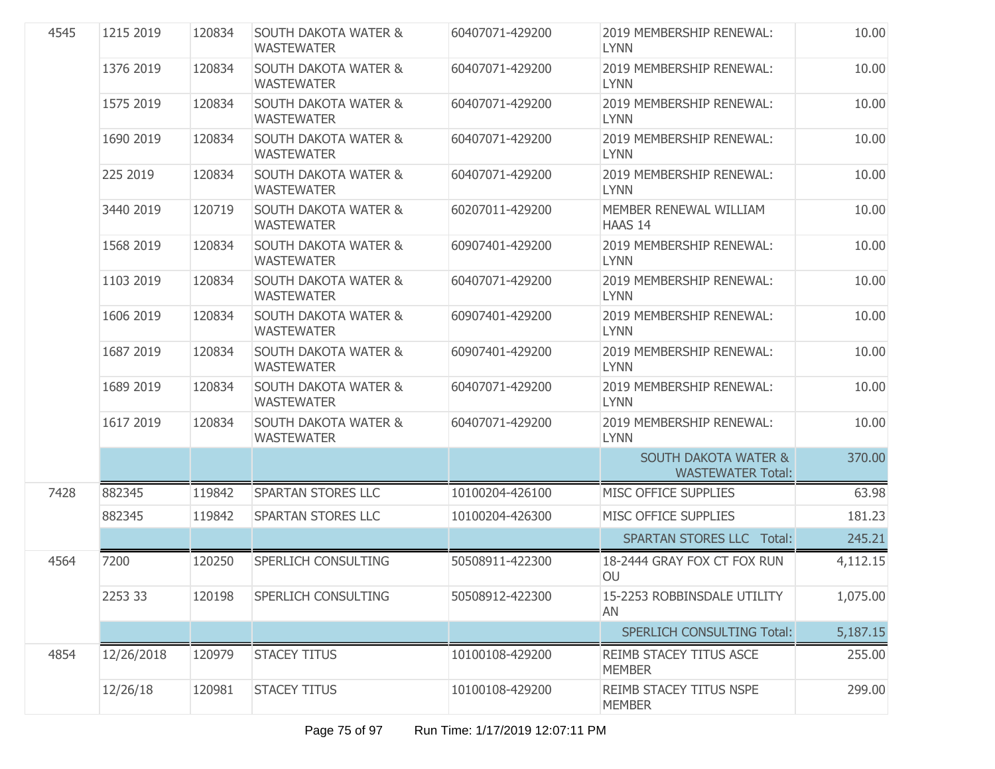| 4545 | 1215 2019  | 120834 | <b>SOUTH DAKOTA WATER &amp;</b><br><b>WASTEWATER</b> | 60407071-429200 | 2019 MEMBERSHIP RENEWAL:<br><b>LYNN</b>                     | 10.00    |
|------|------------|--------|------------------------------------------------------|-----------------|-------------------------------------------------------------|----------|
|      | 1376 2019  | 120834 | <b>SOUTH DAKOTA WATER &amp;</b><br><b>WASTEWATER</b> | 60407071-429200 | 2019 MEMBERSHIP RENEWAL:<br>LYNN                            | 10.00    |
|      | 1575 2019  | 120834 | <b>SOUTH DAKOTA WATER &amp;</b><br><b>WASTEWATER</b> | 60407071-429200 | 2019 MEMBERSHIP RENEWAL:<br><b>LYNN</b>                     | 10.00    |
|      | 1690 2019  | 120834 | <b>SOUTH DAKOTA WATER &amp;</b><br><b>WASTEWATER</b> | 60407071-429200 | 2019 MEMBERSHIP RENEWAL:<br><b>LYNN</b>                     | 10.00    |
|      | 225 2019   | 120834 | <b>SOUTH DAKOTA WATER &amp;</b><br><b>WASTEWATER</b> | 60407071-429200 | 2019 MEMBERSHIP RENEWAL:<br>LYNN                            | 10.00    |
|      | 3440 2019  | 120719 | <b>SOUTH DAKOTA WATER &amp;</b><br><b>WASTEWATER</b> | 60207011-429200 | MEMBER RENEWAL WILLIAM<br><b>HAAS 14</b>                    | 10.00    |
|      | 1568 2019  | 120834 | <b>SOUTH DAKOTA WATER &amp;</b><br><b>WASTEWATER</b> | 60907401-429200 | 2019 MEMBERSHIP RENEWAL:<br>LYNN                            | 10.00    |
|      | 1103 2019  | 120834 | <b>SOUTH DAKOTA WATER &amp;</b><br><b>WASTEWATER</b> | 60407071-429200 | 2019 MEMBERSHIP RENEWAL:<br><b>LYNN</b>                     | 10.00    |
|      | 1606 2019  | 120834 | <b>SOUTH DAKOTA WATER &amp;</b><br><b>WASTEWATER</b> | 60907401-429200 | 2019 MEMBERSHIP RENEWAL:<br><b>LYNN</b>                     | 10.00    |
|      | 1687 2019  | 120834 | <b>SOUTH DAKOTA WATER &amp;</b><br><b>WASTEWATER</b> | 60907401-429200 | 2019 MEMBERSHIP RENEWAL:<br><b>LYNN</b>                     | 10.00    |
|      | 1689 2019  | 120834 | <b>SOUTH DAKOTA WATER &amp;</b><br><b>WASTEWATER</b> | 60407071-429200 | 2019 MEMBERSHIP RENEWAL:<br><b>LYNN</b>                     | 10.00    |
|      | 1617 2019  | 120834 | <b>SOUTH DAKOTA WATER &amp;</b><br><b>WASTEWATER</b> | 60407071-429200 | 2019 MEMBERSHIP RENEWAL:<br><b>LYNN</b>                     | 10.00    |
|      |            |        |                                                      |                 | <b>SOUTH DAKOTA WATER &amp;</b><br><b>WASTEWATER Total:</b> | 370.00   |
| 7428 | 882345     | 119842 | SPARTAN STORES LLC                                   | 10100204-426100 | MISC OFFICE SUPPLIES                                        | 63.98    |
|      | 882345     | 119842 | SPARTAN STORES LLC                                   | 10100204-426300 | MISC OFFICE SUPPLIES                                        | 181.23   |
|      |            |        |                                                      |                 | <b>SPARTAN STORES LLC Total:</b>                            | 245.21   |
| 4564 | 7200       | 120250 | SPERLICH CONSULTING                                  | 50508911-422300 | 18-2444 GRAY FOX CT FOX RUN<br>OU                           | 4,112.15 |
|      | 2253 33    | 120198 | SPERLICH CONSULTING                                  | 50508912-422300 | 15-2253 ROBBINSDALE UTILITY<br>AN                           | 1,075.00 |
|      |            |        |                                                      |                 | <b>SPERLICH CONSULTING Total:</b>                           | 5,187.15 |
| 4854 | 12/26/2018 | 120979 | <b>STACEY TITUS</b>                                  | 10100108-429200 | REIMB STACEY TITUS ASCE<br><b>MEMBER</b>                    | 255.00   |
|      | 12/26/18   | 120981 | <b>STACEY TITUS</b>                                  | 10100108-429200 | REIMB STACEY TITUS NSPE<br><b>MEMBER</b>                    | 299.00   |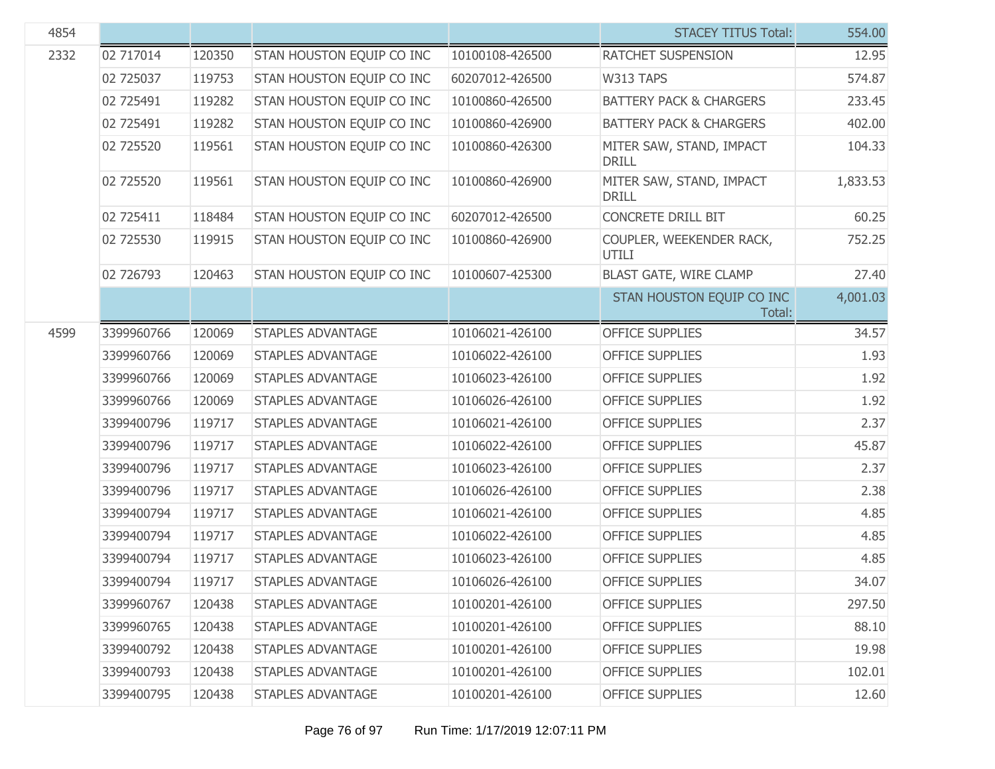| 4854 |            |        |                           |                 | <b>STACEY TITUS Total:</b>               | 554.00   |
|------|------------|--------|---------------------------|-----------------|------------------------------------------|----------|
| 2332 | 02 717014  | 120350 | STAN HOUSTON EQUIP CO INC | 10100108-426500 | RATCHET SUSPENSION                       | 12.95    |
|      | 02 725037  | 119753 | STAN HOUSTON EQUIP CO INC | 60207012-426500 | W313 TAPS                                | 574.87   |
|      | 02 725491  | 119282 | STAN HOUSTON EQUIP CO INC | 10100860-426500 | <b>BATTERY PACK &amp; CHARGERS</b>       | 233.45   |
|      | 02 725491  | 119282 | STAN HOUSTON EQUIP CO INC | 10100860-426900 | <b>BATTERY PACK &amp; CHARGERS</b>       | 402.00   |
|      | 02 725520  | 119561 | STAN HOUSTON EQUIP CO INC | 10100860-426300 | MITER SAW, STAND, IMPACT<br><b>DRILL</b> | 104.33   |
|      | 02 725520  | 119561 | STAN HOUSTON EQUIP CO INC | 10100860-426900 | MITER SAW, STAND, IMPACT<br><b>DRILL</b> | 1,833.53 |
|      | 02 725411  | 118484 | STAN HOUSTON EQUIP CO INC | 60207012-426500 | <b>CONCRETE DRILL BIT</b>                | 60.25    |
|      | 02 725530  | 119915 | STAN HOUSTON EQUIP CO INC | 10100860-426900 | COUPLER, WEEKENDER RACK,<br>UTILI        | 752.25   |
|      | 02 726793  | 120463 | STAN HOUSTON EQUIP CO INC | 10100607-425300 | <b>BLAST GATE, WIRE CLAMP</b>            | 27.40    |
|      |            |        |                           |                 | STAN HOUSTON EQUIP CO INC<br>Total:      | 4,001.03 |
| 4599 | 3399960766 | 120069 | <b>STAPLES ADVANTAGE</b>  | 10106021-426100 | <b>OFFICE SUPPLIES</b>                   | 34.57    |
|      | 3399960766 | 120069 | <b>STAPLES ADVANTAGE</b>  | 10106022-426100 | <b>OFFICE SUPPLIES</b>                   | 1.93     |
|      | 3399960766 | 120069 | <b>STAPLES ADVANTAGE</b>  | 10106023-426100 | <b>OFFICE SUPPLIES</b>                   | 1.92     |
|      | 3399960766 | 120069 | <b>STAPLES ADVANTAGE</b>  | 10106026-426100 | <b>OFFICE SUPPLIES</b>                   | 1.92     |
|      | 3399400796 | 119717 | <b>STAPLES ADVANTAGE</b>  | 10106021-426100 | <b>OFFICE SUPPLIES</b>                   | 2.37     |
|      | 3399400796 | 119717 | <b>STAPLES ADVANTAGE</b>  | 10106022-426100 | <b>OFFICE SUPPLIES</b>                   | 45.87    |
|      | 3399400796 | 119717 | <b>STAPLES ADVANTAGE</b>  | 10106023-426100 | <b>OFFICE SUPPLIES</b>                   | 2.37     |
|      | 3399400796 | 119717 | <b>STAPLES ADVANTAGE</b>  | 10106026-426100 | <b>OFFICE SUPPLIES</b>                   | 2.38     |
|      | 3399400794 | 119717 | <b>STAPLES ADVANTAGE</b>  | 10106021-426100 | <b>OFFICE SUPPLIES</b>                   | 4.85     |
|      | 3399400794 | 119717 | <b>STAPLES ADVANTAGE</b>  | 10106022-426100 | <b>OFFICE SUPPLIES</b>                   | 4.85     |
|      | 3399400794 | 119717 | <b>STAPLES ADVANTAGE</b>  | 10106023-426100 | <b>OFFICE SUPPLIES</b>                   | 4.85     |
|      | 3399400794 | 119717 | STAPLES ADVANTAGE         | 10106026-426100 | <b>OFFICE SUPPLIES</b>                   | 34.07    |
|      | 3399960767 | 120438 | <b>STAPLES ADVANTAGE</b>  | 10100201-426100 | <b>OFFICE SUPPLIES</b>                   | 297.50   |
|      | 3399960765 | 120438 | STAPLES ADVANTAGE         | 10100201-426100 | <b>OFFICE SUPPLIES</b>                   | 88.10    |
|      | 3399400792 | 120438 | <b>STAPLES ADVANTAGE</b>  | 10100201-426100 | <b>OFFICE SUPPLIES</b>                   | 19.98    |
|      | 3399400793 | 120438 | STAPLES ADVANTAGE         | 10100201-426100 | <b>OFFICE SUPPLIES</b>                   | 102.01   |
|      | 3399400795 | 120438 | STAPLES ADVANTAGE         | 10100201-426100 | <b>OFFICE SUPPLIES</b>                   | 12.60    |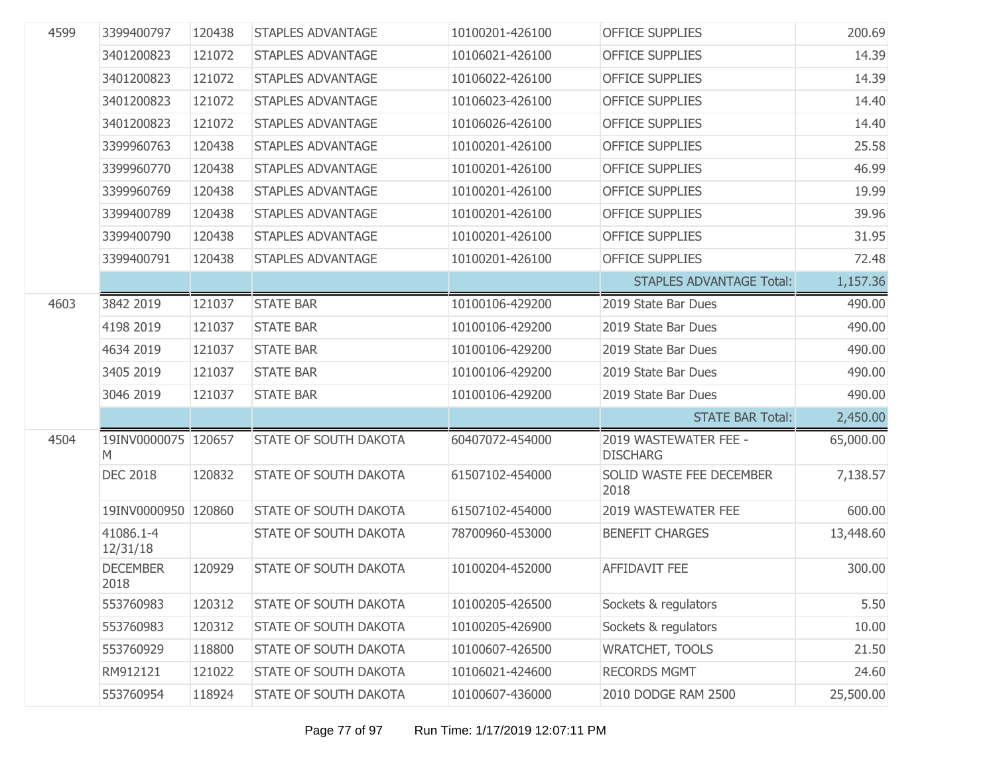| 4599 | 3399400797               | 120438 | <b>STAPLES ADVANTAGE</b>     | 10100201-426100 | <b>OFFICE SUPPLIES</b>                   | 200.69    |
|------|--------------------------|--------|------------------------------|-----------------|------------------------------------------|-----------|
|      | 3401200823               | 121072 | <b>STAPLES ADVANTAGE</b>     | 10106021-426100 | <b>OFFICE SUPPLIES</b>                   | 14.39     |
|      | 3401200823               | 121072 | <b>STAPLES ADVANTAGE</b>     | 10106022-426100 | <b>OFFICE SUPPLIES</b>                   | 14.39     |
|      | 3401200823               | 121072 | <b>STAPLES ADVANTAGE</b>     | 10106023-426100 | <b>OFFICE SUPPLIES</b>                   | 14.40     |
|      | 3401200823               | 121072 | <b>STAPLES ADVANTAGE</b>     | 10106026-426100 | <b>OFFICE SUPPLIES</b>                   | 14.40     |
|      | 3399960763               | 120438 | <b>STAPLES ADVANTAGE</b>     | 10100201-426100 | <b>OFFICE SUPPLIES</b>                   | 25.58     |
|      | 3399960770               | 120438 | <b>STAPLES ADVANTAGE</b>     | 10100201-426100 | <b>OFFICE SUPPLIES</b>                   | 46.99     |
|      | 3399960769               | 120438 | <b>STAPLES ADVANTAGE</b>     | 10100201-426100 | <b>OFFICE SUPPLIES</b>                   | 19.99     |
|      | 3399400789               | 120438 | <b>STAPLES ADVANTAGE</b>     | 10100201-426100 | <b>OFFICE SUPPLIES</b>                   | 39.96     |
|      | 3399400790               | 120438 | <b>STAPLES ADVANTAGE</b>     | 10100201-426100 | <b>OFFICE SUPPLIES</b>                   | 31.95     |
|      | 3399400791               | 120438 | <b>STAPLES ADVANTAGE</b>     | 10100201-426100 | <b>OFFICE SUPPLIES</b>                   | 72.48     |
|      |                          |        |                              |                 | <b>STAPLES ADVANTAGE Total:</b>          | 1,157.36  |
| 4603 | 3842 2019                | 121037 | <b>STATE BAR</b>             | 10100106-429200 | 2019 State Bar Dues                      | 490.00    |
|      | 4198 2019                | 121037 | <b>STATE BAR</b>             | 10100106-429200 | 2019 State Bar Dues                      | 490.00    |
|      | 4634 2019                | 121037 | <b>STATE BAR</b>             | 10100106-429200 | 2019 State Bar Dues                      | 490.00    |
|      | 3405 2019                | 121037 | <b>STATE BAR</b>             | 10100106-429200 | 2019 State Bar Dues                      | 490.00    |
|      | 3046 2019                | 121037 | <b>STATE BAR</b>             | 10100106-429200 | 2019 State Bar Dues                      | 490.00    |
|      |                          |        |                              |                 | <b>STATE BAR Total:</b>                  | 2,450.00  |
| 4504 | 19INV0000075 120657<br>M |        | <b>STATE OF SOUTH DAKOTA</b> | 60407072-454000 | 2019 WASTEWATER FEE -<br><b>DISCHARG</b> | 65,000.00 |
|      | <b>DEC 2018</b>          | 120832 | <b>STATE OF SOUTH DAKOTA</b> | 61507102-454000 | SOLID WASTE FEE DECEMBER<br>2018         | 7,138.57  |
|      | 19INV0000950 120860      |        | <b>STATE OF SOUTH DAKOTA</b> | 61507102-454000 | 2019 WASTEWATER FEE                      | 600.00    |
|      | 41086.1-4<br>12/31/18    |        | <b>STATE OF SOUTH DAKOTA</b> | 78700960-453000 | <b>BENEFIT CHARGES</b>                   | 13,448.60 |
|      | <b>DECEMBER</b><br>2018  | 120929 | <b>STATE OF SOUTH DAKOTA</b> | 10100204-452000 | <b>AFFIDAVIT FEE</b>                     | 300.00    |
|      | 553760983                | 120312 | STATE OF SOUTH DAKOTA        | 10100205-426500 | Sockets & regulators                     | 5.50      |
|      | 553760983                | 120312 | STATE OF SOUTH DAKOTA        | 10100205-426900 | Sockets & regulators                     | 10.00     |
|      | 553760929                | 118800 | <b>STATE OF SOUTH DAKOTA</b> | 10100607-426500 | <b>WRATCHET, TOOLS</b>                   | 21.50     |
|      | RM912121                 | 121022 | <b>STATE OF SOUTH DAKOTA</b> | 10106021-424600 | <b>RECORDS MGMT</b>                      | 24.60     |
|      | 553760954                | 118924 | STATE OF SOUTH DAKOTA        | 10100607-436000 | 2010 DODGE RAM 2500                      | 25,500.00 |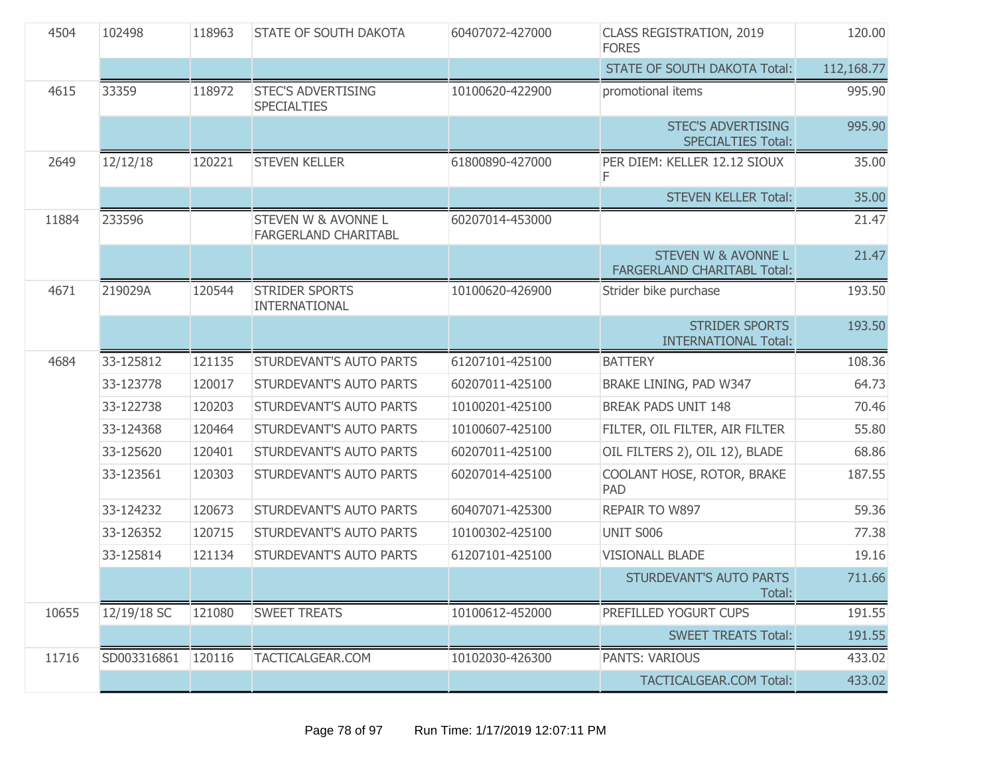| 4504  | 102498      | 118963 | STATE OF SOUTH DAKOTA                           | 60407072-427000 | <b>CLASS REGISTRATION, 2019</b><br><b>FORES</b>                      | 120.00     |
|-------|-------------|--------|-------------------------------------------------|-----------------|----------------------------------------------------------------------|------------|
|       |             |        |                                                 |                 | <b>STATE OF SOUTH DAKOTA Total:</b>                                  | 112,168.77 |
| 4615  | 33359       | 118972 | <b>STEC'S ADVERTISING</b><br><b>SPECIALTIES</b> | 10100620-422900 | promotional items                                                    | 995.90     |
|       |             |        |                                                 |                 | <b>STEC'S ADVERTISING</b><br><b>SPECIALTIES Total:</b>               | 995.90     |
| 2649  | 12/12/18    | 120221 | <b>STEVEN KELLER</b>                            | 61800890-427000 | PER DIEM: KELLER 12.12 SIOUX<br>F.                                   | 35.00      |
|       |             |        |                                                 |                 | <b>STEVEN KELLER Total:</b>                                          | 35.00      |
| 11884 | 233596      |        | STEVEN W & AVONNE L<br>FARGERLAND CHARITABL     | 60207014-453000 |                                                                      | 21.47      |
|       |             |        |                                                 |                 | <b>STEVEN W &amp; AVONNE L</b><br><b>FARGERLAND CHARITABL Total:</b> | 21.47      |
| 4671  | 219029A     | 120544 | <b>STRIDER SPORTS</b><br>INTERNATIONAL          | 10100620-426900 | Strider bike purchase                                                | 193.50     |
|       |             |        |                                                 |                 | <b>STRIDER SPORTS</b><br><b>INTERNATIONAL Total:</b>                 | 193.50     |
| 4684  | 33-125812   | 121135 | STURDEVANT'S AUTO PARTS                         | 61207101-425100 | <b>BATTERY</b>                                                       | 108.36     |
|       | 33-123778   | 120017 | STURDEVANT'S AUTO PARTS                         | 60207011-425100 | BRAKE LINING, PAD W347                                               | 64.73      |
|       | 33-122738   | 120203 | STURDEVANT'S AUTO PARTS                         | 10100201-425100 | <b>BREAK PADS UNIT 148</b>                                           | 70.46      |
|       | 33-124368   | 120464 | STURDEVANT'S AUTO PARTS                         | 10100607-425100 | FILTER, OIL FILTER, AIR FILTER                                       | 55.80      |
|       | 33-125620   | 120401 | STURDEVANT'S AUTO PARTS                         | 60207011-425100 | OIL FILTERS 2), OIL 12), BLADE                                       | 68.86      |
|       | 33-123561   | 120303 | STURDEVANT'S AUTO PARTS                         | 60207014-425100 | COOLANT HOSE, ROTOR, BRAKE<br><b>PAD</b>                             | 187.55     |
|       | 33-124232   | 120673 | STURDEVANT'S AUTO PARTS                         | 60407071-425300 | REPAIR TO W897                                                       | 59.36      |
|       | 33-126352   | 120715 | STURDEVANT'S AUTO PARTS                         | 10100302-425100 | UNIT S006                                                            | 77.38      |
|       | 33-125814   | 121134 | STURDEVANT'S AUTO PARTS                         | 61207101-425100 | <b>VISIONALL BLADE</b>                                               | 19.16      |
|       |             |        |                                                 |                 | STURDEVANT'S AUTO PARTS<br>Total:                                    | 711.66     |
| 10655 | 12/19/18 SC | 121080 | <b>SWEET TREATS</b>                             | 10100612-452000 | PREFILLED YOGURT CUPS                                                | 191.55     |
|       |             |        |                                                 |                 | <b>SWEET TREATS Total:</b>                                           | 191.55     |
| 11716 | SD003316861 | 120116 | TACTICALGEAR.COM                                | 10102030-426300 | <b>PANTS: VARIOUS</b>                                                | 433.02     |
|       |             |        |                                                 |                 | <b>TACTICALGEAR.COM Total:</b>                                       | 433.02     |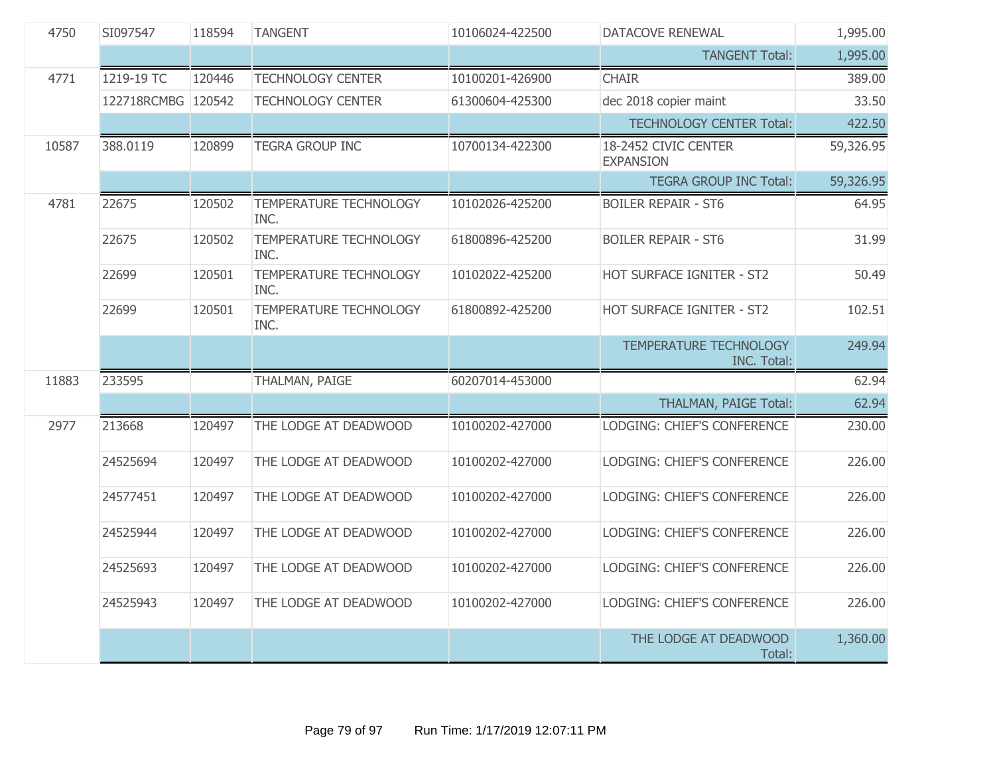| 4750  | SI097547           | 118594<br><b>TANGENT</b><br>10106024-422500<br>DATACOVE RENEWAL |                                | 1,995.00        |                                          |           |
|-------|--------------------|-----------------------------------------------------------------|--------------------------------|-----------------|------------------------------------------|-----------|
|       |                    |                                                                 |                                |                 | <b>TANGENT Total:</b>                    | 1,995.00  |
| 4771  | 1219-19 TC         | 120446                                                          | <b>TECHNOLOGY CENTER</b>       | 10100201-426900 | <b>CHAIR</b>                             | 389.00    |
|       | 122718RCMBG 120542 |                                                                 | <b>TECHNOLOGY CENTER</b>       | 61300604-425300 | dec 2018 copier maint                    | 33.50     |
|       |                    |                                                                 |                                |                 | <b>TECHNOLOGY CENTER Total:</b>          | 422.50    |
| 10587 | 388.0119           | 120899                                                          | <b>TEGRA GROUP INC</b>         | 10700134-422300 | 18-2452 CIVIC CENTER<br><b>EXPANSION</b> | 59,326.95 |
|       |                    |                                                                 |                                |                 | <b>TEGRA GROUP INC Total:</b>            | 59,326.95 |
| 4781  | 22675              | 120502                                                          | TEMPERATURE TECHNOLOGY<br>INC. | 10102026-425200 | <b>BOILER REPAIR - ST6</b>               | 64.95     |
|       | 22675              | 120502                                                          | TEMPERATURE TECHNOLOGY<br>INC. | 61800896-425200 | <b>BOILER REPAIR - ST6</b>               | 31.99     |
|       | 22699              | 120501                                                          | TEMPERATURE TECHNOLOGY<br>INC. | 10102022-425200 | HOT SURFACE IGNITER - ST2                | 50.49     |
|       | 22699              | 120501                                                          | TEMPERATURE TECHNOLOGY<br>INC. | 61800892-425200 | HOT SURFACE IGNITER - ST2                | 102.51    |
|       |                    |                                                                 |                                |                 | TEMPERATURE TECHNOLOGY<br>INC. Total:    | 249.94    |
| 11883 | 233595             |                                                                 | THALMAN, PAIGE                 | 60207014-453000 |                                          | 62.94     |
|       |                    |                                                                 |                                |                 | THALMAN, PAIGE Total:                    | 62.94     |
| 2977  | 213668             | 120497                                                          | THE LODGE AT DEADWOOD          | 10100202-427000 | LODGING: CHIEF'S CONFERENCE              | 230.00    |
|       | 24525694           | 120497                                                          | THE LODGE AT DEADWOOD          | 10100202-427000 | LODGING: CHIEF'S CONFERENCE              | 226.00    |
|       | 24577451           | 120497                                                          | THE LODGE AT DEADWOOD          | 10100202-427000 | LODGING: CHIEF'S CONFERENCE              | 226.00    |
|       | 24525944           | 120497                                                          | THE LODGE AT DEADWOOD          | 10100202-427000 | LODGING: CHIEF'S CONFERENCE              | 226.00    |
|       | 24525693           | 120497                                                          | THE LODGE AT DEADWOOD          | 10100202-427000 | LODGING: CHIEF'S CONFERENCE              | 226.00    |
|       | 24525943           | 120497                                                          | THE LODGE AT DEADWOOD          | 10100202-427000 | LODGING: CHIEF'S CONFERENCE              | 226.00    |
|       |                    |                                                                 |                                |                 | THE LODGE AT DEADWOOD<br>Total:          | 1,360.00  |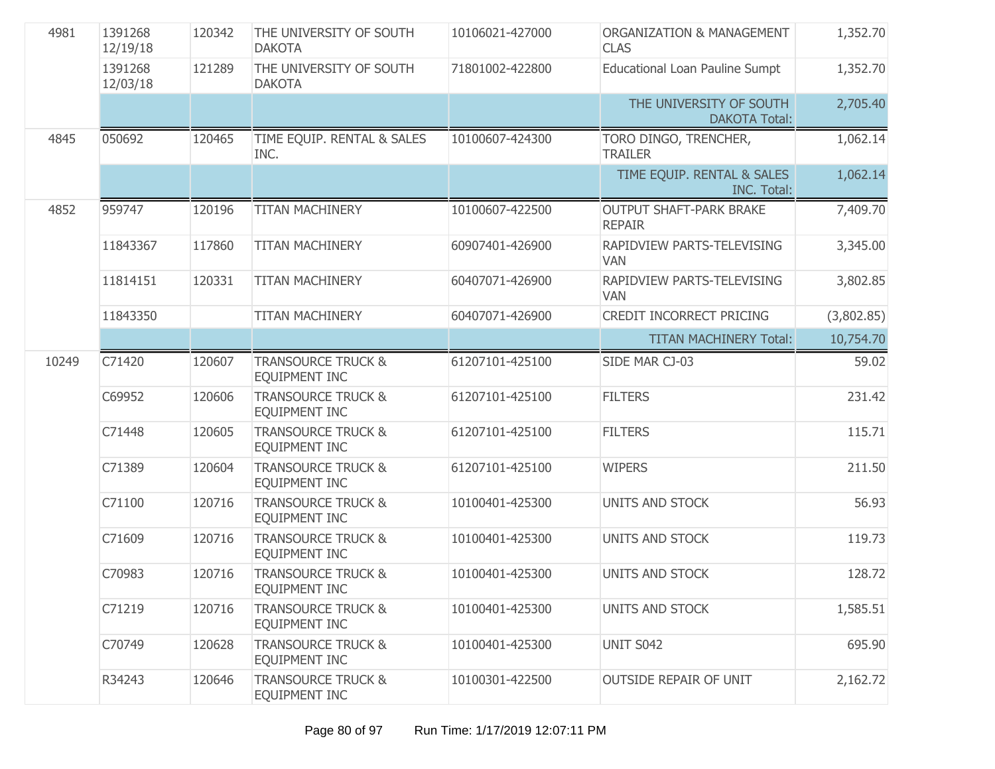| 4981  | 1391268<br>12/19/18 | 120342 | THE UNIVERSITY OF SOUTH<br><b>DAKOTA</b>              | 10106021-427000 | ORGANIZATION & MANAGEMENT<br><b>CLAS</b>         | 1,352.70   |
|-------|---------------------|--------|-------------------------------------------------------|-----------------|--------------------------------------------------|------------|
|       | 1391268<br>12/03/18 | 121289 | THE UNIVERSITY OF SOUTH<br><b>DAKOTA</b>              | 71801002-422800 | <b>Educational Loan Pauline Sumpt</b>            | 1,352.70   |
|       |                     |        |                                                       |                 | THE UNIVERSITY OF SOUTH<br><b>DAKOTA Total:</b>  | 2,705.40   |
| 4845  | 050692              | 120465 | TIME EQUIP. RENTAL & SALES<br>INC.                    | 10100607-424300 | TORO DINGO, TRENCHER,<br><b>TRAILER</b>          | 1,062.14   |
|       |                     |        |                                                       |                 | TIME EQUIP. RENTAL & SALES<br><b>INC. Total:</b> | 1,062.14   |
| 4852  | 959747              | 120196 | <b>TITAN MACHINERY</b>                                | 10100607-422500 | <b>OUTPUT SHAFT-PARK BRAKE</b><br><b>REPAIR</b>  | 7,409.70   |
|       | 11843367            | 117860 | <b>TITAN MACHINERY</b>                                | 60907401-426900 | RAPIDVIEW PARTS-TELEVISING<br><b>VAN</b>         | 3,345.00   |
|       | 11814151            | 120331 | <b>TITAN MACHINERY</b>                                | 60407071-426900 | RAPIDVIEW PARTS-TELEVISING<br><b>VAN</b>         | 3,802.85   |
|       | 11843350            |        | <b>TITAN MACHINERY</b>                                | 60407071-426900 | CREDIT INCORRECT PRICING                         | (3,802.85) |
|       |                     |        |                                                       |                 | <b>TITAN MACHINERY Total:</b>                    | 10,754.70  |
| 10249 | C71420              | 120607 | <b>TRANSOURCE TRUCK &amp;</b><br><b>EQUIPMENT INC</b> | 61207101-425100 | SIDE MAR CJ-03                                   | 59.02      |
|       | C69952              | 120606 | <b>TRANSOURCE TRUCK &amp;</b><br>EQUIPMENT INC        | 61207101-425100 | <b>FILTERS</b>                                   | 231.42     |
|       | C71448              | 120605 | <b>TRANSOURCE TRUCK &amp;</b><br><b>EQUIPMENT INC</b> | 61207101-425100 | <b>FILTERS</b>                                   | 115.71     |
|       | C71389              | 120604 | <b>TRANSOURCE TRUCK &amp;</b><br>EQUIPMENT INC        | 61207101-425100 | <b>WIPERS</b>                                    | 211.50     |
|       | C71100              | 120716 | <b>TRANSOURCE TRUCK &amp;</b><br><b>EQUIPMENT INC</b> | 10100401-425300 | <b>UNITS AND STOCK</b>                           | 56.93      |
|       | C71609              | 120716 | <b>TRANSOURCE TRUCK &amp;</b><br><b>EQUIPMENT INC</b> | 10100401-425300 | <b>UNITS AND STOCK</b>                           | 119.73     |
|       | C70983              | 120716 | <b>TRANSOURCE TRUCK &amp;</b><br>EQUIPMENT INC        | 10100401-425300 | <b>UNITS AND STOCK</b>                           | 128.72     |
|       | C71219              | 120716 | <b>TRANSOURCE TRUCK &amp;</b><br>EQUIPMENT INC        | 10100401-425300 | <b>UNITS AND STOCK</b>                           | 1,585.51   |
|       | C70749              | 120628 | <b>TRANSOURCE TRUCK &amp;</b><br>EQUIPMENT INC        | 10100401-425300 | UNIT S042                                        | 695.90     |
|       | R34243              | 120646 | <b>TRANSOURCE TRUCK &amp;</b><br>EQUIPMENT INC        | 10100301-422500 | <b>OUTSIDE REPAIR OF UNIT</b>                    | 2,162.72   |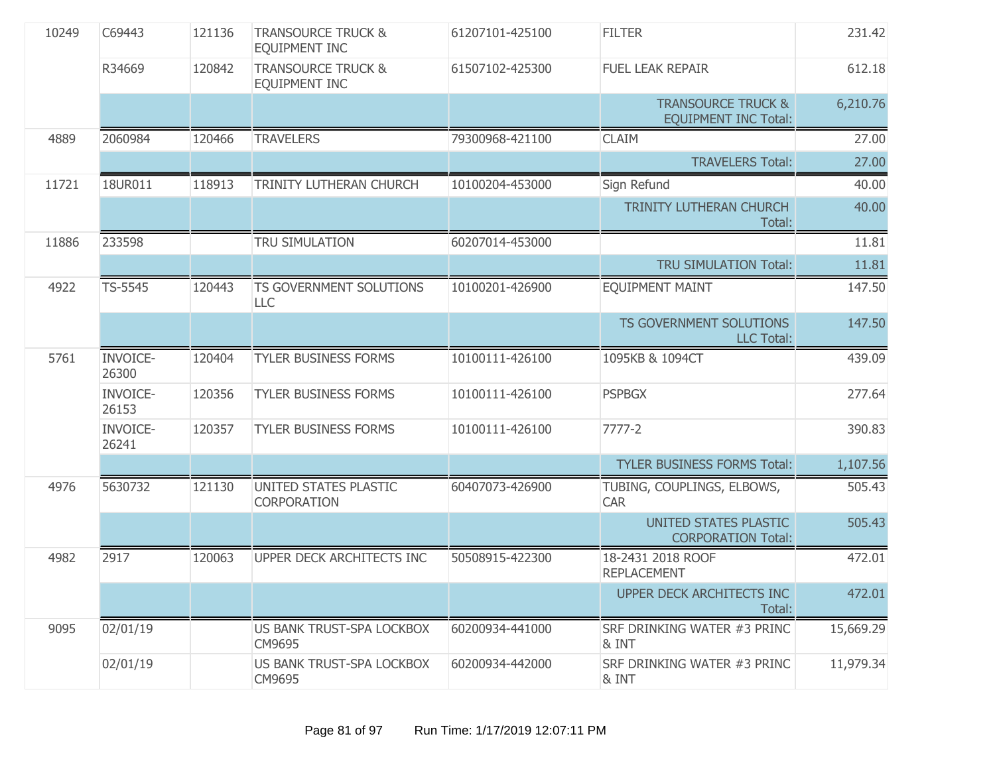| 10249 | C69443                   | 121136 | <b>TRANSOURCE TRUCK &amp;</b><br>EQUIPMENT INC | 61207101-425100 | <b>FILTER</b>                                                | 231.42    |
|-------|--------------------------|--------|------------------------------------------------|-----------------|--------------------------------------------------------------|-----------|
|       | R34669                   | 120842 | <b>TRANSOURCE TRUCK &amp;</b><br>EQUIPMENT INC | 61507102-425300 | <b>FUEL LEAK REPAIR</b>                                      | 612.18    |
|       |                          |        |                                                |                 | <b>TRANSOURCE TRUCK &amp;</b><br><b>EQUIPMENT INC Total:</b> | 6,210.76  |
| 4889  | 2060984                  | 120466 | <b>TRAVELERS</b>                               | 79300968-421100 | <b>CLAIM</b>                                                 | 27.00     |
|       |                          |        |                                                |                 | <b>TRAVELERS Total:</b>                                      | 27.00     |
| 11721 | 18UR011                  | 118913 | TRINITY LUTHERAN CHURCH                        | 10100204-453000 | Sign Refund                                                  | 40.00     |
|       |                          |        |                                                |                 | TRINITY LUTHERAN CHURCH<br>Total:                            | 40.00     |
| 11886 | 233598                   |        | TRU SIMULATION                                 | 60207014-453000 |                                                              | 11.81     |
|       |                          |        |                                                |                 | <b>TRU SIMULATION Total:</b>                                 | 11.81     |
| 4922  | TS-5545                  | 120443 | TS GOVERNMENT SOLUTIONS<br><b>LLC</b>          | 10100201-426900 | <b>EQUIPMENT MAINT</b>                                       | 147.50    |
|       |                          |        |                                                |                 | TS GOVERNMENT SOLUTIONS<br><b>LLC Total:</b>                 | 147.50    |
| 5761  | <b>INVOICE-</b><br>26300 | 120404 | <b>TYLER BUSINESS FORMS</b>                    | 10100111-426100 | 1095KB & 1094CT                                              | 439.09    |
|       | <b>INVOICE-</b><br>26153 | 120356 | <b>TYLER BUSINESS FORMS</b>                    | 10100111-426100 | <b>PSPBGX</b>                                                | 277.64    |
|       | <b>INVOICE-</b><br>26241 | 120357 | <b>TYLER BUSINESS FORMS</b>                    | 10100111-426100 | $7777 - 2$                                                   | 390.83    |
|       |                          |        |                                                |                 | <b>TYLER BUSINESS FORMS Total:</b>                           | 1,107.56  |
| 4976  | 5630732                  | 121130 | UNITED STATES PLASTIC<br><b>CORPORATION</b>    | 60407073-426900 | TUBING, COUPLINGS, ELBOWS,<br><b>CAR</b>                     | 505.43    |
|       |                          |        |                                                |                 | UNITED STATES PLASTIC<br><b>CORPORATION Total:</b>           | 505.43    |
| 4982  | 2917                     | 120063 | UPPER DECK ARCHITECTS INC                      | 50508915-422300 | 18-2431 2018 ROOF<br><b>REPLACEMENT</b>                      | 472.01    |
|       |                          |        |                                                |                 | UPPER DECK ARCHITECTS INC<br>Total:                          | 472.01    |
| 9095  | 02/01/19                 |        | US BANK TRUST-SPA LOCKBOX<br>CM9695            | 60200934-441000 | SRF DRINKING WATER #3 PRINC<br>& INT                         | 15,669.29 |
|       | 02/01/19                 |        | US BANK TRUST-SPA LOCKBOX<br>CM9695            | 60200934-442000 | SRF DRINKING WATER #3 PRINC<br>& INT                         | 11,979.34 |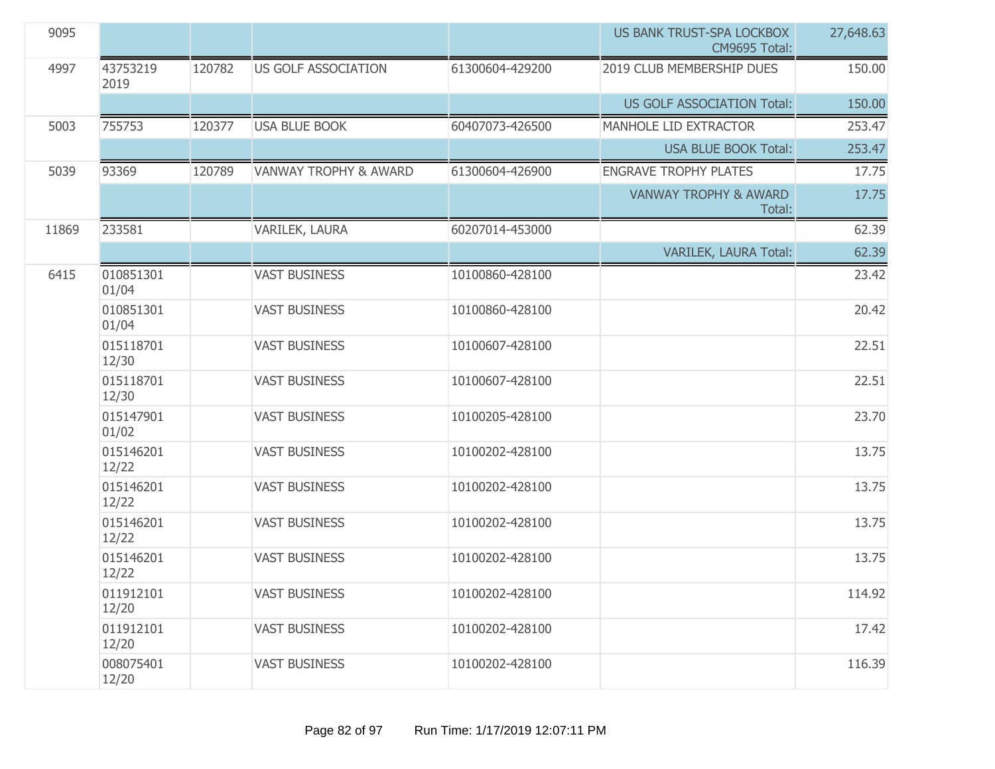| 9095  |                    |        |                                  |                 | <b>US BANK TRUST-SPA LOCKBOX</b><br>CM9695 Total: | 27,648.63 |
|-------|--------------------|--------|----------------------------------|-----------------|---------------------------------------------------|-----------|
| 4997  | 43753219<br>2019   | 120782 | <b>US GOLF ASSOCIATION</b>       | 61300604-429200 | 2019 CLUB MEMBERSHIP DUES                         | 150.00    |
|       |                    |        |                                  |                 | US GOLF ASSOCIATION Total:                        | 150.00    |
| 5003  | 755753             | 120377 | <b>USA BLUE BOOK</b>             | 60407073-426500 | MANHOLE LID EXTRACTOR                             | 253.47    |
|       |                    |        |                                  |                 | <b>USA BLUE BOOK Total:</b>                       | 253.47    |
| 5039  | 93369              | 120789 | <b>VANWAY TROPHY &amp; AWARD</b> | 61300604-426900 | <b>ENGRAVE TROPHY PLATES</b>                      | 17.75     |
|       |                    |        |                                  |                 | <b>VANWAY TROPHY &amp; AWARD</b><br>Total:        | 17.75     |
| 11869 | 233581             |        | VARILEK, LAURA                   | 60207014-453000 |                                                   | 62.39     |
|       |                    |        |                                  |                 | VARILEK, LAURA Total:                             | 62.39     |
| 6415  | 010851301<br>01/04 |        | <b>VAST BUSINESS</b>             | 10100860-428100 |                                                   | 23.42     |
|       | 010851301<br>01/04 |        | <b>VAST BUSINESS</b>             | 10100860-428100 |                                                   | 20.42     |
|       | 015118701<br>12/30 |        | <b>VAST BUSINESS</b>             | 10100607-428100 |                                                   | 22.51     |
|       | 015118701<br>12/30 |        | <b>VAST BUSINESS</b>             | 10100607-428100 |                                                   | 22.51     |
|       | 015147901<br>01/02 |        | <b>VAST BUSINESS</b>             | 10100205-428100 |                                                   | 23.70     |
|       | 015146201<br>12/22 |        | <b>VAST BUSINESS</b>             | 10100202-428100 |                                                   | 13.75     |
|       | 015146201<br>12/22 |        | <b>VAST BUSINESS</b>             | 10100202-428100 |                                                   | 13.75     |
|       | 015146201<br>12/22 |        | <b>VAST BUSINESS</b>             | 10100202-428100 |                                                   | 13.75     |
|       | 015146201<br>12/22 |        | <b>VAST BUSINESS</b>             | 10100202-428100 |                                                   | 13.75     |
|       | 011912101<br>12/20 |        | <b>VAST BUSINESS</b>             | 10100202-428100 |                                                   | 114.92    |
|       | 011912101<br>12/20 |        | <b>VAST BUSINESS</b>             | 10100202-428100 |                                                   | 17.42     |
|       | 008075401<br>12/20 |        | <b>VAST BUSINESS</b>             | 10100202-428100 |                                                   | 116.39    |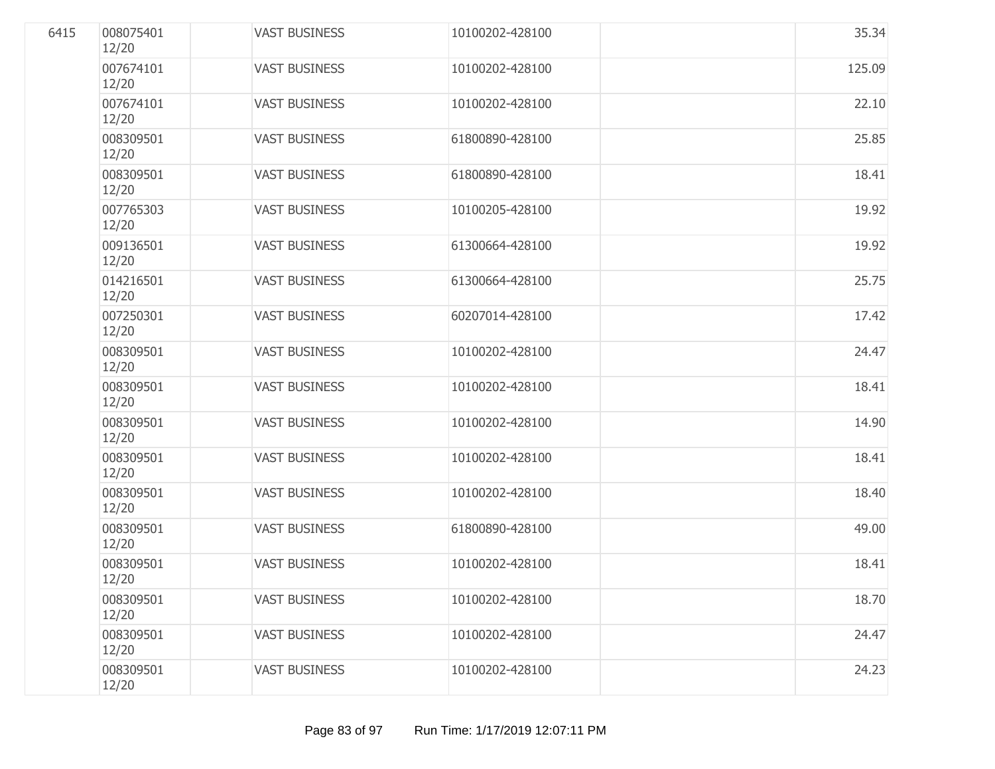| 6415 | 008075401<br>12/20 | <b>VAST BUSINESS</b> | 10100202-428100 | 35.34  |
|------|--------------------|----------------------|-----------------|--------|
|      | 007674101<br>12/20 | <b>VAST BUSINESS</b> | 10100202-428100 | 125.09 |
|      | 007674101<br>12/20 | <b>VAST BUSINESS</b> | 10100202-428100 | 22.10  |
|      | 008309501<br>12/20 | <b>VAST BUSINESS</b> | 61800890-428100 | 25.85  |
|      | 008309501<br>12/20 | <b>VAST BUSINESS</b> | 61800890-428100 | 18.41  |
|      | 007765303<br>12/20 | <b>VAST BUSINESS</b> | 10100205-428100 | 19.92  |
|      | 009136501<br>12/20 | <b>VAST BUSINESS</b> | 61300664-428100 | 19.92  |
|      | 014216501<br>12/20 | <b>VAST BUSINESS</b> | 61300664-428100 | 25.75  |
|      | 007250301<br>12/20 | <b>VAST BUSINESS</b> | 60207014-428100 | 17.42  |
|      | 008309501<br>12/20 | <b>VAST BUSINESS</b> | 10100202-428100 | 24.47  |
|      | 008309501<br>12/20 | <b>VAST BUSINESS</b> | 10100202-428100 | 18.41  |
|      | 008309501<br>12/20 | <b>VAST BUSINESS</b> | 10100202-428100 | 14.90  |
|      | 008309501<br>12/20 | <b>VAST BUSINESS</b> | 10100202-428100 | 18.41  |
|      | 008309501<br>12/20 | <b>VAST BUSINESS</b> | 10100202-428100 | 18.40  |
|      | 008309501<br>12/20 | <b>VAST BUSINESS</b> | 61800890-428100 | 49.00  |
|      | 008309501<br>12/20 | <b>VAST BUSINESS</b> | 10100202-428100 | 18.41  |
|      | 008309501<br>12/20 | <b>VAST BUSINESS</b> | 10100202-428100 | 18.70  |
|      | 008309501<br>12/20 | <b>VAST BUSINESS</b> | 10100202-428100 | 24.47  |
|      | 008309501<br>12/20 | <b>VAST BUSINESS</b> | 10100202-428100 | 24.23  |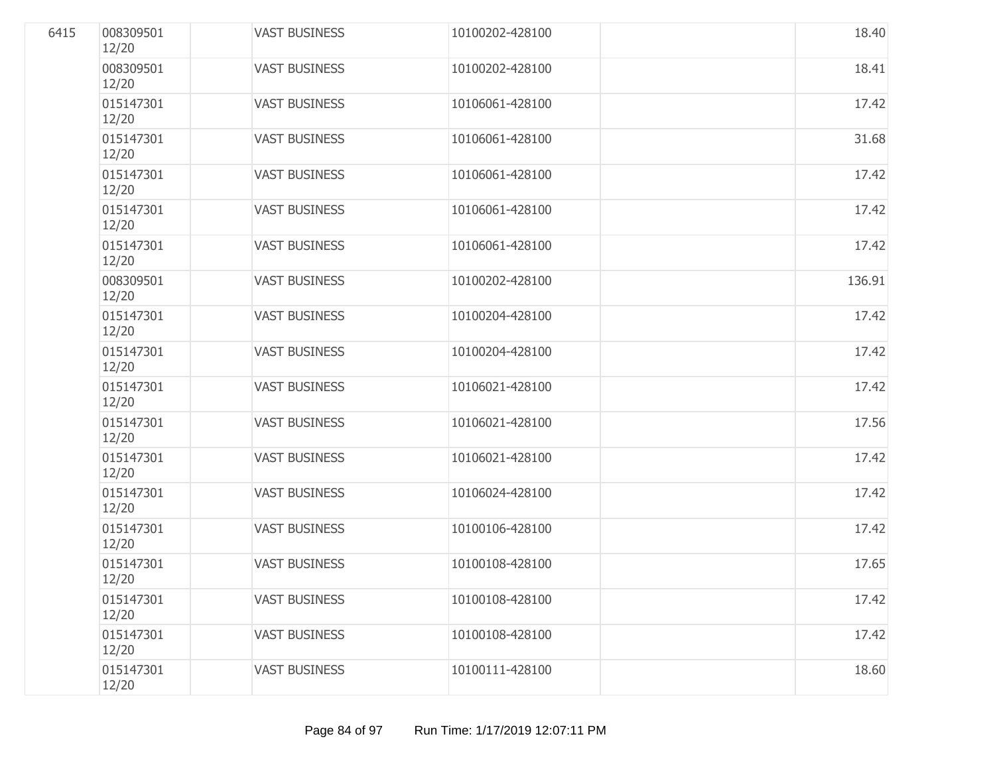| 6415 | 008309501<br>12/20 | <b>VAST BUSINESS</b> | 10100202-428100 | 18.40  |
|------|--------------------|----------------------|-----------------|--------|
|      | 008309501<br>12/20 | <b>VAST BUSINESS</b> | 10100202-428100 | 18.41  |
|      | 015147301<br>12/20 | <b>VAST BUSINESS</b> | 10106061-428100 | 17.42  |
|      | 015147301<br>12/20 | <b>VAST BUSINESS</b> | 10106061-428100 | 31.68  |
|      | 015147301<br>12/20 | <b>VAST BUSINESS</b> | 10106061-428100 | 17.42  |
|      | 015147301<br>12/20 | <b>VAST BUSINESS</b> | 10106061-428100 | 17.42  |
|      | 015147301<br>12/20 | <b>VAST BUSINESS</b> | 10106061-428100 | 17.42  |
|      | 008309501<br>12/20 | <b>VAST BUSINESS</b> | 10100202-428100 | 136.91 |
|      | 015147301<br>12/20 | <b>VAST BUSINESS</b> | 10100204-428100 | 17.42  |
|      | 015147301<br>12/20 | <b>VAST BUSINESS</b> | 10100204-428100 | 17.42  |
|      | 015147301<br>12/20 | <b>VAST BUSINESS</b> | 10106021-428100 | 17.42  |
|      | 015147301<br>12/20 | <b>VAST BUSINESS</b> | 10106021-428100 | 17.56  |
|      | 015147301<br>12/20 | <b>VAST BUSINESS</b> | 10106021-428100 | 17.42  |
|      | 015147301<br>12/20 | <b>VAST BUSINESS</b> | 10106024-428100 | 17.42  |
|      | 015147301<br>12/20 | <b>VAST BUSINESS</b> | 10100106-428100 | 17.42  |
|      | 015147301<br>12/20 | <b>VAST BUSINESS</b> | 10100108-428100 | 17.65  |
|      | 015147301<br>12/20 | <b>VAST BUSINESS</b> | 10100108-428100 | 17.42  |
|      | 015147301<br>12/20 | <b>VAST BUSINESS</b> | 10100108-428100 | 17.42  |
|      | 015147301<br>12/20 | <b>VAST BUSINESS</b> | 10100111-428100 | 18.60  |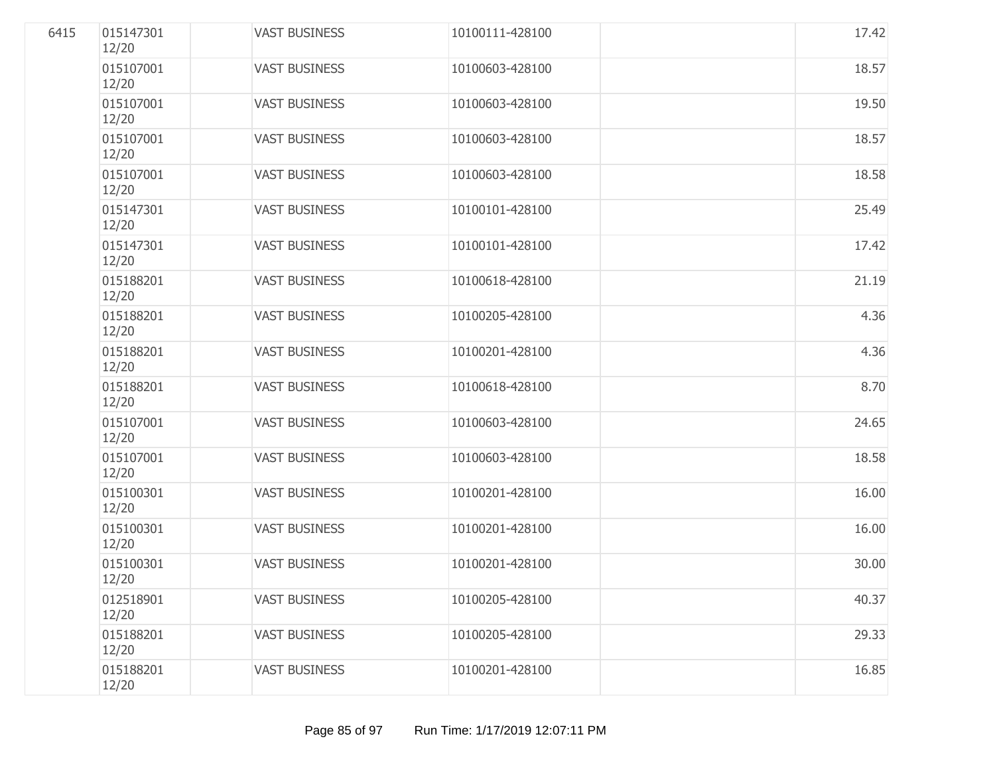| 6415 | 015147301<br>12/20 | <b>VAST BUSINESS</b> | 10100111-428100 | 17.42 |
|------|--------------------|----------------------|-----------------|-------|
|      | 015107001<br>12/20 | <b>VAST BUSINESS</b> | 10100603-428100 | 18.57 |
|      | 015107001<br>12/20 | <b>VAST BUSINESS</b> | 10100603-428100 | 19.50 |
|      | 015107001<br>12/20 | <b>VAST BUSINESS</b> | 10100603-428100 | 18.57 |
|      | 015107001<br>12/20 | <b>VAST BUSINESS</b> | 10100603-428100 | 18.58 |
|      | 015147301<br>12/20 | <b>VAST BUSINESS</b> | 10100101-428100 | 25.49 |
|      | 015147301<br>12/20 | <b>VAST BUSINESS</b> | 10100101-428100 | 17.42 |
|      | 015188201<br>12/20 | <b>VAST BUSINESS</b> | 10100618-428100 | 21.19 |
|      | 015188201<br>12/20 | <b>VAST BUSINESS</b> | 10100205-428100 | 4.36  |
|      | 015188201<br>12/20 | <b>VAST BUSINESS</b> | 10100201-428100 | 4.36  |
|      | 015188201<br>12/20 | <b>VAST BUSINESS</b> | 10100618-428100 | 8.70  |
|      | 015107001<br>12/20 | <b>VAST BUSINESS</b> | 10100603-428100 | 24.65 |
|      | 015107001<br>12/20 | <b>VAST BUSINESS</b> | 10100603-428100 | 18.58 |
|      | 015100301<br>12/20 | <b>VAST BUSINESS</b> | 10100201-428100 | 16.00 |
|      | 015100301<br>12/20 | <b>VAST BUSINESS</b> | 10100201-428100 | 16.00 |
|      | 015100301<br>12/20 | <b>VAST BUSINESS</b> | 10100201-428100 | 30.00 |
|      | 012518901<br>12/20 | <b>VAST BUSINESS</b> | 10100205-428100 | 40.37 |
|      | 015188201<br>12/20 | <b>VAST BUSINESS</b> | 10100205-428100 | 29.33 |
|      | 015188201<br>12/20 | <b>VAST BUSINESS</b> | 10100201-428100 | 16.85 |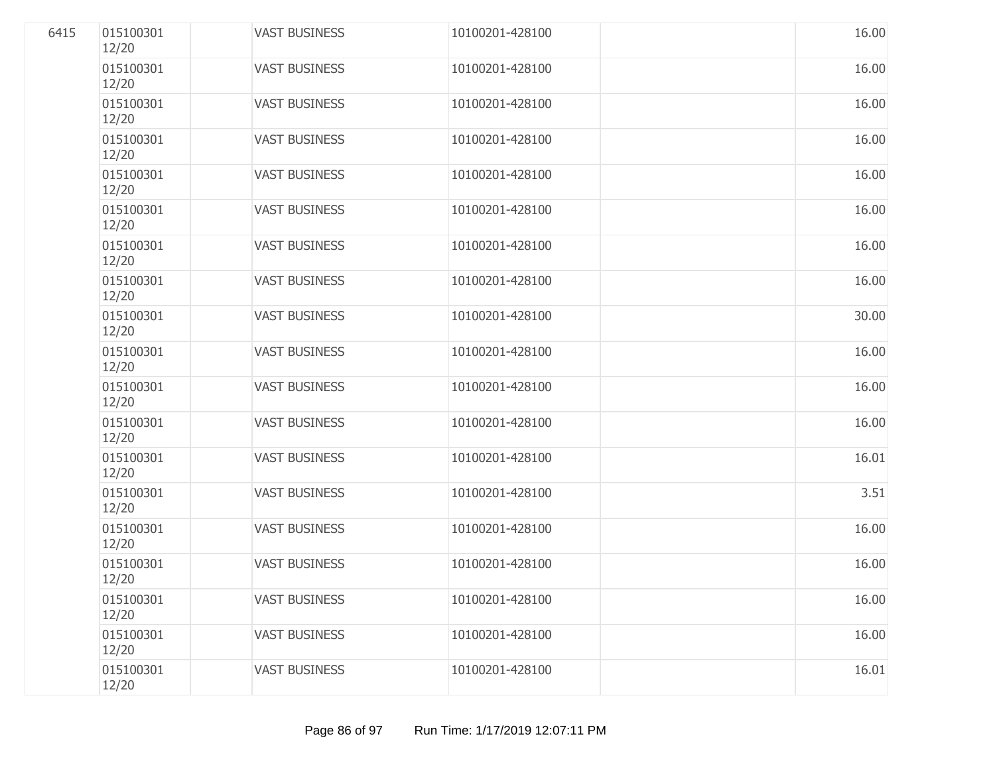| 6415 | 015100301<br>12/20 | <b>VAST BUSINESS</b> | 10100201-428100 | 16.00 |
|------|--------------------|----------------------|-----------------|-------|
|      | 015100301<br>12/20 | <b>VAST BUSINESS</b> | 10100201-428100 | 16.00 |
|      | 015100301<br>12/20 | <b>VAST BUSINESS</b> | 10100201-428100 | 16.00 |
|      | 015100301<br>12/20 | <b>VAST BUSINESS</b> | 10100201-428100 | 16.00 |
|      | 015100301<br>12/20 | <b>VAST BUSINESS</b> | 10100201-428100 | 16.00 |
|      | 015100301<br>12/20 | <b>VAST BUSINESS</b> | 10100201-428100 | 16.00 |
|      | 015100301<br>12/20 | <b>VAST BUSINESS</b> | 10100201-428100 | 16.00 |
|      | 015100301<br>12/20 | <b>VAST BUSINESS</b> | 10100201-428100 | 16.00 |
|      | 015100301<br>12/20 | <b>VAST BUSINESS</b> | 10100201-428100 | 30.00 |
|      | 015100301<br>12/20 | <b>VAST BUSINESS</b> | 10100201-428100 | 16.00 |
|      | 015100301<br>12/20 | <b>VAST BUSINESS</b> | 10100201-428100 | 16.00 |
|      | 015100301<br>12/20 | <b>VAST BUSINESS</b> | 10100201-428100 | 16.00 |
|      | 015100301<br>12/20 | <b>VAST BUSINESS</b> | 10100201-428100 | 16.01 |
|      | 015100301<br>12/20 | <b>VAST BUSINESS</b> | 10100201-428100 | 3.51  |
|      | 015100301<br>12/20 | <b>VAST BUSINESS</b> | 10100201-428100 | 16.00 |
|      | 015100301<br>12/20 | <b>VAST BUSINESS</b> | 10100201-428100 | 16.00 |
|      | 015100301<br>12/20 | <b>VAST BUSINESS</b> | 10100201-428100 | 16.00 |
|      | 015100301<br>12/20 | <b>VAST BUSINESS</b> | 10100201-428100 | 16.00 |
|      | 015100301<br>12/20 | <b>VAST BUSINESS</b> | 10100201-428100 | 16.01 |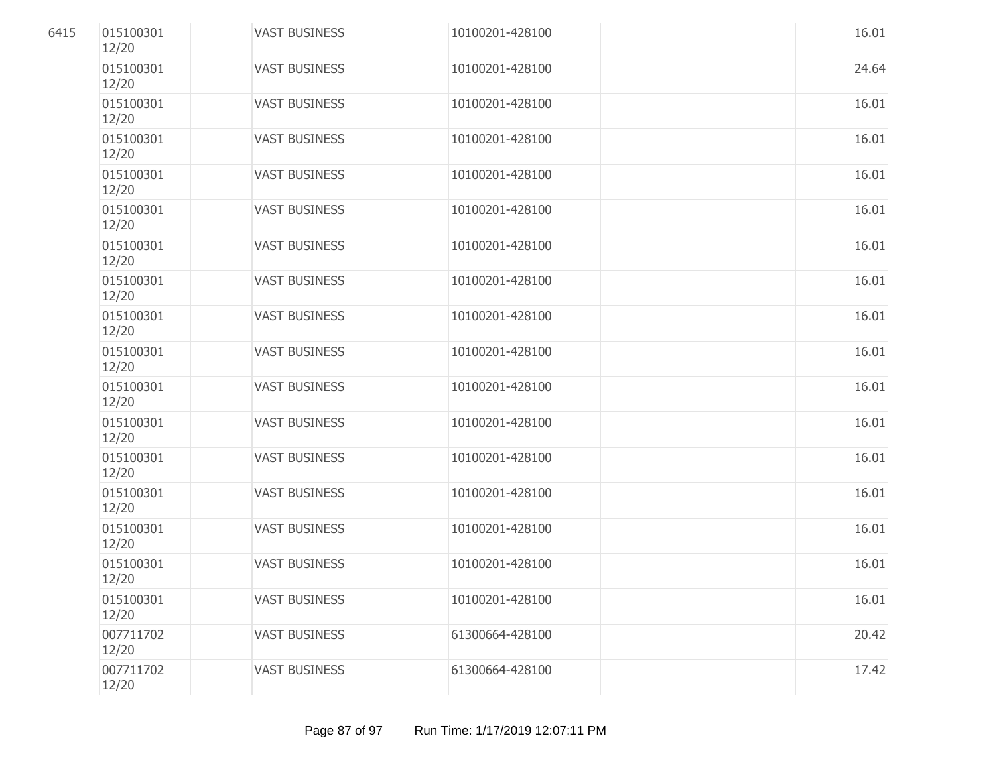| 6415 | 015100301<br>12/20 | <b>VAST BUSINESS</b> | 10100201-428100 | 16.01 |
|------|--------------------|----------------------|-----------------|-------|
|      | 015100301<br>12/20 | <b>VAST BUSINESS</b> | 10100201-428100 | 24.64 |
|      | 015100301<br>12/20 | <b>VAST BUSINESS</b> | 10100201-428100 | 16.01 |
|      | 015100301<br>12/20 | <b>VAST BUSINESS</b> | 10100201-428100 | 16.01 |
|      | 015100301<br>12/20 | <b>VAST BUSINESS</b> | 10100201-428100 | 16.01 |
|      | 015100301<br>12/20 | <b>VAST BUSINESS</b> | 10100201-428100 | 16.01 |
|      | 015100301<br>12/20 | <b>VAST BUSINESS</b> | 10100201-428100 | 16.01 |
|      | 015100301<br>12/20 | <b>VAST BUSINESS</b> | 10100201-428100 | 16.01 |
|      | 015100301<br>12/20 | <b>VAST BUSINESS</b> | 10100201-428100 | 16.01 |
|      | 015100301<br>12/20 | <b>VAST BUSINESS</b> | 10100201-428100 | 16.01 |
|      | 015100301<br>12/20 | <b>VAST BUSINESS</b> | 10100201-428100 | 16.01 |
|      | 015100301<br>12/20 | <b>VAST BUSINESS</b> | 10100201-428100 | 16.01 |
|      | 015100301<br>12/20 | <b>VAST BUSINESS</b> | 10100201-428100 | 16.01 |
|      | 015100301<br>12/20 | <b>VAST BUSINESS</b> | 10100201-428100 | 16.01 |
|      | 015100301<br>12/20 | <b>VAST BUSINESS</b> | 10100201-428100 | 16.01 |
|      | 015100301<br>12/20 | <b>VAST BUSINESS</b> | 10100201-428100 | 16.01 |
|      | 015100301<br>12/20 | <b>VAST BUSINESS</b> | 10100201-428100 | 16.01 |
|      | 007711702<br>12/20 | <b>VAST BUSINESS</b> | 61300664-428100 | 20.42 |
|      | 007711702<br>12/20 | <b>VAST BUSINESS</b> | 61300664-428100 | 17.42 |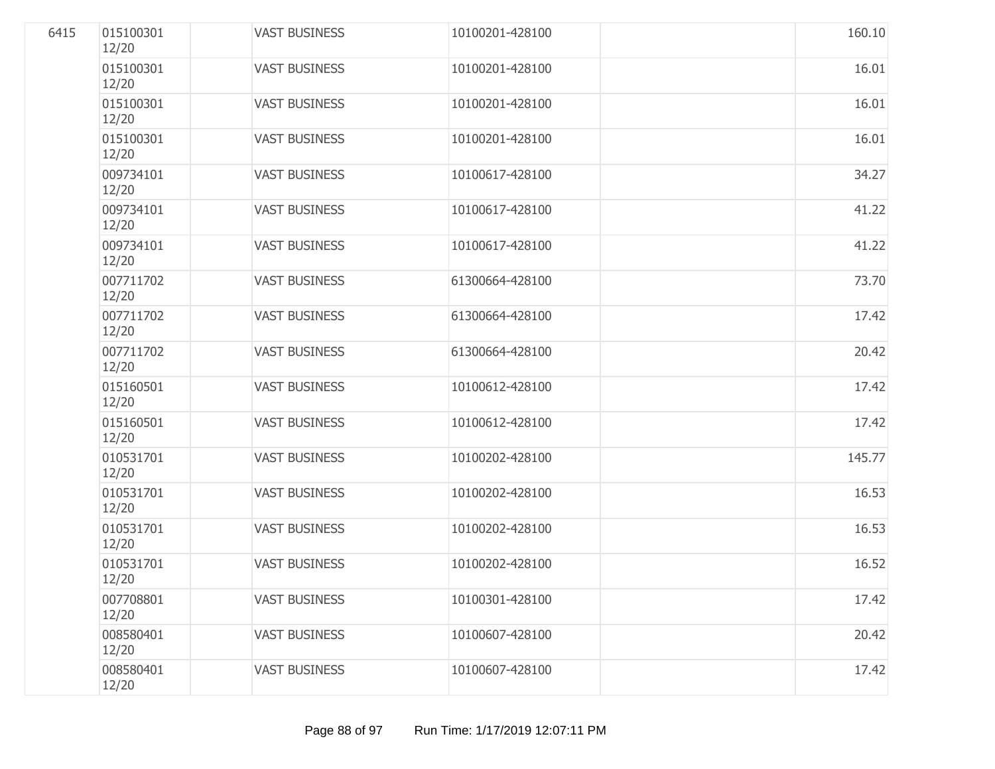| 6415 | 015100301<br>12/20 | <b>VAST BUSINESS</b> | 10100201-428100 | 160.10 |
|------|--------------------|----------------------|-----------------|--------|
|      | 015100301<br>12/20 | <b>VAST BUSINESS</b> | 10100201-428100 | 16.01  |
|      | 015100301<br>12/20 | <b>VAST BUSINESS</b> | 10100201-428100 | 16.01  |
|      | 015100301<br>12/20 | <b>VAST BUSINESS</b> | 10100201-428100 | 16.01  |
|      | 009734101<br>12/20 | <b>VAST BUSINESS</b> | 10100617-428100 | 34.27  |
|      | 009734101<br>12/20 | <b>VAST BUSINESS</b> | 10100617-428100 | 41.22  |
|      | 009734101<br>12/20 | <b>VAST BUSINESS</b> | 10100617-428100 | 41.22  |
|      | 007711702<br>12/20 | <b>VAST BUSINESS</b> | 61300664-428100 | 73.70  |
|      | 007711702<br>12/20 | <b>VAST BUSINESS</b> | 61300664-428100 | 17.42  |
|      | 007711702<br>12/20 | <b>VAST BUSINESS</b> | 61300664-428100 | 20.42  |
|      | 015160501<br>12/20 | <b>VAST BUSINESS</b> | 10100612-428100 | 17.42  |
|      | 015160501<br>12/20 | <b>VAST BUSINESS</b> | 10100612-428100 | 17.42  |
|      | 010531701<br>12/20 | <b>VAST BUSINESS</b> | 10100202-428100 | 145.77 |
|      | 010531701<br>12/20 | <b>VAST BUSINESS</b> | 10100202-428100 | 16.53  |
|      | 010531701<br>12/20 | <b>VAST BUSINESS</b> | 10100202-428100 | 16.53  |
|      | 010531701<br>12/20 | <b>VAST BUSINESS</b> | 10100202-428100 | 16.52  |
|      | 007708801<br>12/20 | <b>VAST BUSINESS</b> | 10100301-428100 | 17.42  |
|      | 008580401<br>12/20 | <b>VAST BUSINESS</b> | 10100607-428100 | 20.42  |
|      | 008580401<br>12/20 | <b>VAST BUSINESS</b> | 10100607-428100 | 17.42  |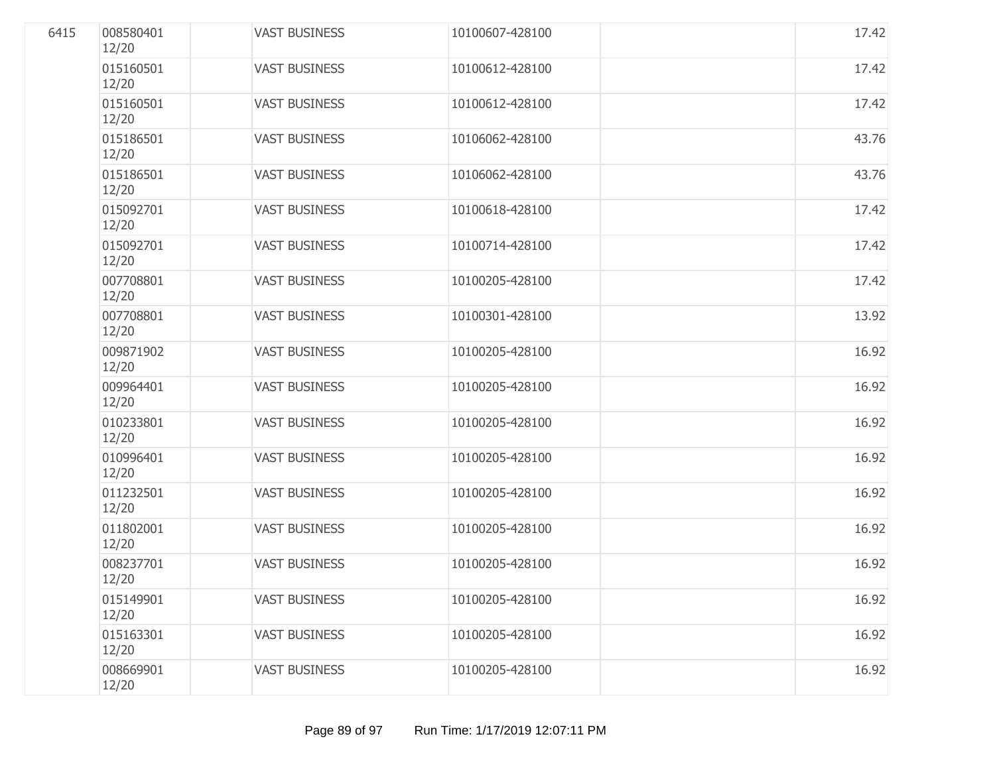| 6415 | 008580401<br>12/20 | <b>VAST BUSINESS</b> | 10100607-428100 | 17.42 |
|------|--------------------|----------------------|-----------------|-------|
|      | 015160501<br>12/20 | <b>VAST BUSINESS</b> | 10100612-428100 | 17.42 |
|      | 015160501<br>12/20 | <b>VAST BUSINESS</b> | 10100612-428100 | 17.42 |
|      | 015186501<br>12/20 | <b>VAST BUSINESS</b> | 10106062-428100 | 43.76 |
|      | 015186501<br>12/20 | <b>VAST BUSINESS</b> | 10106062-428100 | 43.76 |
|      | 015092701<br>12/20 | <b>VAST BUSINESS</b> | 10100618-428100 | 17.42 |
|      | 015092701<br>12/20 | <b>VAST BUSINESS</b> | 10100714-428100 | 17.42 |
|      | 007708801<br>12/20 | <b>VAST BUSINESS</b> | 10100205-428100 | 17.42 |
|      | 007708801<br>12/20 | <b>VAST BUSINESS</b> | 10100301-428100 | 13.92 |
|      | 009871902<br>12/20 | <b>VAST BUSINESS</b> | 10100205-428100 | 16.92 |
|      | 009964401<br>12/20 | <b>VAST BUSINESS</b> | 10100205-428100 | 16.92 |
|      | 010233801<br>12/20 | <b>VAST BUSINESS</b> | 10100205-428100 | 16.92 |
|      | 010996401<br>12/20 | <b>VAST BUSINESS</b> | 10100205-428100 | 16.92 |
|      | 011232501<br>12/20 | <b>VAST BUSINESS</b> | 10100205-428100 | 16.92 |
|      | 011802001<br>12/20 | <b>VAST BUSINESS</b> | 10100205-428100 | 16.92 |
|      | 008237701<br>12/20 | <b>VAST BUSINESS</b> | 10100205-428100 | 16.92 |
|      | 015149901<br>12/20 | <b>VAST BUSINESS</b> | 10100205-428100 | 16.92 |
|      | 015163301<br>12/20 | <b>VAST BUSINESS</b> | 10100205-428100 | 16.92 |
|      | 008669901<br>12/20 | <b>VAST BUSINESS</b> | 10100205-428100 | 16.92 |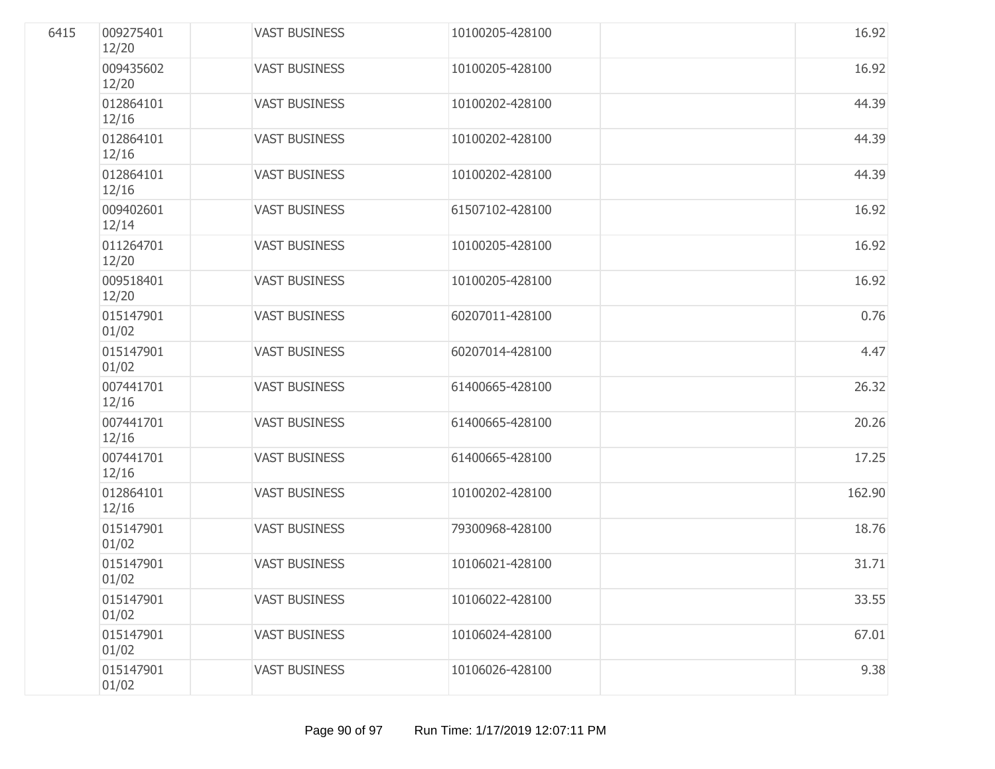| 6415 | 009275401<br>12/20 | <b>VAST BUSINESS</b> | 10100205-428100 | 16.92  |
|------|--------------------|----------------------|-----------------|--------|
|      | 009435602<br>12/20 | <b>VAST BUSINESS</b> | 10100205-428100 | 16.92  |
|      | 012864101<br>12/16 | <b>VAST BUSINESS</b> | 10100202-428100 | 44.39  |
|      | 012864101<br>12/16 | <b>VAST BUSINESS</b> | 10100202-428100 | 44.39  |
|      | 012864101<br>12/16 | <b>VAST BUSINESS</b> | 10100202-428100 | 44.39  |
|      | 009402601<br>12/14 | <b>VAST BUSINESS</b> | 61507102-428100 | 16.92  |
|      | 011264701<br>12/20 | <b>VAST BUSINESS</b> | 10100205-428100 | 16.92  |
|      | 009518401<br>12/20 | <b>VAST BUSINESS</b> | 10100205-428100 | 16.92  |
|      | 015147901<br>01/02 | <b>VAST BUSINESS</b> | 60207011-428100 | 0.76   |
|      | 015147901<br>01/02 | <b>VAST BUSINESS</b> | 60207014-428100 | 4.47   |
|      | 007441701<br>12/16 | <b>VAST BUSINESS</b> | 61400665-428100 | 26.32  |
|      | 007441701<br>12/16 | <b>VAST BUSINESS</b> | 61400665-428100 | 20.26  |
|      | 007441701<br>12/16 | <b>VAST BUSINESS</b> | 61400665-428100 | 17.25  |
|      | 012864101<br>12/16 | <b>VAST BUSINESS</b> | 10100202-428100 | 162.90 |
|      | 015147901<br>01/02 | <b>VAST BUSINESS</b> | 79300968-428100 | 18.76  |
|      | 015147901<br>01/02 | <b>VAST BUSINESS</b> | 10106021-428100 | 31.71  |
|      | 015147901<br>01/02 | <b>VAST BUSINESS</b> | 10106022-428100 | 33.55  |
|      | 015147901<br>01/02 | <b>VAST BUSINESS</b> | 10106024-428100 | 67.01  |
|      | 015147901<br>01/02 | <b>VAST BUSINESS</b> | 10106026-428100 | 9.38   |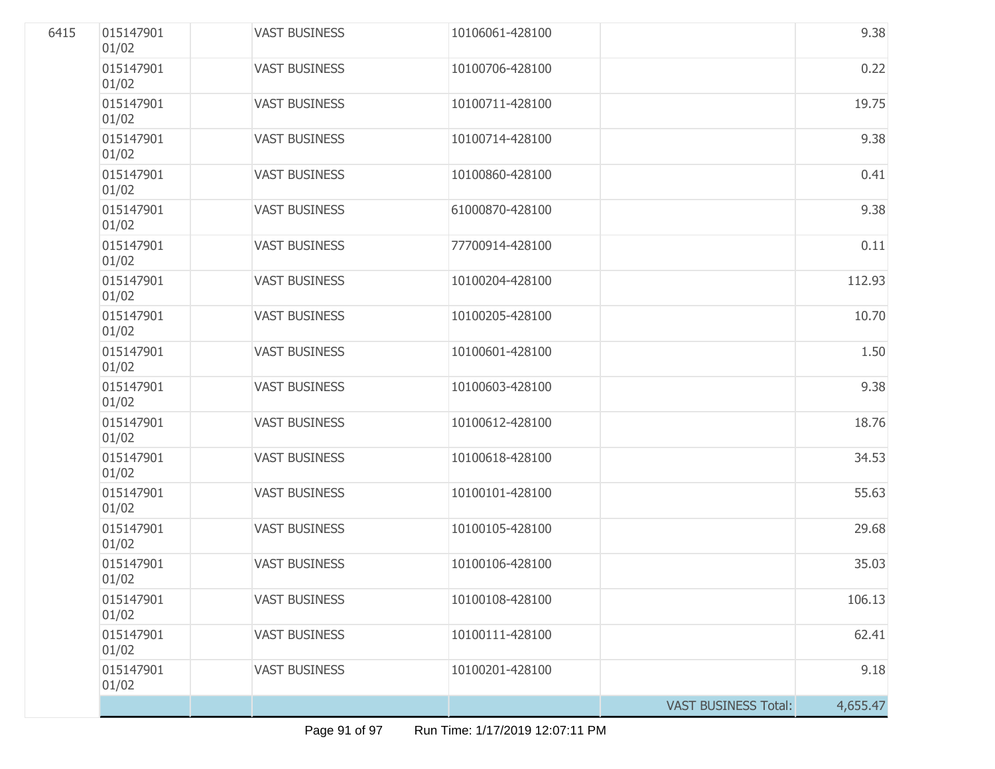| 6415 | 015147901<br>01/02 | <b>VAST BUSINESS</b> | 10106061-428100 |                             | 9.38     |
|------|--------------------|----------------------|-----------------|-----------------------------|----------|
|      | 015147901<br>01/02 | <b>VAST BUSINESS</b> | 10100706-428100 |                             | 0.22     |
|      | 015147901<br>01/02 | <b>VAST BUSINESS</b> | 10100711-428100 |                             | 19.75    |
|      | 015147901<br>01/02 | <b>VAST BUSINESS</b> | 10100714-428100 |                             | 9.38     |
|      | 015147901<br>01/02 | <b>VAST BUSINESS</b> | 10100860-428100 |                             | 0.41     |
|      | 015147901<br>01/02 | <b>VAST BUSINESS</b> | 61000870-428100 |                             | 9.38     |
|      | 015147901<br>01/02 | <b>VAST BUSINESS</b> | 77700914-428100 |                             | 0.11     |
|      | 015147901<br>01/02 | <b>VAST BUSINESS</b> | 10100204-428100 |                             | 112.93   |
|      | 015147901<br>01/02 | <b>VAST BUSINESS</b> | 10100205-428100 |                             | 10.70    |
|      | 015147901<br>01/02 | <b>VAST BUSINESS</b> | 10100601-428100 |                             | 1.50     |
|      | 015147901<br>01/02 | <b>VAST BUSINESS</b> | 10100603-428100 |                             | 9.38     |
|      | 015147901<br>01/02 | <b>VAST BUSINESS</b> | 10100612-428100 |                             | 18.76    |
|      | 015147901<br>01/02 | <b>VAST BUSINESS</b> | 10100618-428100 |                             | 34.53    |
|      | 015147901<br>01/02 | <b>VAST BUSINESS</b> | 10100101-428100 |                             | 55.63    |
|      | 015147901<br>01/02 | <b>VAST BUSINESS</b> | 10100105-428100 |                             | 29.68    |
|      | 015147901<br>01/02 | <b>VAST BUSINESS</b> | 10100106-428100 |                             | 35.03    |
|      | 015147901<br>01/02 | <b>VAST BUSINESS</b> | 10100108-428100 |                             | 106.13   |
|      | 015147901<br>01/02 | <b>VAST BUSINESS</b> | 10100111-428100 |                             | 62.41    |
|      | 015147901<br>01/02 | <b>VAST BUSINESS</b> | 10100201-428100 |                             | 9.18     |
|      |                    |                      |                 | <b>VAST BUSINESS Total:</b> | 4,655.47 |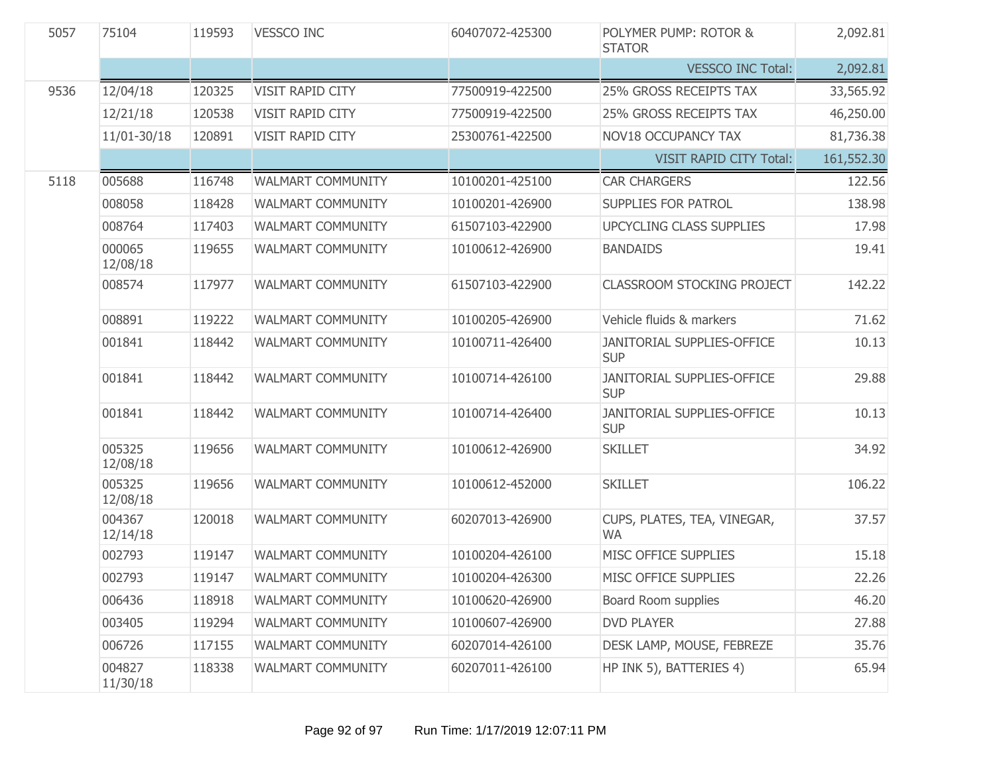| 5057 | 75104              | 119593 | <b>VESSCO INC</b>        | 60407072-425300 | POLYMER PUMP: ROTOR &<br><b>STATOR</b>          | 2,092.81   |
|------|--------------------|--------|--------------------------|-----------------|-------------------------------------------------|------------|
|      |                    |        |                          |                 | <b>VESSCO INC Total:</b>                        | 2,092.81   |
| 9536 | 12/04/18           | 120325 | <b>VISIT RAPID CITY</b>  | 77500919-422500 | 25% GROSS RECEIPTS TAX                          | 33,565.92  |
|      | 12/21/18           | 120538 | VISIT RAPID CITY         | 77500919-422500 | <b>25% GROSS RECEIPTS TAX</b>                   | 46,250.00  |
|      | 11/01-30/18        | 120891 | VISIT RAPID CITY         | 25300761-422500 | <b>NOV18 OCCUPANCY TAX</b>                      | 81,736.38  |
|      |                    |        |                          |                 | <b>VISIT RAPID CITY Total:</b>                  | 161,552.30 |
| 5118 | 005688             | 116748 | <b>WALMART COMMUNITY</b> | 10100201-425100 | <b>CAR CHARGERS</b>                             | 122.56     |
|      | 008058             | 118428 | <b>WALMART COMMUNITY</b> | 10100201-426900 | SUPPLIES FOR PATROL                             | 138.98     |
|      | 008764             | 117403 | <b>WALMART COMMUNITY</b> | 61507103-422900 | UPCYCLING CLASS SUPPLIES                        | 17.98      |
|      | 000065<br>12/08/18 | 119655 | <b>WALMART COMMUNITY</b> | 10100612-426900 | <b>BANDAIDS</b>                                 | 19.41      |
|      | 008574             | 117977 | <b>WALMART COMMUNITY</b> | 61507103-422900 | <b>CLASSROOM STOCKING PROJECT</b>               | 142.22     |
|      | 008891             | 119222 | <b>WALMART COMMUNITY</b> | 10100205-426900 | Vehicle fluids & markers                        | 71.62      |
|      | 001841             | 118442 | <b>WALMART COMMUNITY</b> | 10100711-426400 | <b>JANITORIAL SUPPLIES-OFFICE</b><br><b>SUP</b> | 10.13      |
|      | 001841             | 118442 | <b>WALMART COMMUNITY</b> | 10100714-426100 | JANITORIAL SUPPLIES-OFFICE<br><b>SUP</b>        | 29.88      |
|      | 001841             | 118442 | <b>WALMART COMMUNITY</b> | 10100714-426400 | JANITORIAL SUPPLIES-OFFICE<br><b>SUP</b>        | 10.13      |
|      | 005325<br>12/08/18 | 119656 | <b>WALMART COMMUNITY</b> | 10100612-426900 | <b>SKILLET</b>                                  | 34.92      |
|      | 005325<br>12/08/18 | 119656 | <b>WALMART COMMUNITY</b> | 10100612-452000 | <b>SKILLET</b>                                  | 106.22     |
|      | 004367<br>12/14/18 | 120018 | <b>WALMART COMMUNITY</b> | 60207013-426900 | CUPS, PLATES, TEA, VINEGAR,<br><b>WA</b>        | 37.57      |
|      | 002793             | 119147 | <b>WALMART COMMUNITY</b> | 10100204-426100 | MISC OFFICE SUPPLIES                            | 15.18      |
|      | 002793             | 119147 | <b>WALMART COMMUNITY</b> | 10100204-426300 | MISC OFFICE SUPPLIES                            | 22.26      |
|      | 006436             | 118918 | <b>WALMART COMMUNITY</b> | 10100620-426900 | Board Room supplies                             | 46.20      |
|      | 003405             | 119294 | <b>WALMART COMMUNITY</b> | 10100607-426900 | <b>DVD PLAYER</b>                               | 27.88      |
|      | 006726             | 117155 | <b>WALMART COMMUNITY</b> | 60207014-426100 | DESK LAMP, MOUSE, FEBREZE                       | 35.76      |
|      | 004827<br>11/30/18 | 118338 | <b>WALMART COMMUNITY</b> | 60207011-426100 | HP INK 5), BATTERIES 4)                         | 65.94      |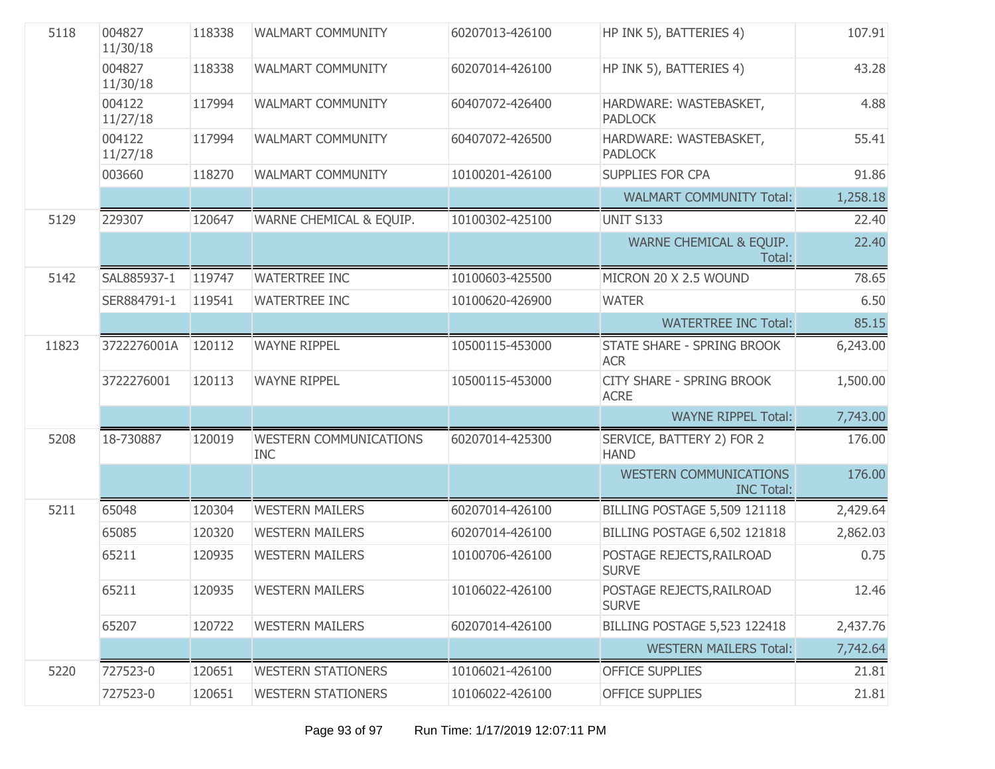| 5118  | 004827<br>11/30/18 | 118338 | <b>WALMART COMMUNITY</b>                    | 60207013-426100 | HP INK 5), BATTERIES 4)                            | 107.91   |
|-------|--------------------|--------|---------------------------------------------|-----------------|----------------------------------------------------|----------|
|       | 004827<br>11/30/18 | 118338 | <b>WALMART COMMUNITY</b>                    | 60207014-426100 | HP INK 5), BATTERIES 4)                            | 43.28    |
|       | 004122<br>11/27/18 | 117994 | <b>WALMART COMMUNITY</b>                    | 60407072-426400 | HARDWARE: WASTEBASKET,<br><b>PADLOCK</b>           | 4.88     |
|       | 004122<br>11/27/18 | 117994 | WALMART COMMUNITY                           | 60407072-426500 | HARDWARE: WASTEBASKET,<br><b>PADLOCK</b>           | 55.41    |
|       | 003660             | 118270 | <b>WALMART COMMUNITY</b>                    | 10100201-426100 | <b>SUPPLIES FOR CPA</b>                            | 91.86    |
|       |                    |        |                                             |                 | <b>WALMART COMMUNITY Total:</b>                    | 1,258.18 |
| 5129  | 229307             | 120647 | WARNE CHEMICAL & EQUIP.                     | 10100302-425100 | <b>UNIT S133</b>                                   | 22.40    |
|       |                    |        |                                             |                 | WARNE CHEMICAL & EQUIP.<br>Total:                  | 22.40    |
| 5142  | SAL885937-1        | 119747 | <b>WATERTREE INC</b>                        | 10100603-425500 | MICRON 20 X 2.5 WOUND                              | 78.65    |
|       | SER884791-1        | 119541 | <b>WATERTREE INC</b>                        | 10100620-426900 | <b>WATER</b>                                       | 6.50     |
|       |                    |        |                                             |                 | <b>WATERTREE INC Total:</b>                        | 85.15    |
| 11823 | 3722276001A        | 120112 | <b>WAYNE RIPPEL</b>                         | 10500115-453000 | <b>STATE SHARE - SPRING BROOK</b><br><b>ACR</b>    | 6,243.00 |
|       | 3722276001         | 120113 | <b>WAYNE RIPPEL</b>                         | 10500115-453000 | <b>CITY SHARE - SPRING BROOK</b><br><b>ACRE</b>    | 1,500.00 |
|       |                    |        |                                             |                 | <b>WAYNE RIPPEL Total:</b>                         | 7,743.00 |
| 5208  | 18-730887          | 120019 | <b>WESTERN COMMUNICATIONS</b><br><b>INC</b> | 60207014-425300 | SERVICE, BATTERY 2) FOR 2<br><b>HAND</b>           | 176.00   |
|       |                    |        |                                             |                 | <b>WESTERN COMMUNICATIONS</b><br><b>INC Total:</b> | 176.00   |
| 5211  | 65048              | 120304 | <b>WESTERN MAILERS</b>                      | 60207014-426100 | <b>BILLING POSTAGE 5,509 121118</b>                | 2,429.64 |
|       | 65085              | 120320 | <b>WESTERN MAILERS</b>                      | 60207014-426100 | <b>BILLING POSTAGE 6,502 121818</b>                | 2,862.03 |
|       | 65211              | 120935 | <b>WESTERN MAILERS</b>                      | 10100706-426100 | POSTAGE REJECTS, RAILROAD<br><b>SURVE</b>          | 0.75     |
|       | 65211              | 120935 | <b>WESTERN MAILERS</b>                      | 10106022-426100 | POSTAGE REJECTS, RAILROAD<br><b>SURVE</b>          | 12.46    |
|       | 65207              | 120722 | <b>WESTERN MAILERS</b>                      | 60207014-426100 | BILLING POSTAGE 5,523 122418                       | 2,437.76 |
|       |                    |        |                                             |                 | <b>WESTERN MAILERS Total:</b>                      | 7,742.64 |
| 5220  | 727523-0           | 120651 | <b>WESTERN STATIONERS</b>                   | 10106021-426100 | <b>OFFICE SUPPLIES</b>                             | 21.81    |
|       | 727523-0           | 120651 | <b>WESTERN STATIONERS</b>                   | 10106022-426100 | <b>OFFICE SUPPLIES</b>                             | 21.81    |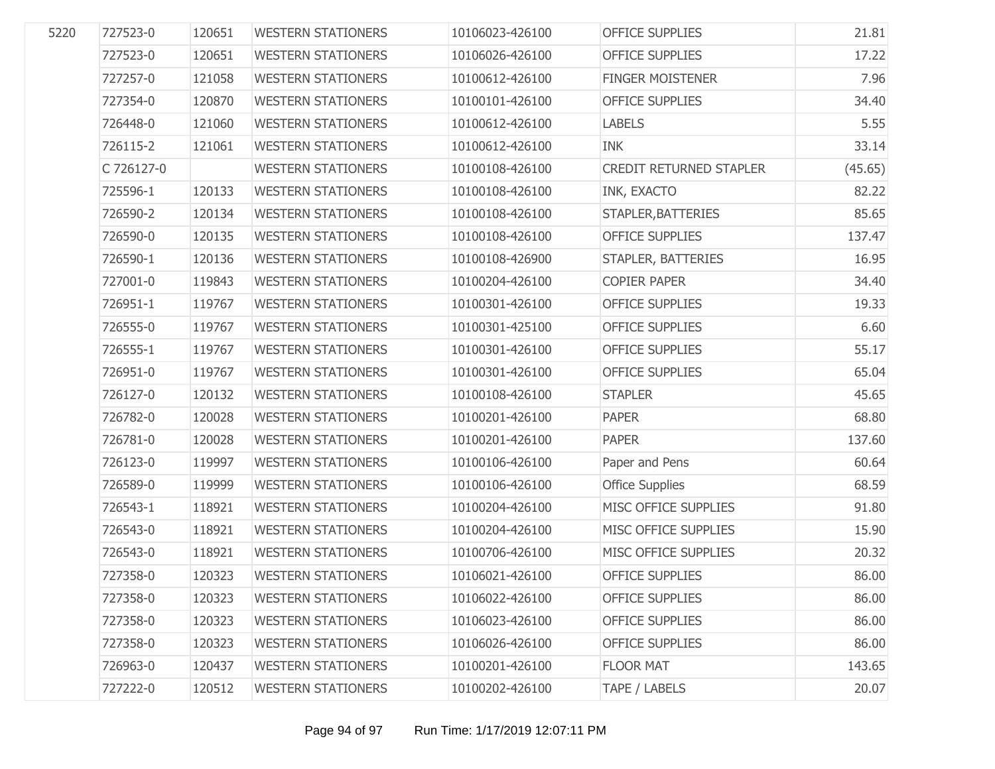| 5220 | 727523-0   | 120651 | <b>WESTERN STATIONERS</b> | 10106023-426100 | <b>OFFICE SUPPLIES</b>  | 21.81   |
|------|------------|--------|---------------------------|-----------------|-------------------------|---------|
|      | 727523-0   | 120651 | <b>WESTERN STATIONERS</b> | 10106026-426100 | <b>OFFICE SUPPLIES</b>  | 17.22   |
|      | 727257-0   | 121058 | <b>WESTERN STATIONERS</b> | 10100612-426100 | <b>FINGER MOISTENER</b> | 7.96    |
|      | 727354-0   | 120870 | <b>WESTERN STATIONERS</b> | 10100101-426100 | <b>OFFICE SUPPLIES</b>  | 34.40   |
|      | 726448-0   | 121060 | <b>WESTERN STATIONERS</b> | 10100612-426100 | <b>LABELS</b>           | 5.55    |
|      | 726115-2   | 121061 | <b>WESTERN STATIONERS</b> | 10100612-426100 | <b>INK</b>              | 33.14   |
|      | C 726127-0 |        | <b>WESTERN STATIONERS</b> | 10100108-426100 | CREDIT RETURNED STAPLER | (45.65) |
|      | 725596-1   | 120133 | <b>WESTERN STATIONERS</b> | 10100108-426100 | INK, EXACTO             | 82.22   |
|      | 726590-2   | 120134 | <b>WESTERN STATIONERS</b> | 10100108-426100 | STAPLER, BATTERIES      | 85.65   |
|      | 726590-0   | 120135 | <b>WESTERN STATIONERS</b> | 10100108-426100 | <b>OFFICE SUPPLIES</b>  | 137.47  |
|      | 726590-1   | 120136 | <b>WESTERN STATIONERS</b> | 10100108-426900 | STAPLER, BATTERIES      | 16.95   |
|      | 727001-0   | 119843 | <b>WESTERN STATIONERS</b> | 10100204-426100 | <b>COPIER PAPER</b>     | 34.40   |
|      | 726951-1   | 119767 | <b>WESTERN STATIONERS</b> | 10100301-426100 | <b>OFFICE SUPPLIES</b>  | 19.33   |
|      | 726555-0   | 119767 | <b>WESTERN STATIONERS</b> | 10100301-425100 | <b>OFFICE SUPPLIES</b>  | 6.60    |
|      | 726555-1   | 119767 | <b>WESTERN STATIONERS</b> | 10100301-426100 | <b>OFFICE SUPPLIES</b>  | 55.17   |
|      | 726951-0   | 119767 | <b>WESTERN STATIONERS</b> | 10100301-426100 | <b>OFFICE SUPPLIES</b>  | 65.04   |
|      | 726127-0   | 120132 | <b>WESTERN STATIONERS</b> | 10100108-426100 | <b>STAPLER</b>          | 45.65   |
|      | 726782-0   | 120028 | <b>WESTERN STATIONERS</b> | 10100201-426100 | <b>PAPER</b>            | 68.80   |
|      | 726781-0   | 120028 | <b>WESTERN STATIONERS</b> | 10100201-426100 | <b>PAPER</b>            | 137.60  |
|      | 726123-0   | 119997 | <b>WESTERN STATIONERS</b> | 10100106-426100 | Paper and Pens          | 60.64   |
|      | 726589-0   | 119999 | <b>WESTERN STATIONERS</b> | 10100106-426100 | <b>Office Supplies</b>  | 68.59   |
|      | 726543-1   | 118921 | <b>WESTERN STATIONERS</b> | 10100204-426100 | MISC OFFICE SUPPLIES    | 91.80   |
|      | 726543-0   | 118921 | <b>WESTERN STATIONERS</b> | 10100204-426100 | MISC OFFICE SUPPLIES    | 15.90   |
|      | 726543-0   | 118921 | <b>WESTERN STATIONERS</b> | 10100706-426100 | MISC OFFICE SUPPLIES    | 20.32   |
|      | 727358-0   | 120323 | <b>WESTERN STATIONERS</b> | 10106021-426100 | <b>OFFICE SUPPLIES</b>  | 86.00   |
|      | 727358-0   | 120323 | <b>WESTERN STATIONERS</b> | 10106022-426100 | <b>OFFICE SUPPLIES</b>  | 86.00   |
|      | 727358-0   | 120323 | <b>WESTERN STATIONERS</b> | 10106023-426100 | <b>OFFICE SUPPLIES</b>  | 86.00   |
|      | 727358-0   | 120323 | <b>WESTERN STATIONERS</b> | 10106026-426100 | <b>OFFICE SUPPLIES</b>  | 86.00   |
|      | 726963-0   | 120437 | <b>WESTERN STATIONERS</b> | 10100201-426100 | <b>FLOOR MAT</b>        | 143.65  |
|      | 727222-0   | 120512 | <b>WESTERN STATIONERS</b> | 10100202-426100 | TAPE / LABELS           | 20.07   |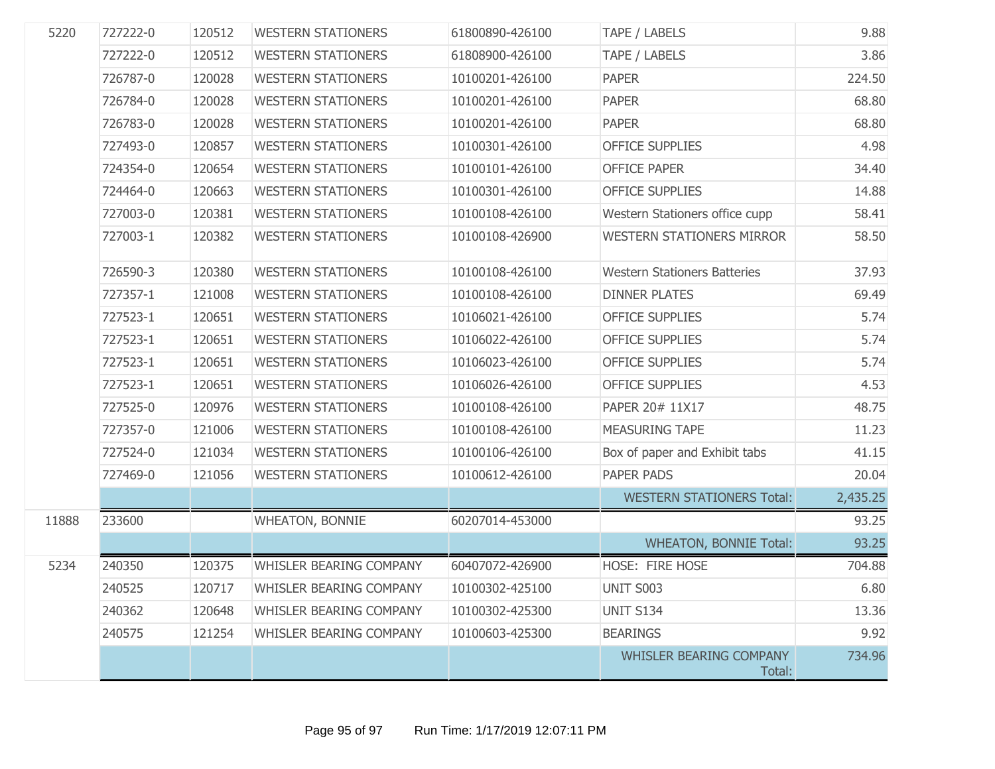| 5220  | 727222-0 | 120512 | <b>WESTERN STATIONERS</b>      | 61800890-426100 | TAPE / LABELS                       | 9.88     |
|-------|----------|--------|--------------------------------|-----------------|-------------------------------------|----------|
|       | 727222-0 | 120512 | <b>WESTERN STATIONERS</b>      | 61808900-426100 | TAPE / LABELS                       | 3.86     |
|       | 726787-0 | 120028 | <b>WESTERN STATIONERS</b>      | 10100201-426100 | <b>PAPER</b>                        | 224.50   |
|       | 726784-0 | 120028 | <b>WESTERN STATIONERS</b>      | 10100201-426100 | <b>PAPER</b>                        | 68.80    |
|       | 726783-0 | 120028 | <b>WESTERN STATIONERS</b>      | 10100201-426100 | <b>PAPER</b>                        | 68.80    |
|       | 727493-0 | 120857 | <b>WESTERN STATIONERS</b>      | 10100301-426100 | <b>OFFICE SUPPLIES</b>              | 4.98     |
|       | 724354-0 | 120654 | <b>WESTERN STATIONERS</b>      | 10100101-426100 | <b>OFFICE PAPER</b>                 | 34.40    |
|       | 724464-0 | 120663 | <b>WESTERN STATIONERS</b>      | 10100301-426100 | <b>OFFICE SUPPLIES</b>              | 14.88    |
|       | 727003-0 | 120381 | <b>WESTERN STATIONERS</b>      | 10100108-426100 | Western Stationers office cupp      | 58.41    |
|       | 727003-1 | 120382 | <b>WESTERN STATIONERS</b>      | 10100108-426900 | <b>WESTERN STATIONERS MIRROR</b>    | 58.50    |
|       | 726590-3 | 120380 | <b>WESTERN STATIONERS</b>      | 10100108-426100 | <b>Western Stationers Batteries</b> | 37.93    |
|       | 727357-1 | 121008 | <b>WESTERN STATIONERS</b>      | 10100108-426100 | <b>DINNER PLATES</b>                | 69.49    |
|       | 727523-1 | 120651 | <b>WESTERN STATIONERS</b>      | 10106021-426100 | <b>OFFICE SUPPLIES</b>              | 5.74     |
|       | 727523-1 | 120651 | <b>WESTERN STATIONERS</b>      | 10106022-426100 | <b>OFFICE SUPPLIES</b>              | 5.74     |
|       | 727523-1 | 120651 | <b>WESTERN STATIONERS</b>      | 10106023-426100 | <b>OFFICE SUPPLIES</b>              | 5.74     |
|       | 727523-1 | 120651 | <b>WESTERN STATIONERS</b>      | 10106026-426100 | <b>OFFICE SUPPLIES</b>              | 4.53     |
|       | 727525-0 | 120976 | <b>WESTERN STATIONERS</b>      | 10100108-426100 | PAPER 20# 11X17                     | 48.75    |
|       | 727357-0 | 121006 | <b>WESTERN STATIONERS</b>      | 10100108-426100 | <b>MEASURING TAPE</b>               | 11.23    |
|       | 727524-0 | 121034 | <b>WESTERN STATIONERS</b>      | 10100106-426100 | Box of paper and Exhibit tabs       | 41.15    |
|       | 727469-0 | 121056 | <b>WESTERN STATIONERS</b>      | 10100612-426100 | <b>PAPER PADS</b>                   | 20.04    |
|       |          |        |                                |                 | <b>WESTERN STATIONERS Total:</b>    | 2,435.25 |
| 11888 | 233600   |        | <b>WHEATON, BONNIE</b>         | 60207014-453000 |                                     | 93.25    |
|       |          |        |                                |                 | <b>WHEATON, BONNIE Total:</b>       | 93.25    |
| 5234  | 240350   | 120375 | WHISLER BEARING COMPANY        | 60407072-426900 | HOSE: FIRE HOSE                     | 704.88   |
|       | 240525   | 120717 | WHISLER BEARING COMPANY        | 10100302-425100 | UNIT S003                           | 6.80     |
|       | 240362   | 120648 | WHISLER BEARING COMPANY        | 10100302-425300 | <b>UNIT S134</b>                    | 13.36    |
|       | 240575   | 121254 | <b>WHISLER BEARING COMPANY</b> | 10100603-425300 | <b>BEARINGS</b>                     | 9.92     |
|       |          |        |                                |                 | WHISLER BEARING COMPANY<br>Total:   | 734.96   |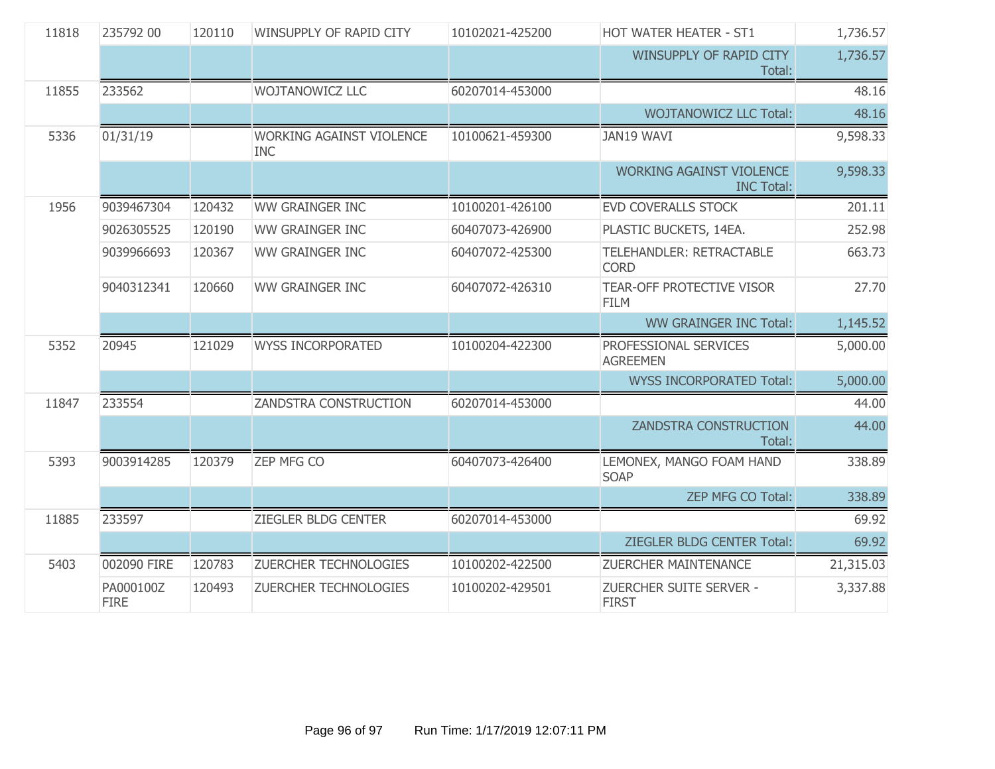| 11818 | 235792 00                | 120110 | WINSUPPLY OF RAPID CITY                       | 10102021-425200 | HOT WATER HEATER - ST1                               | 1,736.57  |
|-------|--------------------------|--------|-----------------------------------------------|-----------------|------------------------------------------------------|-----------|
|       |                          |        |                                               |                 | WINSUPPLY OF RAPID CITY<br>Total:                    | 1,736.57  |
| 11855 | 233562                   |        | <b>WOJTANOWICZ LLC</b>                        | 60207014-453000 |                                                      | 48.16     |
|       |                          |        |                                               |                 | <b>WOJTANOWICZ LLC Total:</b>                        | 48.16     |
| 5336  | 01/31/19                 |        | <b>WORKING AGAINST VIOLENCE</b><br><b>INC</b> | 10100621-459300 | <b>JAN19 WAVI</b>                                    | 9,598.33  |
|       |                          |        |                                               |                 | <b>WORKING AGAINST VIOLENCE</b><br><b>INC Total:</b> | 9,598.33  |
| 1956  | 9039467304               | 120432 | <b>WW GRAINGER INC</b>                        | 10100201-426100 | <b>EVD COVERALLS STOCK</b>                           | 201.11    |
|       | 9026305525               | 120190 | <b>WW GRAINGER INC</b>                        | 60407073-426900 | PLASTIC BUCKETS, 14EA.                               | 252.98    |
|       | 9039966693               | 120367 | <b>WW GRAINGER INC</b>                        | 60407072-425300 | TELEHANDLER: RETRACTABLE<br><b>CORD</b>              | 663.73    |
|       | 9040312341               | 120660 | <b>WW GRAINGER INC</b>                        | 60407072-426310 | <b>TEAR-OFF PROTECTIVE VISOR</b><br><b>FILM</b>      | 27.70     |
|       |                          |        |                                               |                 | <b>WW GRAINGER INC Total:</b>                        | 1,145.52  |
| 5352  | 20945                    | 121029 | <b>WYSS INCORPORATED</b>                      | 10100204-422300 | PROFESSIONAL SERVICES<br><b>AGREEMEN</b>             | 5,000.00  |
|       |                          |        |                                               |                 | <b>WYSS INCORPORATED Total:</b>                      | 5,000.00  |
| 11847 | 233554                   |        | ZANDSTRA CONSTRUCTION                         | 60207014-453000 |                                                      | 44.00     |
|       |                          |        |                                               |                 | <b>ZANDSTRA CONSTRUCTION</b><br>Total:               | 44.00     |
| 5393  | 9003914285               | 120379 | <b>ZEP MFG CO</b>                             | 60407073-426400 | LEMONEX, MANGO FOAM HAND<br><b>SOAP</b>              | 338.89    |
|       |                          |        |                                               |                 | ZEP MFG CO Total:                                    | 338.89    |
| 11885 | 233597                   |        | ZIEGLER BLDG CENTER                           | 60207014-453000 |                                                      | 69.92     |
|       |                          |        |                                               |                 | ZIEGLER BLDG CENTER Total:                           | 69.92     |
| 5403  | 002090 FIRE              | 120783 | <b>ZUERCHER TECHNOLOGIES</b>                  | 10100202-422500 | <b>ZUERCHER MAINTENANCE</b>                          | 21,315.03 |
|       | PA000100Z<br><b>FIRE</b> | 120493 | ZUERCHER TECHNOLOGIES                         | 10100202-429501 | ZUERCHER SUITE SERVER -<br><b>FIRST</b>              | 3,337.88  |